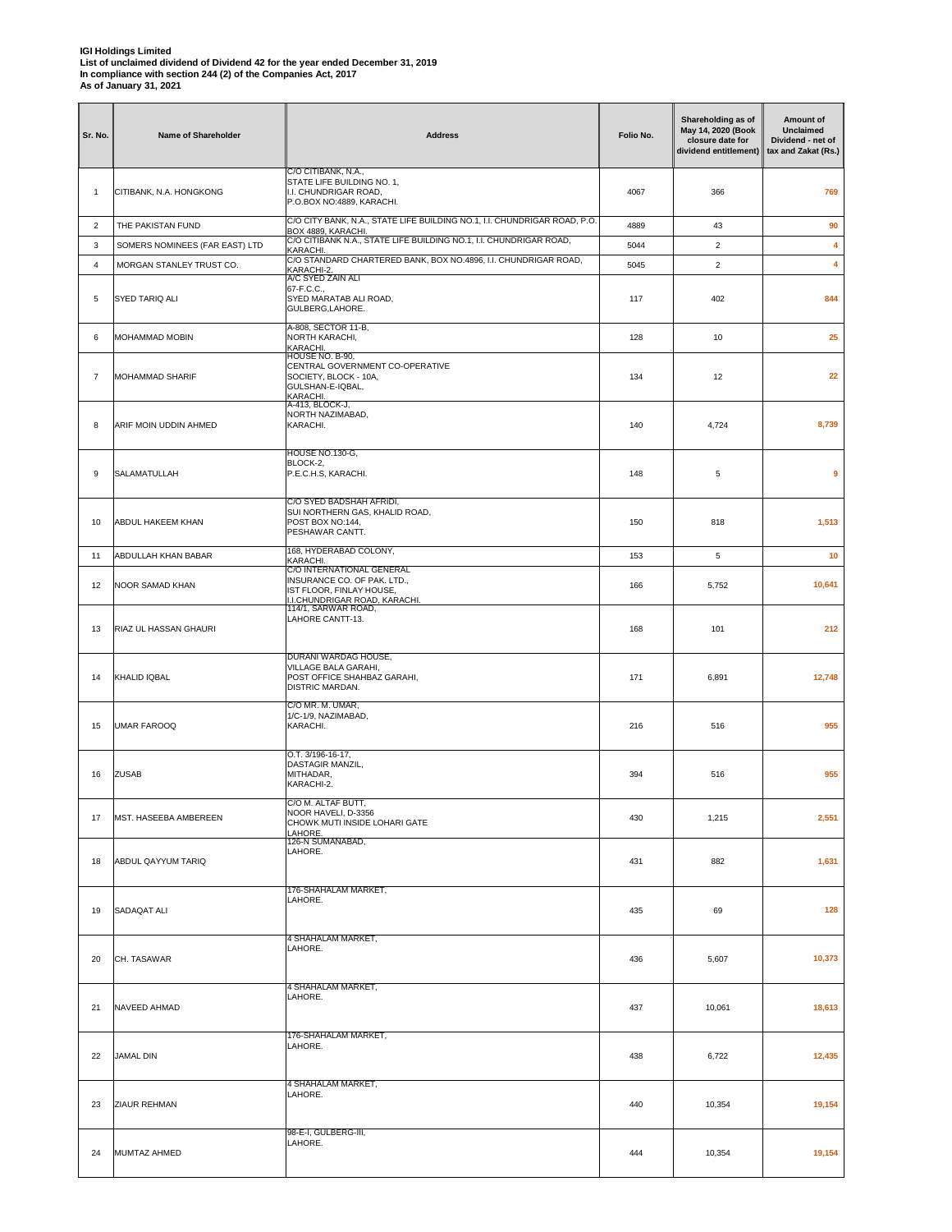| Sr. No.          | Name of Shareholder            | <b>Address</b>                                                                                                        | Folio No. | Shareholding as of<br>May 14, 2020 (Book<br>closure date for<br>dividend entitlement) | Amount of<br><b>Unclaimed</b><br>Dividend - net of<br>tax and Zakat (Rs.) |
|------------------|--------------------------------|-----------------------------------------------------------------------------------------------------------------------|-----------|---------------------------------------------------------------------------------------|---------------------------------------------------------------------------|
| 1                | CITIBANK, N.A. HONGKONG        | C/O CITIBANK, N.A.,<br>STATE LIFE BUILDING NO. 1,<br>I.I. CHUNDRIGAR ROAD,<br>P.O.BOX NO:4889, KARACHI.               | 4067      | 366                                                                                   | 769                                                                       |
| $\overline{2}$   | THE PAKISTAN FUND              | C/O CITY BANK, N.A., STATE LIFE BUILDING NO.1, I.I. CHUNDRIGAR ROAD, P.O.<br>BOX 4889, KARACHI.                       | 4889      | 43                                                                                    | 90                                                                        |
| 3                | SOMERS NOMINEES (FAR EAST) LTD | C/O CITIBANK N.A., STATE LIFE BUILDING NO.1, I.I. CHUNDRIGAR ROAD,<br>KARACHI.                                        | 5044      | $\overline{2}$                                                                        | 4                                                                         |
| 4                | MORGAN STANLEY TRUST CO.       | C/O STANDARD CHARTERED BANK, BOX NO.4896, I.I. CHUNDRIGAR ROAD,<br>KARACHI-2                                          | 5045      | $\overline{c}$                                                                        | 4                                                                         |
| 5                | SYED TARIQ ALI                 | A/C SYED ZAIN ALI<br>67-F.C.C.,<br>SYED MARATAB ALI ROAD,<br>GULBERG, LAHORE.                                         | 117       | 402                                                                                   | 844                                                                       |
| 6                | <b>MOHAMMAD MOBIN</b>          | A-808, SECTOR 11-B,<br>NORTH KARACHI,<br>KARACHI.<br>HOUSE NO. B-90,                                                  | 128       | 10                                                                                    | 25                                                                        |
| $\overline{7}$   | <b>MOHAMMAD SHARIF</b>         | CENTRAL GOVERNMENT CO-OPERATIVE<br>SOCIETY, BLOCK - 10A,<br>GULSHAN-E-IQBAL,<br>KARACHI.<br>A-413, BLOCK-J,           | 134       | 12                                                                                    | 22                                                                        |
| 8                | ARIF MOIN UDDIN AHMED          | NORTH NAZIMABAD,<br>KARACHI.                                                                                          | 140       | 4,724                                                                                 | 8,739                                                                     |
| $\boldsymbol{9}$ | SALAMATULLAH                   | HOUSE NO.130-G,<br>BLOCK-2,<br>P.E.C.H.S, KARACHI.                                                                    | 148       | 5                                                                                     | 9                                                                         |
| 10               | <b>ABDUL HAKEEM KHAN</b>       | C/O SYED BADSHAH AFRIDI,<br>SUI NORTHERN GAS, KHALID ROAD,<br>POST BOX NO:144.<br>PESHAWAR CANTT.                     | 150       | 818                                                                                   | 1,513                                                                     |
| 11               | ABDULLAH KHAN BABAR            | 168, HYDERABAD COLONY,<br>KARACHI.                                                                                    | 153       | 5                                                                                     | 10                                                                        |
| 12               | NOOR SAMAD KHAN                | C/O INTERNATIONAL GENERAL<br>INSURANCE CO. OF PAK. LTD.,<br>IST FLOOR, FINLAY HOUSE,<br>I.I.CHUNDRIGAR ROAD, KARACHI. | 166       | 5,752                                                                                 | 10,641                                                                    |
| 13               | RIAZ UL HASSAN GHAURI          | 114/1, SARWAR ROAD,<br>LAHORE CANTT-13.                                                                               | 168       | 101                                                                                   | 212                                                                       |
| 14               | KHALID IQBAL                   | DURANI WARDAG HOUSE,<br>VILLAGE BALA GARAHI,<br>POST OFFICE SHAHBAZ GARAHI,<br>DISTRIC MARDAN.                        | 171       | 6,891                                                                                 | 12,748                                                                    |
| 15               | <b>UMAR FAROOQ</b>             | C/O MR. M. UMAR,<br>1/C-1/9, NAZIMABAD,<br>KARACHI.                                                                   | 216       | 516                                                                                   | 955                                                                       |
| 16               | <b>ZUSAB</b>                   | O.T. 3/196-16-17,<br>DASTAGIR MANZIL,<br>MITHADAR,<br>KARACHI-2.                                                      | 394       | 516                                                                                   | 955                                                                       |
| 17               | MST. HASEEBA AMBEREEN          | C/O M. ALTAF BUTT,<br>NOOR HAVELI, D-3356<br>CHOWK MUTI INSIDE LOHARI GATE<br>LAHORE.                                 | 430       | 1,215                                                                                 | 2,551                                                                     |
| 18               | ABDUL QAYYUM TARIQ             | 126-N SUMANABAD,<br>LAHORE.                                                                                           | 431       | 882                                                                                   | 1,631                                                                     |
| 19               | SADAQAT ALI                    | 176-SHAHALAM MARKET,<br>LAHORE.                                                                                       | 435       | 69                                                                                    | 128                                                                       |
| 20               | CH. TASAWAR                    | 4 SHAHALAM MARKET,<br>LAHORE.                                                                                         | 436       | 5,607                                                                                 | 10,373                                                                    |
| 21               | NAVEED AHMAD                   | 4 SHAHALAM MARKET,<br>LAHORE.                                                                                         | 437       | 10,061                                                                                | 18,613                                                                    |
| 22               | JAMAL DIN                      | 176-SHAHALAM MARKET,<br>LAHORE.                                                                                       | 438       | 6,722                                                                                 | 12,435                                                                    |
| 23               | ZIAUR REHMAN                   | 4 SHAHALAM MARKET,<br>LAHORE.                                                                                         | 440       | 10,354                                                                                | 19,154                                                                    |
| 24               | MUMTAZ AHMED                   | 98-E-I, GULBERG-III,<br>LAHORE.                                                                                       | 444       | 10,354                                                                                | 19,154                                                                    |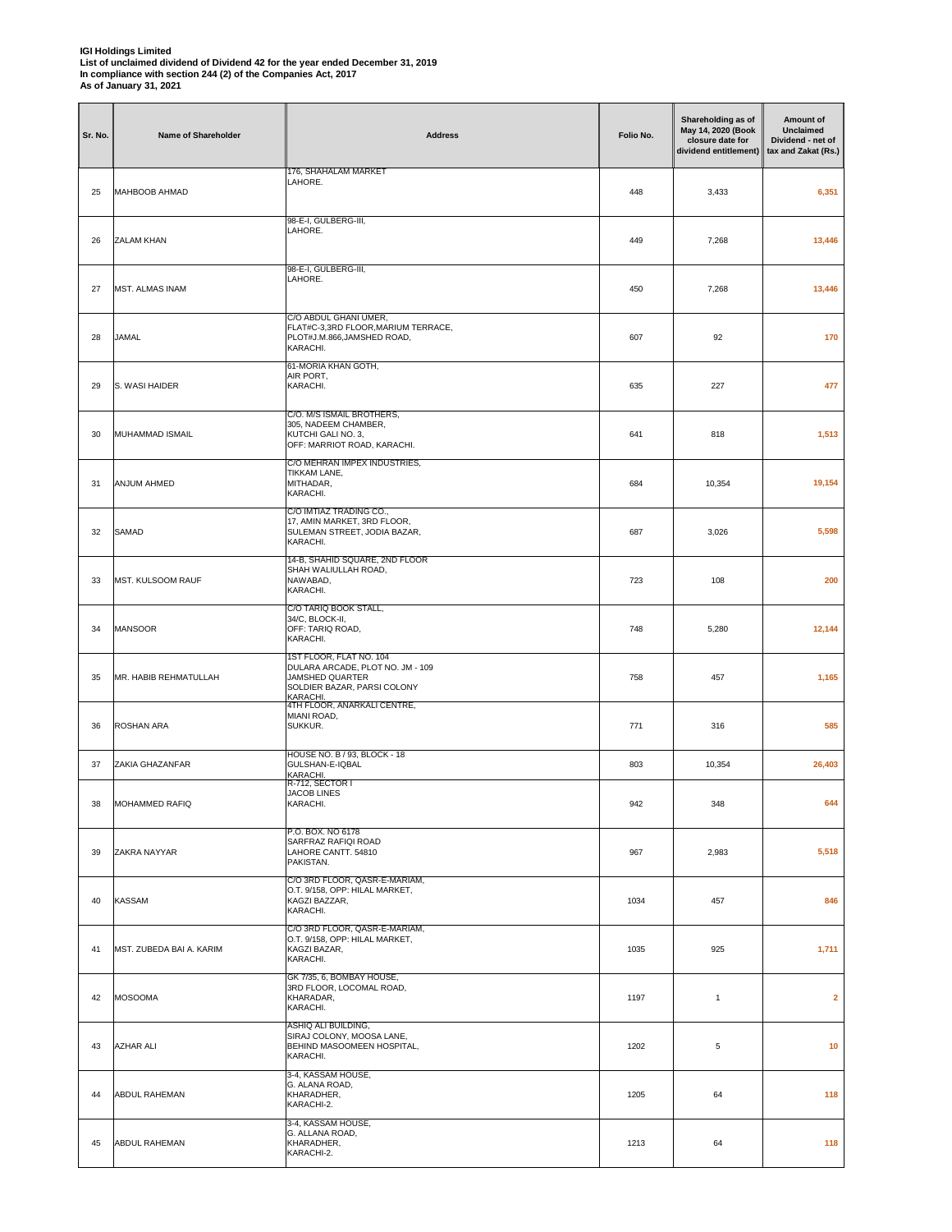| Sr. No. | Name of Shareholder      | <b>Address</b>                                                                                                            | Folio No. | Shareholding as of<br>May 14, 2020 (Book<br>closure date for<br>dividend entitlement) | Amount of<br><b>Unclaimed</b><br>Dividend - net of<br>tax and Zakat (Rs.) |
|---------|--------------------------|---------------------------------------------------------------------------------------------------------------------------|-----------|---------------------------------------------------------------------------------------|---------------------------------------------------------------------------|
| 25      | MAHBOOB AHMAD            | 176, SHAHALAM MARKET<br>LAHORE.                                                                                           | 448       | 3,433                                                                                 | 6,351                                                                     |
| 26      | ZALAM KHAN               | 98-E-I, GULBERG-III,<br>LAHORE.                                                                                           | 449       | 7,268                                                                                 | 13,446                                                                    |
| 27      | <b>MST. ALMAS INAM</b>   | 98-E-I, GULBERG-III,<br>LAHORE.                                                                                           | 450       | 7,268                                                                                 | 13,446                                                                    |
| 28      | <b>JAMAL</b>             | C/O ABDUL GHANI UMER,<br>FLAT#C-3,3RD FLOOR, MARIUM TERRACE,<br>PLOT#J.M.866,JAMSHED ROAD,<br>KARACHI.                    | 607       | 92                                                                                    | 170                                                                       |
| 29      | S. WASI HAIDER           | 61-MORIA KHAN GOTH,<br>AIR PORT,<br>KARACHI.                                                                              | 635       | 227                                                                                   | 477                                                                       |
| 30      | MUHAMMAD ISMAIL          | C/O. M/S ISMAIL BROTHERS,<br>305, NADEEM CHAMBER,<br>KUTCHI GALI NO. 3,<br>OFF: MARRIOT ROAD, KARACHI.                    | 641       | 818                                                                                   | 1,513                                                                     |
| 31      | ANJUM AHMED              | C/O MEHRAN IMPEX INDUSTRIES,<br>TIKKAM LANE,<br>MITHADAR,<br>KARACHI.                                                     | 684       | 10,354                                                                                | 19,154                                                                    |
| 32      | <b>SAMAD</b>             | C/O IMTIAZ TRADING CO.,<br>17, AMIN MARKET, 3RD FLOOR,<br>SULEMAN STREET, JODIA BAZAR,<br>KARACHI.                        | 687       | 3,026                                                                                 | 5,598                                                                     |
| 33      | MST. KULSOOM RAUF        | 14-B, SHAHID SQUARE, 2ND FLOOR<br>SHAH WALIULLAH ROAD,<br>NAWABAD,<br>KARACHI.                                            | 723       | 108                                                                                   | 200                                                                       |
| 34      | <b>MANSOOR</b>           | C/O TARIQ BOOK STALL,<br>34/C, BLOCK-II,<br>OFF: TARIQ ROAD,<br>KARACHI.                                                  | 748       | 5,280                                                                                 | 12,144                                                                    |
| 35      | MR. HABIB REHMATULLAH    | 1ST FLOOR, FLAT NO. 104<br>DULARA ARCADE, PLOT NO. JM - 109<br>JAMSHED QUARTER<br>SOLDIER BAZAR, PARSI COLONY<br>KARACHI. | 758       | 457                                                                                   | 1,165                                                                     |
| 36      | ROSHAN ARA               | 4TH FLOOR, ANARKALI CENTRE,<br>MIANI ROAD,<br>SUKKUR.                                                                     | 771       | 316                                                                                   | 585                                                                       |
| 37      | ZAKIA GHAZANFAR          | HOUSE NO. B / 93, BLOCK - 18<br>GULSHAN-E-IQBAL<br>KARACHI.                                                               | 803       | 10,354                                                                                | 26,403                                                                    |
| 38      | <b>MOHAMMED RAFIQ</b>    | R-712, SECTOR I<br><b>JACOB LINES</b><br>KARACHI.                                                                         | 942       | 348                                                                                   | 644                                                                       |
| 39      | ZAKRA NAYYAR             | P.O. BOX. NO 6178<br>SARFRAZ RAFIQI ROAD<br>LAHORE CANTT. 54810<br>PAKISTAN.                                              | 967       | 2,983                                                                                 | 5,518                                                                     |
| 40      | <b>KASSAM</b>            | C/O 3RD FLOOR, QASR-E-MARIAM,<br>O.T. 9/158, OPP: HILAL MARKET,<br>KAGZI BAZZAR,<br>KARACHI.                              | 1034      | 457                                                                                   | 846                                                                       |
| 41      | MST. ZUBEDA BAI A. KARIM | C/O 3RD FLOOR, QASR-E-MARIAM,<br>O.T. 9/158, OPP: HILAL MARKET,<br>KAGZI BAZAR,<br>KARACHI.                               | 1035      | 925                                                                                   | 1,711                                                                     |
| 42      | <b>MOSOOMA</b>           | GK 7/35, 6, BOMBAY HOUSE,<br>3RD FLOOR, LOCOMAL ROAD,<br>KHARADAR,<br>KARACHI.                                            | 1197      | $\mathbf{1}$                                                                          | $\overline{2}$                                                            |
| 43      | <b>AZHAR ALI</b>         | ASHIQ ALI BUILDING,<br>SIRAJ COLONY, MOOSA LANE,<br>BEHIND MASOOMEEN HOSPITAL,<br>KARACHI.                                | 1202      | 5                                                                                     | 10                                                                        |
| 44      | <b>ABDUL RAHEMAN</b>     | 3-4, KASSAM HOUSE,<br>G. ALANA ROAD,<br>KHARADHER,<br>KARACHI-2.                                                          | 1205      | 64                                                                                    | 118                                                                       |
| 45      | <b>ABDUL RAHEMAN</b>     | 3-4, KASSAM HOUSE,<br>G. ALLANA ROAD,<br>KHARADHER,<br>KARACHI-2.                                                         | 1213      | 64                                                                                    | 118                                                                       |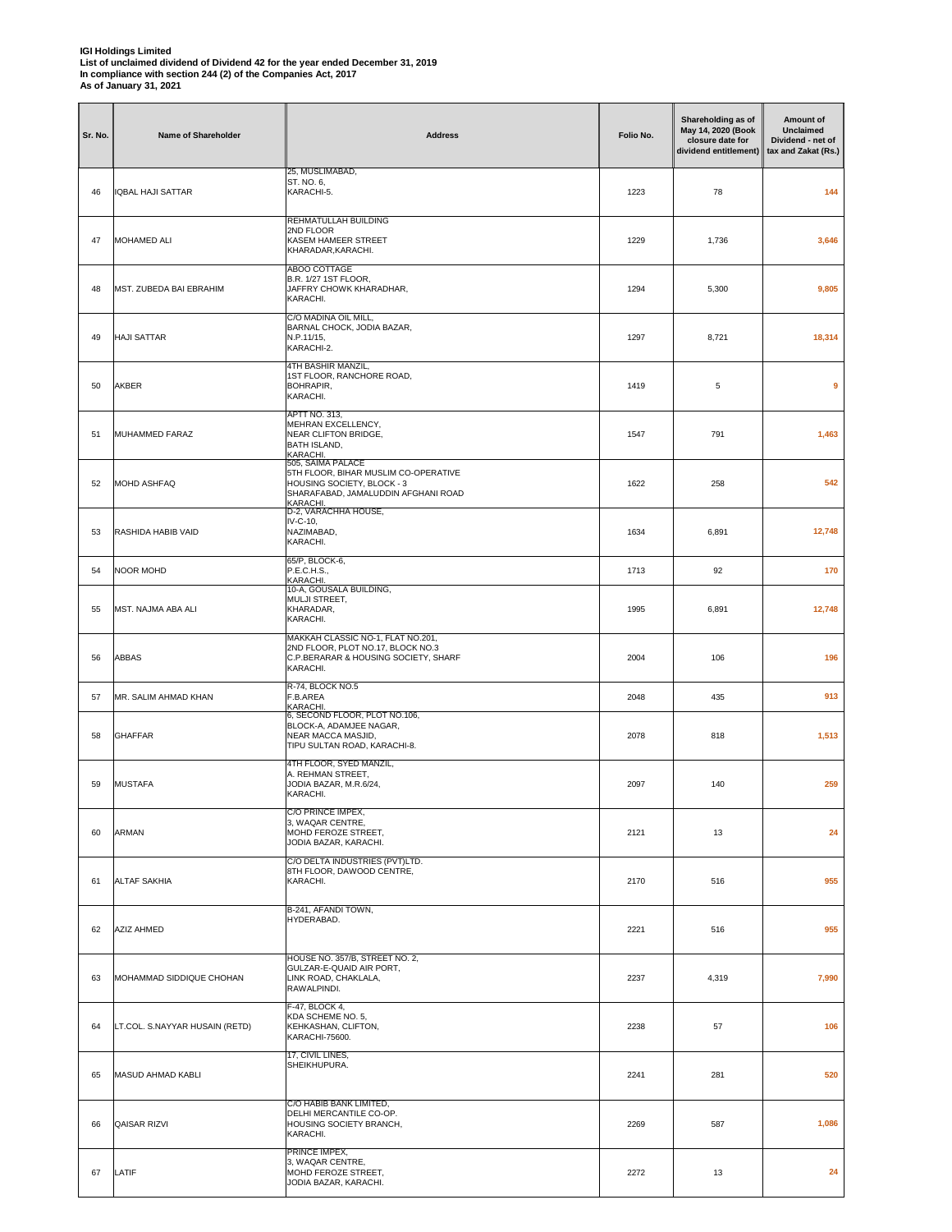| Sr. No. | Name of Shareholder            | <b>Address</b>                                                                                                                             | Folio No. | Shareholding as of<br>May 14, 2020 (Book<br>closure date for<br>dividend entitlement) | Amount of<br><b>Unclaimed</b><br>Dividend - net of<br>tax and Zakat (Rs.) |
|---------|--------------------------------|--------------------------------------------------------------------------------------------------------------------------------------------|-----------|---------------------------------------------------------------------------------------|---------------------------------------------------------------------------|
| 46      | <b>IQBAL HAJI SATTAR</b>       | 25, MUSLIMABAD,<br>ST. NO. 6,<br>KARACHI-5.                                                                                                | 1223      | 78                                                                                    | 144                                                                       |
| 47      | <b>MOHAMED ALI</b>             | REHMATULLAH BUILDING<br>2ND FLOOR<br>KASEM HAMEER STREET<br>KHARADAR, KARACHI.                                                             | 1229      | 1,736                                                                                 | 3,646                                                                     |
| 48      | MST. ZUBEDA BAI EBRAHIM        | ABOO COTTAGE<br>B.R. 1/27 1ST FLOOR,<br>JAFFRY CHOWK KHARADHAR,<br>KARACHI.                                                                | 1294      | 5,300                                                                                 | 9,805                                                                     |
| 49      | <b>HAJI SATTAR</b>             | C/O MADINA OIL MILL,<br>BARNAL CHOCK, JODIA BAZAR,<br>N.P.11/15,<br>KARACHI-2.                                                             | 1297      | 8,721                                                                                 | 18,314                                                                    |
| 50      | AKBER                          | 4TH BASHIR MANZIL,<br>1ST FLOOR, RANCHORE ROAD,<br>BOHRAPIR,<br>KARACHI.                                                                   | 1419      | 5                                                                                     | 9                                                                         |
| 51      | MUHAMMED FARAZ                 | <b>APTT NO. 313,</b><br>MEHRAN EXCELLENCY,<br>NEAR CLIFTON BRIDGE,<br><b>BATH ISLAND,</b><br>KARACHI.                                      | 1547      | 791                                                                                   | 1,463                                                                     |
| 52      | <b>MOHD ASHFAQ</b>             | 505, SAIMA PALACE<br>5TH FLOOR, BIHAR MUSLIM CO-OPERATIVE<br>HOUSING SOCIETY, BLOCK - 3<br>SHARAFABAD, JAMALUDDIN AFGHANI ROAD<br>KARACHI. | 1622      | 258                                                                                   | 542                                                                       |
| 53      | RASHIDA HABIB VAID             | D-2, VARACHHA HOUSE,<br>IV-C-10,<br>NAZIMABAD,<br>KARACHI.                                                                                 | 1634      | 6,891                                                                                 | 12,748                                                                    |
| 54      | <b>NOOR MOHD</b>               | 65/P, BLOCK-6,<br>P.E.C.H.S.,<br>KARACHI                                                                                                   | 1713      | 92                                                                                    | 170                                                                       |
| 55      | MST. NAJMA ABA ALI             | 10-A, GOUSALA BUILDING,<br>MULJI STREET,<br>KHARADAR,<br>KARACHI.                                                                          | 1995      | 6,891                                                                                 | 12,748                                                                    |
| 56      | ABBAS                          | MAKKAH CLASSIC NO-1, FLAT NO.201,<br>2ND FLOOR, PLOT NO.17, BLOCK NO.3<br>C.P.BERARAR & HOUSING SOCIETY, SHARF<br>KARACHI.                 | 2004      | 106                                                                                   | 196                                                                       |
| 57      | MR. SALIM AHMAD KHAN           | R-74, BLOCK NO.5<br>F.B.AREA<br>KARACHI                                                                                                    | 2048      | 435                                                                                   | 913                                                                       |
| 58      | <b>GHAFFAR</b>                 | 6, SECOND FLOOR, PLOT NO.106,<br>BLOCK-A, ADAMJEE NAGAR,<br>NEAR MACCA MASJID,<br>TIPU SULTAN ROAD, KARACHI-8.                             | 2078      | 818                                                                                   | 1,513                                                                     |
| 59      | <b>MUSTAFA</b>                 | 4TH FLOOR, SYED MANZIL,<br>A. REHMAN STREET,<br>JODIA BAZAR, M.R.6/24,<br>KARACHI.                                                         | 2097      | 140                                                                                   | 259                                                                       |
| 60      | <b>ARMAN</b>                   | C/O PRINCE IMPEX,<br>3, WAQAR CENTRE,<br>MOHD FEROZE STREET,<br>JODIA BAZAR, KARACHI.                                                      | 2121      | 13                                                                                    | 24                                                                        |
| 61      | <b>ALTAF SAKHIA</b>            | C/O DELTA INDUSTRIES (PVT)LTD.<br>8TH FLOOR, DAWOOD CENTRE,<br>KARACHI.                                                                    | 2170      | 516                                                                                   | 955                                                                       |
| 62      | <b>AZIZ AHMED</b>              | B-241, AFANDI TOWN,<br>HYDERABAD.                                                                                                          | 2221      | 516                                                                                   | 955                                                                       |
| 63      | MOHAMMAD SIDDIQUE CHOHAN       | HOUSE NO. 357/B, STREET NO. 2,<br>GULZAR-E-QUAID AIR PORT,<br>LINK ROAD, CHAKLALA,<br>RAWALPINDI.                                          | 2237      | 4,319                                                                                 | 7,990                                                                     |
| 64      | LT.COL. S.NAYYAR HUSAIN (RETD) | F-47, BLOCK 4,<br>KDA SCHEME NO. 5,<br>KEHKASHAN, CLIFTON,<br>KARACHI-75600.                                                               | 2238      | 57                                                                                    | 106                                                                       |
| 65      | MASUD AHMAD KABLI              | 17, CIVIL LINES,<br>SHEIKHUPURA.                                                                                                           | 2241      | 281                                                                                   | 520                                                                       |
| 66      | QAISAR RIZVI                   | C/O HABIB BANK LIMITED,<br>DELHI MERCANTILE CO-OP.<br>HOUSING SOCIETY BRANCH,<br>KARACHI.                                                  | 2269      | 587                                                                                   | 1,086                                                                     |
| 67      | LATIF                          | PRINCE IMPEX,<br>3, WAQAR CENTRE,<br>MOHD FEROZE STREET,<br>JODIA BAZAR, KARACHI.                                                          | 2272      | 13                                                                                    | 24                                                                        |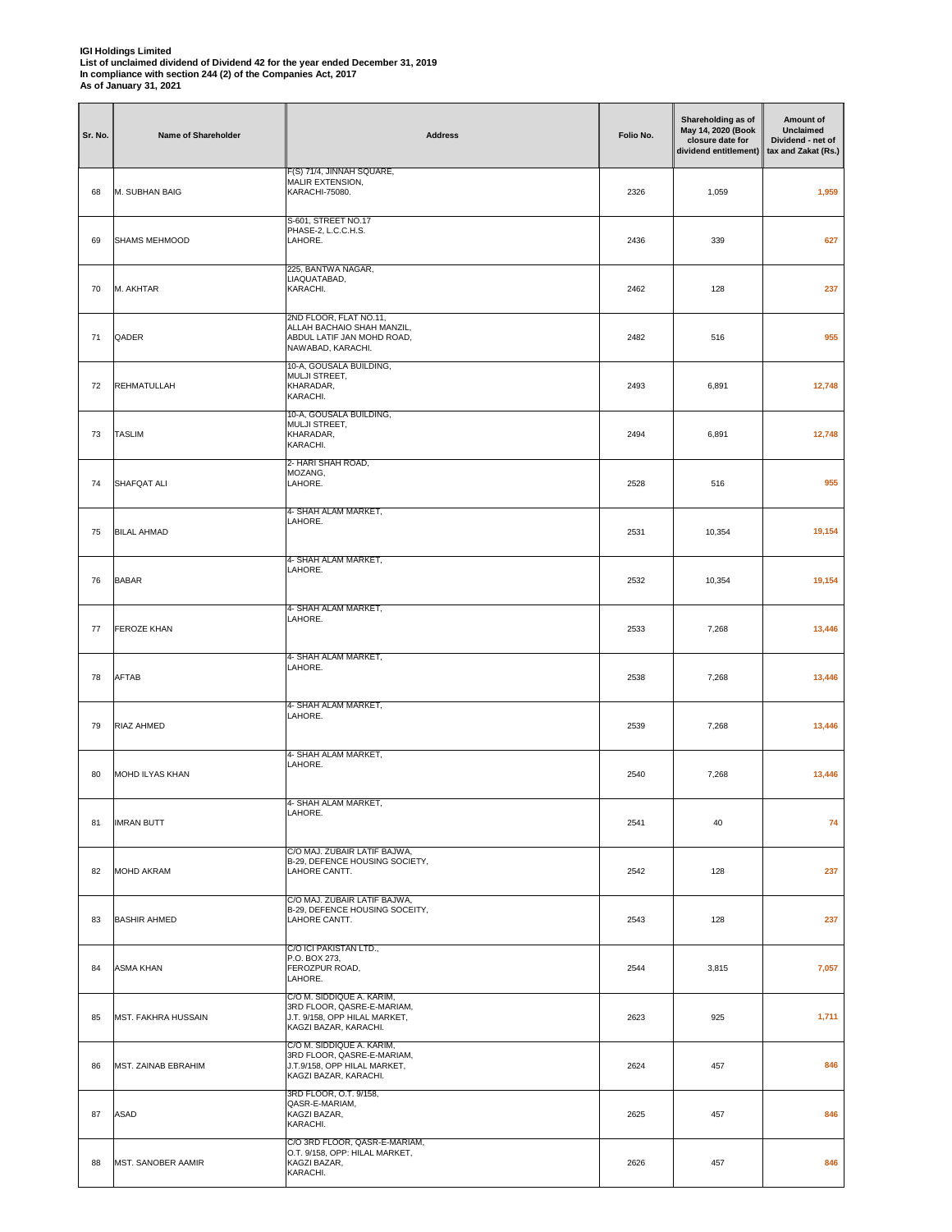| Sr. No. | Name of Shareholder        | <b>Address</b>                                                                                                    | Folio No. | Shareholding as of<br>May 14, 2020 (Book<br>closure date for<br>dividend entitlement) | Amount of<br><b>Unclaimed</b><br>Dividend - net of<br>tax and Zakat (Rs.) |
|---------|----------------------------|-------------------------------------------------------------------------------------------------------------------|-----------|---------------------------------------------------------------------------------------|---------------------------------------------------------------------------|
| 68      | M. SUBHAN BAIG             | F(S) 71/4, JINNAH SQUARE,<br>MALIR EXTENSION,<br>KARACHI-75080.                                                   | 2326      | 1,059                                                                                 | 1,959                                                                     |
| 69      | SHAMS MEHMOOD              | S-601, STREET NO.17<br>PHASE-2, L.C.C.H.S.<br>LAHORE.                                                             | 2436      | 339                                                                                   | 627                                                                       |
| 70      | M. AKHTAR                  | 225, BANTWA NAGAR,<br>LIAQUATABAD,<br>KARACHI.                                                                    | 2462      | 128                                                                                   | 237                                                                       |
| 71      | QADER                      | 2ND FLOOR, FLAT NO.11,<br>ALLAH BACHAIO SHAH MANZIL,<br>ABDUL LATIF JAN MOHD ROAD,<br>NAWABAD, KARACHI.           | 2482      | 516                                                                                   | 955                                                                       |
| 72      | <b>REHMATULLAH</b>         | 10-A, GOUSALA BUILDING,<br>MULJI STREET,<br>KHARADAR,<br>KARACHI.                                                 | 2493      | 6,891                                                                                 | 12,748                                                                    |
| 73      | <b>TASLIM</b>              | 10-A, GOUSALA BUILDING,<br>MULJI STREET,<br>KHARADAR,<br>KARACHI.                                                 | 2494      | 6,891                                                                                 | 12,748                                                                    |
| 74      | SHAFQAT ALI                | 2- HARI SHAH ROAD,<br>MOZANG,<br>LAHORE.                                                                          | 2528      | 516                                                                                   | 955                                                                       |
| 75      | <b>BILAL AHMAD</b>         | 4- SHAH ALAM MARKET,<br>LAHORE.                                                                                   | 2531      | 10,354                                                                                | 19,154                                                                    |
| 76      | <b>BABAR</b>               | 4- SHAH ALAM MARKET,<br>LAHORE.                                                                                   | 2532      | 10,354                                                                                | 19,154                                                                    |
| 77      | <b>FEROZE KHAN</b>         | 4- SHAH ALAM MARKET,<br>LAHORE.                                                                                   | 2533      | 7,268                                                                                 | 13,446                                                                    |
| 78      | AFTAB                      | 4- SHAH ALAM MARKET,<br>LAHORE.                                                                                   | 2538      | 7,268                                                                                 | 13,446                                                                    |
| 79      | RIAZ AHMED                 | 4- SHAH ALAM MARKET,<br>LAHORE.                                                                                   | 2539      | 7,268                                                                                 | 13,446                                                                    |
| 80      | MOHD ILYAS KHAN            | 4- SHAH ALAM MARKET,<br>LAHORE.                                                                                   | 2540      | 7,268                                                                                 | 13,446                                                                    |
| 81      | <b>IMRAN BUTT</b>          | 4- SHAH ALAM MARKET,<br>LAHORE.                                                                                   | 2541      | 40                                                                                    | 74                                                                        |
| 82      | <b>MOHD AKRAM</b>          | C/O MAJ. ZUBAIR LATIF BAJWA,<br>B-29, DEFENCE HOUSING SOCIETY,<br>LAHORE CANTT.                                   | 2542      | 128                                                                                   | 237                                                                       |
| 83      | <b>BASHIR AHMED</b>        | C/O MAJ. ZUBAIR LATIF BAJWA,<br>B-29, DEFENCE HOUSING SOCEITY,<br>LAHORE CANTT.                                   | 2543      | 128                                                                                   | 237                                                                       |
| 84      | <b>ASMA KHAN</b>           | C/O ICI PAKISTAN LTD.,<br>P.O. BOX 273,<br>FEROZPUR ROAD,<br>LAHORE.                                              | 2544      | 3,815                                                                                 | 7,057                                                                     |
| 85      | <b>MST. FAKHRA HUSSAIN</b> | C/O M. SIDDIQUE A. KARIM,<br>3RD FLOOR, QASRE-E-MARIAM,<br>J.T. 9/158, OPP HILAL MARKET,<br>KAGZI BAZAR, KARACHI. | 2623      | 925                                                                                   | 1,711                                                                     |
| 86      | MST. ZAINAB EBRAHIM        | C/O M. SIDDIQUE A. KARIM,<br>3RD FLOOR, QASRE-E-MARIAM,<br>J.T.9/158, OPP HILAL MARKET,<br>KAGZI BAZAR, KARACHI.  | 2624      | 457                                                                                   | 846                                                                       |
| 87      | <b>ASAD</b>                | 3RD FLOOR, O.T. 9/158,<br>QASR-E-MARIAM,<br>KAGZI BAZAR,<br>KARACHI.                                              | 2625      | 457                                                                                   | 846                                                                       |
| 88      | MST. SANOBER AAMIR         | C/O 3RD FLOOR, QASR-E-MARIAM,<br>O.T. 9/158, OPP: HILAL MARKET,<br>KAGZI BAZAR,<br>KARACHI.                       | 2626      | 457                                                                                   | 846                                                                       |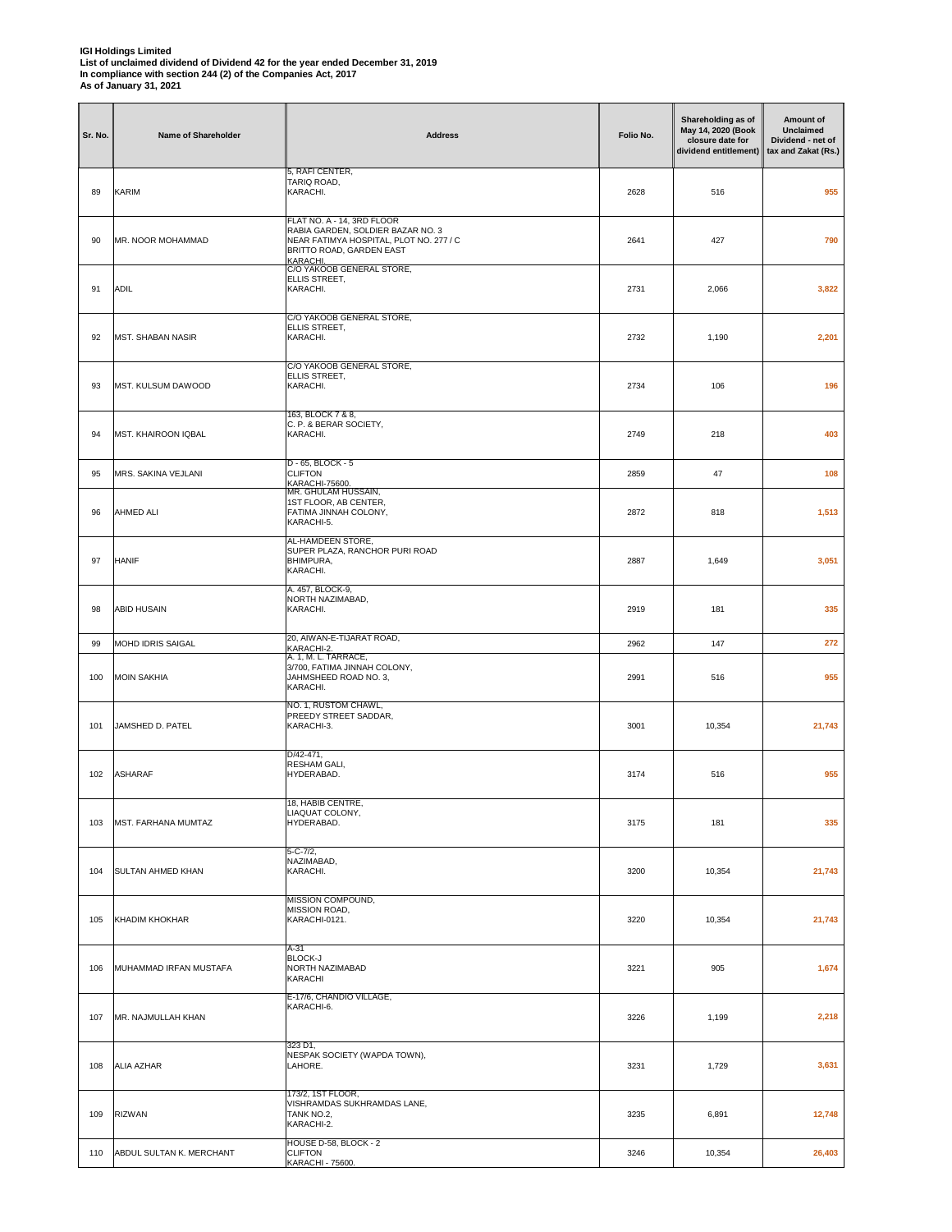| Sr. No. | Name of Shareholder        | <b>Address</b>                                                                                                                                     | Folio No. | Shareholding as of<br>May 14, 2020 (Book<br>closure date for<br>dividend entitlement) | Amount of<br>Unclaimed<br>Dividend - net of<br>tax and Zakat (Rs.) |
|---------|----------------------------|----------------------------------------------------------------------------------------------------------------------------------------------------|-----------|---------------------------------------------------------------------------------------|--------------------------------------------------------------------|
| 89      | <b>KARIM</b>               | 5, RAFI CENTER,<br>TARIQ ROAD,<br>KARACHI.                                                                                                         | 2628      | 516                                                                                   | 955                                                                |
| 90      | MR. NOOR MOHAMMAD          | FLAT NO. A - 14, 3RD FLOOR<br>RABIA GARDEN, SOLDIER BAZAR NO. 3<br>NEAR FATIMYA HOSPITAL, PLOT NO. 277 / C<br>BRITTO ROAD, GARDEN EAST<br>KARACHI. | 2641      | 427                                                                                   | 790                                                                |
| 91      | <b>ADIL</b>                | C/O YAKOOB GENERAL STORE,<br>ELLIS STREET,<br>KARACHI.                                                                                             | 2731      | 2,066                                                                                 | 3,822                                                              |
| 92      | <b>MST. SHABAN NASIR</b>   | C/O YAKOOB GENERAL STORE,<br>ELLIS STREET,<br>KARACHI.                                                                                             | 2732      | 1,190                                                                                 | 2,201                                                              |
| 93      | MST. KULSUM DAWOOD         | C/O YAKOOB GENERAL STORE,<br>ELLIS STREET,<br>KARACHI.                                                                                             | 2734      | 106                                                                                   | 196                                                                |
| 94      | <b>MST. KHAIROON IQBAL</b> | 163, BLOCK 7 & 8,<br>C. P. & BERAR SOCIETY,<br>KARACHI.                                                                                            | 2749      | 218                                                                                   | 403                                                                |
| 95      | MRS. SAKINA VEJLANI        | D - 65, BLOCK - 5<br><b>CLIFTON</b><br>KARACHI-75600.                                                                                              | 2859      | 47                                                                                    | 108                                                                |
| 96      | <b>AHMED ALI</b>           | MR. GHULAM HUSSAIN,<br>1ST FLOOR, AB CENTER,<br>FATIMA JINNAH COLONY,<br>KARACHI-5.                                                                | 2872      | 818                                                                                   | 1,513                                                              |
| 97      | <b>HANIF</b>               | AL-HAMDEEN STORE,<br>SUPER PLAZA, RANCHOR PURI ROAD<br>BHIMPURA,<br>KARACHI.                                                                       | 2887      | 1,649                                                                                 | 3,051                                                              |
| 98      | <b>ABID HUSAIN</b>         | A. 457, BLOCK-9,<br>NORTH NAZIMABAD,<br>KARACHI.                                                                                                   | 2919      | 181                                                                                   | 335                                                                |
| 99      | MOHD IDRIS SAIGAL          | 20, AIWAN-E-TIJARAT ROAD,<br>KARACHI-2.                                                                                                            | 2962      | 147                                                                                   | 272                                                                |
| 100     | <b>MOIN SAKHIA</b>         | A. 1, M. L. TARRACE,<br>3/700, FATIMA JINNAH COLONY,<br>JAHMSHEED ROAD NO. 3,<br>KARACHI.                                                          | 2991      | 516                                                                                   | 955                                                                |
| 101     | JAMSHED D. PATEL           | NO. 1, RUSTOM CHAWL,<br>PREEDY STREET SADDAR,<br>KARACHI-3.                                                                                        | 3001      | 10,354                                                                                | 21,743                                                             |
| 102     | <b>ASHARAF</b>             | D/42-471,<br>RESHAM GALI,<br>HYDERABAD.                                                                                                            | 3174      | 516                                                                                   | 955                                                                |
| 103     | MST. FARHANA MUMTAZ        | 18, HABIB CENTRE,<br>LIAQUAT COLONY,<br>HYDERABAD.                                                                                                 | 3175      | 181                                                                                   | 335                                                                |
| 104     | <b>SULTAN AHMED KHAN</b>   | $5 - C - 7/2$ ,<br>NAZIMABAD,<br>KARACHI.                                                                                                          | 3200      | 10,354                                                                                | 21,743                                                             |
| 105     | KHADIM KHOKHAR             | MISSION COMPOUND,<br>MISSION ROAD,<br>KARACHI-0121.                                                                                                | 3220      | 10,354                                                                                | 21,743                                                             |
| 106     | MUHAMMAD IRFAN MUSTAFA     | A-31<br><b>BLOCK-J</b><br>NORTH NAZIMABAD<br>KARACHI                                                                                               | 3221      | 905                                                                                   | 1,674                                                              |
| 107     | MR. NAJMULLAH KHAN         | E-17/6, CHANDIO VILLAGE,<br>KARACHI-6.                                                                                                             | 3226      | 1,199                                                                                 | 2,218                                                              |
| 108     | <b>ALIA AZHAR</b>          | 323 D1,<br>NESPAK SOCIETY (WAPDA TOWN),<br>LAHORE.                                                                                                 | 3231      | 1,729                                                                                 | 3,631                                                              |
| 109     | <b>RIZWAN</b>              | 173/2, 1ST FLOOR,<br>VISHRAMDAS SUKHRAMDAS LANE,<br>TANK NO.2,<br>KARACHI-2.                                                                       | 3235      | 6,891                                                                                 | 12,748                                                             |
| 110     | ABDUL SULTAN K. MERCHANT   | HOUSE D-58, BLOCK - 2<br><b>CLIFTON</b><br>KARACHI - 75600.                                                                                        | 3246      | 10,354                                                                                | 26,403                                                             |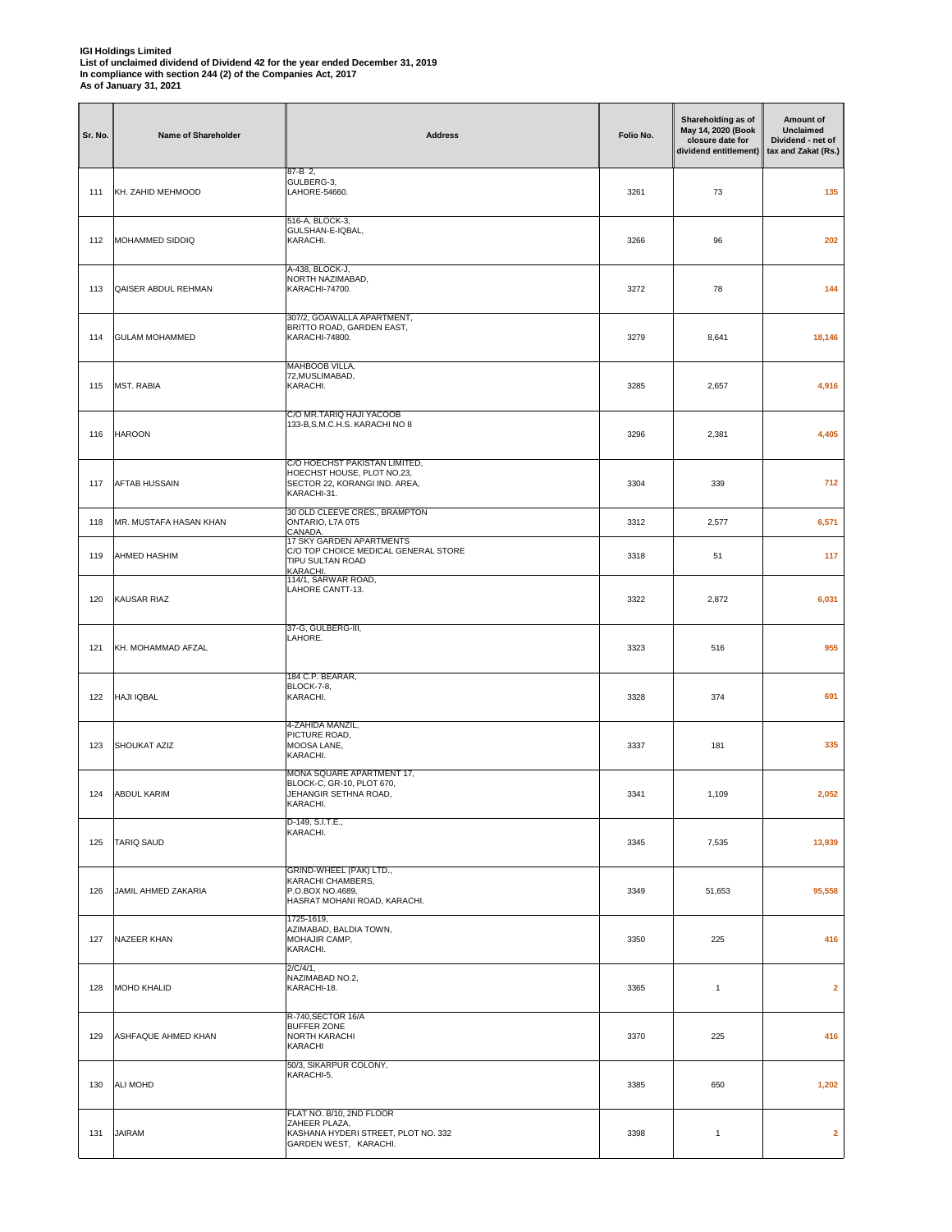| Sr. No. | Name of Shareholder    | <b>Address</b>                                                                                              | Folio No. | Shareholding as of<br>May 14, 2020 (Book<br>closure date for<br>dividend entitlement) | Amount of<br><b>Unclaimed</b><br>Dividend - net of<br>tax and Zakat (Rs.) |
|---------|------------------------|-------------------------------------------------------------------------------------------------------------|-----------|---------------------------------------------------------------------------------------|---------------------------------------------------------------------------|
| 111     | KH. ZAHID MEHMOOD      | 87-B 2,<br>GULBERG-3,<br>LAHORE-54660.                                                                      | 3261      | 73                                                                                    | 135                                                                       |
| 112     | MOHAMMED SIDDIQ        | 516-A, BLOCK-3,<br>GULSHAN-E-IQBAL,<br>KARACHI.                                                             | 3266      | 96                                                                                    | 202                                                                       |
| 113     | QAISER ABDUL REHMAN    | A-438, BLOCK-J,<br>NORTH NAZIMABAD,<br>KARACHI-74700.                                                       | 3272      | 78                                                                                    | 144                                                                       |
| 114     | <b>GULAM MOHAMMED</b>  | 307/2, GOAWALLA APARTMENT,<br>BRITTO ROAD, GARDEN EAST,<br>KARACHI-74800.                                   | 3279      | 8,641                                                                                 | 18,146                                                                    |
| 115     | <b>MST. RABIA</b>      | MAHBOOB VILLA,<br>72, MUSLIMABAD,<br>KARACHI.                                                               | 3285      | 2,657                                                                                 | 4,916                                                                     |
| 116     | <b>HAROON</b>          | C/O MR.TARIQ HAJI YACOOB<br>133-B, S.M.C.H.S. KARACHI NO 8                                                  | 3296      | 2,381                                                                                 | 4,405                                                                     |
| 117     | <b>AFTAB HUSSAIN</b>   | C/O HOECHST PAKISTAN LIMITED,<br>HOECHST HOUSE, PLOT NO.23,<br>SECTOR 22, KORANGI IND. AREA,<br>KARACHI-31. | 3304      | 339                                                                                   | 712                                                                       |
| 118     | MR. MUSTAFA HASAN KHAN | 30 OLD CLEEVE CRES., BRAMPTON<br>ONTARIO, L7A 0T5                                                           | 3312      | 2,577                                                                                 | 6,571                                                                     |
| 119     | <b>AHMED HASHIM</b>    | CANADA.<br>17 SKY GARDEN APARTMENTS<br>C/O TOP CHOICE MEDICAL GENERAL STORE<br>TIPU SULTAN ROAD<br>KARACHI. | 3318      | 51                                                                                    | 117                                                                       |
| 120     | KAUSAR RIAZ            | 114/1, SARWAR ROAD,<br>LAHORE CANTT-13.                                                                     | 3322      | 2,872                                                                                 | 6,031                                                                     |
| 121     | KH. MOHAMMAD AFZAL     | 37-G, GULBERG-III,<br>LAHORE.                                                                               | 3323      | 516                                                                                   | 955                                                                       |
| 122     | <b>HAJI IQBAL</b>      | 184 C.P. BEARAR,<br><b>BLOCK-7-8,</b><br>KARACHI.                                                           | 3328      | 374                                                                                   | 691                                                                       |
| 123     | <b>SHOUKAT AZIZ</b>    | 4-ZAHIDA MANZIL,<br>PICTURE ROAD,<br>MOOSA LANE,<br>KARACHI.                                                | 3337      | 181                                                                                   | 335                                                                       |
| 124     | <b>ABDUL KARIM</b>     | MONA SQUARE APARTMENT 17,<br>BLOCK-C, GR-10, PLOT 670,<br>JEHANGIR SETHNA ROAD,<br>KARACHI.                 | 3341      | 1,109                                                                                 | 2,052                                                                     |
| 125     | <b>TARIQ SAUD</b>      | D-149, S.I.T.E.,<br>KARACHI.                                                                                | 3345      | 7,535                                                                                 | 13,939                                                                    |
| 126     | JAMIL AHMED ZAKARIA    | GRIND-WHEEL (PAK) LTD.,<br>KARACHI CHAMBERS,<br>P.O.BOX NO.4689,<br>HASRAT MOHANI ROAD, KARACHI,            | 3349      | 51,653                                                                                | 95,558                                                                    |
| 127     | NAZEER KHAN            | 1725-1619,<br>AZIMABAD, BALDIA TOWN,<br>MOHAJIR CAMP,<br>KARACHI.                                           | 3350      | 225                                                                                   | 416                                                                       |
| 128     | <b>MOHD KHALID</b>     | 2/C/4/1,<br>NAZIMABAD NO.2,<br>KARACHI-18.                                                                  | 3365      | $\mathbf{1}$                                                                          | $\mathbf{2}$                                                              |
| 129     | ASHFAQUE AHMED KHAN    | R-740, SECTOR 16/A<br><b>BUFFER ZONE</b><br>NORTH KARACHI<br>KARACHI                                        | 3370      | 225                                                                                   | 416                                                                       |
| 130     | ALI MOHD               | 50/3, SIKARPUR COLONY,<br>KARACHI-5.                                                                        | 3385      | 650                                                                                   | 1,202                                                                     |
| 131     | <b>JAIRAM</b>          | FLAT NO. B/10, 2ND FLOOR<br>ZAHEER PLAZA,<br>KASHANA HYDERI STREET, PLOT NO. 332<br>GARDEN WEST, KARACHI.   | 3398      | $\mathbf{1}$                                                                          | $\overline{2}$                                                            |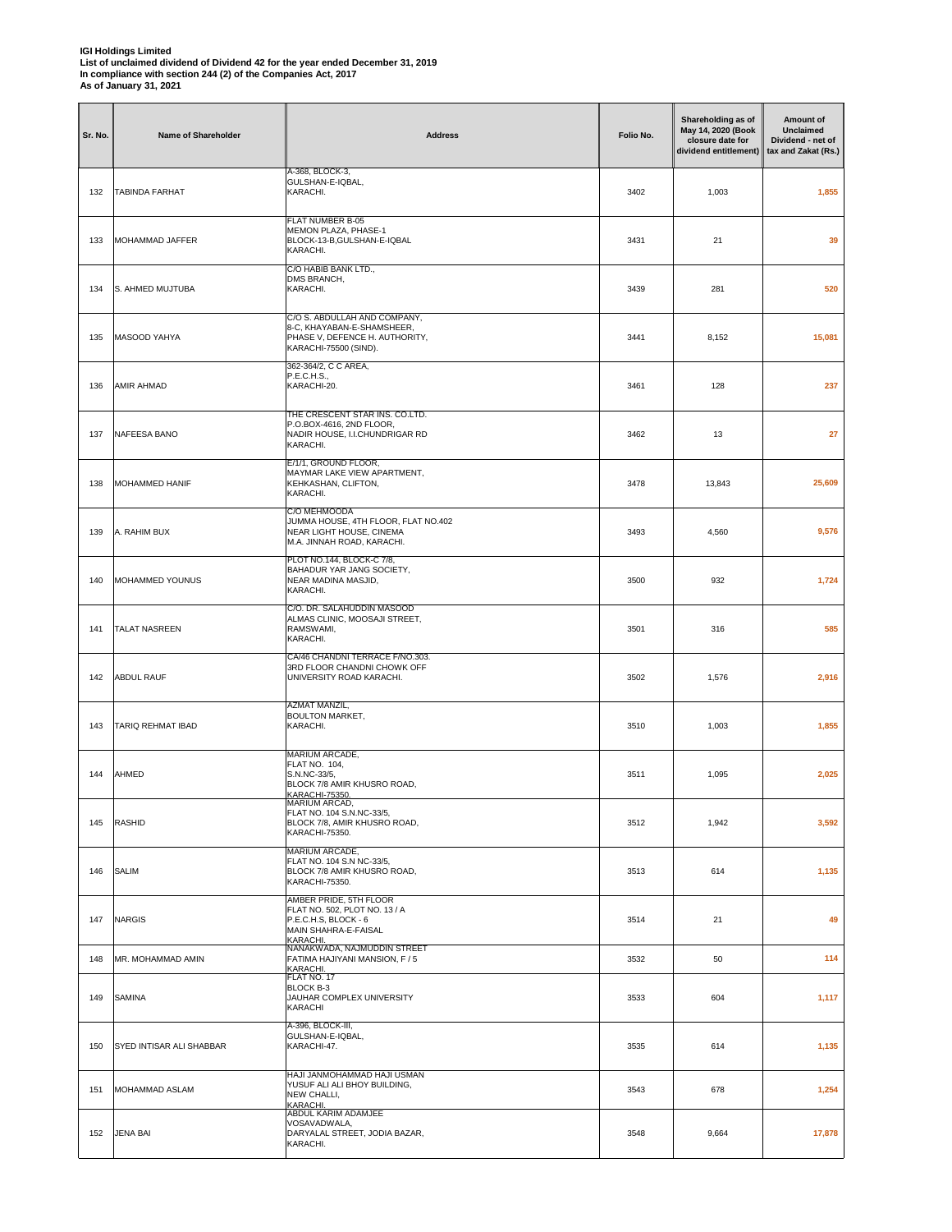| Sr. No. | <b>Name of Shareholder</b> | <b>Address</b>                                                                                                        | Folio No. | Shareholding as of<br>May 14, 2020 (Book<br>closure date for<br>dividend entitlement) | Amount of<br>Unclaimed<br>Dividend - net of<br>tax and Zakat (Rs.) |
|---------|----------------------------|-----------------------------------------------------------------------------------------------------------------------|-----------|---------------------------------------------------------------------------------------|--------------------------------------------------------------------|
| 132     | <b>TABINDA FARHAT</b>      | A-368, BLOCK-3,<br>GULSHAN-E-IQBAL,<br>KARACHI.                                                                       | 3402      | 1,003                                                                                 | 1,855                                                              |
| 133     | <b>MOHAMMAD JAFFER</b>     | FLAT NUMBER B-05<br>MEMON PLAZA, PHASE-1<br>BLOCK-13-B,GULSHAN-E-IQBAL<br>KARACHI.                                    | 3431      | 21                                                                                    | 39                                                                 |
| 134     | S. AHMED MUJTUBA           | C/O HABIB BANK LTD.,<br>DMS BRANCH,<br>KARACHI.                                                                       | 3439      | 281                                                                                   | 520                                                                |
| 135     | MASOOD YAHYA               | C/O S. ABDULLAH AND COMPANY,<br>8-C, KHAYABAN-E-SHAMSHEER,<br>PHASE V, DEFENCE H. AUTHORITY,<br>KARACHI-75500 (SIND). | 3441      | 8,152                                                                                 | 15,081                                                             |
| 136     | AMIR AHMAD                 | 362-364/2, C C AREA,<br>P.E.C.H.S.,<br>KARACHI-20.                                                                    | 3461      | 128                                                                                   | 237                                                                |
| 137     | NAFEESA BANO               | THE CRESCENT STAR INS. CO.LTD.<br>P.O.BOX-4616, 2ND FLOOR,<br>NADIR HOUSE, I.I.CHUNDRIGAR RD<br>KARACHI.              | 3462      | 13                                                                                    | 27                                                                 |
| 138     | <b>MOHAMMED HANIF</b>      | E/1/1, GROUND FLOOR,<br>MAYMAR LAKE VIEW APARTMENT,<br>KEHKASHAN, CLIFTON,<br>KARACHI.                                | 3478      | 13,843                                                                                | 25,609                                                             |
| 139     | A. RAHIM BUX               | C/O MEHMOODA<br>JUMMA HOUSE, 4TH FLOOR, FLAT NO.402<br>NEAR LIGHT HOUSE, CINEMA<br>M.A. JINNAH ROAD, KARACHI.         | 3493      | 4,560                                                                                 | 9,576                                                              |
| 140     | MOHAMMED YOUNUS            | PLOT NO.144, BLOCK-C 7/8,<br>BAHADUR YAR JANG SOCIETY,<br>NEAR MADINA MASJID,<br>KARACHI.                             | 3500      | 932                                                                                   | 1,724                                                              |
| 141     | <b>TALAT NASREEN</b>       | C/O. DR. SALAHUDDIN MASOOD<br>ALMAS CLINIC, MOOSAJI STREET,<br>RAMSWAMI,<br>KARACHI.                                  | 3501      | 316                                                                                   | 585                                                                |
| 142     | <b>ABDUL RAUF</b>          | CA/46 CHANDNI TERRACE F/NO.303.<br>3RD FLOOR CHANDNI CHOWK OFF<br>UNIVERSITY ROAD KARACHI.                            | 3502      | 1,576                                                                                 | 2,916                                                              |
| 143     | <b>TARIQ REHMAT IBAD</b>   | <b>AZMAT MANZIL,</b><br><b>BOULTON MARKET,</b><br>KARACHI.                                                            | 3510      | 1,003                                                                                 | 1,855                                                              |
| 144     | AHMED                      | MARIUM ARCADE,<br>FLAT NO. 104,<br>S.N.NC-33/5,<br>BLOCK 7/8 AMIR KHUSRO ROAD,<br>KARACHI-75350.                      | 3511      | 1,095                                                                                 | 2,025                                                              |
| 145     | <b>RASHID</b>              | MARIUM ARCAD,<br>FLAT NO. 104 S.N.NC-33/5,<br>BLOCK 7/8, AMIR KHUSRO ROAD,<br>KARACHI-75350.                          | 3512      | 1,942                                                                                 | 3,592                                                              |
| 146     | <b>SALIM</b>               | MARIUM ARCADE.<br>FLAT NO. 104 S.N NC-33/5.<br>BLOCK 7/8 AMIR KHUSRO ROAD,<br>KARACHI-75350.                          | 3513      | 614                                                                                   | 1,135                                                              |
| 147     | <b>NARGIS</b>              | AMBER PRIDE, 5TH FLOOR<br>FLAT NO. 502, PLOT NO. 13 / A<br>P.E.C.H.S, BLOCK - 6<br>MAIN SHAHRA-E-FAISAL<br>KARACHI.   | 3514      | 21                                                                                    | 49                                                                 |
| 148     | MR. MOHAMMAD AMIN          | NANAKWADA, NAJMUDDIN STREET<br>FATIMA HAJIYANI MANSION, F / 5<br>KARACHI.<br>FLAT NO. 17                              | 3532      | 50                                                                                    | 114                                                                |
| 149     | <b>SAMINA</b>              | <b>BLOCK B-3</b><br>JAUHAR COMPLEX UNIVERSITY<br>KARACHI                                                              | 3533      | 604                                                                                   | 1,117                                                              |
| 150     | SYED INTISAR ALI SHABBAR   | A-396, BLOCK-III,<br>GULSHAN-E-IQBAL,<br>KARACHI-47.                                                                  | 3535      | 614                                                                                   | 1,135                                                              |
| 151     | MOHAMMAD ASLAM             | HAJI JANMOHAMMAD HAJI USMAN<br>YUSUF ALI ALI BHOY BUILDING,<br>NEW CHALLI,<br>KARACHI.<br>ABDUL KARIM ADAMJEE         | 3543      | 678                                                                                   | 1,254                                                              |
| 152     | <b>JENA BAI</b>            | VOSAVADWALA,<br>DARYALAL STREET, JODIA BAZAR,<br>KARACHI.                                                             | 3548      | 9,664                                                                                 | 17,878                                                             |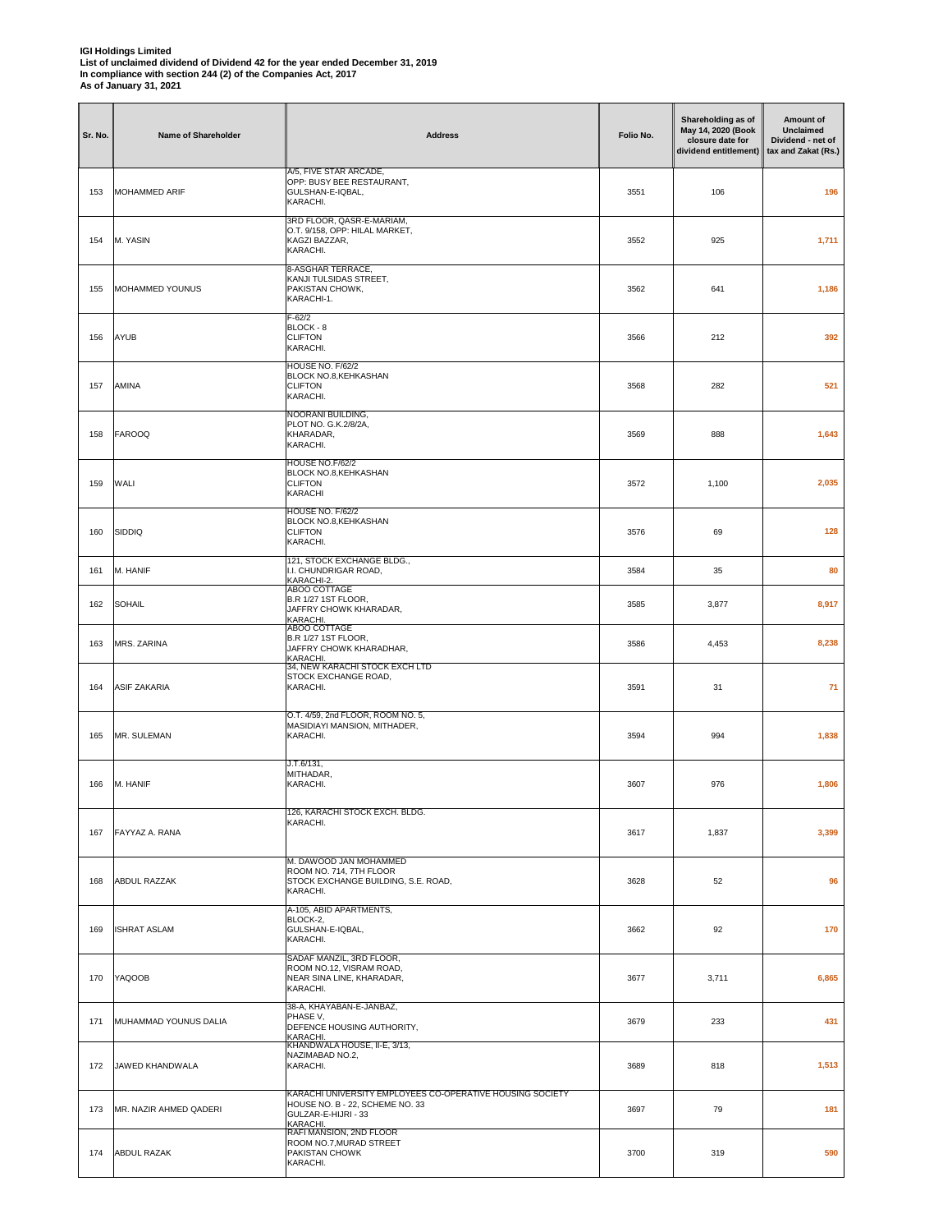| Sr. No. | <b>Name of Shareholder</b> | <b>Address</b>                                                                                                                  | Folio No. | Shareholding as of<br>May 14, 2020 (Book<br>closure date for<br>dividend entitlement) | Amount of<br>Unclaimed<br>Dividend - net of<br>tax and Zakat (Rs.) |
|---------|----------------------------|---------------------------------------------------------------------------------------------------------------------------------|-----------|---------------------------------------------------------------------------------------|--------------------------------------------------------------------|
| 153     | MOHAMMED ARIF              | A/5, FIVE STAR ARCADE,<br>OPP: BUSY BEE RESTAURANT,<br>GULSHAN-E-IQBAL,<br>KARACHI.                                             | 3551      | 106                                                                                   | 196                                                                |
| 154     | M. YASIN                   | 3RD FLOOR, QASR-E-MARIAM,<br>O.T. 9/158, OPP: HILAL MARKET,<br>KAGZI BAZZAR,<br>KARACHI.                                        | 3552      | 925                                                                                   | 1,711                                                              |
| 155     | MOHAMMED YOUNUS            | 8-ASGHAR TERRACE,<br>KANJI TULSIDAS STREET,<br>PAKISTAN CHOWK,<br>KARACHI-1.                                                    | 3562      | 641                                                                                   | 1,186                                                              |
| 156     | AYUB                       | F-62/2<br>BLOCK - 8<br><b>CLIFTON</b><br>KARACHI.                                                                               | 3566      | 212                                                                                   | 392                                                                |
| 157     | AMINA                      | HOUSE NO. F/62/2<br>BLOCK NO.8, KEHKASHAN<br><b>CLIFTON</b><br>KARACHI.                                                         | 3568      | 282                                                                                   | 521                                                                |
| 158     | <b>FAROOQ</b>              | NOORANI BUILDING,<br>PLOT NO. G.K.2/8/2A,<br>KHARADAR,<br>KARACHI.                                                              | 3569      | 888                                                                                   | 1,643                                                              |
| 159     | WALI                       | <b>HOUSE NO.F/62/2</b><br>BLOCK NO.8, KEHKASHAN<br><b>CLIFTON</b><br>KARACHI                                                    | 3572      | 1,100                                                                                 | 2,035                                                              |
| 160     | <b>SIDDIQ</b>              | <b>HOUSE NO. F/62/2</b><br>BLOCK NO.8, KEHKASHAN<br><b>CLIFTON</b><br>KARACHI.                                                  | 3576      | 69                                                                                    | 128                                                                |
| 161     | M. HANIF                   | 121, STOCK EXCHANGE BLDG.,<br>I.I. CHUNDRIGAR ROAD,<br>KARACHI-2.                                                               | 3584      | 35                                                                                    | 80                                                                 |
| 162     | <b>SOHAIL</b>              | ABOO COTTAGE<br>B.R 1/27 1ST FLOOR,<br>JAFFRY CHOWK KHARADAR,<br>KARACHI                                                        | 3585      | 3,877                                                                                 | 8,917                                                              |
| 163     | MRS. ZARINA                | <b>ABOO COTTAGE</b><br><b>B.R 1/27 1ST FLOOR,</b><br>JAFFRY CHOWK KHARADHAR,<br>KARACHI.                                        | 3586      | 4,453                                                                                 | 8,238                                                              |
| 164     | <b>ASIF ZAKARIA</b>        | 34, NEW KARACHI STOCK EXCH LTD<br>STOCK EXCHANGE ROAD,<br>KARACHI.                                                              | 3591      | 31                                                                                    | 71                                                                 |
| 165     | MR. SULEMAN                | O.T. 4/59, 2nd FLOOR, ROOM NO. 5,<br>MASIDIAYI MANSION, MITHADER,<br>KARACHI.                                                   | 3594      | 994                                                                                   | 1,838                                                              |
| 166     | M. HANIF                   | J.T.6/131,<br>MITHADAR,<br>KARACHI.                                                                                             | 3607      | 976                                                                                   | 1,806                                                              |
| 167     | FAYYAZ A. RANA             | 126, KARACHI STOCK EXCH. BLDG.<br>KARACHI.                                                                                      | 3617      | 1,837                                                                                 | 3,399                                                              |
| 168     | ABDUL RAZZAK               | M. DAWOOD JAN MOHAMMED<br>ROOM NO. 714, 7TH FLOOR<br>STOCK EXCHANGE BUILDING, S.E. ROAD,<br>KARACHI.                            | 3628      | 52                                                                                    | 96                                                                 |
| 169     | <b>ISHRAT ASLAM</b>        | A-105, ABID APARTMENTS,<br>BLOCK-2,<br>GULSHAN-E-IQBAL,<br>KARACHI.                                                             | 3662      | 92                                                                                    | 170                                                                |
| 170     | <b>YAQOOB</b>              | SADAF MANZIL, 3RD FLOOR,<br>ROOM NO.12, VISRAM ROAD,<br>NEAR SINA LINE, KHARADAR,<br>KARACHI.                                   | 3677      | 3,711                                                                                 | 6,865                                                              |
| 171     | MUHAMMAD YOUNUS DALIA      | 38-A, KHAYABAN-E-JANBAZ,<br>PHASE V,<br>DEFENCE HOUSING AUTHORITY,<br>KARACHI.                                                  | 3679      | 233                                                                                   | 431                                                                |
| 172     | JAWED KHANDWALA            | KHANDWALA HOUSE, II-E, 3/13,<br>NAZIMABAD NO.2,<br>KARACHI.                                                                     | 3689      | 818                                                                                   | 1,513                                                              |
| 173     | MR. NAZIR AHMED QADERI     | KARACHI UNIVERSITY EMPLOYEES CO-OPERATIVE HOUSING SOCIETY<br>HOUSE NO. B - 22, SCHEME NO. 33<br>GULZAR-E-HIJRI - 33<br>KARACHI. | 3697      | 79                                                                                    | 181                                                                |
| 174     | <b>ABDUL RAZAK</b>         | RAFI MANSION, 2ND FLOOR<br>ROOM NO.7, MURAD STREET<br>PAKISTAN CHOWK<br>KARACHI.                                                | 3700      | 319                                                                                   | 590                                                                |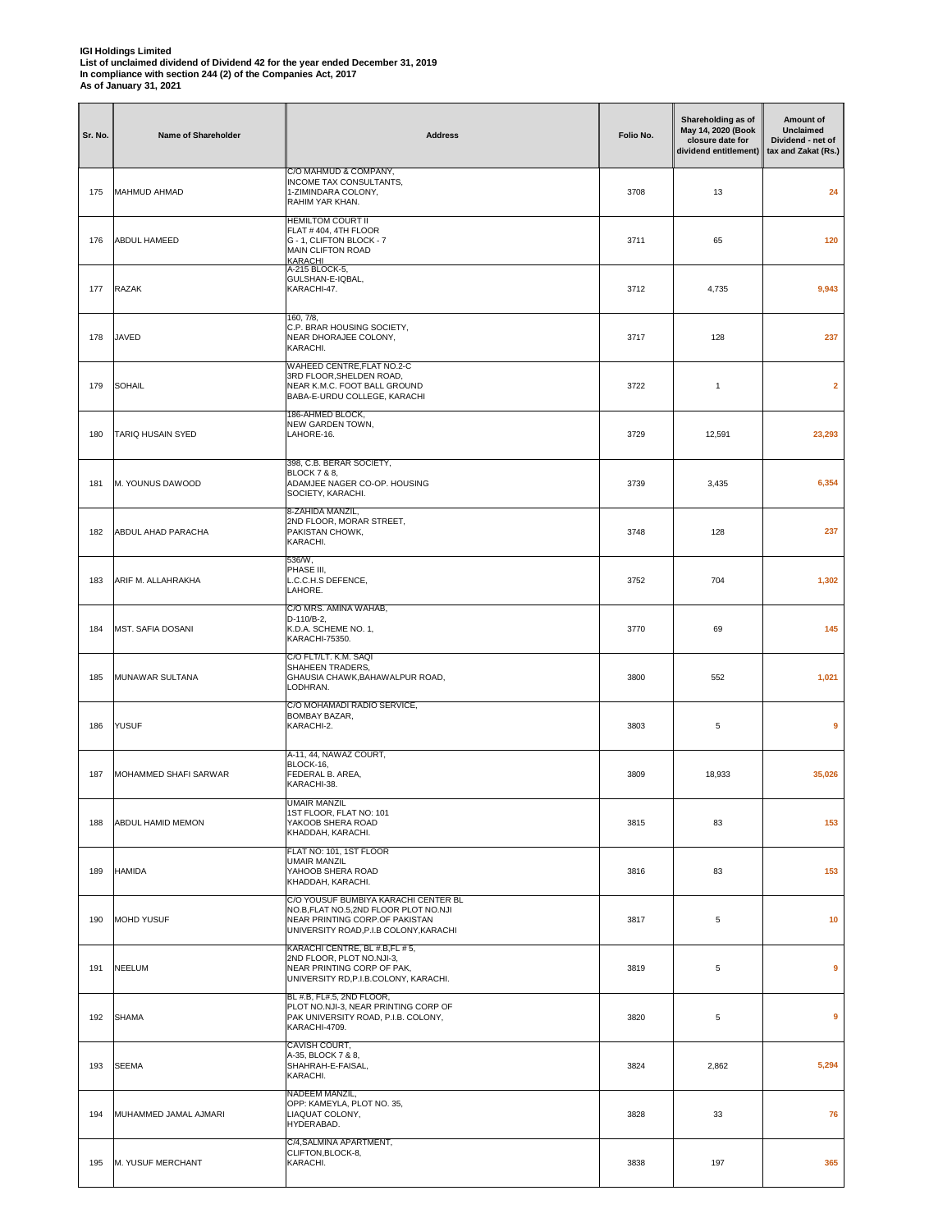| Sr. No. | <b>Name of Shareholder</b> | <b>Address</b>                                                                                                                                           | Folio No. | Shareholding as of<br>May 14, 2020 (Book<br>closure date for<br>dividend entitlement) | Amount of<br><b>Unclaimed</b><br>Dividend - net of<br>tax and Zakat (Rs.) |
|---------|----------------------------|----------------------------------------------------------------------------------------------------------------------------------------------------------|-----------|---------------------------------------------------------------------------------------|---------------------------------------------------------------------------|
| 175     | MAHMUD AHMAD               | C/O MAHMUD & COMPANY,<br><b>INCOME TAX CONSULTANTS,</b><br>1-ZIMINDARA COLONY,<br>RAHIM YAR KHAN.                                                        | 3708      | 13                                                                                    | 24                                                                        |
| 176     | ABDUL HAMEED               | <b>HEMILTOM COURT II</b><br>FLAT #404, 4TH FLOOR<br>G - 1, CLIFTON BLOCK - 7<br>MAIN CLIFTON ROAD<br>KARACHI                                             | 3711      | 65                                                                                    | 120                                                                       |
| 177     | <b>RAZAK</b>               | A-215 BLOCK-5,<br>GULSHAN-E-IQBAL,<br>KARACHI-47.                                                                                                        | 3712      | 4,735                                                                                 | 9,943                                                                     |
| 178     | JAVED                      | 160, 7/8,<br>C.P. BRAR HOUSING SOCIETY,<br>NEAR DHORAJEE COLONY,<br>KARACHI.                                                                             | 3717      | 128                                                                                   | 237                                                                       |
| 179     | <b>SOHAIL</b>              | WAHEED CENTRE, FLAT NO.2-C<br>3RD FLOOR, SHELDEN ROAD,<br>NEAR K.M.C. FOOT BALL GROUND<br>BABA-E-URDU COLLEGE, KARACHI                                   | 3722      | $\mathbf{1}$                                                                          | $\overline{\mathbf{2}}$                                                   |
| 180     | TARIQ HUSAIN SYED          | 186-AHMED BLOCK,<br>NEW GARDEN TOWN,<br>LAHORE-16.                                                                                                       | 3729      | 12,591                                                                                | 23,293                                                                    |
| 181     | M. YOUNUS DAWOOD           | 398, C.B. BERAR SOCIETY,<br><b>BLOCK 7 &amp; 8,</b><br>ADAMJEE NAGER CO-OP. HOUSING<br>SOCIETY, KARACHI.                                                 | 3739      | 3,435                                                                                 | 6,354                                                                     |
| 182     | ABDUL AHAD PARACHA         | 8-ZAHIDA MANZIL,<br>2ND FLOOR, MORAR STREET,<br>PAKISTAN CHOWK,<br>KARACHI.                                                                              | 3748      | 128                                                                                   | 237                                                                       |
| 183     | ARIF M. ALLAHRAKHA         | 536/W,<br>PHASE III,<br>L.C.C.H.S DEFENCE,<br>LAHORE.                                                                                                    | 3752      | 704                                                                                   | 1,302                                                                     |
| 184     | MST. SAFIA DOSANI          | C/O MRS. AMINA WAHAB,<br>D-110/B-2,<br>K.D.A. SCHEME NO. 1,<br>KARACHI-75350.                                                                            | 3770      | 69                                                                                    | 145                                                                       |
| 185     | MUNAWAR SULTANA            | C/O FLT/LT. K.M. SAQI<br>SHAHEEN TRADERS,<br>GHAUSIA CHAWK, BAHAWALPUR ROAD,<br>LODHRAN.                                                                 | 3800      | 552                                                                                   | 1,021                                                                     |
| 186     | YUSUF                      | C/O MOHAMADI RADIO SERVICE,<br>BOMBAY BAZAR,<br>KARACHI-2.                                                                                               | 3803      | 5                                                                                     | 9                                                                         |
| 187     | MOHAMMED SHAFI SARWAR      | A-11, 44, NAWAZ COURT,<br>BLOCK-16,<br>FEDERAL B. AREA,<br>KARACHI-38.                                                                                   | 3809      | 18,933                                                                                | 35,026                                                                    |
| 188     | ABDUL HAMID MEMON          | UMAIR MANZIL<br>1ST FLOOR, FLAT NO: 101<br>YAKOOB SHERA ROAD<br>KHADDAH, KARACHI.                                                                        | 3815      | 83                                                                                    | 153                                                                       |
| 189     | <b>HAMIDA</b>              | FLAT NO: 101, 1ST FLOOR<br><b>UMAIR MANZIL</b><br>YAHOOB SHERA ROAD<br>KHADDAH, KARACHI.                                                                 | 3816      | 83                                                                                    | 153                                                                       |
| 190     | <b>MOHD YUSUF</b>          | C/O YOUSUF BUMBIYA KARACHI CENTER BL<br>NO.B,FLAT NO.5,2ND FLOOR PLOT NO.NJI<br>NEAR PRINTING CORP.OF PAKISTAN<br>UNIVERSITY ROAD, P.I.B COLONY, KARACHI | 3817      | 5                                                                                     | 10                                                                        |
| 191     | NEELUM                     | KARACHI CENTRE, BL #.B,FL # 5,<br>2ND FLOOR, PLOT NO.NJI-3,<br>NEAR PRINTING CORP OF PAK,<br>UNIVERSITY RD, P.I.B.COLONY, KARACHI.                       | 3819      | 5                                                                                     | 9                                                                         |
| 192     | <b>SHAMA</b>               | BL #.B, FL#.5, 2ND FLOOR,<br>PLOT NO.NJI-3, NEAR PRINTING CORP OF<br>PAK UNIVERSITY ROAD, P.I.B. COLONY,<br>KARACHI-4709.                                | 3820      | 5                                                                                     | 9                                                                         |
| 193     | <b>SEEMA</b>               | CAVISH COURT,<br>A-35, BLOCK 7 & 8,<br>SHAHRAH-E-FAISAL,<br>KARACHI.                                                                                     | 3824      | 2,862                                                                                 | 5,294                                                                     |
| 194     | MUHAMMED JAMAL AJMARI      | NADEEM MANZIL,<br>OPP: KAMEYLA, PLOT NO. 35,<br>LIAQUAT COLONY,<br>HYDERABAD.                                                                            | 3828      | 33                                                                                    | 76                                                                        |
| 195     | M. YUSUF MERCHANT          | C/4, SALMINA APARTMENT,<br>CLIFTON, BLOCK-8,<br>KARACHI.                                                                                                 | 3838      | 197                                                                                   | 365                                                                       |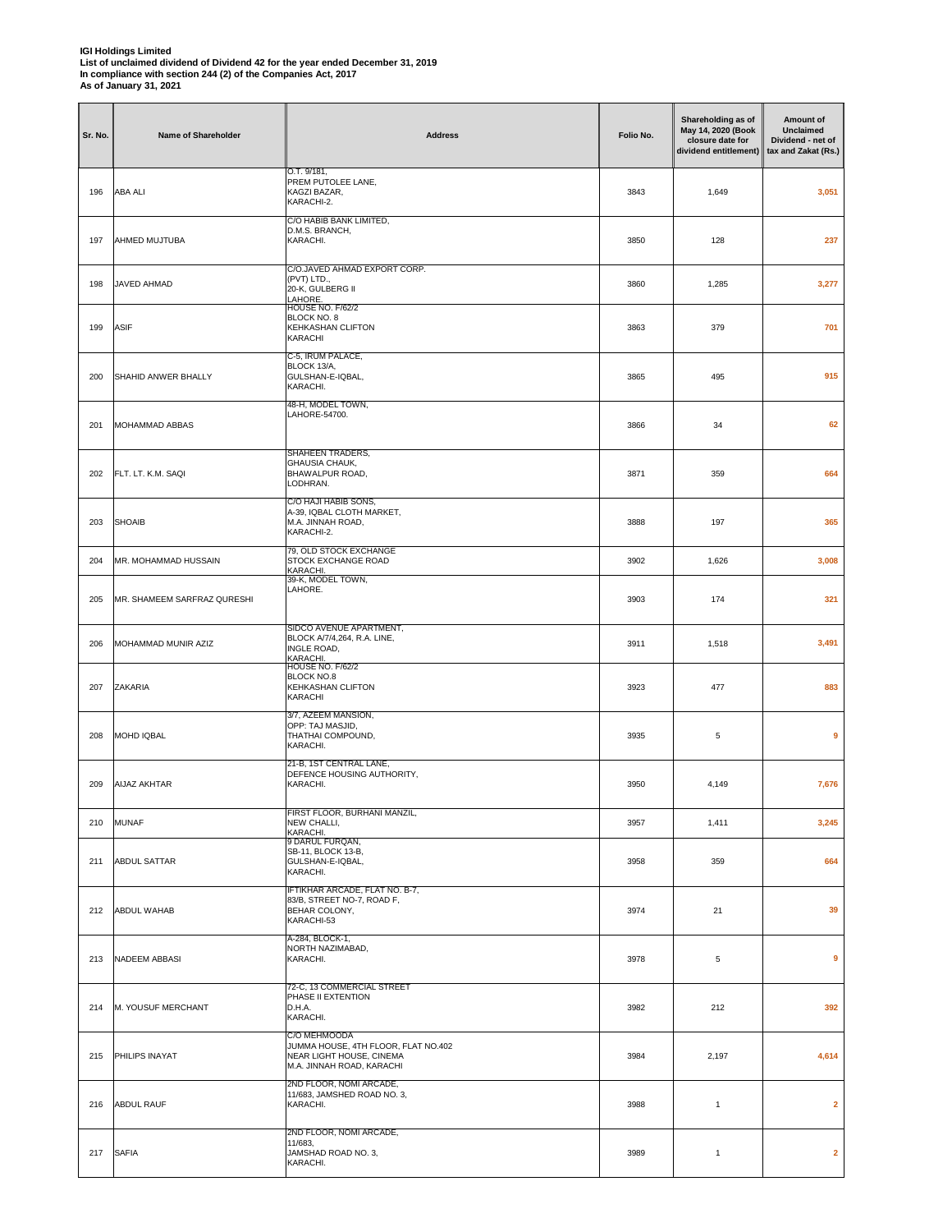| Sr. No. | Name of Shareholder         | <b>Address</b>                                                                                               | Folio No. | Shareholding as of<br>May 14, 2020 (Book<br>closure date for<br>dividend entitlement) | Amount of<br>Unclaimed<br>Dividend - net of<br>tax and Zakat (Rs.) |
|---------|-----------------------------|--------------------------------------------------------------------------------------------------------------|-----------|---------------------------------------------------------------------------------------|--------------------------------------------------------------------|
| 196     | <b>ABA ALI</b>              | O.T. 9/181,<br>PREM PUTOLEE LANE,<br>KAGZI BAZAR,<br>KARACHI-2.                                              | 3843      | 1,649                                                                                 | 3,051                                                              |
| 197     | AHMED MUJTUBA               | C/O HABIB BANK LIMITED,<br>D.M.S. BRANCH,<br>KARACHI.                                                        | 3850      | 128                                                                                   | 237                                                                |
| 198     | JAVED AHMAD                 | C/O.JAVED AHMAD EXPORT CORP.<br>(PVT) LTD.,<br>20-K, GULBERG II<br>LAHORE.                                   | 3860      | 1,285                                                                                 | 3,277                                                              |
| 199     | <b>ASIF</b>                 | HOUSE NO. F/62/2<br>BLOCK NO. 8<br>KEHKASHAN CLIFTON<br>KARACHI                                              | 3863      | 379                                                                                   | 701                                                                |
| 200     | SHAHID ANWER BHALLY         | C-5, IRUM PALACE,<br>BLOCK 13/A,<br>GULSHAN-E-IQBAL,<br>KARACHI.                                             | 3865      | 495                                                                                   | 915                                                                |
| 201     | MOHAMMAD ABBAS              | 48-H, MODEL TOWN,<br>LAHORE-54700.                                                                           | 3866      | 34                                                                                    | 62                                                                 |
| 202     | FLT. LT. K.M. SAQI          | SHAHEEN TRADERS,<br><b>GHAUSIA CHAUK.</b><br>BHAWALPUR ROAD,<br>LODHRAN.                                     | 3871      | 359                                                                                   | 664                                                                |
| 203     | <b>SHOAIB</b>               | C/O HAJI HABIB SONS,<br>A-39, IQBAL CLOTH MARKET,<br>M.A. JINNAH ROAD,<br>KARACHI-2.                         | 3888      | 197                                                                                   | 365                                                                |
| 204     | MR. MOHAMMAD HUSSAIN        | 79, OLD STOCK EXCHANGE<br>STOCK EXCHANGE ROAD<br>KARACHI.<br>39-K, MODEL TOWN,                               | 3902      | 1,626                                                                                 | 3,008                                                              |
| 205     | MR. SHAMEEM SARFRAZ QURESHI | LAHORE.                                                                                                      | 3903      | 174                                                                                   | 321                                                                |
| 206     | MOHAMMAD MUNIR AZIZ         | SIDCO AVENUE APARTMENT,<br>BLOCK A/7/4,264, R.A. LINE,<br>INGLE ROAD,<br>KARACHI.<br><b>HOUSE NO. F/62/2</b> | 3911      | 1,518                                                                                 | 3,491                                                              |
| 207     | ZAKARIA                     | BLOCK NO.8<br><b>KEHKASHAN CLIFTON</b><br>KARACHI                                                            | 3923      | 477                                                                                   | 883                                                                |
| 208     | MOHD IQBAL                  | 3/7, AZEEM MANSION,<br>OPP: TAJ MASJID,<br>THATHAI COMPOUND,<br>KARACHI.                                     | 3935      | 5                                                                                     | 9                                                                  |
| 209     | <b>AIJAZ AKHTAR</b>         | 21-B, 1ST CENTRAL LANE,<br>DEFENCE HOUSING AUTHORITY,<br>KARACHI.                                            | 3950      | 4,149                                                                                 | 7,676                                                              |
| 210     | <b>MUNAF</b>                | FIRST FLOOR, BURHANI MANZIL,<br>NEW CHALLI,<br>KARACHI.                                                      | 3957      | 1,411                                                                                 | 3,245                                                              |
| 211     | <b>ABDUL SATTAR</b>         | 9 DARUL FURQAN,<br>SB-11, BLOCK 13-B,<br>GULSHAN-E-IQBAL,<br>KARACHI.                                        | 3958      | 359                                                                                   | 664                                                                |
| 212     | ABDUL WAHAB                 | IFTIKHAR ARCADE, FLAT NO. B-7,<br>83/B, STREET NO-7, ROAD F,<br>BEHAR COLONY,<br>KARACHI-53                  | 3974      | 21                                                                                    | 39                                                                 |
| 213     | <b>NADEEM ABBASI</b>        | A-284, BLOCK-1,<br>NORTH NAZIMABAD,<br>KARACHI.                                                              | 3978      | 5                                                                                     | 9                                                                  |
| 214     | M. YOUSUF MERCHANT          | 72-C, 13 COMMERCIAL STREET<br>PHASE II EXTENTION<br>D.H.A.<br>KARACHI.                                       | 3982      | 212                                                                                   | 392                                                                |
| 215     | PHILIPS INAYAT              | C/O MEHMOODA<br>JUMMA HOUSE, 4TH FLOOR, FLAT NO.402<br>NEAR LIGHT HOUSE, CINEMA<br>M.A. JINNAH ROAD, KARACHI | 3984      | 2,197                                                                                 | 4,614                                                              |
| 216     | <b>ABDUL RAUF</b>           | 2ND FLOOR, NOMI ARCADE,<br>11/683, JAMSHED ROAD NO. 3,<br>KARACHI.                                           | 3988      | 1                                                                                     | $\overline{2}$                                                     |
| 217     | <b>SAFIA</b>                | 2ND FLOOR, NOMI ARCADE,<br>11/683,<br>JAMSHAD ROAD NO. 3,<br>KARACHI.                                        | 3989      | $\mathbf{1}$                                                                          | $\overline{2}$                                                     |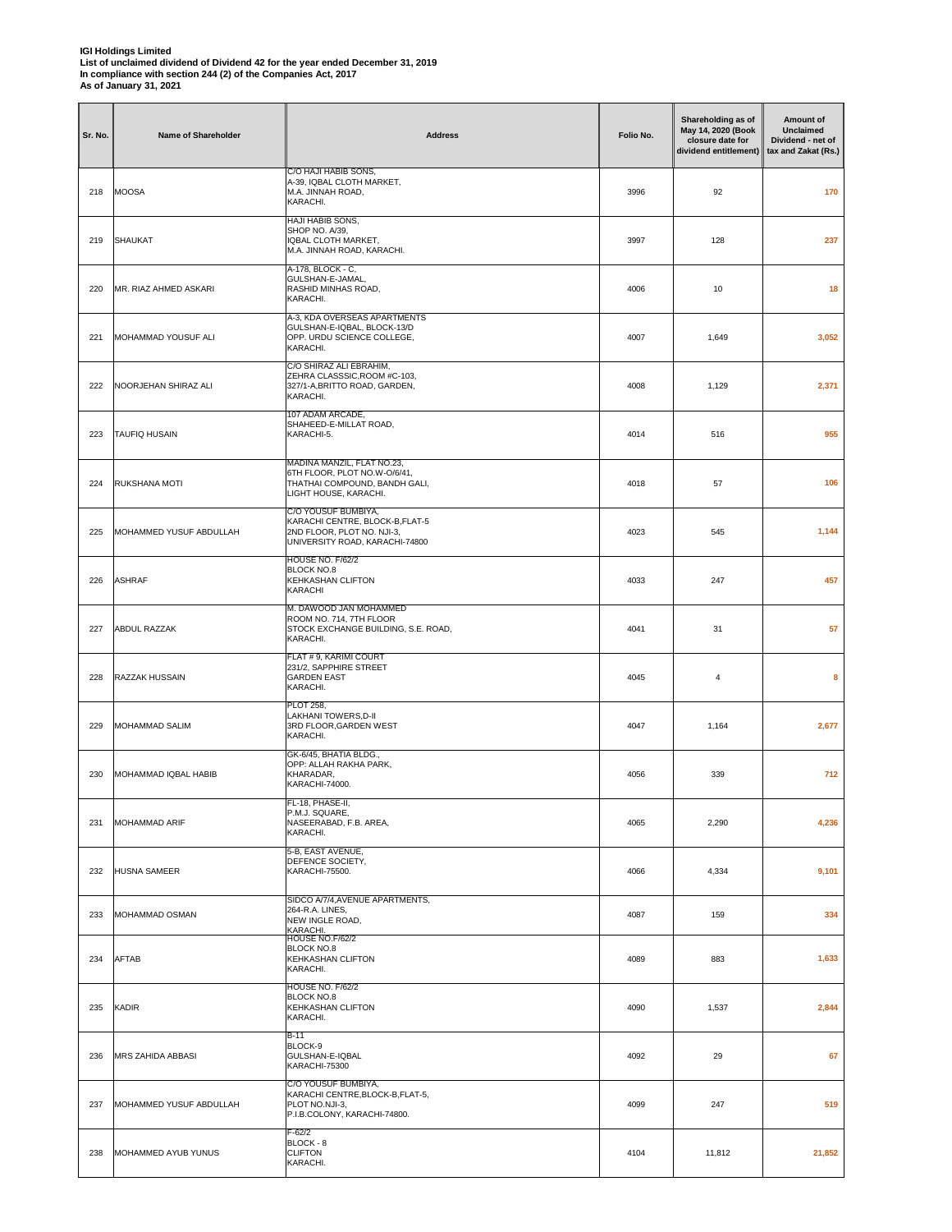| Sr. No. | Name of Shareholder      | <b>Address</b>                                                                                                        | Folio No. | Shareholding as of<br>May 14, 2020 (Book<br>closure date for<br>dividend entitlement) | Amount of<br><b>Unclaimed</b><br>Dividend - net of<br>tax and Zakat (Rs.) |
|---------|--------------------------|-----------------------------------------------------------------------------------------------------------------------|-----------|---------------------------------------------------------------------------------------|---------------------------------------------------------------------------|
| 218     | <b>MOOSA</b>             | C/O HAJI HABIB SONS,<br>A-39, IQBAL CLOTH MARKET,<br>M.A. JINNAH ROAD,<br>KARACHI.                                    | 3996      | 92                                                                                    | 170                                                                       |
| 219     | <b>SHAUKAT</b>           | HAJI HABIB SONS,<br>SHOP NO. A/39,<br>IQBAL CLOTH MARKET,<br>M.A. JINNAH ROAD, KARACHI.                               | 3997      | 128                                                                                   | 237                                                                       |
| 220     | MR. RIAZ AHMED ASKARI    | A-178, BLOCK - C.<br>GULSHAN-E-JAMAL,<br>RASHID MINHAS ROAD,<br>KARACHI.                                              | 4006      | 10                                                                                    | 18                                                                        |
| 221     | MOHAMMAD YOUSUF ALI      | A-3, KDA OVERSEAS APARTMENTS<br>GULSHAN-E-IQBAL, BLOCK-13/D<br>OPP. URDU SCIENCE COLLEGE,<br>KARACHI.                 | 4007      | 1,649                                                                                 | 3,052                                                                     |
| 222     | NOORJEHAN SHIRAZ ALI     | C/O SHIRAZ ALI EBRAHIM,<br>ZEHRA CLASSSIC, ROOM #C-103,<br>327/1-A, BRITTO ROAD, GARDEN,<br>KARACHI.                  | 4008      | 1,129                                                                                 | 2,371                                                                     |
| 223     | <b>TAUFIQ HUSAIN</b>     | 107 ADAM ARCADE,<br>SHAHEED-E-MILLAT ROAD,<br>KARACHI-5.                                                              | 4014      | 516                                                                                   | 955                                                                       |
| 224     | RUKSHANA MOTI            | MADINA MANZIL, FLAT NO.23,<br>6TH FLOOR, PLOT NO.W-O/6/41,<br>THATHAI COMPOUND, BANDH GALI,<br>LIGHT HOUSE, KARACHI.  | 4018      | 57                                                                                    | 106                                                                       |
| 225     | MOHAMMED YUSUF ABDULLAH  | C/O YOUSUF BUMBIYA,<br>KARACHI CENTRE, BLOCK-B,FLAT-5<br>2ND FLOOR, PLOT NO. NJI-3,<br>UNIVERSITY ROAD, KARACHI-74800 | 4023      | 545                                                                                   | 1,144                                                                     |
| 226     | <b>ASHRAF</b>            | <b>HOUSE NO. F/62/2</b><br><b>BLOCK NO.8</b><br>KEHKASHAN CLIFTON<br>KARACHI                                          | 4033      | 247                                                                                   | 457                                                                       |
| 227     | <b>ABDUL RAZZAK</b>      | M. DAWOOD JAN MOHAMMED<br>ROOM NO. 714, 7TH FLOOR<br>STOCK EXCHANGE BUILDING, S.E. ROAD,<br>KARACHI.                  | 4041      | 31                                                                                    | 57                                                                        |
| 228     | RAZZAK HUSSAIN           | FLAT # 9, KARIMI COURT<br>231/2, SAPPHIRE STREET<br><b>GARDEN EAST</b><br>KARACHI.                                    | 4045      | $\overline{4}$                                                                        | 8                                                                         |
| 229     | <b>MOHAMMAD SALIM</b>    | <b>PLOT 258,</b><br>LAKHANI TOWERS, D-II<br>3RD FLOOR, GARDEN WEST<br>KARACHI.                                        | 4047      | 1,164                                                                                 | 2,677                                                                     |
| 230     | MOHAMMAD IQBAL HABIB     | GK-6/45, BHATIA BLDG.,<br>OPP: ALLAH RAKHA PARK,<br>KHARADAR,<br>KARACHI-74000.                                       | 4056      | 339                                                                                   | 712                                                                       |
| 231     | <b>MOHAMMAD ARIF</b>     | <sup>-</sup> L-18, PHASE-II,<br>P.M.J. SQUARE,<br>NASEERABAD, F.B. AREA,<br>KARACHI.                                  | 4065      | 2,290                                                                                 | 4,236                                                                     |
| 232     | <b>HUSNA SAMEER</b>      | 5-B, EAST AVENUE,<br>DEFENCE SOCIETY,<br>KARACHI-75500.                                                               | 4066      | 4,334                                                                                 | 9,101                                                                     |
| 233     | <b>MOHAMMAD OSMAN</b>    | SIDCO A/7/4, AVENUE APARTMENTS,<br>264-R.A. LINES,<br>NEW INGLE ROAD,<br>KARACHI.<br>HOUSE NO.F/62/2                  | 4087      | 159                                                                                   | 334                                                                       |
| 234     | <b>AFTAB</b>             | BLOCK NO.8<br>KEHKASHAN CLIFTON<br>KARACHI.<br>HOUSE NO. F/62/2                                                       | 4089      | 883                                                                                   | 1,633                                                                     |
| 235     | <b>KADIR</b>             | <b>BLOCK NO.8</b><br>KEHKASHAN CLIFTON<br>KARACHI.                                                                    | 4090      | 1,537                                                                                 | 2,844                                                                     |
| 236     | <b>MRS ZAHIDA ABBASI</b> | B-11<br>BLOCK-9<br>GULSHAN-E-IQBAL<br>KARACHI-75300                                                                   | 4092      | 29                                                                                    | 67                                                                        |
| 237     | MOHAMMED YUSUF ABDULLAH  | C/O YOUSUF BUMBIYA,<br>KARACHI CENTRE, BLOCK-B, FLAT-5,<br>PLOT NO.NJI-3,<br>P.I.B.COLONY, KARACHI-74800.             | 4099      | 247                                                                                   | 519                                                                       |
| 238     | MOHAMMED AYUB YUNUS      | F-62/2<br>BLOCK - 8<br><b>CLIFTON</b><br>KARACHI.                                                                     | 4104      | 11,812                                                                                | 21,852                                                                    |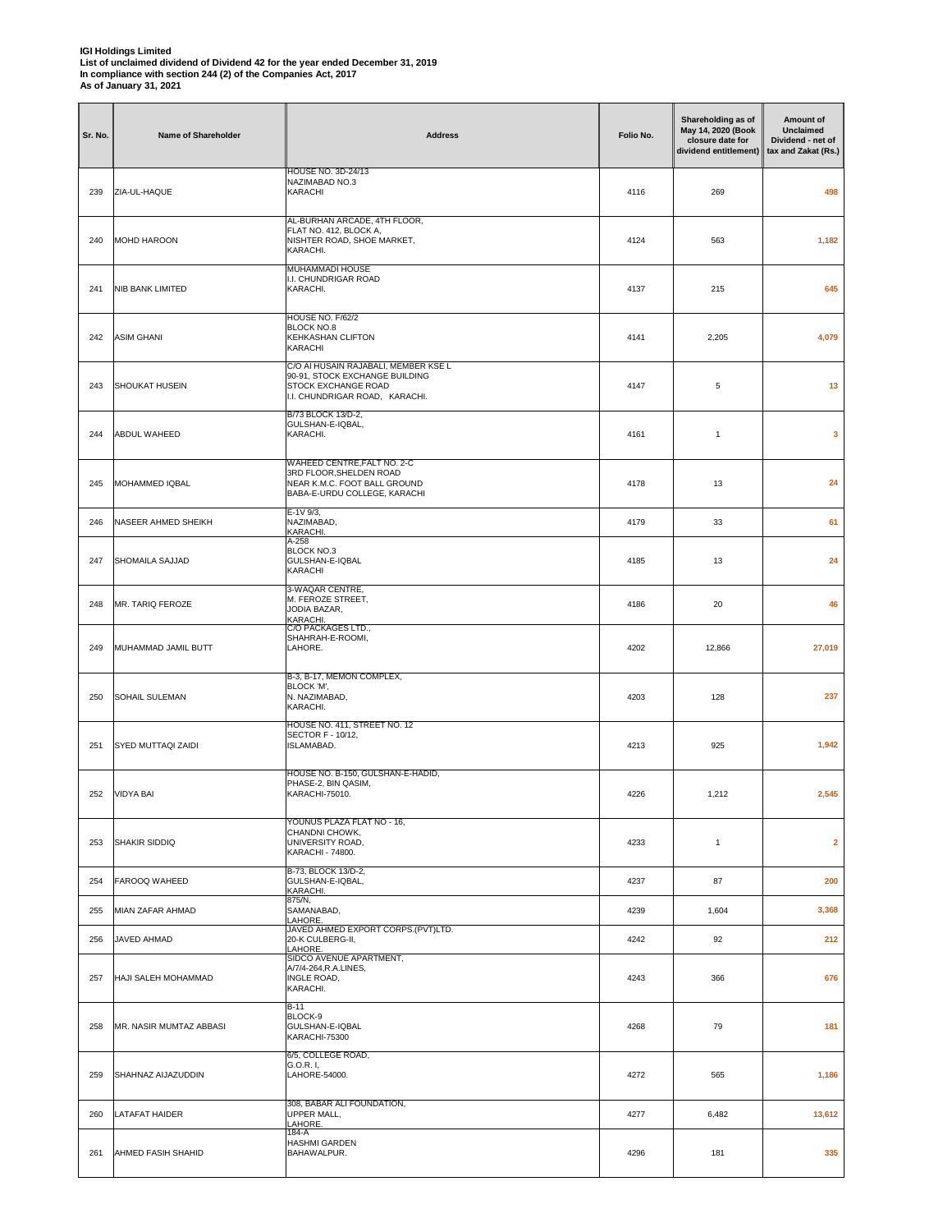| Sr. No. | Name of Shareholder     | <b>Address</b>                                                                                                                  | Folio No. | Shareholding as of<br>May 14, 2020 (Book<br>closure date for<br>dividend entitlement) | Amount of<br><b>Unclaimed</b><br>Dividend - net of<br>tax and Zakat (Rs.) |
|---------|-------------------------|---------------------------------------------------------------------------------------------------------------------------------|-----------|---------------------------------------------------------------------------------------|---------------------------------------------------------------------------|
| 239     | ZIA-UL-HAQUE            | HOUSE NO. 3D-24/13<br>NAZIMABAD NO.3<br>KARACHI                                                                                 | 4116      | 269                                                                                   | 498                                                                       |
| 240     | MOHD HAROON             | AL-BURHAN ARCADE, 4TH FLOOR,<br>FLAT NO. 412, BLOCK A,<br>NISHTER ROAD, SHOE MARKET,<br>KARACHI.                                | 4124      | 563                                                                                   | 1,182                                                                     |
| 241     | NIB BANK LIMITED        | <b>MUHAMMADI HOUSE</b><br>I.I. CHUNDRIGAR ROAD<br>KARACHI.                                                                      | 4137      | 215                                                                                   | 645                                                                       |
| 242     | <b>ASIM GHANI</b>       | <b>HOUSE NO. F/62/2</b><br><b>BLOCK NO.8</b><br>KEHKASHAN CLIFTON<br>KARACHI                                                    | 4141      | 2,205                                                                                 | 4,079                                                                     |
| 243     | SHOUKAT HUSEIN          | C/O AI HUSAIN RAJABALI, MEMBER KSE L<br>90-91, STOCK EXCHANGE BUILDING<br>STOCK EXCHANGE ROAD<br>I.I. CHUNDRIGAR ROAD, KARACHI. | 4147      | 5                                                                                     | 13                                                                        |
| 244     | ABDUL WAHEED            | B/73 BLOCK 13/D-2,<br>GULSHAN-E-IQBAL,<br>KARACHI.                                                                              | 4161      | $\mathbf{1}$                                                                          | 3                                                                         |
| 245     | MOHAMMED IQBAL          | WAHEED CENTRE, FALT NO. 2-C<br>3RD FLOOR, SHELDEN ROAD<br>NEAR K.M.C. FOOT BALL GROUND<br>BABA-E-URDU COLLEGE, KARACHI          | 4178      | 13                                                                                    | 24                                                                        |
| 246     | NASEER AHMED SHEIKH     | $E-1V$ 9/3,<br>NAZIMABAD,<br>KARACHI.                                                                                           | 4179      | 33                                                                                    | 61                                                                        |
| 247     | SHOMAILA SAJJAD         | A-258<br>BLOCK NO.3<br>GULSHAN-E-IQBAL<br>KARACHI                                                                               | 4185      | 13                                                                                    | 24                                                                        |
| 248     | MR. TARIQ FEROZE        | 3-WAQAR CENTRE,<br>M. FEROZE STREET,<br>JODIA BAZAR,<br>KARACHI.<br>C/O PACKAGES LTD.,                                          | 4186      | 20                                                                                    | 46                                                                        |
| 249     | MUHAMMAD JAMIL BUTT     | SHAHRAH-E-ROOMI,<br>LAHORE.                                                                                                     | 4202      | 12,866                                                                                | 27,019                                                                    |
| 250     | SOHAIL SULEMAN          | B-3, B-17, MEMON COMPLEX,<br>BLOCK 'M',<br>N. NAZIMABAD,<br>KARACHI.                                                            | 4203      | 128                                                                                   | 237                                                                       |
| 251     | SYED MUTTAQI ZAIDI      | HOUSE NO. 411, STREET NO. 12<br>SECTOR F - 10/12.<br>ISLAMABAD.                                                                 | 4213      | 925                                                                                   | 1,942                                                                     |
| 252     | <b>VIDYA BAI</b>        | HOUSE NO. B-150, GULSHAN-E-HADID,<br>PHASE-2, BIN QASIM,<br>KARACHI-75010.                                                      | 4226      | 1,212                                                                                 | 2,545                                                                     |
| 253     | SHAKIR SIDDIQ           | YOUNUS PLAZA FLAT NO - 16,<br>CHANDNI CHOWK,<br>UNIVERSITY ROAD,<br>KARACHI - 74800.                                            | 4233      | $\mathbf{1}$                                                                          | $\overline{\mathbf{2}}$                                                   |
| 254     | FAROOQ WAHEED           | B-73, BLOCK 13/D-2,<br>GULSHAN-E-IQBAL,<br>KARACHI.                                                                             | 4237      | 87                                                                                    | 200                                                                       |
| 255     | MIAN ZAFAR AHMAD        | 875/N,<br>SAMANABAD,<br>LAHORE.                                                                                                 | 4239      | 1,604                                                                                 | 3,368                                                                     |
| 256     | JAVED AHMAD             | JAVED AHMED EXPORT CORPS.(PVT)LTD.<br>20-K CULBERG-II,<br>LAHORE.                                                               | 4242      | 92                                                                                    | 212                                                                       |
| 257     | HAJI SALEH MOHAMMAD     | SIDCO AVENUE APARTMENT,<br>A/7/4-264, R.A.LINES,<br>INGLE ROAD,<br>KARACHI.                                                     | 4243      | 366                                                                                   | 676                                                                       |
| 258     | MR. NASIR MUMTAZ ABBASI | $B-11$<br>BLOCK-9<br>GULSHAN-E-IQBAL<br>KARACHI-75300                                                                           | 4268      | 79                                                                                    | 181                                                                       |
| 259     | SHAHNAZ AIJAZUDDIN      | 6/5, COLLEGE ROAD,<br>G.O.R. I,<br>LAHORE-54000.                                                                                | 4272      | 565                                                                                   | 1,186                                                                     |
| 260     | LATAFAT HAIDER          | 308, BABAR ALI FOUNDATION,<br>UPPER MALL,<br>LAHORE.                                                                            | 4277      | 6,482                                                                                 | 13,612                                                                    |
| 261     | AHMED FASIH SHAHID      | 184-A<br>HASHMI GARDEN<br>BAHAWALPUR.                                                                                           | 4296      | 181                                                                                   | 335                                                                       |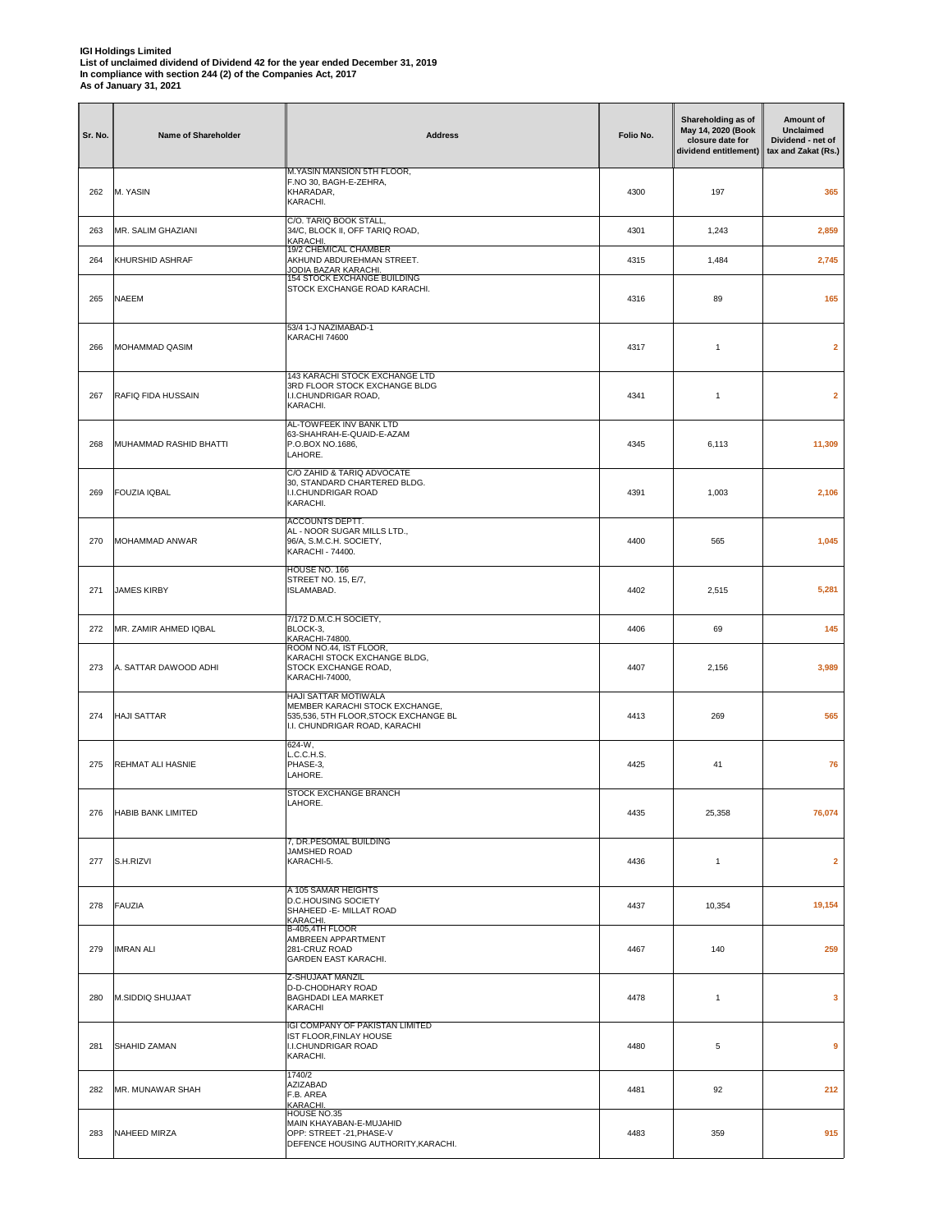| <b>IGI Holdings Limited</b>                                                    |
|--------------------------------------------------------------------------------|
| List of unclaimed dividend of Dividend 42 for the year ended December 31, 2019 |
| In compliance with section 244 (2) of the Companies Act. 2017                  |
| As of January 31, 2021                                                         |
|                                                                                |

| Sr. No. | Name of Shareholder       | <b>Address</b>                                                                                                                   | Folio No. | Shareholding as of<br>May 14, 2020 (Book<br>closure date for<br>dividend entitlement) | Amount of<br>Unclaimed<br>Dividend - net of<br>tax and Zakat (Rs.) |
|---------|---------------------------|----------------------------------------------------------------------------------------------------------------------------------|-----------|---------------------------------------------------------------------------------------|--------------------------------------------------------------------|
| 262     | M. YASIN                  | M. YASIN MANSION 5TH FLOOR,<br>F.NO 30, BAGH-E-ZEHRA,<br>KHARADAR,<br>KARACHI.                                                   | 4300      | 197                                                                                   | 365                                                                |
| 263     | MR. SALIM GHAZIANI        | C/O. TARIQ BOOK STALL,<br>34/C, BLOCK II, OFF TARIQ ROAD,<br>KARACHI.                                                            | 4301      | 1,243                                                                                 | 2,859                                                              |
| 264     | <b>KHURSHID ASHRAF</b>    | 19/2 CHEMICAL CHAMBER<br>AKHUND ABDUREHMAN STREET.<br>JODIA BAZAR KARACHI.                                                       | 4315      | 1,484                                                                                 | 2,745                                                              |
| 265     | <b>NAEEM</b>              | 154 STOCK EXCHANGE BUILDING<br>STOCK EXCHANGE ROAD KARACHI.                                                                      | 4316      | 89                                                                                    | 165                                                                |
| 266     | MOHAMMAD QASIM            | 53/4 1-J NAZIMABAD-1<br>KARACHI 74600                                                                                            | 4317      | 1                                                                                     | $\overline{\mathbf{2}}$                                            |
| 267     | RAFIQ FIDA HUSSAIN        | 143 KARACHI STOCK EXCHANGE LTD<br>3RD FLOOR STOCK EXCHANGE BLDG<br>I.I.CHUNDRIGAR ROAD,<br>KARACHI.                              | 4341      | $\mathbf{1}$                                                                          | $\overline{\mathbf{2}}$                                            |
| 268     | MUHAMMAD RASHID BHATTI    | AL-TOWFEEK INV BANK LTD<br>63-SHAHRAH-E-QUAID-E-AZAM<br>P.O.BOX NO.1686,<br>LAHORE.                                              | 4345      | 6,113                                                                                 | 11,309                                                             |
| 269     | <b>FOUZIA IQBAL</b>       | C/O ZAHID & TARIQ ADVOCATE<br>30, STANDARD CHARTERED BLDG.<br>I.I.CHUNDRIGAR ROAD<br>KARACHI.                                    | 4391      | 1,003                                                                                 | 2,106                                                              |
| 270     | MOHAMMAD ANWAR            | ACCOUNTS DEPTT.<br>AL - NOOR SUGAR MILLS LTD.,<br>96/A, S.M.C.H. SOCIETY,<br>KARACHI - 74400.                                    | 4400      | 565                                                                                   | 1,045                                                              |
| 271     | <b>JAMES KIRBY</b>        | HOUSE NO. 166<br>STREET NO. 15, E/7,<br>ISLAMABAD.                                                                               | 4402      | 2,515                                                                                 | 5,281                                                              |
| 272     | MR. ZAMIR AHMED IQBAL     | 7/172 D.M.C.H SOCIETY,<br>BLOCK-3,<br>KARACHI-74800.                                                                             | 4406      | 69                                                                                    | 145                                                                |
| 273     | A. SATTAR DAWOOD ADHI     | ROOM NO.44, IST FLOOR,<br>KARACHI STOCK EXCHANGE BLDG,<br>STOCK EXCHANGE ROAD,<br>KARACHI-74000,                                 | 4407      | 2,156                                                                                 | 3,989                                                              |
| 274     | <b>HAJI SATTAR</b>        | HAJI SATTAR MOTIWALA<br>MEMBER KARACHI STOCK EXCHANGE,<br>535,536, 5TH FLOOR, STOCK EXCHANGE BL<br>I.I. CHUNDRIGAR ROAD, KARACHI | 4413      | 269                                                                                   | 565                                                                |
| 275     | REHMAT ALI HASNIE         | $624-W,$<br>L.C.C.H.S.<br>PHASE-3,<br>LAHORE.                                                                                    | 4425      | 41                                                                                    | 76                                                                 |
| 276     | <b>HABIB BANK LIMITED</b> | STOCK EXCHANGE BRANCH<br>LAHORE.                                                                                                 | 4435      | 25,358                                                                                | 76,074                                                             |
| 277     | S.H.RIZVI                 | 7, DR.PESOMAL BUILDING<br>JAMSHED ROAD<br>KARACHI-5.                                                                             | 4436      | $\mathbf{1}$                                                                          | $\mathbf{2}$                                                       |
| 278     | <b>FAUZIA</b>             | A 105 SAMAR HEIGHTS<br>D.C.HOUSING SOCIETY<br>SHAHEED - E- MILLAT ROAD<br>KARACHI.                                               | 4437      | 10,354                                                                                | 19,154                                                             |
| 279     | <b>IMRAN ALI</b>          | B-405,4TH FLOOR<br>AMBREEN APPARTMENT<br>281-CRUZ ROAD<br>GARDEN EAST KARACHI.                                                   | 4467      | 140                                                                                   | 259                                                                |
| 280     | <b>M.SIDDIQ SHUJAAT</b>   | Z-SHUJAAT MANZIL<br>D-D-CHODHARY ROAD<br>BAGHDADI LEA MARKET<br>KARACHI                                                          | 4478      | $\mathbf{1}$                                                                          | 3                                                                  |
| 281     | SHAHID ZAMAN              | IGI COMPANY OF PAKISTAN LIMITED<br>IST FLOOR, FINLAY HOUSE<br>I.I.CHUNDRIGAR ROAD<br>KARACHI.                                    | 4480      | 5                                                                                     | 9                                                                  |
| 282     | MR. MUNAWAR SHAH          | 1740/2<br>AZIZABAD<br>F.B. AREA<br>KARACHI.                                                                                      | 4481      | 92                                                                                    | 212                                                                |
| 283     | NAHEED MIRZA              | HOUSE NO.35<br>MAIN KHAYABAN-E-MUJAHID<br>OPP: STREET -21, PHASE-V<br>DEFENCE HOUSING AUTHORITY, KARACHI.                        | 4483      | 359                                                                                   | 915                                                                |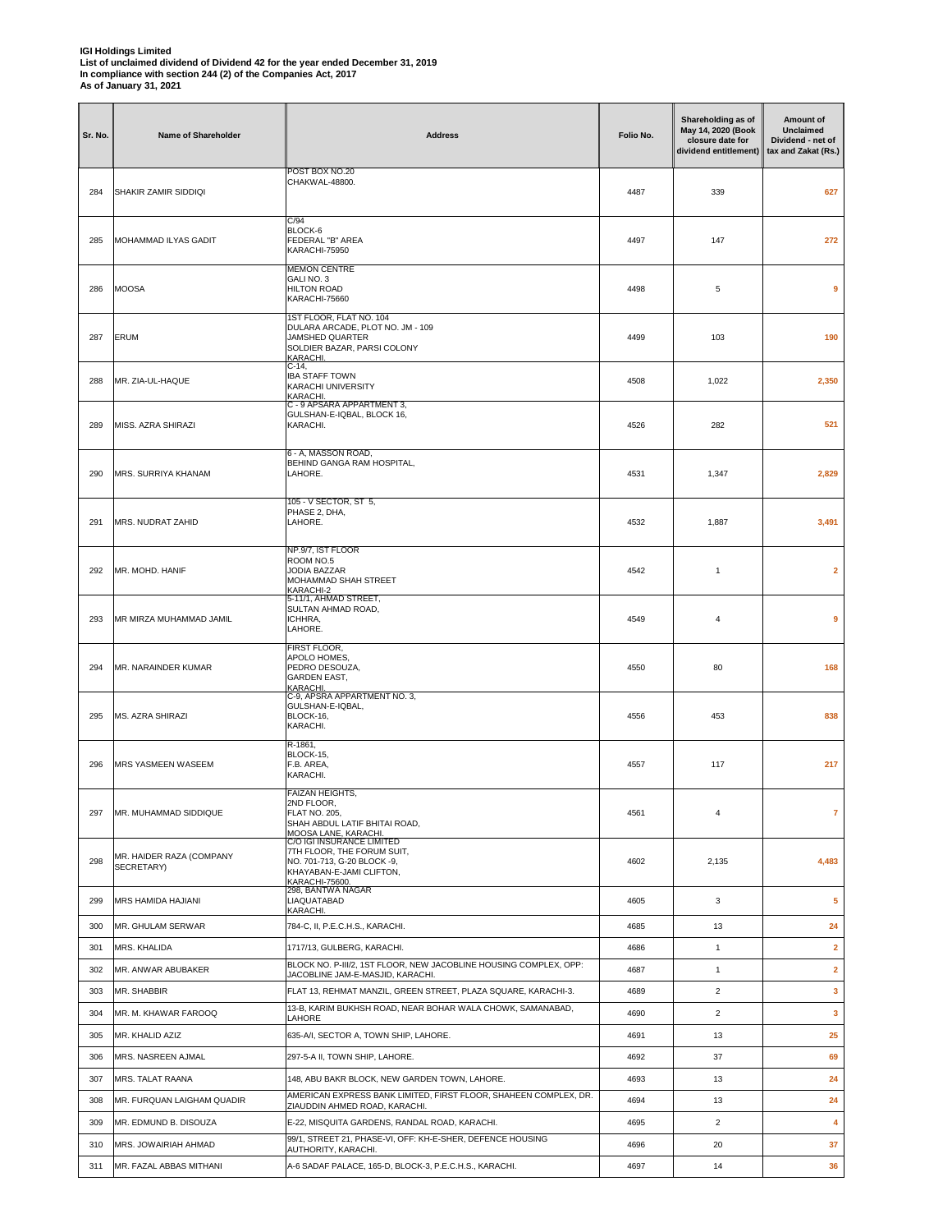| Sr. No.    | Name of Shareholder                                 | <b>Address</b>                                                                                                                              | Folio No.    | Shareholding as of<br>May 14, 2020 (Book<br>closure date for<br>dividend entitlement) | Amount of<br><b>Unclaimed</b><br>Dividend - net of<br>tax and Zakat (Rs.) |
|------------|-----------------------------------------------------|---------------------------------------------------------------------------------------------------------------------------------------------|--------------|---------------------------------------------------------------------------------------|---------------------------------------------------------------------------|
| 284        | SHAKIR ZAMIR SIDDIQI                                | POST BOX NO.20<br>CHAKWAL-48800.                                                                                                            | 4487         | 339                                                                                   | 627                                                                       |
| 285        | MOHAMMAD ILYAS GADIT                                | C/94<br>BLOCK-6<br>FEDERAL "B" AREA<br>KARACHI-75950                                                                                        | 4497         | 147                                                                                   | 272                                                                       |
| 286        | <b>MOOSA</b>                                        | <b>MEMON CENTRE</b><br>GALI NO. 3<br><b>HILTON ROAD</b><br>KARACHI-75660                                                                    | 4498         | 5                                                                                     | 9                                                                         |
| 287        | ERUM                                                | 1ST FLOOR, FLAT NO. 104<br>DULARA ARCADE, PLOT NO. JM - 109<br>JAMSHED QUARTER<br>SOLDIER BAZAR, PARSI COLONY<br>KARACHI.                   | 4499         | 103                                                                                   | 190                                                                       |
| 288        | MR. ZIA-UL-HAQUE                                    | C-14,<br><b>IBA STAFF TOWN</b><br>KARACHI UNIVERSITY<br>KARACHI.                                                                            | 4508         | 1,022                                                                                 | 2,350                                                                     |
| 289        | MISS, AZRA SHIRAZI                                  | C - 9 APSARA APPARTMENT 3,<br>GULSHAN-E-IQBAL, BLOCK 16,<br>KARACHI.                                                                        | 4526         | 282                                                                                   | 521                                                                       |
| 290        | MRS. SURRIYA KHANAM                                 | 6 - A, MASSON ROAD,<br>BEHIND GANGA RAM HOSPITAL,<br>LAHORE.                                                                                | 4531         | 1,347                                                                                 | 2,829                                                                     |
| 291        | MRS. NUDRAT ZAHID                                   | 105 - V SECTOR, ST 5,<br>PHASE 2, DHA,<br>LAHORE.                                                                                           | 4532         | 1,887                                                                                 | 3,491                                                                     |
| 292        | MR. MOHD. HANIF                                     | NP.9/7, IST FLOOR<br>ROOM NO.5<br>JODIA BAZZAR<br>MOHAMMAD SHAH STREET<br>KARACHI-2                                                         | 4542         | $\mathbf{1}$                                                                          | $\overline{2}$                                                            |
| 293        | MR MIRZA MUHAMMAD JAMIL                             | 5-11/1, AHMAD STREET,<br>SULTAN AHMAD ROAD,<br>ICHHRA,<br>LAHORE.                                                                           | 4549         | $\overline{4}$                                                                        | 9                                                                         |
| 294        | MR. NARAINDER KUMAR                                 | FIRST FLOOR,<br>APOLO HOMES,<br>PEDRO DESOUZA,<br><b>GARDEN EAST,</b><br>KARACHI.                                                           | 4550         | 80                                                                                    | 168                                                                       |
| 295        | MS. AZRA SHIRAZI                                    | C-9, APSRA APPARTMENT NO. 3,<br>GULSHAN-E-IQBAL,<br>BLOCK-16,<br>KARACHI.                                                                   | 4556         | 453                                                                                   | 838                                                                       |
| 296        | MRS YASMEEN WASEEM                                  | R-1861,<br>BLOCK-15,<br>F.B. AREA,<br>KARACHI.                                                                                              | 4557         | 117                                                                                   | 217                                                                       |
| 297        | MR. MUHAMMAD SIDDIQUE                               | <b>FAIZAN HEIGHTS,</b><br>2ND FLOOR,<br><b>FLAT NO. 205,</b><br>SHAH ABDUL LATIF BHITAI ROAD,<br>MOOSA LANE, KARACHI.                       | 4561         | $\overline{4}$                                                                        | $\overline{7}$                                                            |
| 298        | MR. HAIDER RAZA (COMPANY<br>SECRETARY)              | C/O IGI INSURANCE LIMITED<br>7TH FLOOR, THE FORUM SUIT,<br>NO. 701-713. G-20 BLOCK -9.<br>KHAYABAN-E-JAMI CLIFTON,<br><b>KARACHI-75600.</b> | 4602         | 2,135                                                                                 | 4,483                                                                     |
| 299        | MRS HAMIDA HAJIANI                                  | 298, BANTWA NAGAR<br>LIAQUATABAD<br>KARACHI.                                                                                                | 4605         | 3                                                                                     | 5                                                                         |
| 300        | MR. GHULAM SERWAR                                   | 784-C, II, P.E.C.H.S., KARACHI.                                                                                                             | 4685         | 13                                                                                    | 24                                                                        |
| 301        | MRS. KHALIDA                                        | 1717/13, GULBERG, KARACHI.                                                                                                                  | 4686         | $\mathbf{1}$                                                                          | $\overline{\mathbf{2}}$                                                   |
| 302        | MR. ANWAR ABUBAKER                                  | BLOCK NO. P-III/2, 1ST FLOOR, NEW JACOBLINE HOUSING COMPLEX, OPP:<br>JACOBLINE JAM-E-MASJID, KARACHI.                                       | 4687         | $\mathbf{1}$                                                                          | $\overline{2}$                                                            |
| 303        | MR. SHABBIR                                         | FLAT 13, REHMAT MANZIL, GREEN STREET, PLAZA SQUARE, KARACHI-3.<br>13-B, KARIM BUKHSH ROAD, NEAR BOHAR WALA CHOWK, SAMANABAD,                | 4689         | $\overline{2}$                                                                        | $\mathbf{3}$                                                              |
| 304        | MR. M. KHAWAR FAROOQ                                | LAHORE                                                                                                                                      | 4690         | $\overline{2}$                                                                        | $\overline{\mathbf{3}}$                                                   |
| 305        | MR. KHALID AZIZ                                     | 635-A/I, SECTOR A, TOWN SHIP, LAHORE.                                                                                                       | 4691         | 13                                                                                    | 25                                                                        |
| 306        | MRS. NASREEN AJMAL                                  | 297-5-A II, TOWN SHIP, LAHORE.                                                                                                              | 4692         | 37                                                                                    | 69                                                                        |
| 307        | MRS. TALAT RAANA                                    | 148, ABU BAKR BLOCK, NEW GARDEN TOWN, LAHORE.<br>AMERICAN EXPRESS BANK LIMITED, FIRST FLOOR, SHAHEEN COMPLEX, DR.                           | 4693         | 13                                                                                    | 24                                                                        |
| 308<br>309 | MR. FURQUAN LAIGHAM QUADIR<br>MR. EDMUND B. DISOUZA | ZIAUDDIN AHMED ROAD, KARACHI.<br>E-22, MISQUITA GARDENS, RANDAL ROAD, KARACHI.                                                              | 4694<br>4695 | 13<br>$\overline{2}$                                                                  | 24<br>4                                                                   |
| 310        | MRS. JOWAIRIAH AHMAD                                | 99/1, STREET 21, PHASE-VI, OFF: KH-E-SHER, DEFENCE HOUSING                                                                                  | 4696         | 20                                                                                    | 37                                                                        |
| 311        | MR. FAZAL ABBAS MITHANI                             | AUTHORITY, KARACHI.<br>A-6 SADAF PALACE, 165-D, BLOCK-3, P.E.C.H.S., KARACHI.                                                               | 4697         | 14                                                                                    | 36                                                                        |
|            |                                                     |                                                                                                                                             |              |                                                                                       |                                                                           |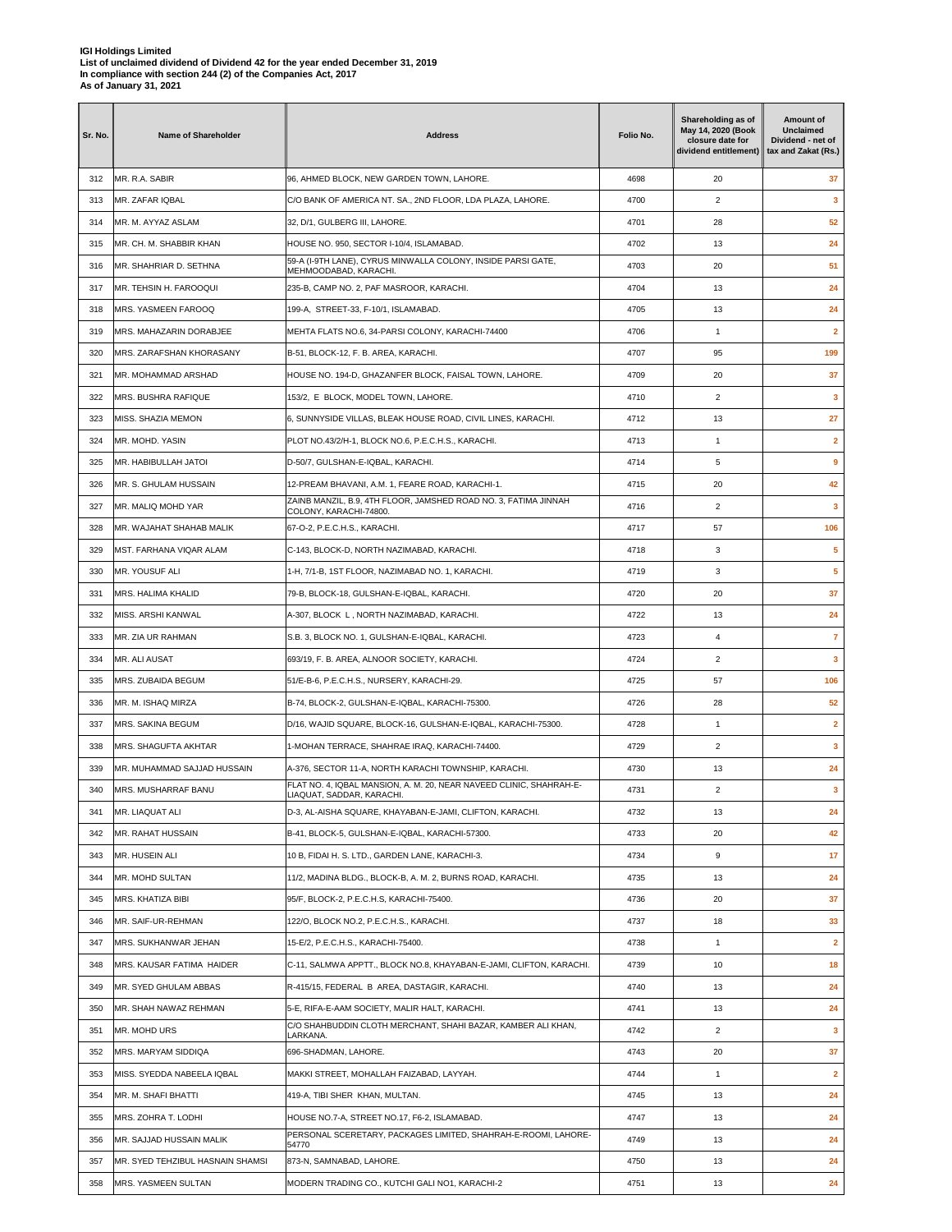| Sr. No. | Name of Shareholder              | <b>Address</b>                                                                            | Folio No. | Shareholding as of<br>May 14, 2020 (Book<br>closure date for<br>dividend entitlement) | Amount of<br>Unclaimed<br>Dividend - net of<br>tax and Zakat (Rs.) |
|---------|----------------------------------|-------------------------------------------------------------------------------------------|-----------|---------------------------------------------------------------------------------------|--------------------------------------------------------------------|
| 312     | MR. R.A. SABIR                   | 96, AHMED BLOCK, NEW GARDEN TOWN, LAHORE.                                                 | 4698      | 20                                                                                    | 37                                                                 |
| 313     | MR. ZAFAR IQBAL                  | C/O BANK OF AMERICA NT. SA., 2ND FLOOR, LDA PLAZA, LAHORE.                                | 4700      | $\overline{2}$                                                                        | $\mathbf{3}$                                                       |
| 314     | MR. M. AYYAZ ASLAM               | 32, D/1, GULBERG III, LAHORE.                                                             | 4701      | 28                                                                                    | 52                                                                 |
| 315     | MR. CH. M. SHABBIR KHAN          | HOUSE NO. 950, SECTOR I-10/4, ISLAMABAD.                                                  | 4702      | 13                                                                                    | 24                                                                 |
| 316     | MR. SHAHRIAR D. SETHNA           | 59-A (I-9TH LANE), CYRUS MINWALLA COLONY, INSIDE PARSI GATE,<br>MEHMOODABAD, KARACHI.     | 4703      | 20                                                                                    | 51                                                                 |
| 317     | MR. TEHSIN H. FAROOQUI           | 235-B, CAMP NO. 2, PAF MASROOR, KARACHI.                                                  | 4704      | 13                                                                                    | 24                                                                 |
| 318     | MRS. YASMEEN FAROOQ              | 199-A, STREET-33, F-10/1, ISLAMABAD.                                                      | 4705      | 13                                                                                    | 24                                                                 |
| 319     | MRS. MAHAZARIN DORABJEE          | MEHTA FLATS NO.6, 34-PARSI COLONY, KARACHI-74400                                          | 4706      | $\mathbf{1}$                                                                          | $\mathbf{2}$                                                       |
| 320     | MRS. ZARAFSHAN KHORASANY         | B-51, BLOCK-12, F. B. AREA, KARACHI.                                                      | 4707      | 95                                                                                    | 199                                                                |
| 321     | MR. MOHAMMAD ARSHAD              | HOUSE NO. 194-D, GHAZANFER BLOCK, FAISAL TOWN, LAHORE.                                    | 4709      | 20                                                                                    | 37                                                                 |
| 322     | MRS. BUSHRA RAFIQUE              | 153/2, E BLOCK, MODEL TOWN, LAHORE.                                                       | 4710      | 2                                                                                     | 3                                                                  |
| 323     | MISS. SHAZIA MEMON               | 6, SUNNYSIDE VILLAS, BLEAK HOUSE ROAD, CIVIL LINES, KARACHI.                              | 4712      | 13                                                                                    | 27                                                                 |
| 324     | MR. MOHD. YASIN                  | PLOT NO.43/2/H-1, BLOCK NO.6, P.E.C.H.S., KARACHI.                                        | 4713      | $\mathbf{1}$                                                                          | $\overline{\mathbf{2}}$                                            |
| 325     | MR. HABIBULLAH JATOI             | D-50/7, GULSHAN-E-IQBAL, KARACHI.                                                         | 4714      | 5                                                                                     | 9                                                                  |
| 326     | MR. S. GHULAM HUSSAIN            | 12-PREAM BHAVANI, A.M. 1, FEARE ROAD, KARACHI-1.                                          | 4715      | 20                                                                                    | 42                                                                 |
| 327     | MR. MALIQ MOHD YAR               | ZAINB MANZIL, B.9, 4TH FLOOR, JAMSHED ROAD NO. 3, FATIMA JINNAH<br>COLONY, KARACHI-74800. | 4716      | $\overline{2}$                                                                        | 3                                                                  |
| 328     | MR. WAJAHAT SHAHAB MALIK         | 67-O-2, P.E.C.H.S., KARACHI.                                                              | 4717      | 57                                                                                    | 106                                                                |
| 329     | MST. FARHANA VIQAR ALAM          | C-143, BLOCK-D, NORTH NAZIMABAD, KARACHI.                                                 | 4718      | 3                                                                                     | 5                                                                  |
| 330     | MR. YOUSUF ALI                   | 1-H, 7/1-B, 1ST FLOOR, NAZIMABAD NO. 1, KARACHI.                                          | 4719      | 3                                                                                     | 5                                                                  |
| 331     | MRS. HALIMA KHALID               | 79-B, BLOCK-18, GULSHAN-E-IQBAL, KARACHI.                                                 | 4720      | 20                                                                                    | 37                                                                 |
| 332     | MISS. ARSHI KANWAL               | A-307, BLOCK L, NORTH NAZIMABAD, KARACHI.                                                 | 4722      | 13                                                                                    | 24                                                                 |
| 333     | MR. ZIA UR RAHMAN                | S.B. 3, BLOCK NO. 1, GULSHAN-E-IQBAL, KARACHI.                                            | 4723      | 4                                                                                     | $\overline{7}$                                                     |
| 334     | MR. ALI AUSAT                    | 693/19, F. B. AREA, ALNOOR SOCIETY, KARACHI.                                              | 4724      | $\overline{c}$                                                                        | 3                                                                  |
| 335     | MRS. ZUBAIDA BEGUM               | 51/E-B-6, P.E.C.H.S., NURSERY, KARACHI-29.                                                | 4725      | 57                                                                                    | 106                                                                |
| 336     | MR. M. ISHAQ MIRZA               | B-74, BLOCK-2, GULSHAN-E-IQBAL, KARACHI-75300.                                            | 4726      | 28                                                                                    | 52                                                                 |
| 337     | MRS. SAKINA BEGUM                | D/16, WAJID SQUARE, BLOCK-16, GULSHAN-E-IQBAL, KARACHI-75300.                             | 4728      | $\mathbf{1}$                                                                          | $\mathbf{2}$                                                       |
| 338     | <b>MRS. SHAGUFTA AKHTAR</b>      | 1-MOHAN TERRACE, SHAHRAE IRAQ, KARACHI-74400.                                             | 4729      | $\overline{2}$                                                                        | 3                                                                  |
| 339     | MR. MUHAMMAD SAJJAD HUSSAIN      | A-376, SECTOR 11-A, NORTH KARACHI TOWNSHIP, KARACHI.                                      | 4730      | 13                                                                                    | 24                                                                 |
| 340     | MRS. MUSHARRAF BANU              | FLAT NO. 4, IQBAL MANSION, A. M. 20, NEAR NAVEED CLINIC, SHAHRAH-E-                       | 4731      | $\overline{2}$                                                                        | 3                                                                  |
| 341     | MR. LIAQUAT ALI                  | LIAQUAT, SADDAR, KARACHI.<br>D-3, AL-AISHA SQUARE, KHAYABAN-E-JAMI, CLIFTON, KARACHI.     | 4732      | 13                                                                                    | 24                                                                 |
| 342     | MR. RAHAT HUSSAIN                | B-41, BLOCK-5, GULSHAN-E-IQBAL, KARACHI-57300.                                            | 4733      | 20                                                                                    | 42                                                                 |
| 343     | MR. HUSEIN ALI                   | 10 B, FIDAI H. S. LTD., GARDEN LANE, KARACHI-3.                                           | 4734      | 9                                                                                     | 17                                                                 |
| 344     | MR. MOHD SULTAN                  | 11/2, MADINA BLDG., BLOCK-B, A. M. 2, BURNS ROAD, KARACHI.                                | 4735      | 13                                                                                    | 24                                                                 |
| 345     | MRS. KHATIZA BIBI                | 95/F, BLOCK-2, P.E.C.H.S, KARACHI-75400.                                                  | 4736      | 20                                                                                    | 37                                                                 |
| 346     | MR. SAIF-UR-REHMAN               | 122/O, BLOCK NO.2, P.E.C.H.S., KARACHI.                                                   | 4737      | 18                                                                                    | 33                                                                 |
| 347     | MRS. SUKHANWAR JEHAN             | 15-E/2, P.E.C.H.S., KARACHI-75400.                                                        | 4738      | $\mathbf{1}$                                                                          | $\mathbf{2}$                                                       |
| 348     | MRS. KAUSAR FATIMA HAIDER        | C-11, SALMWA APPTT., BLOCK NO.8, KHAYABAN-E-JAMI, CLIFTON, KARACHI.                       | 4739      | 10                                                                                    | 18                                                                 |
| 349     | MR. SYED GHULAM ABBAS            | R-415/15, FEDERAL B AREA, DASTAGIR, KARACHI.                                              | 4740      | 13                                                                                    | 24                                                                 |
| 350     | MR. SHAH NAWAZ REHMAN            | 5-E, RIFA-E-AAM SOCIETY, MALIR HALT, KARACHI.                                             | 4741      | 13                                                                                    | 24                                                                 |
| 351     | MR. MOHD URS                     | C/O SHAHBUDDIN CLOTH MERCHANT, SHAHI BAZAR, KAMBER ALI KHAN,                              | 4742      | $\overline{\mathbf{c}}$                                                               | $\mathbf{3}$                                                       |
| 352     | MRS. MARYAM SIDDIQA              | LARKANA.<br>696-SHADMAN, LAHORE.                                                          | 4743      | 20                                                                                    | 37                                                                 |
| 353     | MISS. SYEDDA NABEELA IQBAL       | MAKKI STREET, MOHALLAH FAIZABAD, LAYYAH.                                                  | 4744      | $\mathbf{1}$                                                                          | $\mathbf{2}$                                                       |
| 354     | MR. M. SHAFI BHATTI              | 419-A, TIBI SHER KHAN, MULTAN.                                                            | 4745      | 13                                                                                    | 24                                                                 |
| 355     | MRS. ZOHRA T. LODHI              | HOUSE NO.7-A, STREET NO.17, F6-2, ISLAMABAD.                                              | 4747      | 13                                                                                    | 24                                                                 |
| 356     | MR. SAJJAD HUSSAIN MALIK         | PERSONAL SCERETARY, PACKAGES LIMITED, SHAHRAH-E-ROOMI, LAHORE-                            | 4749      | 13                                                                                    | 24                                                                 |
| 357     | MR. SYED TEHZIBUL HASNAIN SHAMSI | 54770<br>873-N, SAMNABAD, LAHORE.                                                         | 4750      | 13                                                                                    | 24                                                                 |
| 358     | MRS. YASMEEN SULTAN              | MODERN TRADING CO., KUTCHI GALI NO1, KARACHI-2                                            | 4751      | 13                                                                                    | 24                                                                 |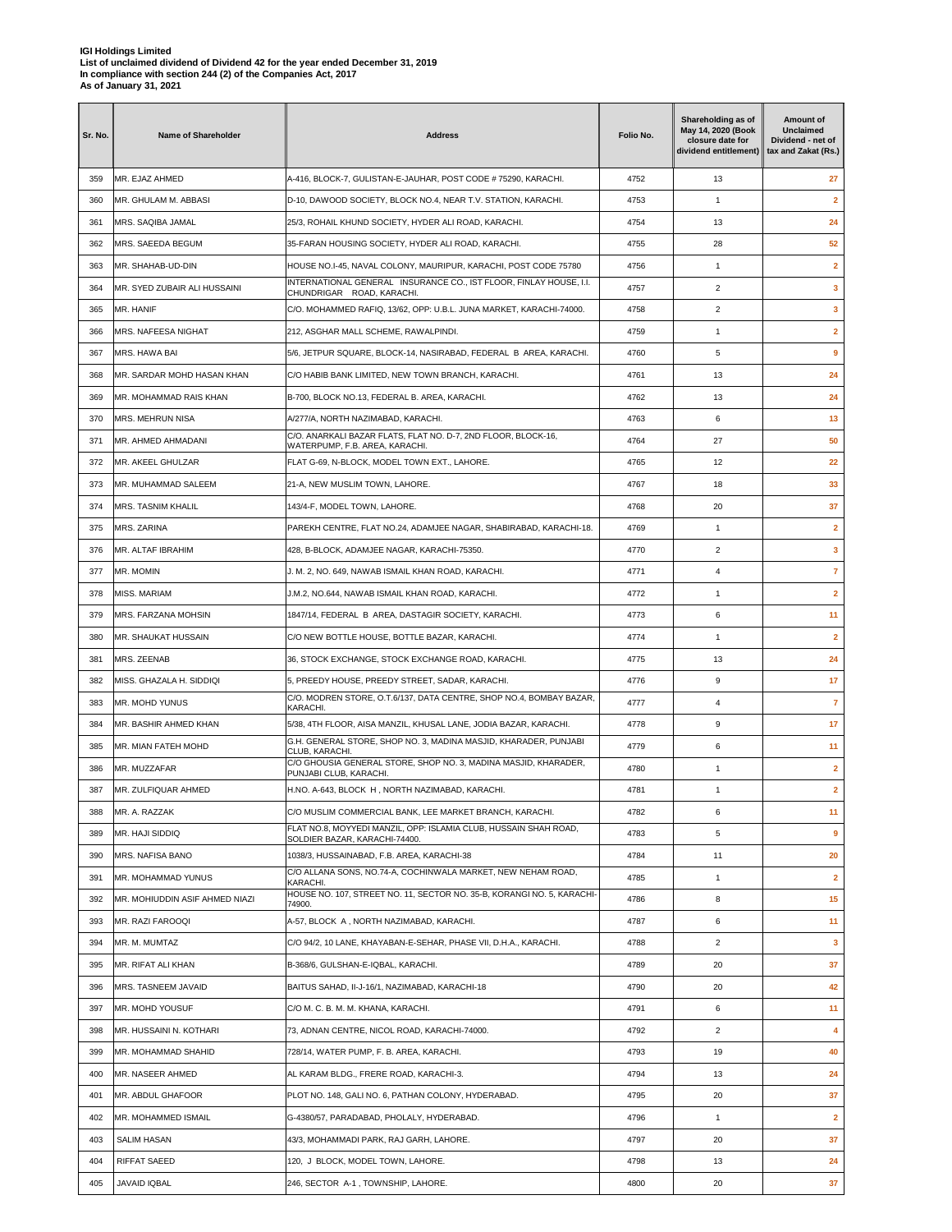| Sr. No. | <b>Name of Shareholder</b>     | <b>Address</b>                                                                                                                       | Folio No. | Shareholding as of<br>May 14, 2020 (Book<br>closure date for<br>dividend entitlement) | Amount of<br><b>Unclaimed</b><br>Dividend - net of<br>tax and Zakat (Rs.) |
|---------|--------------------------------|--------------------------------------------------------------------------------------------------------------------------------------|-----------|---------------------------------------------------------------------------------------|---------------------------------------------------------------------------|
| 359     | MR. EJAZ AHMED                 | A-416, BLOCK-7, GULISTAN-E-JAUHAR, POST CODE # 75290, KARACHI.                                                                       | 4752      | 13                                                                                    | 27                                                                        |
| 360     | MR. GHULAM M. ABBASI           | D-10, DAWOOD SOCIETY, BLOCK NO.4, NEAR T.V. STATION, KARACHI.                                                                        | 4753      | 1                                                                                     | $\overline{2}$                                                            |
| 361     | MRS. SAQIBA JAMAL              | 25/3, ROHAIL KHUND SOCIETY, HYDER ALI ROAD, KARACHI.                                                                                 | 4754      | 13                                                                                    | 24                                                                        |
| 362     | MRS. SAEEDA BEGUM              | 35-FARAN HOUSING SOCIETY, HYDER ALI ROAD, KARACHI.                                                                                   | 4755      | 28                                                                                    | 52                                                                        |
| 363     | MR. SHAHAB-UD-DIN              | HOUSE NO.I-45, NAVAL COLONY, MAURIPUR, KARACHI, POST CODE 75780                                                                      | 4756      | 1                                                                                     | $\overline{2}$                                                            |
| 364     | MR. SYED ZUBAIR ALI HUSSAINI   | INTERNATIONAL GENERAL INSURANCE CO., IST FLOOR, FINLAY HOUSE, I.I.<br>CHUNDRIGAR ROAD, KARACHI.                                      | 4757      | $\overline{2}$                                                                        | 3                                                                         |
| 365     | MR. HANIF                      | C/O. MOHAMMED RAFIQ, 13/62, OPP: U.B.L. JUNA MARKET, KARACHI-74000.                                                                  | 4758      | $\overline{2}$                                                                        | 3                                                                         |
| 366     | MRS. NAFEESA NIGHAT            | 212, ASGHAR MALL SCHEME, RAWALPINDI.                                                                                                 | 4759      | $\mathbf{1}$                                                                          | $\overline{2}$                                                            |
| 367     | MRS. HAWA BAI                  | 5/6, JETPUR SQUARE, BLOCK-14, NASIRABAD, FEDERAL B AREA, KARACHI.                                                                    | 4760      | 5                                                                                     | 9                                                                         |
| 368     | MR. SARDAR MOHD HASAN KHAN     | C/O HABIB BANK LIMITED, NEW TOWN BRANCH, KARACHI.                                                                                    | 4761      | 13                                                                                    | 24                                                                        |
| 369     | MR. MOHAMMAD RAIS KHAN         | B-700, BLOCK NO.13, FEDERAL B. AREA, KARACHI.                                                                                        | 4762      | 13                                                                                    | 24                                                                        |
| 370     | MRS. MEHRUN NISA               | A/277/A, NORTH NAZIMABAD, KARACHI.                                                                                                   | 4763      | 6                                                                                     | 13                                                                        |
| 371     | MR. AHMED AHMADANI             | C/O. ANARKALI BAZAR FLATS, FLAT NO. D-7, 2ND FLOOR, BLOCK-16,                                                                        | 4764      | 27                                                                                    | 50                                                                        |
| 372     | MR. AKEEL GHULZAR              | WATERPUMP, F.B. AREA, KARACHI.<br>FLAT G-69, N-BLOCK, MODEL TOWN EXT., LAHORE.                                                       | 4765      | 12                                                                                    | 22                                                                        |
| 373     | MR. MUHAMMAD SALEEM            | 21-A, NEW MUSLIM TOWN, LAHORE.                                                                                                       | 4767      | 18                                                                                    | 33                                                                        |
| 374     | <b>MRS. TASNIM KHALIL</b>      | 143/4-F, MODEL TOWN, LAHORE.                                                                                                         | 4768      | 20                                                                                    | 37                                                                        |
| 375     | MRS. ZARINA                    | PAREKH CENTRE, FLAT NO.24, ADAMJEE NAGAR, SHABIRABAD, KARACHI-18.                                                                    | 4769      | 1                                                                                     | $\overline{2}$                                                            |
| 376     | MR. ALTAF IBRAHIM              | 428, B-BLOCK, ADAMJEE NAGAR, KARACHI-75350.                                                                                          | 4770      | $\overline{c}$                                                                        | $\mathbf{3}$                                                              |
| 377     | MR. MOMIN                      | J. M. 2, NO. 649, NAWAB ISMAIL KHAN ROAD, KARACHI.                                                                                   | 4771      | 4                                                                                     | $\overline{7}$                                                            |
| 378     | <b>MISS. MARIAM</b>            | J.M.2, NO.644, NAWAB ISMAIL KHAN ROAD, KARACHI.                                                                                      | 4772      | $\mathbf{1}$                                                                          | $\mathbf{2}$                                                              |
| 379     | MRS. FARZANA MOHSIN            | 1847/14, FEDERAL B AREA, DASTAGIR SOCIETY, KARACHI.                                                                                  | 4773      | 6                                                                                     | 11                                                                        |
| 380     | MR. SHAUKAT HUSSAIN            | C/O NEW BOTTLE HOUSE, BOTTLE BAZAR, KARACHI.                                                                                         | 4774      | $\mathbf{1}$                                                                          | $\overline{2}$                                                            |
|         |                                |                                                                                                                                      |           |                                                                                       |                                                                           |
| 381     | MRS. ZEENAB                    | 36, STOCK EXCHANGE, STOCK EXCHANGE ROAD, KARACHI.                                                                                    | 4775      | 13                                                                                    | 24                                                                        |
| 382     | MISS. GHAZALA H. SIDDIQI       | 5, PREEDY HOUSE, PREEDY STREET, SADAR, KARACHI.<br>C/O. MODREN STORE, O.T.6/137, DATA CENTRE, SHOP NO.4, BOMBAY BAZAR,               | 4776      | 9                                                                                     | 17                                                                        |
| 383     | MR. MOHD YUNUS                 | KARACHI.                                                                                                                             | 4777      | 4                                                                                     | $\overline{7}$                                                            |
| 384     | MR. BASHIR AHMED KHAN          | 5/38, 4TH FLOOR, AISA MANZIL, KHUSAL LANE, JODIA BAZAR, KARACHI.<br>G.H. GENERAL STORE, SHOP NO. 3, MADINA MASJID, KHARADER, PUNJABI | 4778      | 9                                                                                     | 17                                                                        |
| 385     | <b>MR. MIAN FATEH MOHD</b>     | CLUB, KARACHI.<br>C/O GHOUSIA GENERAL STORE, SHOP NO. 3, MADINA MASJID, KHARADER,                                                    | 4779      | 6                                                                                     | 11                                                                        |
| 386     | MR. MUZZAFAR                   | PUNJABI CLUB, KARACHI.                                                                                                               | 4780      | $\mathbf{1}$                                                                          | $\overline{2}$                                                            |
| 387     | MR. ZULFIQUAR AHMED            | H.NO. A-643, BLOCK H, NORTH NAZIMABAD, KARACHI.                                                                                      | 4781      | $\mathbf{1}$                                                                          | $\mathbf{2}$                                                              |
| 388     | MR. A. RAZZAK                  | C/O MUSLIM COMMERCIAL BANK, LEE MARKET BRANCH, KARACHI.<br>FLAT NO.8, MOYYEDI MANZIL, OPP: ISLAMIA CLUB, HUSSAIN SHAH ROAD,          | 4782      | 6                                                                                     | 11                                                                        |
| 389     | MR. HAJI SIDDIQ                | SOLDIER BAZAR, KARACHI-74400.                                                                                                        | 4783      | 5                                                                                     | 9                                                                         |
| 390     | MRS. NAFISA BANO               | 1038/3, HUSSAINABAD, F.B. AREA, KARACHI-38                                                                                           | 4784      | 11                                                                                    | 20                                                                        |
| 391     | MR. MOHAMMAD YUNUS             | C/O ALLANA SONS, NO.74-A, COCHINWALA MARKET, NEW NEHAM ROAD,<br>KARACHI.                                                             | 4785      | $\mathbf{1}$                                                                          | $\overline{2}$                                                            |
| 392     | MR. MOHIUDDIN ASIF AHMED NIAZI | HOUSE NO. 107, STREET NO. 11, SECTOR NO. 35-B, KORANGI NO. 5, KARACHI-<br>74900.                                                     | 4786      | 8                                                                                     | 15                                                                        |
| 393     | MR. RAZI FAROOQI               | A-57, BLOCK A, NORTH NAZIMABAD, KARACHI.                                                                                             | 4787      | 6                                                                                     | 11                                                                        |
| 394     | MR. M. MUMTAZ                  | C/O 94/2, 10 LANE, KHAYABAN-E-SEHAR, PHASE VII, D.H.A., KARACHI.                                                                     | 4788      | $\overline{2}$                                                                        | $\mathbf{3}$                                                              |
| 395     | MR. RIFAT ALI KHAN             | B-368/6, GULSHAN-E-IQBAL, KARACHI.                                                                                                   | 4789      | 20                                                                                    | 37                                                                        |
| 396     | MRS. TASNEEM JAVAID            | BAITUS SAHAD, II-J-16/1, NAZIMABAD, KARACHI-18                                                                                       | 4790      | 20                                                                                    | 42                                                                        |
| 397     | MR. MOHD YOUSUF                | C/O M. C. B. M. M. KHANA, KARACHI.                                                                                                   | 4791      | 6                                                                                     | 11                                                                        |
| 398     | MR. HUSSAINI N. KOTHARI        | 73, ADNAN CENTRE, NICOL ROAD, KARACHI-74000.                                                                                         | 4792      | $\overline{a}$                                                                        | 4                                                                         |
| 399     | MR. MOHAMMAD SHAHID            | 728/14, WATER PUMP, F. B. AREA, KARACHI.                                                                                             | 4793      | 19                                                                                    | 40                                                                        |
| 400     | MR. NASEER AHMED               | AL KARAM BLDG., FRERE ROAD, KARACHI-3.                                                                                               | 4794      | 13                                                                                    | 24                                                                        |
| 401     | MR. ABDUL GHAFOOR              | PLOT NO. 148, GALI NO. 6, PATHAN COLONY, HYDERABAD.                                                                                  | 4795      | 20                                                                                    | 37                                                                        |
| 402     | MR. MOHAMMED ISMAIL            | G-4380/57, PARADABAD, PHOLALY, HYDERABAD.                                                                                            | 4796      | 1                                                                                     | $\mathbf{2}$                                                              |
| 403     | <b>SALIM HASAN</b>             | 43/3, MOHAMMADI PARK, RAJ GARH, LAHORE.                                                                                              | 4797      | 20                                                                                    | 37                                                                        |
| 404     | RIFFAT SAEED                   | 120, J BLOCK, MODEL TOWN, LAHORE.                                                                                                    | 4798      | 13                                                                                    | 24                                                                        |
| 405     | JAVAID IQBAL                   | 246, SECTOR A-1, TOWNSHIP, LAHORE.                                                                                                   | 4800      | 20                                                                                    | 37                                                                        |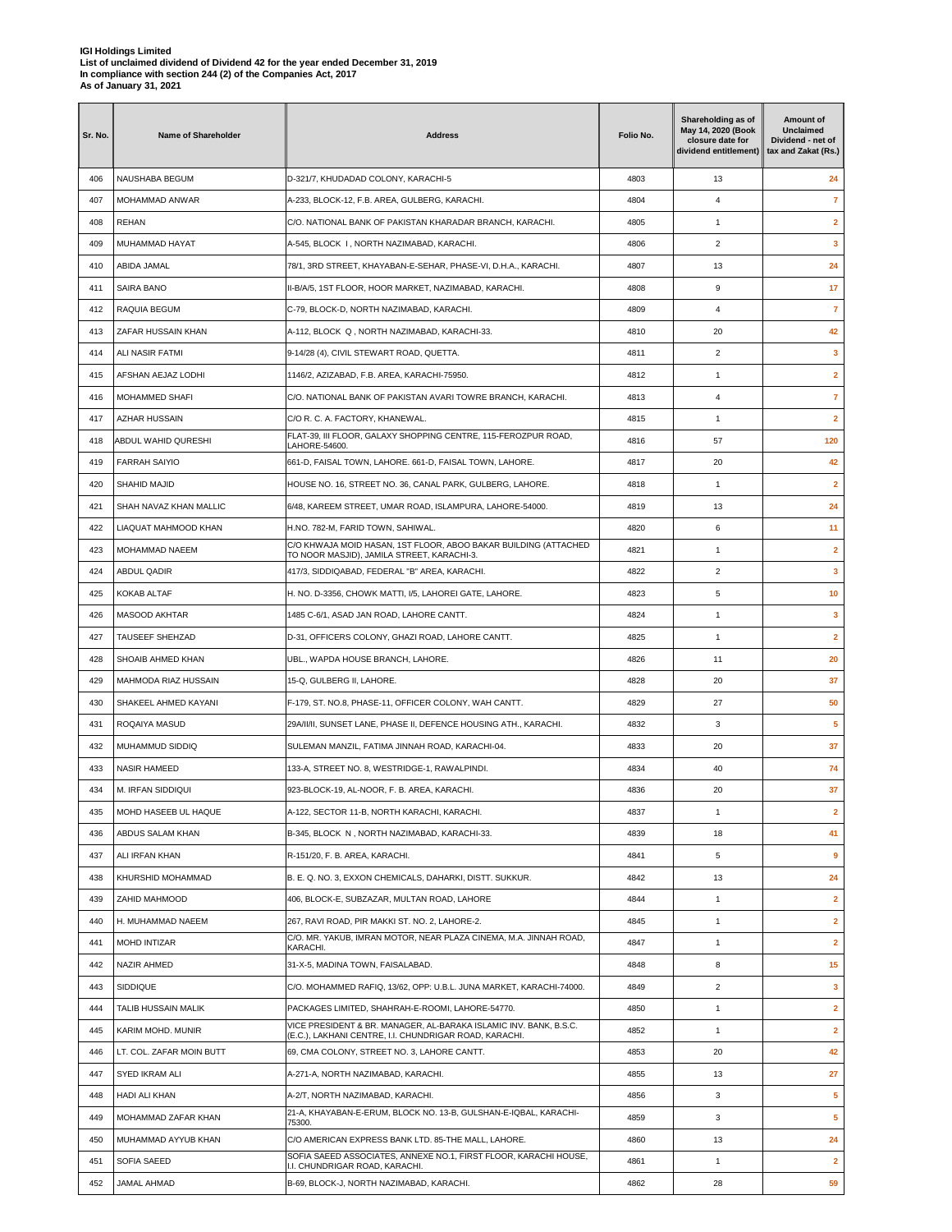| Sr. No. | Name of Shareholder      | <b>Address</b>                                                                                                              | Folio No. | Shareholding as of<br>May 14, 2020 (Book<br>closure date for<br>dividend entitlement) | Amount of<br><b>Unclaimed</b><br>Dividend - net of<br>tax and Zakat (Rs.) |
|---------|--------------------------|-----------------------------------------------------------------------------------------------------------------------------|-----------|---------------------------------------------------------------------------------------|---------------------------------------------------------------------------|
| 406     | NAUSHABA BEGUM           | D-321/7, KHUDADAD COLONY, KARACHI-5                                                                                         | 4803      | 13                                                                                    | 24                                                                        |
| 407     | MOHAMMAD ANWAR           | A-233, BLOCK-12, F.B. AREA, GULBERG, KARACHI.                                                                               | 4804      | 4                                                                                     | $\overline{7}$                                                            |
| 408     | <b>REHAN</b>             | C/O. NATIONAL BANK OF PAKISTAN KHARADAR BRANCH, KARACHI.                                                                    | 4805      | $\mathbf{1}$                                                                          | $\mathbf{2}$                                                              |
| 409     | MUHAMMAD HAYAT           | A-545, BLOCK I, NORTH NAZIMABAD, KARACHI.                                                                                   | 4806      | 2                                                                                     | 3                                                                         |
| 410     | ABIDA JAMAL              | 78/1, 3RD STREET, KHAYABAN-E-SEHAR, PHASE-VI, D.H.A., KARACHI.                                                              | 4807      | 13                                                                                    | 24                                                                        |
| 411     | SAIRA BANO               | II-B/A/5, 1ST FLOOR, HOOR MARKET, NAZIMABAD, KARACHI.                                                                       | 4808      | 9                                                                                     | 17                                                                        |
| 412     | RAQUIA BEGUM             | C-79, BLOCK-D, NORTH NAZIMABAD, KARACHI.                                                                                    | 4809      | 4                                                                                     | $\overline{7}$                                                            |
| 413     | ZAFAR HUSSAIN KHAN       | A-112, BLOCK Q, NORTH NAZIMABAD, KARACHI-33.                                                                                | 4810      | 20                                                                                    | 42                                                                        |
| 414     | ALI NASIR FATMI          | 9-14/28 (4), CIVIL STEWART ROAD, QUETTA.                                                                                    | 4811      | $\overline{2}$                                                                        | 3                                                                         |
| 415     | AFSHAN AEJAZ LODHI       | 1146/2, AZIZABAD, F.B. AREA, KARACHI-75950.                                                                                 | 4812      | 1                                                                                     | $\mathbf{2}$                                                              |
| 416     | MOHAMMED SHAFI           | C/O. NATIONAL BANK OF PAKISTAN AVARI TOWRE BRANCH, KARACHI.                                                                 | 4813      | 4                                                                                     | $\overline{7}$                                                            |
| 417     | <b>AZHAR HUSSAIN</b>     | C/O R. C. A. FACTORY, KHANEWAL.                                                                                             | 4815      | $\mathbf{1}$                                                                          | $\mathbf{2}$                                                              |
| 418     | ABDUL WAHID QURESHI      | FLAT-39, III FLOOR, GALAXY SHOPPING CENTRE, 115-FEROZPUR ROAD,<br>LAHORE-54600.                                             | 4816      | 57                                                                                    | 120                                                                       |
| 419     | <b>FARRAH SAIYIO</b>     | 661-D, FAISAL TOWN, LAHORE. 661-D, FAISAL TOWN, LAHORE.                                                                     | 4817      | 20                                                                                    | 42                                                                        |
| 420     | SHAHID MAJID             | HOUSE NO. 16, STREET NO. 36, CANAL PARK, GULBERG, LAHORE.                                                                   | 4818      | $\mathbf{1}$                                                                          | $\overline{2}$                                                            |
| 421     | SHAH NAVAZ KHAN MALLIC   | 6/48, KAREEM STREET, UMAR ROAD, ISLAMPURA, LAHORE-54000.                                                                    | 4819      | 13                                                                                    | 24                                                                        |
| 422     | LIAQUAT MAHMOOD KHAN     | H.NO. 782-M, FARID TOWN, SAHIWAL.                                                                                           | 4820      | 6                                                                                     | 11                                                                        |
| 423     | MOHAMMAD NAEEM           | C/O KHWAJA MOID HASAN, 1ST FLOOR, ABOO BAKAR BUILDING (ATTACHED<br>TO NOOR MASJID), JAMILA STREET, KARACHI-3.               | 4821      | $\mathbf{1}$                                                                          | $\overline{2}$                                                            |
| 424     | ABDUL QADIR              | 417/3, SIDDIQABAD, FEDERAL "B" AREA, KARACHI.                                                                               | 4822      | $\overline{\mathbf{c}}$                                                               | 3                                                                         |
| 425     | <b>KOKAB ALTAF</b>       | H. NO. D-3356, CHOWK MATTI, I/5, LAHOREI GATE, LAHORE.                                                                      | 4823      | 5                                                                                     | 10                                                                        |
| 426     | MASOOD AKHTAR            | 1485 C-6/1, ASAD JAN ROAD, LAHORE CANTT.                                                                                    | 4824      | $\mathbf{1}$                                                                          | 3                                                                         |
| 427     | TAUSEEF SHEHZAD          | D-31, OFFICERS COLONY, GHAZI ROAD, LAHORE CANTT.                                                                            | 4825      | $\mathbf{1}$                                                                          | $\overline{\mathbf{2}}$                                                   |
| 428     | SHOAIB AHMED KHAN        | UBL., WAPDA HOUSE BRANCH, LAHORE.                                                                                           | 4826      | 11                                                                                    | 20                                                                        |
| 429     | MAHMODA RIAZ HUSSAIN     | 15-Q, GULBERG II, LAHORE.                                                                                                   | 4828      | 20                                                                                    | 37                                                                        |
| 430     | SHAKEEL AHMED KAYANI     | F-179, ST. NO.8, PHASE-11, OFFICER COLONY, WAH CANTT.                                                                       | 4829      | 27                                                                                    | 50                                                                        |
| 431     | ROQAIYA MASUD            | 29A/II/II, SUNSET LANE, PHASE II, DEFENCE HOUSING ATH., KARACHI.                                                            | 4832      | 3                                                                                     | 5                                                                         |
| 432     | MUHAMMUD SIDDIQ          | SULEMAN MANZIL, FATIMA JINNAH ROAD, KARACHI-04.                                                                             | 4833      | 20                                                                                    | 37                                                                        |
| 433     | <b>NASIR HAMEED</b>      | 133-A, STREET NO. 8, WESTRIDGE-1, RAWALPINDI.                                                                               | 4834      | 40                                                                                    | 74                                                                        |
| 434     | M. IRFAN SIDDIQUI        | 923-BLOCK-19, AL-NOOR, F. B. AREA, KARACHI.                                                                                 | 4836      | 20                                                                                    | 37                                                                        |
| 435     | MOHD HASEEB UL HAQUE     | A-122, SECTOR 11-B, NORTH KARACHI, KARACHI.                                                                                 | 4837      | 1                                                                                     | $\overline{\mathbf{2}}$                                                   |
| 436     | ABDUS SALAM KHAN         | B-345, BLOCK N, NORTH NAZIMABAD, KARACHI-33.                                                                                | 4839      | 18                                                                                    | 41                                                                        |
| 437     | ALI IRFAN KHAN           | R-151/20, F. B. AREA, KARACHI.                                                                                              | 4841      | 5                                                                                     | 9                                                                         |
| 438     | KHURSHID MOHAMMAD        | B. E. Q. NO. 3, EXXON CHEMICALS, DAHARKI, DISTT. SUKKUR.                                                                    | 4842      | 13                                                                                    | 24                                                                        |
| 439     | ZAHID MAHMOOD            | 406, BLOCK-E, SUBZAZAR, MULTAN ROAD, LAHORE                                                                                 | 4844      | $\mathbf{1}$                                                                          | $\overline{\mathbf{2}}$                                                   |
| 440     | H. MUHAMMAD NAEEM        | 267, RAVI ROAD, PIR MAKKI ST. NO. 2, LAHORE-2.                                                                              | 4845      | $\mathbf{1}$                                                                          | $\mathbf{2}$                                                              |
| 441     | MOHD INTIZAR             | C/O. MR. YAKUB, IMRAN MOTOR, NEAR PLAZA CINEMA, M.A. JINNAH ROAD,<br>KARACHI.                                               | 4847      | 1                                                                                     | $\overline{2}$                                                            |
| 442     | NAZIR AHMED              | 31-X-5, MADINA TOWN, FAISALABAD.                                                                                            | 4848      | 8                                                                                     | 15                                                                        |
| 443     | SIDDIQUE                 | C/O. MOHAMMED RAFIQ, 13/62, OPP: U.B.L. JUNA MARKET, KARACHI-74000.                                                         | 4849      | $\overline{\mathbf{c}}$                                                               | 3                                                                         |
| 444     | TALIB HUSSAIN MALIK      | PACKAGES LIMITED, SHAHRAH-E-ROOMI, LAHORE-54770.                                                                            | 4850      | 1                                                                                     | $\overline{\mathbf{2}}$                                                   |
| 445     | KARIM MOHD. MUNIR        | VICE PRESIDENT & BR. MANAGER, AL-BARAKA ISLAMIC INV. BANK, B.S.C.<br>(E.C.), LAKHANI CENTRE, I.I. CHUNDRIGAR ROAD, KARACHI. | 4852      | $\mathbf{1}$                                                                          | $\overline{2}$                                                            |
| 446     | LT. COL. ZAFAR MOIN BUTT | 69, CMA COLONY, STREET NO. 3, LAHORE CANTT.                                                                                 | 4853      | 20                                                                                    | 42                                                                        |
| 447     | SYED IKRAM ALI           | A-271-A, NORTH NAZIMABAD, KARACHI.                                                                                          | 4855      | 13                                                                                    | 27                                                                        |
| 448     | HADI ALI KHAN            | A-2/T, NORTH NAZIMABAD, KARACHI.                                                                                            | 4856      | 3                                                                                     | 5                                                                         |
| 449     | MOHAMMAD ZAFAR KHAN      | 21-A, KHAYABAN-E-ERUM, BLOCK NO. 13-B, GULSHAN-E-IQBAL, KARACHI-                                                            | 4859      | 3                                                                                     | 5                                                                         |
| 450     | MUHAMMAD AYYUB KHAN      | 75300.<br>C/O AMERICAN EXPRESS BANK LTD. 85-THE MALL, LAHORE.                                                               | 4860      | 13                                                                                    | 24                                                                        |
| 451     | SOFIA SAEED              | SOFIA SAEED ASSOCIATES, ANNEXE NO.1, FIRST FLOOR, KARACHI HOUSE,<br>I.I. CHUNDRIGAR ROAD, KARACHI.                          | 4861      | $\mathbf{1}$                                                                          | $\overline{2}$                                                            |
| 452     | JAMAL AHMAD              | B-69, BLOCK-J, NORTH NAZIMABAD, KARACHI.                                                                                    | 4862      | 28                                                                                    | 59                                                                        |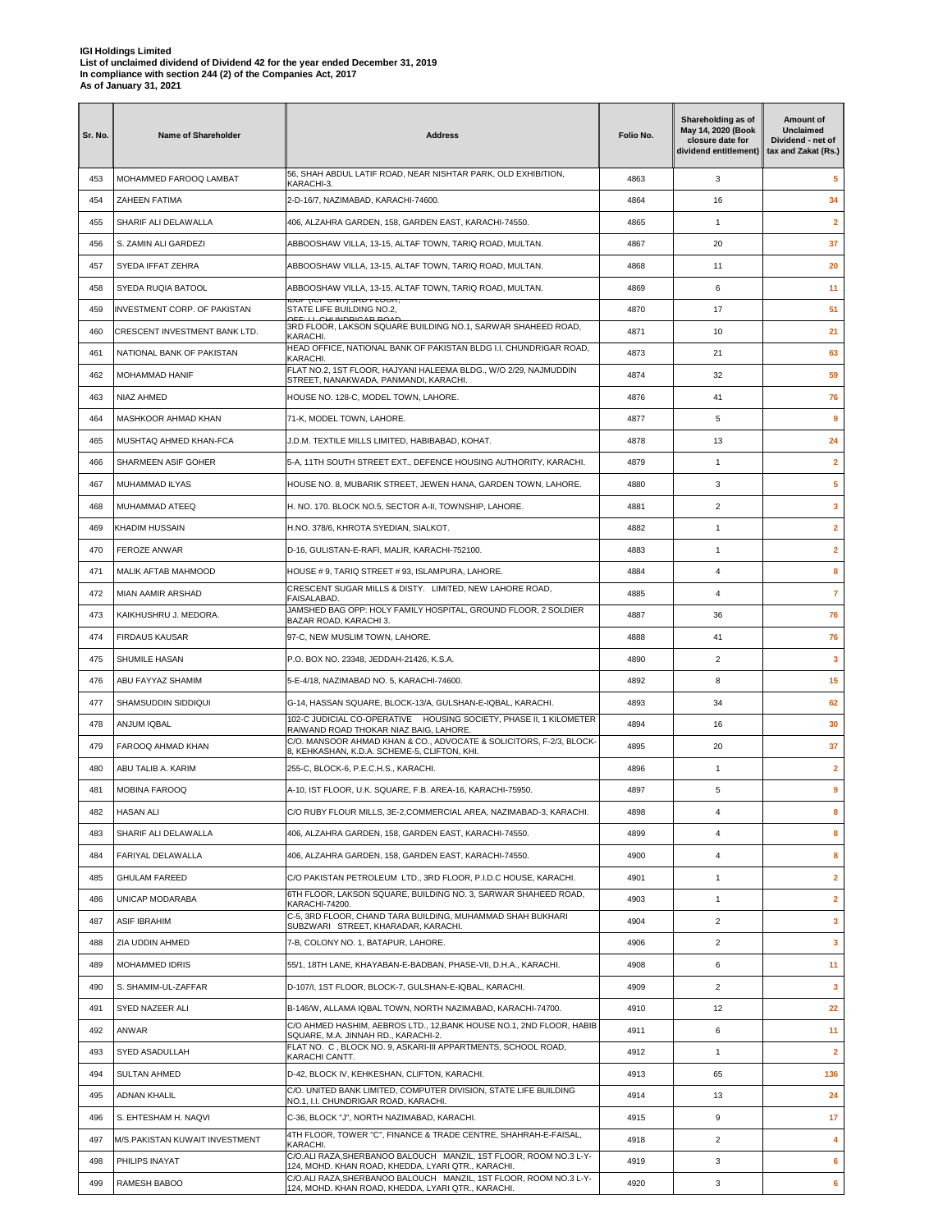| 56, SHAH ABDUL LATIF ROAD, NEAR NISHTAR PARK, OLD EXHIBITION,<br>MOHAMMED FAROOQ LAMBAT<br>4863<br>3<br>5<br>453<br>KARACHI-3.<br>454<br>ZAHEEN FATIMA<br>2-D-16/7, NAZIMABAD, KARACHI-74600.<br>4864<br>16<br>34<br>$\overline{2}$<br>455<br>SHARIF ALI DELAWALLA<br>406, ALZAHRA GARDEN, 158, GARDEN EAST, KARACHI-74550.<br>4865<br>1<br>37<br>456<br>S. ZAMIN ALI GARDEZI<br>ABBOOSHAW VILLA, 13-15, ALTAF TOWN, TARIQ ROAD, MULTAN.<br>4867<br>20<br>457<br>SYEDA IFFAT ZEHRA<br>ABBOOSHAW VILLA, 13-15, ALTAF TOWN, TARIQ ROAD, MULTAN.<br>4868<br>11<br>20<br>SYEDA RUQIA BATOOL<br>4869<br>6<br>11<br>458<br>ABBOOSHAW VILLA, 13-15, ALTAF TOWN, TARIQ ROAD, MULTAN.<br><u> IUBP (IUP UNIT) SRU FLUUR,</u><br>51<br>459<br>INVESTMENT CORP. OF PAKISTAN<br>STATE LIFE BUILDING NO.2,<br>4870<br>17<br><b>DEE: LL CULINDRICAD ROAD</b><br>3RD FLOOR, LAKSON SQUARE BUILDING NO.1, SARWAR SHAHEED ROAD.<br>460<br>CRESCENT INVESTMENT BANK LTD.<br>4871<br>10<br>21<br>KARACHI.<br>HEAD OFFICE, NATIONAL BANK OF PAKISTAN BLDG I.I. CHUNDRIGAR ROAD,<br>NATIONAL BANK OF PAKISTAN<br>4873<br>21<br>63<br>461<br>KARACHI.<br>FLAT NO.2, 1ST FLOOR, HAJYANI HALEEMA BLDG., W/O 2/29, NAJMUDDIN<br>59<br>462<br><b>MOHAMMAD HANIF</b><br>4874<br>32<br>STREET, NANAKWADA, PANMANDI, KARACHI.<br>463<br>NIAZ AHMED<br>HOUSE NO. 128-C, MODEL TOWN, LAHORE.<br>4876<br>76<br>41<br>9<br>MASHKOOR AHMAD KHAN<br>71-K, MODEL TOWN, LAHORE.<br>4877<br>5<br>464<br>24<br>465<br>MUSHTAQ AHMED KHAN-FCA<br>J.D.M. TEXTILE MILLS LIMITED. HABIBABAD. KOHAT.<br>4878<br>13<br>466<br>SHARMEEN ASIF GOHER<br>5-A, 11TH SOUTH STREET EXT., DEFENCE HOUSING AUTHORITY, KARACHI.<br>4879<br>$\mathbf{1}$<br>$\mathbf{2}$<br>5<br>MUHAMMAD ILYAS<br>HOUSE NO. 8, MUBARIK STREET, JEWEN HANA, GARDEN TOWN, LAHORE.<br>4880<br>3<br>467<br>$\overline{2}$<br>$\overline{\mathbf{3}}$<br>468<br>MUHAMMAD ATEEO<br>H. NO. 170. BLOCK NO.5, SECTOR A-II, TOWNSHIP, LAHORE.<br>4881<br><b>KHADIM HUSSAIN</b><br>H.NO. 378/6, KHROTA SYEDIAN, SIALKOT.<br>4882<br>$\mathbf{1}$<br>$\mathbf{2}$<br>469<br>$\overline{\mathbf{2}}$<br>470<br>FEROZE ANWAR<br>D-16, GULISTAN-E-RAFI, MALIR, KARACHI-752100.<br>4883<br>$\mathbf{1}$<br>8<br>471<br>MALIK AFTAB MAHMOOD<br>HOUSE # 9, TARIQ STREET # 93, ISLAMPURA, LAHORE.<br>4884<br>4<br>CRESCENT SUGAR MILLS & DISTY. LIMITED, NEW LAHORE ROAD,<br>$\overline{7}$<br>472<br>MIAN AAMIR ARSHAD<br>4885<br>4<br>FAISALABAD.<br>JAMSHED BAG OPP: HOLY FAMILY HOSPITAL, GROUND FLOOR, 2 SOLDIER<br>76<br>473<br>KAIKHUSHRU J. MEDORA.<br>4887<br>36<br>BAZAR ROAD, KARACHI 3.<br>76<br>474<br><b>FIRDAUS KAUSAR</b><br>97-C, NEW MUSLIM TOWN, LAHORE.<br>4888<br>41<br>475<br>SHUMILE HASAN<br>P.O. BOX NO. 23348, JEDDAH-21426, K.S.A.<br>$\overline{2}$<br>3<br>4890<br>15<br>476<br>ABU FAYYAZ SHAMIM<br>5-E-4/18, NAZIMABAD NO. 5, KARACHI-74600.<br>4892<br>8<br>62<br>477<br>SHAMSUDDIN SIDDIQUI<br>G-14, HASSAN SQUARE, BLOCK-13/A, GULSHAN-E-IQBAL, KARACHI.<br>4893<br>34<br>102-C JUDICIAL CO-OPERATIVE HOUSING SOCIETY, PHASE II, 1 KILOMETER<br>478<br>ANJUM IQBAL<br>4894<br>30<br>16<br>RAIWAND ROAD THOKAR NIAZ BAIG, LAHORE.<br>C/O. MANSOOR AHMAD KHAN & CO., ADVOCATE & SOLICITORS, F-2/3, BLOCK-<br>37<br>479<br>FAROOQ AHMAD KHAN<br>4895<br>20<br>8, KEHKASHAN, K.D.A. SCHEME-5, CLIFTON, KHI.<br>$\overline{2}$<br>480<br>ABU TALIB A. KARIM<br>255-C, BLOCK-6, P.E.C.H.S., KARACHI.<br>4896<br>$\mathbf{1}$<br>9<br>481<br><b>MOBINA FAROOQ</b><br>A-10, IST FLOOR, U.K. SQUARE, F.B. AREA-16, KARACHI-75950.<br>4897<br>5<br><b>HASAN ALI</b><br>482<br>C/O RUBY FLOUR MILLS, 3E-2, COMMERCIAL AREA, NAZIMABAD-3, KARACHI.<br>4898<br>4<br>8<br>483<br>SHARIF ALI DELAWALLA<br>406, ALZAHRA GARDEN, 158, GARDEN EAST, KARACHI-74550.<br>4899<br>8<br>4<br>484<br>FARIYAL DELAWALLA<br>406. ALZAHRA GARDEN, 158. GARDEN EAST, KARACHI-74550.<br>4900<br>4<br>8<br><b>GHULAM FAREED</b><br>C/O PAKISTAN PETROLEUM LTD., 3RD FLOOR, P.I.D.C HOUSE, KARACHI.<br>$\overline{2}$<br>485<br>4901<br>1<br>6TH FLOOR, LAKSON SQUARE, BUILDING NO. 3, SARWAR SHAHEED ROAD,<br>UNICAP MODARABA<br>$\overline{\mathbf{2}}$<br>486<br>4903<br>$\mathbf{1}$<br><b>KARACHI-74200.</b><br>C-5, 3RD FLOOR, CHAND TARA BUILDING, MUHAMMAD SHAH BUKHARI<br>$\overline{2}$<br>3<br>487<br><b>ASIF IBRAHIM</b><br>4904<br>SUBZWARI STREET, KHARADAR, KARACHI.<br>7-B, COLONY NO. 1, BATAPUR, LAHORE.<br>$\overline{2}$<br>3<br>488<br>ZIA UDDIN AHMED<br>4906<br>55/1, 18TH LANE, KHAYABAN-E-BADBAN, PHASE-VII, D.H.A., KARACHI.<br>11<br>489<br>MOHAMMED IDRIS<br>4908<br>6<br>D-107/I, 1ST FLOOR, BLOCK-7, GULSHAN-E-IQBAL, KARACHI,<br>490<br>S. SHAMIM-UL-ZAFFAR<br>4909<br>2<br>3<br>SYED NAZEER ALI<br>B-146/W, ALLAMA IQBAL TOWN, NORTH NAZIMABAD, KARACHI-74700.<br>22<br>491<br>4910<br>12<br>C/O AHMED HASHIM, AEBROS LTD., 12, BANK HOUSE NO.1, 2ND FLOOR, HABIB<br>492<br>ANWAR<br>4911<br>6<br>11<br>SQUARE, M.A. JINNAH RD., KARACHI-2.<br>FLAT NO. C, BLOCK NO. 9, ASKARI-III APPARTMENTS, SCHOOL ROAD,<br>SYED ASADULLAH<br>$\overline{2}$<br>493<br>4912<br>$\mathbf{1}$<br>KARACHI CANTT.<br><b>SULTAN AHMED</b><br>D-42, BLOCK IV, KEHKESHAN, CLIFTON, KARACHI.<br>136<br>494<br>4913<br>65<br>C/O. UNITED BANK LIMITED, COMPUTER DIVISION, STATE LIFE BUILDING<br>495<br><b>ADNAN KHALIL</b><br>4914<br>13<br>24<br>NO.1, I.I. CHUNDRIGAR ROAD, KARACHI.<br>C-36, BLOCK "J", NORTH NAZIMABAD, KARACHI.<br>17<br>496<br>S. EHTESHAM H. NAQVI<br>4915<br>9<br>4TH FLOOR, TOWER "C", FINANCE & TRADE CENTRE, SHAHRAH-E-FAISAL,<br>$\overline{2}$<br>M/S.PAKISTAN KUWAIT INVESTMENT<br>4<br>497<br>4918<br>KARACHI.<br>C/O.ALI RAZA, SHERBANOO BALOUCH MANZIL, 1ST FLOOR, ROOM NO.3 L-Y-<br>498<br>PHILIPS INAYAT<br>4919<br>3<br>6<br>124, MOHD. KHAN ROAD, KHEDDA, LYARI QTR., KARACHI.<br>C/O.ALI RAZA, SHERBANOO BALOUCH MANZIL, 1ST FLOOR, ROOM NO.3 L-Y- | Sr. No. | Name of Shareholder | <b>Address</b> | Folio No. | Shareholding as of<br>May 14, 2020 (Book<br>closure date for<br>dividend entitlement) | Amount of<br><b>Unclaimed</b><br>Dividend - net of<br>tax and Zakat (Rs.) |
|--------------------------------------------------------------------------------------------------------------------------------------------------------------------------------------------------------------------------------------------------------------------------------------------------------------------------------------------------------------------------------------------------------------------------------------------------------------------------------------------------------------------------------------------------------------------------------------------------------------------------------------------------------------------------------------------------------------------------------------------------------------------------------------------------------------------------------------------------------------------------------------------------------------------------------------------------------------------------------------------------------------------------------------------------------------------------------------------------------------------------------------------------------------------------------------------------------------------------------------------------------------------------------------------------------------------------------------------------------------------------------------------------------------------------------------------------------------------------------------------------------------------------------------------------------------------------------------------------------------------------------------------------------------------------------------------------------------------------------------------------------------------------------------------------------------------------------------------------------------------------------------------------------------------------------------------------------------------------------------------------------------------------------------------------------------------------------------------------------------------------------------------------------------------------------------------------------------------------------------------------------------------------------------------------------------------------------------------------------------------------------------------------------------------------------------------------------------------------------------------------------------------------------------------------------------------------------------------------------------------------------------------------------------------------------------------------------------------------------------------------------------------------------------------------------------------------------------------------------------------------------------------------------------------------------------------------------------------------------------------------------------------------------------------------------------------------------------------------------------------------------------------------------------------------------------------------------------------------------------------------------------------------------------------------------------------------------------------------------------------------------------------------------------------------------------------------------------------------------------------------------------------------------------------------------------------------------------------------------------------------------------------------------------------------------------------------------------------------------------------------------------------------------------------------------------------------------------------------------------------------------------------------------------------------------------------------------------------------------------------------------------------------------------------------------------------------------------------------------------------------------------------------------------------------------------------------------------------------------------------------------------------------------------------------------------------------------------------------------------------------------------------------------------------------------------------------------------------------------------------------------------------------------------------------------------------------------------------------------------------------------------------------------------------------------------------------------------------------------------------------------------------------------------------------------------------------------------------------------------------------------------------------------------------------------------------------------------------------------------------------------------------------------------------------------------------------------------------------------------------------------------------------------------------------------------------------------------------------------------------------------------------------------------------------------------------------------------------------------------------------------------------------------------------------------------------------------------------------------------------------------------------------------------------------------------------------------------------------------------------------------------------------------------------------------------------------------------------------------------------------------------------------------------------------------------------------------------------------------------------------------------------------------------|---------|---------------------|----------------|-----------|---------------------------------------------------------------------------------------|---------------------------------------------------------------------------|
|                                                                                                                                                                                                                                                                                                                                                                                                                                                                                                                                                                                                                                                                                                                                                                                                                                                                                                                                                                                                                                                                                                                                                                                                                                                                                                                                                                                                                                                                                                                                                                                                                                                                                                                                                                                                                                                                                                                                                                                                                                                                                                                                                                                                                                                                                                                                                                                                                                                                                                                                                                                                                                                                                                                                                                                                                                                                                                                                                                                                                                                                                                                                                                                                                                                                                                                                                                                                                                                                                                                                                                                                                                                                                                                                                                                                                                                                                                                                                                                                                                                                                                                                                                                                                                                                                                                                                                                                                                                                                                                                                                                                                                                                                                                                                                                                                                                                                                                                                                                                                                                                                                                                                                                                                                                                                                                                                                                                                                                                                                                                                                                                                                                                                                                                                                                                                                                                                                              |         |                     |                |           |                                                                                       |                                                                           |
|                                                                                                                                                                                                                                                                                                                                                                                                                                                                                                                                                                                                                                                                                                                                                                                                                                                                                                                                                                                                                                                                                                                                                                                                                                                                                                                                                                                                                                                                                                                                                                                                                                                                                                                                                                                                                                                                                                                                                                                                                                                                                                                                                                                                                                                                                                                                                                                                                                                                                                                                                                                                                                                                                                                                                                                                                                                                                                                                                                                                                                                                                                                                                                                                                                                                                                                                                                                                                                                                                                                                                                                                                                                                                                                                                                                                                                                                                                                                                                                                                                                                                                                                                                                                                                                                                                                                                                                                                                                                                                                                                                                                                                                                                                                                                                                                                                                                                                                                                                                                                                                                                                                                                                                                                                                                                                                                                                                                                                                                                                                                                                                                                                                                                                                                                                                                                                                                                                              |         |                     |                |           |                                                                                       |                                                                           |
|                                                                                                                                                                                                                                                                                                                                                                                                                                                                                                                                                                                                                                                                                                                                                                                                                                                                                                                                                                                                                                                                                                                                                                                                                                                                                                                                                                                                                                                                                                                                                                                                                                                                                                                                                                                                                                                                                                                                                                                                                                                                                                                                                                                                                                                                                                                                                                                                                                                                                                                                                                                                                                                                                                                                                                                                                                                                                                                                                                                                                                                                                                                                                                                                                                                                                                                                                                                                                                                                                                                                                                                                                                                                                                                                                                                                                                                                                                                                                                                                                                                                                                                                                                                                                                                                                                                                                                                                                                                                                                                                                                                                                                                                                                                                                                                                                                                                                                                                                                                                                                                                                                                                                                                                                                                                                                                                                                                                                                                                                                                                                                                                                                                                                                                                                                                                                                                                                                              |         |                     |                |           |                                                                                       |                                                                           |
|                                                                                                                                                                                                                                                                                                                                                                                                                                                                                                                                                                                                                                                                                                                                                                                                                                                                                                                                                                                                                                                                                                                                                                                                                                                                                                                                                                                                                                                                                                                                                                                                                                                                                                                                                                                                                                                                                                                                                                                                                                                                                                                                                                                                                                                                                                                                                                                                                                                                                                                                                                                                                                                                                                                                                                                                                                                                                                                                                                                                                                                                                                                                                                                                                                                                                                                                                                                                                                                                                                                                                                                                                                                                                                                                                                                                                                                                                                                                                                                                                                                                                                                                                                                                                                                                                                                                                                                                                                                                                                                                                                                                                                                                                                                                                                                                                                                                                                                                                                                                                                                                                                                                                                                                                                                                                                                                                                                                                                                                                                                                                                                                                                                                                                                                                                                                                                                                                                              |         |                     |                |           |                                                                                       |                                                                           |
|                                                                                                                                                                                                                                                                                                                                                                                                                                                                                                                                                                                                                                                                                                                                                                                                                                                                                                                                                                                                                                                                                                                                                                                                                                                                                                                                                                                                                                                                                                                                                                                                                                                                                                                                                                                                                                                                                                                                                                                                                                                                                                                                                                                                                                                                                                                                                                                                                                                                                                                                                                                                                                                                                                                                                                                                                                                                                                                                                                                                                                                                                                                                                                                                                                                                                                                                                                                                                                                                                                                                                                                                                                                                                                                                                                                                                                                                                                                                                                                                                                                                                                                                                                                                                                                                                                                                                                                                                                                                                                                                                                                                                                                                                                                                                                                                                                                                                                                                                                                                                                                                                                                                                                                                                                                                                                                                                                                                                                                                                                                                                                                                                                                                                                                                                                                                                                                                                                              |         |                     |                |           |                                                                                       |                                                                           |
|                                                                                                                                                                                                                                                                                                                                                                                                                                                                                                                                                                                                                                                                                                                                                                                                                                                                                                                                                                                                                                                                                                                                                                                                                                                                                                                                                                                                                                                                                                                                                                                                                                                                                                                                                                                                                                                                                                                                                                                                                                                                                                                                                                                                                                                                                                                                                                                                                                                                                                                                                                                                                                                                                                                                                                                                                                                                                                                                                                                                                                                                                                                                                                                                                                                                                                                                                                                                                                                                                                                                                                                                                                                                                                                                                                                                                                                                                                                                                                                                                                                                                                                                                                                                                                                                                                                                                                                                                                                                                                                                                                                                                                                                                                                                                                                                                                                                                                                                                                                                                                                                                                                                                                                                                                                                                                                                                                                                                                                                                                                                                                                                                                                                                                                                                                                                                                                                                                              |         |                     |                |           |                                                                                       |                                                                           |
|                                                                                                                                                                                                                                                                                                                                                                                                                                                                                                                                                                                                                                                                                                                                                                                                                                                                                                                                                                                                                                                                                                                                                                                                                                                                                                                                                                                                                                                                                                                                                                                                                                                                                                                                                                                                                                                                                                                                                                                                                                                                                                                                                                                                                                                                                                                                                                                                                                                                                                                                                                                                                                                                                                                                                                                                                                                                                                                                                                                                                                                                                                                                                                                                                                                                                                                                                                                                                                                                                                                                                                                                                                                                                                                                                                                                                                                                                                                                                                                                                                                                                                                                                                                                                                                                                                                                                                                                                                                                                                                                                                                                                                                                                                                                                                                                                                                                                                                                                                                                                                                                                                                                                                                                                                                                                                                                                                                                                                                                                                                                                                                                                                                                                                                                                                                                                                                                                                              |         |                     |                |           |                                                                                       |                                                                           |
|                                                                                                                                                                                                                                                                                                                                                                                                                                                                                                                                                                                                                                                                                                                                                                                                                                                                                                                                                                                                                                                                                                                                                                                                                                                                                                                                                                                                                                                                                                                                                                                                                                                                                                                                                                                                                                                                                                                                                                                                                                                                                                                                                                                                                                                                                                                                                                                                                                                                                                                                                                                                                                                                                                                                                                                                                                                                                                                                                                                                                                                                                                                                                                                                                                                                                                                                                                                                                                                                                                                                                                                                                                                                                                                                                                                                                                                                                                                                                                                                                                                                                                                                                                                                                                                                                                                                                                                                                                                                                                                                                                                                                                                                                                                                                                                                                                                                                                                                                                                                                                                                                                                                                                                                                                                                                                                                                                                                                                                                                                                                                                                                                                                                                                                                                                                                                                                                                                              |         |                     |                |           |                                                                                       |                                                                           |
|                                                                                                                                                                                                                                                                                                                                                                                                                                                                                                                                                                                                                                                                                                                                                                                                                                                                                                                                                                                                                                                                                                                                                                                                                                                                                                                                                                                                                                                                                                                                                                                                                                                                                                                                                                                                                                                                                                                                                                                                                                                                                                                                                                                                                                                                                                                                                                                                                                                                                                                                                                                                                                                                                                                                                                                                                                                                                                                                                                                                                                                                                                                                                                                                                                                                                                                                                                                                                                                                                                                                                                                                                                                                                                                                                                                                                                                                                                                                                                                                                                                                                                                                                                                                                                                                                                                                                                                                                                                                                                                                                                                                                                                                                                                                                                                                                                                                                                                                                                                                                                                                                                                                                                                                                                                                                                                                                                                                                                                                                                                                                                                                                                                                                                                                                                                                                                                                                                              |         |                     |                |           |                                                                                       |                                                                           |
|                                                                                                                                                                                                                                                                                                                                                                                                                                                                                                                                                                                                                                                                                                                                                                                                                                                                                                                                                                                                                                                                                                                                                                                                                                                                                                                                                                                                                                                                                                                                                                                                                                                                                                                                                                                                                                                                                                                                                                                                                                                                                                                                                                                                                                                                                                                                                                                                                                                                                                                                                                                                                                                                                                                                                                                                                                                                                                                                                                                                                                                                                                                                                                                                                                                                                                                                                                                                                                                                                                                                                                                                                                                                                                                                                                                                                                                                                                                                                                                                                                                                                                                                                                                                                                                                                                                                                                                                                                                                                                                                                                                                                                                                                                                                                                                                                                                                                                                                                                                                                                                                                                                                                                                                                                                                                                                                                                                                                                                                                                                                                                                                                                                                                                                                                                                                                                                                                                              |         |                     |                |           |                                                                                       |                                                                           |
|                                                                                                                                                                                                                                                                                                                                                                                                                                                                                                                                                                                                                                                                                                                                                                                                                                                                                                                                                                                                                                                                                                                                                                                                                                                                                                                                                                                                                                                                                                                                                                                                                                                                                                                                                                                                                                                                                                                                                                                                                                                                                                                                                                                                                                                                                                                                                                                                                                                                                                                                                                                                                                                                                                                                                                                                                                                                                                                                                                                                                                                                                                                                                                                                                                                                                                                                                                                                                                                                                                                                                                                                                                                                                                                                                                                                                                                                                                                                                                                                                                                                                                                                                                                                                                                                                                                                                                                                                                                                                                                                                                                                                                                                                                                                                                                                                                                                                                                                                                                                                                                                                                                                                                                                                                                                                                                                                                                                                                                                                                                                                                                                                                                                                                                                                                                                                                                                                                              |         |                     |                |           |                                                                                       |                                                                           |
|                                                                                                                                                                                                                                                                                                                                                                                                                                                                                                                                                                                                                                                                                                                                                                                                                                                                                                                                                                                                                                                                                                                                                                                                                                                                                                                                                                                                                                                                                                                                                                                                                                                                                                                                                                                                                                                                                                                                                                                                                                                                                                                                                                                                                                                                                                                                                                                                                                                                                                                                                                                                                                                                                                                                                                                                                                                                                                                                                                                                                                                                                                                                                                                                                                                                                                                                                                                                                                                                                                                                                                                                                                                                                                                                                                                                                                                                                                                                                                                                                                                                                                                                                                                                                                                                                                                                                                                                                                                                                                                                                                                                                                                                                                                                                                                                                                                                                                                                                                                                                                                                                                                                                                                                                                                                                                                                                                                                                                                                                                                                                                                                                                                                                                                                                                                                                                                                                                              |         |                     |                |           |                                                                                       |                                                                           |
|                                                                                                                                                                                                                                                                                                                                                                                                                                                                                                                                                                                                                                                                                                                                                                                                                                                                                                                                                                                                                                                                                                                                                                                                                                                                                                                                                                                                                                                                                                                                                                                                                                                                                                                                                                                                                                                                                                                                                                                                                                                                                                                                                                                                                                                                                                                                                                                                                                                                                                                                                                                                                                                                                                                                                                                                                                                                                                                                                                                                                                                                                                                                                                                                                                                                                                                                                                                                                                                                                                                                                                                                                                                                                                                                                                                                                                                                                                                                                                                                                                                                                                                                                                                                                                                                                                                                                                                                                                                                                                                                                                                                                                                                                                                                                                                                                                                                                                                                                                                                                                                                                                                                                                                                                                                                                                                                                                                                                                                                                                                                                                                                                                                                                                                                                                                                                                                                                                              |         |                     |                |           |                                                                                       |                                                                           |
|                                                                                                                                                                                                                                                                                                                                                                                                                                                                                                                                                                                                                                                                                                                                                                                                                                                                                                                                                                                                                                                                                                                                                                                                                                                                                                                                                                                                                                                                                                                                                                                                                                                                                                                                                                                                                                                                                                                                                                                                                                                                                                                                                                                                                                                                                                                                                                                                                                                                                                                                                                                                                                                                                                                                                                                                                                                                                                                                                                                                                                                                                                                                                                                                                                                                                                                                                                                                                                                                                                                                                                                                                                                                                                                                                                                                                                                                                                                                                                                                                                                                                                                                                                                                                                                                                                                                                                                                                                                                                                                                                                                                                                                                                                                                                                                                                                                                                                                                                                                                                                                                                                                                                                                                                                                                                                                                                                                                                                                                                                                                                                                                                                                                                                                                                                                                                                                                                                              |         |                     |                |           |                                                                                       |                                                                           |
|                                                                                                                                                                                                                                                                                                                                                                                                                                                                                                                                                                                                                                                                                                                                                                                                                                                                                                                                                                                                                                                                                                                                                                                                                                                                                                                                                                                                                                                                                                                                                                                                                                                                                                                                                                                                                                                                                                                                                                                                                                                                                                                                                                                                                                                                                                                                                                                                                                                                                                                                                                                                                                                                                                                                                                                                                                                                                                                                                                                                                                                                                                                                                                                                                                                                                                                                                                                                                                                                                                                                                                                                                                                                                                                                                                                                                                                                                                                                                                                                                                                                                                                                                                                                                                                                                                                                                                                                                                                                                                                                                                                                                                                                                                                                                                                                                                                                                                                                                                                                                                                                                                                                                                                                                                                                                                                                                                                                                                                                                                                                                                                                                                                                                                                                                                                                                                                                                                              |         |                     |                |           |                                                                                       |                                                                           |
|                                                                                                                                                                                                                                                                                                                                                                                                                                                                                                                                                                                                                                                                                                                                                                                                                                                                                                                                                                                                                                                                                                                                                                                                                                                                                                                                                                                                                                                                                                                                                                                                                                                                                                                                                                                                                                                                                                                                                                                                                                                                                                                                                                                                                                                                                                                                                                                                                                                                                                                                                                                                                                                                                                                                                                                                                                                                                                                                                                                                                                                                                                                                                                                                                                                                                                                                                                                                                                                                                                                                                                                                                                                                                                                                                                                                                                                                                                                                                                                                                                                                                                                                                                                                                                                                                                                                                                                                                                                                                                                                                                                                                                                                                                                                                                                                                                                                                                                                                                                                                                                                                                                                                                                                                                                                                                                                                                                                                                                                                                                                                                                                                                                                                                                                                                                                                                                                                                              |         |                     |                |           |                                                                                       |                                                                           |
|                                                                                                                                                                                                                                                                                                                                                                                                                                                                                                                                                                                                                                                                                                                                                                                                                                                                                                                                                                                                                                                                                                                                                                                                                                                                                                                                                                                                                                                                                                                                                                                                                                                                                                                                                                                                                                                                                                                                                                                                                                                                                                                                                                                                                                                                                                                                                                                                                                                                                                                                                                                                                                                                                                                                                                                                                                                                                                                                                                                                                                                                                                                                                                                                                                                                                                                                                                                                                                                                                                                                                                                                                                                                                                                                                                                                                                                                                                                                                                                                                                                                                                                                                                                                                                                                                                                                                                                                                                                                                                                                                                                                                                                                                                                                                                                                                                                                                                                                                                                                                                                                                                                                                                                                                                                                                                                                                                                                                                                                                                                                                                                                                                                                                                                                                                                                                                                                                                              |         |                     |                |           |                                                                                       |                                                                           |
|                                                                                                                                                                                                                                                                                                                                                                                                                                                                                                                                                                                                                                                                                                                                                                                                                                                                                                                                                                                                                                                                                                                                                                                                                                                                                                                                                                                                                                                                                                                                                                                                                                                                                                                                                                                                                                                                                                                                                                                                                                                                                                                                                                                                                                                                                                                                                                                                                                                                                                                                                                                                                                                                                                                                                                                                                                                                                                                                                                                                                                                                                                                                                                                                                                                                                                                                                                                                                                                                                                                                                                                                                                                                                                                                                                                                                                                                                                                                                                                                                                                                                                                                                                                                                                                                                                                                                                                                                                                                                                                                                                                                                                                                                                                                                                                                                                                                                                                                                                                                                                                                                                                                                                                                                                                                                                                                                                                                                                                                                                                                                                                                                                                                                                                                                                                                                                                                                                              |         |                     |                |           |                                                                                       |                                                                           |
|                                                                                                                                                                                                                                                                                                                                                                                                                                                                                                                                                                                                                                                                                                                                                                                                                                                                                                                                                                                                                                                                                                                                                                                                                                                                                                                                                                                                                                                                                                                                                                                                                                                                                                                                                                                                                                                                                                                                                                                                                                                                                                                                                                                                                                                                                                                                                                                                                                                                                                                                                                                                                                                                                                                                                                                                                                                                                                                                                                                                                                                                                                                                                                                                                                                                                                                                                                                                                                                                                                                                                                                                                                                                                                                                                                                                                                                                                                                                                                                                                                                                                                                                                                                                                                                                                                                                                                                                                                                                                                                                                                                                                                                                                                                                                                                                                                                                                                                                                                                                                                                                                                                                                                                                                                                                                                                                                                                                                                                                                                                                                                                                                                                                                                                                                                                                                                                                                                              |         |                     |                |           |                                                                                       |                                                                           |
|                                                                                                                                                                                                                                                                                                                                                                                                                                                                                                                                                                                                                                                                                                                                                                                                                                                                                                                                                                                                                                                                                                                                                                                                                                                                                                                                                                                                                                                                                                                                                                                                                                                                                                                                                                                                                                                                                                                                                                                                                                                                                                                                                                                                                                                                                                                                                                                                                                                                                                                                                                                                                                                                                                                                                                                                                                                                                                                                                                                                                                                                                                                                                                                                                                                                                                                                                                                                                                                                                                                                                                                                                                                                                                                                                                                                                                                                                                                                                                                                                                                                                                                                                                                                                                                                                                                                                                                                                                                                                                                                                                                                                                                                                                                                                                                                                                                                                                                                                                                                                                                                                                                                                                                                                                                                                                                                                                                                                                                                                                                                                                                                                                                                                                                                                                                                                                                                                                              |         |                     |                |           |                                                                                       |                                                                           |
|                                                                                                                                                                                                                                                                                                                                                                                                                                                                                                                                                                                                                                                                                                                                                                                                                                                                                                                                                                                                                                                                                                                                                                                                                                                                                                                                                                                                                                                                                                                                                                                                                                                                                                                                                                                                                                                                                                                                                                                                                                                                                                                                                                                                                                                                                                                                                                                                                                                                                                                                                                                                                                                                                                                                                                                                                                                                                                                                                                                                                                                                                                                                                                                                                                                                                                                                                                                                                                                                                                                                                                                                                                                                                                                                                                                                                                                                                                                                                                                                                                                                                                                                                                                                                                                                                                                                                                                                                                                                                                                                                                                                                                                                                                                                                                                                                                                                                                                                                                                                                                                                                                                                                                                                                                                                                                                                                                                                                                                                                                                                                                                                                                                                                                                                                                                                                                                                                                              |         |                     |                |           |                                                                                       |                                                                           |
|                                                                                                                                                                                                                                                                                                                                                                                                                                                                                                                                                                                                                                                                                                                                                                                                                                                                                                                                                                                                                                                                                                                                                                                                                                                                                                                                                                                                                                                                                                                                                                                                                                                                                                                                                                                                                                                                                                                                                                                                                                                                                                                                                                                                                                                                                                                                                                                                                                                                                                                                                                                                                                                                                                                                                                                                                                                                                                                                                                                                                                                                                                                                                                                                                                                                                                                                                                                                                                                                                                                                                                                                                                                                                                                                                                                                                                                                                                                                                                                                                                                                                                                                                                                                                                                                                                                                                                                                                                                                                                                                                                                                                                                                                                                                                                                                                                                                                                                                                                                                                                                                                                                                                                                                                                                                                                                                                                                                                                                                                                                                                                                                                                                                                                                                                                                                                                                                                                              |         |                     |                |           |                                                                                       |                                                                           |
|                                                                                                                                                                                                                                                                                                                                                                                                                                                                                                                                                                                                                                                                                                                                                                                                                                                                                                                                                                                                                                                                                                                                                                                                                                                                                                                                                                                                                                                                                                                                                                                                                                                                                                                                                                                                                                                                                                                                                                                                                                                                                                                                                                                                                                                                                                                                                                                                                                                                                                                                                                                                                                                                                                                                                                                                                                                                                                                                                                                                                                                                                                                                                                                                                                                                                                                                                                                                                                                                                                                                                                                                                                                                                                                                                                                                                                                                                                                                                                                                                                                                                                                                                                                                                                                                                                                                                                                                                                                                                                                                                                                                                                                                                                                                                                                                                                                                                                                                                                                                                                                                                                                                                                                                                                                                                                                                                                                                                                                                                                                                                                                                                                                                                                                                                                                                                                                                                                              |         |                     |                |           |                                                                                       |                                                                           |
|                                                                                                                                                                                                                                                                                                                                                                                                                                                                                                                                                                                                                                                                                                                                                                                                                                                                                                                                                                                                                                                                                                                                                                                                                                                                                                                                                                                                                                                                                                                                                                                                                                                                                                                                                                                                                                                                                                                                                                                                                                                                                                                                                                                                                                                                                                                                                                                                                                                                                                                                                                                                                                                                                                                                                                                                                                                                                                                                                                                                                                                                                                                                                                                                                                                                                                                                                                                                                                                                                                                                                                                                                                                                                                                                                                                                                                                                                                                                                                                                                                                                                                                                                                                                                                                                                                                                                                                                                                                                                                                                                                                                                                                                                                                                                                                                                                                                                                                                                                                                                                                                                                                                                                                                                                                                                                                                                                                                                                                                                                                                                                                                                                                                                                                                                                                                                                                                                                              |         |                     |                |           |                                                                                       |                                                                           |
|                                                                                                                                                                                                                                                                                                                                                                                                                                                                                                                                                                                                                                                                                                                                                                                                                                                                                                                                                                                                                                                                                                                                                                                                                                                                                                                                                                                                                                                                                                                                                                                                                                                                                                                                                                                                                                                                                                                                                                                                                                                                                                                                                                                                                                                                                                                                                                                                                                                                                                                                                                                                                                                                                                                                                                                                                                                                                                                                                                                                                                                                                                                                                                                                                                                                                                                                                                                                                                                                                                                                                                                                                                                                                                                                                                                                                                                                                                                                                                                                                                                                                                                                                                                                                                                                                                                                                                                                                                                                                                                                                                                                                                                                                                                                                                                                                                                                                                                                                                                                                                                                                                                                                                                                                                                                                                                                                                                                                                                                                                                                                                                                                                                                                                                                                                                                                                                                                                              |         |                     |                |           |                                                                                       |                                                                           |
|                                                                                                                                                                                                                                                                                                                                                                                                                                                                                                                                                                                                                                                                                                                                                                                                                                                                                                                                                                                                                                                                                                                                                                                                                                                                                                                                                                                                                                                                                                                                                                                                                                                                                                                                                                                                                                                                                                                                                                                                                                                                                                                                                                                                                                                                                                                                                                                                                                                                                                                                                                                                                                                                                                                                                                                                                                                                                                                                                                                                                                                                                                                                                                                                                                                                                                                                                                                                                                                                                                                                                                                                                                                                                                                                                                                                                                                                                                                                                                                                                                                                                                                                                                                                                                                                                                                                                                                                                                                                                                                                                                                                                                                                                                                                                                                                                                                                                                                                                                                                                                                                                                                                                                                                                                                                                                                                                                                                                                                                                                                                                                                                                                                                                                                                                                                                                                                                                                              |         |                     |                |           |                                                                                       |                                                                           |
|                                                                                                                                                                                                                                                                                                                                                                                                                                                                                                                                                                                                                                                                                                                                                                                                                                                                                                                                                                                                                                                                                                                                                                                                                                                                                                                                                                                                                                                                                                                                                                                                                                                                                                                                                                                                                                                                                                                                                                                                                                                                                                                                                                                                                                                                                                                                                                                                                                                                                                                                                                                                                                                                                                                                                                                                                                                                                                                                                                                                                                                                                                                                                                                                                                                                                                                                                                                                                                                                                                                                                                                                                                                                                                                                                                                                                                                                                                                                                                                                                                                                                                                                                                                                                                                                                                                                                                                                                                                                                                                                                                                                                                                                                                                                                                                                                                                                                                                                                                                                                                                                                                                                                                                                                                                                                                                                                                                                                                                                                                                                                                                                                                                                                                                                                                                                                                                                                                              |         |                     |                |           |                                                                                       |                                                                           |
|                                                                                                                                                                                                                                                                                                                                                                                                                                                                                                                                                                                                                                                                                                                                                                                                                                                                                                                                                                                                                                                                                                                                                                                                                                                                                                                                                                                                                                                                                                                                                                                                                                                                                                                                                                                                                                                                                                                                                                                                                                                                                                                                                                                                                                                                                                                                                                                                                                                                                                                                                                                                                                                                                                                                                                                                                                                                                                                                                                                                                                                                                                                                                                                                                                                                                                                                                                                                                                                                                                                                                                                                                                                                                                                                                                                                                                                                                                                                                                                                                                                                                                                                                                                                                                                                                                                                                                                                                                                                                                                                                                                                                                                                                                                                                                                                                                                                                                                                                                                                                                                                                                                                                                                                                                                                                                                                                                                                                                                                                                                                                                                                                                                                                                                                                                                                                                                                                                              |         |                     |                |           |                                                                                       |                                                                           |
|                                                                                                                                                                                                                                                                                                                                                                                                                                                                                                                                                                                                                                                                                                                                                                                                                                                                                                                                                                                                                                                                                                                                                                                                                                                                                                                                                                                                                                                                                                                                                                                                                                                                                                                                                                                                                                                                                                                                                                                                                                                                                                                                                                                                                                                                                                                                                                                                                                                                                                                                                                                                                                                                                                                                                                                                                                                                                                                                                                                                                                                                                                                                                                                                                                                                                                                                                                                                                                                                                                                                                                                                                                                                                                                                                                                                                                                                                                                                                                                                                                                                                                                                                                                                                                                                                                                                                                                                                                                                                                                                                                                                                                                                                                                                                                                                                                                                                                                                                                                                                                                                                                                                                                                                                                                                                                                                                                                                                                                                                                                                                                                                                                                                                                                                                                                                                                                                                                              |         |                     |                |           |                                                                                       |                                                                           |
|                                                                                                                                                                                                                                                                                                                                                                                                                                                                                                                                                                                                                                                                                                                                                                                                                                                                                                                                                                                                                                                                                                                                                                                                                                                                                                                                                                                                                                                                                                                                                                                                                                                                                                                                                                                                                                                                                                                                                                                                                                                                                                                                                                                                                                                                                                                                                                                                                                                                                                                                                                                                                                                                                                                                                                                                                                                                                                                                                                                                                                                                                                                                                                                                                                                                                                                                                                                                                                                                                                                                                                                                                                                                                                                                                                                                                                                                                                                                                                                                                                                                                                                                                                                                                                                                                                                                                                                                                                                                                                                                                                                                                                                                                                                                                                                                                                                                                                                                                                                                                                                                                                                                                                                                                                                                                                                                                                                                                                                                                                                                                                                                                                                                                                                                                                                                                                                                                                              |         |                     |                |           |                                                                                       |                                                                           |
|                                                                                                                                                                                                                                                                                                                                                                                                                                                                                                                                                                                                                                                                                                                                                                                                                                                                                                                                                                                                                                                                                                                                                                                                                                                                                                                                                                                                                                                                                                                                                                                                                                                                                                                                                                                                                                                                                                                                                                                                                                                                                                                                                                                                                                                                                                                                                                                                                                                                                                                                                                                                                                                                                                                                                                                                                                                                                                                                                                                                                                                                                                                                                                                                                                                                                                                                                                                                                                                                                                                                                                                                                                                                                                                                                                                                                                                                                                                                                                                                                                                                                                                                                                                                                                                                                                                                                                                                                                                                                                                                                                                                                                                                                                                                                                                                                                                                                                                                                                                                                                                                                                                                                                                                                                                                                                                                                                                                                                                                                                                                                                                                                                                                                                                                                                                                                                                                                                              |         |                     |                |           |                                                                                       |                                                                           |
|                                                                                                                                                                                                                                                                                                                                                                                                                                                                                                                                                                                                                                                                                                                                                                                                                                                                                                                                                                                                                                                                                                                                                                                                                                                                                                                                                                                                                                                                                                                                                                                                                                                                                                                                                                                                                                                                                                                                                                                                                                                                                                                                                                                                                                                                                                                                                                                                                                                                                                                                                                                                                                                                                                                                                                                                                                                                                                                                                                                                                                                                                                                                                                                                                                                                                                                                                                                                                                                                                                                                                                                                                                                                                                                                                                                                                                                                                                                                                                                                                                                                                                                                                                                                                                                                                                                                                                                                                                                                                                                                                                                                                                                                                                                                                                                                                                                                                                                                                                                                                                                                                                                                                                                                                                                                                                                                                                                                                                                                                                                                                                                                                                                                                                                                                                                                                                                                                                              |         |                     |                |           |                                                                                       |                                                                           |
|                                                                                                                                                                                                                                                                                                                                                                                                                                                                                                                                                                                                                                                                                                                                                                                                                                                                                                                                                                                                                                                                                                                                                                                                                                                                                                                                                                                                                                                                                                                                                                                                                                                                                                                                                                                                                                                                                                                                                                                                                                                                                                                                                                                                                                                                                                                                                                                                                                                                                                                                                                                                                                                                                                                                                                                                                                                                                                                                                                                                                                                                                                                                                                                                                                                                                                                                                                                                                                                                                                                                                                                                                                                                                                                                                                                                                                                                                                                                                                                                                                                                                                                                                                                                                                                                                                                                                                                                                                                                                                                                                                                                                                                                                                                                                                                                                                                                                                                                                                                                                                                                                                                                                                                                                                                                                                                                                                                                                                                                                                                                                                                                                                                                                                                                                                                                                                                                                                              |         |                     |                |           |                                                                                       |                                                                           |
|                                                                                                                                                                                                                                                                                                                                                                                                                                                                                                                                                                                                                                                                                                                                                                                                                                                                                                                                                                                                                                                                                                                                                                                                                                                                                                                                                                                                                                                                                                                                                                                                                                                                                                                                                                                                                                                                                                                                                                                                                                                                                                                                                                                                                                                                                                                                                                                                                                                                                                                                                                                                                                                                                                                                                                                                                                                                                                                                                                                                                                                                                                                                                                                                                                                                                                                                                                                                                                                                                                                                                                                                                                                                                                                                                                                                                                                                                                                                                                                                                                                                                                                                                                                                                                                                                                                                                                                                                                                                                                                                                                                                                                                                                                                                                                                                                                                                                                                                                                                                                                                                                                                                                                                                                                                                                                                                                                                                                                                                                                                                                                                                                                                                                                                                                                                                                                                                                                              |         |                     |                |           |                                                                                       |                                                                           |
|                                                                                                                                                                                                                                                                                                                                                                                                                                                                                                                                                                                                                                                                                                                                                                                                                                                                                                                                                                                                                                                                                                                                                                                                                                                                                                                                                                                                                                                                                                                                                                                                                                                                                                                                                                                                                                                                                                                                                                                                                                                                                                                                                                                                                                                                                                                                                                                                                                                                                                                                                                                                                                                                                                                                                                                                                                                                                                                                                                                                                                                                                                                                                                                                                                                                                                                                                                                                                                                                                                                                                                                                                                                                                                                                                                                                                                                                                                                                                                                                                                                                                                                                                                                                                                                                                                                                                                                                                                                                                                                                                                                                                                                                                                                                                                                                                                                                                                                                                                                                                                                                                                                                                                                                                                                                                                                                                                                                                                                                                                                                                                                                                                                                                                                                                                                                                                                                                                              |         |                     |                |           |                                                                                       |                                                                           |
|                                                                                                                                                                                                                                                                                                                                                                                                                                                                                                                                                                                                                                                                                                                                                                                                                                                                                                                                                                                                                                                                                                                                                                                                                                                                                                                                                                                                                                                                                                                                                                                                                                                                                                                                                                                                                                                                                                                                                                                                                                                                                                                                                                                                                                                                                                                                                                                                                                                                                                                                                                                                                                                                                                                                                                                                                                                                                                                                                                                                                                                                                                                                                                                                                                                                                                                                                                                                                                                                                                                                                                                                                                                                                                                                                                                                                                                                                                                                                                                                                                                                                                                                                                                                                                                                                                                                                                                                                                                                                                                                                                                                                                                                                                                                                                                                                                                                                                                                                                                                                                                                                                                                                                                                                                                                                                                                                                                                                                                                                                                                                                                                                                                                                                                                                                                                                                                                                                              |         |                     |                |           |                                                                                       |                                                                           |
|                                                                                                                                                                                                                                                                                                                                                                                                                                                                                                                                                                                                                                                                                                                                                                                                                                                                                                                                                                                                                                                                                                                                                                                                                                                                                                                                                                                                                                                                                                                                                                                                                                                                                                                                                                                                                                                                                                                                                                                                                                                                                                                                                                                                                                                                                                                                                                                                                                                                                                                                                                                                                                                                                                                                                                                                                                                                                                                                                                                                                                                                                                                                                                                                                                                                                                                                                                                                                                                                                                                                                                                                                                                                                                                                                                                                                                                                                                                                                                                                                                                                                                                                                                                                                                                                                                                                                                                                                                                                                                                                                                                                                                                                                                                                                                                                                                                                                                                                                                                                                                                                                                                                                                                                                                                                                                                                                                                                                                                                                                                                                                                                                                                                                                                                                                                                                                                                                                              |         |                     |                |           |                                                                                       |                                                                           |
|                                                                                                                                                                                                                                                                                                                                                                                                                                                                                                                                                                                                                                                                                                                                                                                                                                                                                                                                                                                                                                                                                                                                                                                                                                                                                                                                                                                                                                                                                                                                                                                                                                                                                                                                                                                                                                                                                                                                                                                                                                                                                                                                                                                                                                                                                                                                                                                                                                                                                                                                                                                                                                                                                                                                                                                                                                                                                                                                                                                                                                                                                                                                                                                                                                                                                                                                                                                                                                                                                                                                                                                                                                                                                                                                                                                                                                                                                                                                                                                                                                                                                                                                                                                                                                                                                                                                                                                                                                                                                                                                                                                                                                                                                                                                                                                                                                                                                                                                                                                                                                                                                                                                                                                                                                                                                                                                                                                                                                                                                                                                                                                                                                                                                                                                                                                                                                                                                                              |         |                     |                |           |                                                                                       |                                                                           |
|                                                                                                                                                                                                                                                                                                                                                                                                                                                                                                                                                                                                                                                                                                                                                                                                                                                                                                                                                                                                                                                                                                                                                                                                                                                                                                                                                                                                                                                                                                                                                                                                                                                                                                                                                                                                                                                                                                                                                                                                                                                                                                                                                                                                                                                                                                                                                                                                                                                                                                                                                                                                                                                                                                                                                                                                                                                                                                                                                                                                                                                                                                                                                                                                                                                                                                                                                                                                                                                                                                                                                                                                                                                                                                                                                                                                                                                                                                                                                                                                                                                                                                                                                                                                                                                                                                                                                                                                                                                                                                                                                                                                                                                                                                                                                                                                                                                                                                                                                                                                                                                                                                                                                                                                                                                                                                                                                                                                                                                                                                                                                                                                                                                                                                                                                                                                                                                                                                              |         |                     |                |           |                                                                                       |                                                                           |
|                                                                                                                                                                                                                                                                                                                                                                                                                                                                                                                                                                                                                                                                                                                                                                                                                                                                                                                                                                                                                                                                                                                                                                                                                                                                                                                                                                                                                                                                                                                                                                                                                                                                                                                                                                                                                                                                                                                                                                                                                                                                                                                                                                                                                                                                                                                                                                                                                                                                                                                                                                                                                                                                                                                                                                                                                                                                                                                                                                                                                                                                                                                                                                                                                                                                                                                                                                                                                                                                                                                                                                                                                                                                                                                                                                                                                                                                                                                                                                                                                                                                                                                                                                                                                                                                                                                                                                                                                                                                                                                                                                                                                                                                                                                                                                                                                                                                                                                                                                                                                                                                                                                                                                                                                                                                                                                                                                                                                                                                                                                                                                                                                                                                                                                                                                                                                                                                                                              |         |                     |                |           |                                                                                       |                                                                           |
|                                                                                                                                                                                                                                                                                                                                                                                                                                                                                                                                                                                                                                                                                                                                                                                                                                                                                                                                                                                                                                                                                                                                                                                                                                                                                                                                                                                                                                                                                                                                                                                                                                                                                                                                                                                                                                                                                                                                                                                                                                                                                                                                                                                                                                                                                                                                                                                                                                                                                                                                                                                                                                                                                                                                                                                                                                                                                                                                                                                                                                                                                                                                                                                                                                                                                                                                                                                                                                                                                                                                                                                                                                                                                                                                                                                                                                                                                                                                                                                                                                                                                                                                                                                                                                                                                                                                                                                                                                                                                                                                                                                                                                                                                                                                                                                                                                                                                                                                                                                                                                                                                                                                                                                                                                                                                                                                                                                                                                                                                                                                                                                                                                                                                                                                                                                                                                                                                                              |         |                     |                |           |                                                                                       |                                                                           |
|                                                                                                                                                                                                                                                                                                                                                                                                                                                                                                                                                                                                                                                                                                                                                                                                                                                                                                                                                                                                                                                                                                                                                                                                                                                                                                                                                                                                                                                                                                                                                                                                                                                                                                                                                                                                                                                                                                                                                                                                                                                                                                                                                                                                                                                                                                                                                                                                                                                                                                                                                                                                                                                                                                                                                                                                                                                                                                                                                                                                                                                                                                                                                                                                                                                                                                                                                                                                                                                                                                                                                                                                                                                                                                                                                                                                                                                                                                                                                                                                                                                                                                                                                                                                                                                                                                                                                                                                                                                                                                                                                                                                                                                                                                                                                                                                                                                                                                                                                                                                                                                                                                                                                                                                                                                                                                                                                                                                                                                                                                                                                                                                                                                                                                                                                                                                                                                                                                              |         |                     |                |           |                                                                                       |                                                                           |
|                                                                                                                                                                                                                                                                                                                                                                                                                                                                                                                                                                                                                                                                                                                                                                                                                                                                                                                                                                                                                                                                                                                                                                                                                                                                                                                                                                                                                                                                                                                                                                                                                                                                                                                                                                                                                                                                                                                                                                                                                                                                                                                                                                                                                                                                                                                                                                                                                                                                                                                                                                                                                                                                                                                                                                                                                                                                                                                                                                                                                                                                                                                                                                                                                                                                                                                                                                                                                                                                                                                                                                                                                                                                                                                                                                                                                                                                                                                                                                                                                                                                                                                                                                                                                                                                                                                                                                                                                                                                                                                                                                                                                                                                                                                                                                                                                                                                                                                                                                                                                                                                                                                                                                                                                                                                                                                                                                                                                                                                                                                                                                                                                                                                                                                                                                                                                                                                                                              |         |                     |                |           |                                                                                       |                                                                           |
|                                                                                                                                                                                                                                                                                                                                                                                                                                                                                                                                                                                                                                                                                                                                                                                                                                                                                                                                                                                                                                                                                                                                                                                                                                                                                                                                                                                                                                                                                                                                                                                                                                                                                                                                                                                                                                                                                                                                                                                                                                                                                                                                                                                                                                                                                                                                                                                                                                                                                                                                                                                                                                                                                                                                                                                                                                                                                                                                                                                                                                                                                                                                                                                                                                                                                                                                                                                                                                                                                                                                                                                                                                                                                                                                                                                                                                                                                                                                                                                                                                                                                                                                                                                                                                                                                                                                                                                                                                                                                                                                                                                                                                                                                                                                                                                                                                                                                                                                                                                                                                                                                                                                                                                                                                                                                                                                                                                                                                                                                                                                                                                                                                                                                                                                                                                                                                                                                                              |         |                     |                |           |                                                                                       |                                                                           |
|                                                                                                                                                                                                                                                                                                                                                                                                                                                                                                                                                                                                                                                                                                                                                                                                                                                                                                                                                                                                                                                                                                                                                                                                                                                                                                                                                                                                                                                                                                                                                                                                                                                                                                                                                                                                                                                                                                                                                                                                                                                                                                                                                                                                                                                                                                                                                                                                                                                                                                                                                                                                                                                                                                                                                                                                                                                                                                                                                                                                                                                                                                                                                                                                                                                                                                                                                                                                                                                                                                                                                                                                                                                                                                                                                                                                                                                                                                                                                                                                                                                                                                                                                                                                                                                                                                                                                                                                                                                                                                                                                                                                                                                                                                                                                                                                                                                                                                                                                                                                                                                                                                                                                                                                                                                                                                                                                                                                                                                                                                                                                                                                                                                                                                                                                                                                                                                                                                              |         |                     |                |           |                                                                                       |                                                                           |
|                                                                                                                                                                                                                                                                                                                                                                                                                                                                                                                                                                                                                                                                                                                                                                                                                                                                                                                                                                                                                                                                                                                                                                                                                                                                                                                                                                                                                                                                                                                                                                                                                                                                                                                                                                                                                                                                                                                                                                                                                                                                                                                                                                                                                                                                                                                                                                                                                                                                                                                                                                                                                                                                                                                                                                                                                                                                                                                                                                                                                                                                                                                                                                                                                                                                                                                                                                                                                                                                                                                                                                                                                                                                                                                                                                                                                                                                                                                                                                                                                                                                                                                                                                                                                                                                                                                                                                                                                                                                                                                                                                                                                                                                                                                                                                                                                                                                                                                                                                                                                                                                                                                                                                                                                                                                                                                                                                                                                                                                                                                                                                                                                                                                                                                                                                                                                                                                                                              |         |                     |                |           |                                                                                       |                                                                           |
| 124, MOHD. KHAN ROAD, KHEDDA, LYARI QTR., KARACHI.                                                                                                                                                                                                                                                                                                                                                                                                                                                                                                                                                                                                                                                                                                                                                                                                                                                                                                                                                                                                                                                                                                                                                                                                                                                                                                                                                                                                                                                                                                                                                                                                                                                                                                                                                                                                                                                                                                                                                                                                                                                                                                                                                                                                                                                                                                                                                                                                                                                                                                                                                                                                                                                                                                                                                                                                                                                                                                                                                                                                                                                                                                                                                                                                                                                                                                                                                                                                                                                                                                                                                                                                                                                                                                                                                                                                                                                                                                                                                                                                                                                                                                                                                                                                                                                                                                                                                                                                                                                                                                                                                                                                                                                                                                                                                                                                                                                                                                                                                                                                                                                                                                                                                                                                                                                                                                                                                                                                                                                                                                                                                                                                                                                                                                                                                                                                                                                           | 499     | RAMESH BABOO        |                | 4920      | 3                                                                                     | 6                                                                         |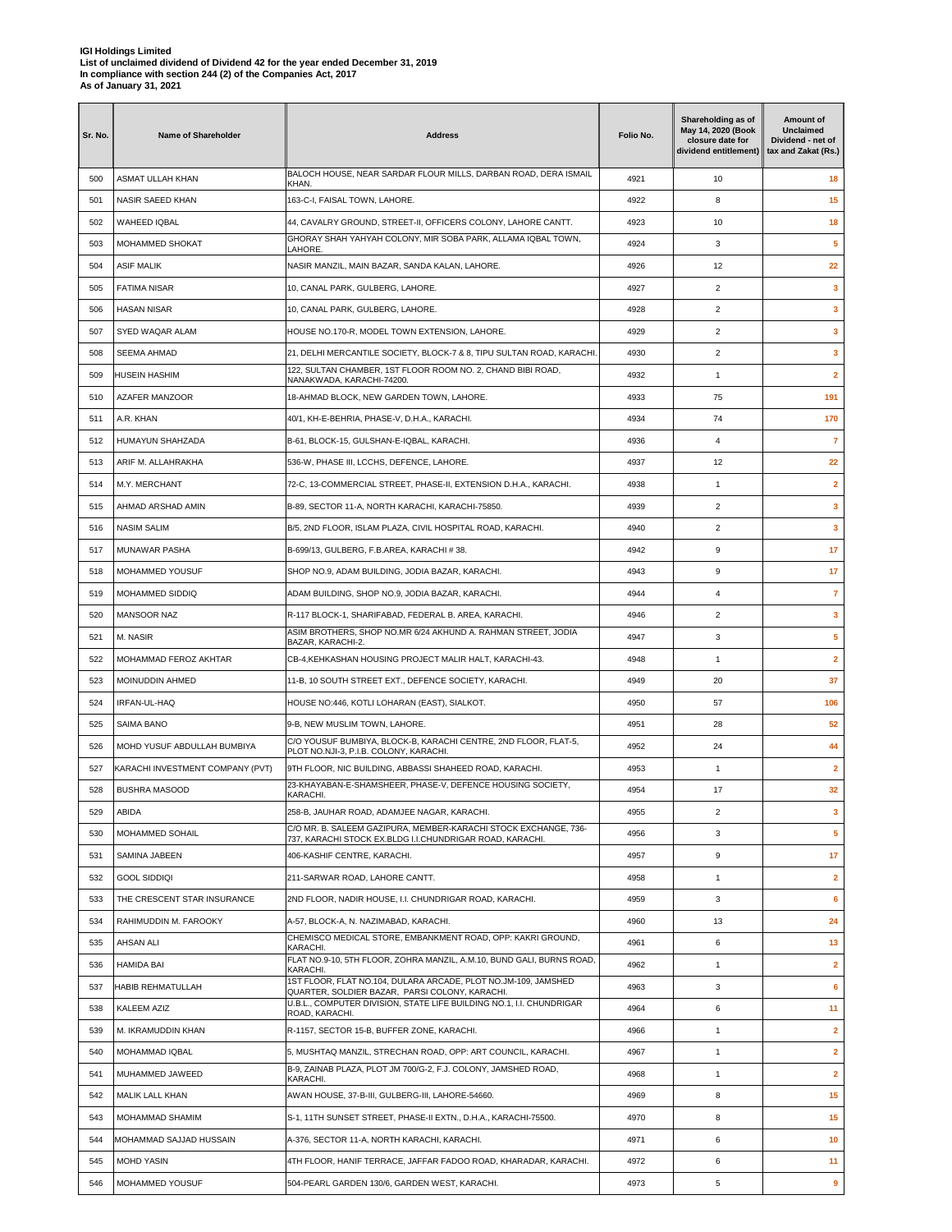| Sr. No.    | <b>Name of Shareholder</b>                   | <b>Address</b>                                                                                                                 | Folio No.    | Shareholding as of<br>May 14, 2020 (Book<br>closure date for<br>dividend entitlement) | Amount of<br>Unclaimed<br>Dividend - net of<br>tax and Zakat (Rs.) |
|------------|----------------------------------------------|--------------------------------------------------------------------------------------------------------------------------------|--------------|---------------------------------------------------------------------------------------|--------------------------------------------------------------------|
| 500        | ASMAT ULLAH KHAN                             | BALOCH HOUSE, NEAR SARDAR FLOUR MILLS, DARBAN ROAD, DERA ISMAIL<br>KHAN.                                                       | 4921         | 10                                                                                    | 18                                                                 |
| 501        | NASIR SAEED KHAN                             | 163-C-I, FAISAL TOWN, LAHORE.                                                                                                  | 4922         | 8                                                                                     | 15                                                                 |
| 502        | WAHEED IQBAL                                 | 44, CAVALRY GROUND, STREET-II, OFFICERS COLONY, LAHORE CANTT.                                                                  | 4923         | 10                                                                                    | 18                                                                 |
| 503        | MOHAMMED SHOKAT                              | GHORAY SHAH YAHYAH COLONY, MIR SOBA PARK, ALLAMA IQBAL TOWN,<br>LAHORE.                                                        | 4924         | 3                                                                                     | 5                                                                  |
| 504        | <b>ASIF MALIK</b>                            | NASIR MANZIL, MAIN BAZAR, SANDA KALAN, LAHORE.                                                                                 | 4926         | 12                                                                                    | 22                                                                 |
| 505        | <b>FATIMA NISAR</b>                          | 10, CANAL PARK, GULBERG, LAHORE.                                                                                               | 4927         | $\overline{2}$                                                                        | 3                                                                  |
| 506        | <b>HASAN NISAR</b>                           | 10, CANAL PARK, GULBERG, LAHORE.                                                                                               | 4928         | $\overline{2}$                                                                        | 3                                                                  |
| 507        | SYED WAQAR ALAM                              | HOUSE NO.170-R, MODEL TOWN EXTENSION, LAHORE.                                                                                  | 4929         | $\overline{2}$                                                                        | 3                                                                  |
| 508        | <b>SEEMA AHMAD</b>                           | 21, DELHI MERCANTILE SOCIETY, BLOCK-7 & 8, TIPU SULTAN ROAD, KARACHI.                                                          | 4930         | 2                                                                                     | 3                                                                  |
| 509        | <b>HUSEIN HASHIM</b>                         | 122, SULTAN CHAMBER, 1ST FLOOR ROOM NO. 2, CHAND BIBI ROAD,<br>NANAKWADA, KARACHI-74200.                                       | 4932         | $\mathbf{1}$                                                                          | $\overline{\mathbf{2}}$                                            |
| 510        | AZAFER MANZOOR                               | 18-AHMAD BLOCK, NEW GARDEN TOWN, LAHORE.                                                                                       | 4933         | 75                                                                                    | 191                                                                |
| 511        | A.R. KHAN                                    | 40/1, KH-E-BEHRIA, PHASE-V, D.H.A., KARACHI.                                                                                   | 4934         | 74                                                                                    | 170                                                                |
| 512        | HUMAYUN SHAHZADA                             | B-61, BLOCK-15, GULSHAN-E-IQBAL, KARACHI.                                                                                      | 4936         | 4                                                                                     | $\overline{7}$                                                     |
| 513        | ARIF M. ALLAHRAKHA                           | 536-W, PHASE III, LCCHS, DEFENCE, LAHORE.                                                                                      | 4937         | 12                                                                                    | 22                                                                 |
| 514        | M.Y. MERCHANT                                | 72-C, 13-COMMERCIAL STREET, PHASE-II, EXTENSION D.H.A., KARACHI.                                                               | 4938         | $\mathbf{1}$                                                                          | $\overline{\mathbf{2}}$                                            |
| 515        | AHMAD ARSHAD AMIN                            | B-89, SECTOR 11-A, NORTH KARACHI, KARACHI-75850.                                                                               | 4939         | $\overline{2}$                                                                        | 3                                                                  |
| 516        | <b>NASIM SALIM</b>                           | B/5, 2ND FLOOR, ISLAM PLAZA, CIVIL HOSPITAL ROAD, KARACHI.                                                                     | 4940         | $\overline{2}$                                                                        | 3                                                                  |
| 517        | MUNAWAR PASHA                                | B-699/13, GULBERG, F.B.AREA, KARACHI #38.                                                                                      | 4942         | 9                                                                                     | 17                                                                 |
| 518        | MOHAMMED YOUSUF                              | SHOP NO.9, ADAM BUILDING, JODIA BAZAR, KARACHI.                                                                                | 4943         | 9                                                                                     | 17                                                                 |
| 519        | MOHAMMED SIDDIQ                              | ADAM BUILDING, SHOP NO.9, JODIA BAZAR, KARACHI.                                                                                | 4944         | 4                                                                                     | 7                                                                  |
| 520        | MANSOOR NAZ                                  | R-117 BLOCK-1, SHARIFABAD, FEDERAL B. AREA, KARACHI.                                                                           | 4946         | 2                                                                                     | 3                                                                  |
| 521        | M. NASIR                                     | ASIM BROTHERS, SHOP NO.MR 6/24 AKHUND A. RAHMAN STREET, JODIA                                                                  | 4947         | 3                                                                                     | 5                                                                  |
| 522        | MOHAMMAD FEROZ AKHTAR                        | BAZAR, KARACHI-2.<br>CB-4, KEHKASHAN HOUSING PROJECT MALIR HALT, KARACHI-43.                                                   | 4948         | $\mathbf{1}$                                                                          | $\mathbf{2}$                                                       |
| 523        | MOINUDDIN AHMED                              | 11-B, 10 SOUTH STREET EXT., DEFENCE SOCIETY, KARACHI.                                                                          | 4949         | 20                                                                                    | 37                                                                 |
| 524        | IRFAN-UL-HAQ                                 | HOUSE NO:446, KOTLI LOHARAN (EAST), SIALKOT.                                                                                   | 4950         | 57                                                                                    | 106                                                                |
| 525        | SAIMA BANO                                   | 9-B, NEW MUSLIM TOWN, LAHORE.                                                                                                  | 4951         | 28                                                                                    | 52                                                                 |
| 526        | MOHD YUSUF ABDULLAH BUMBIYA                  | C/O YOUSUF BUMBIYA, BLOCK-B, KARACHI CENTRE, 2ND FLOOR, FLAT-5,                                                                | 4952         | 24                                                                                    | 44                                                                 |
| 527        | KARACHI INVESTMENT COMPANY (PVT)             | PLOT NO.NJI-3, P.I.B. COLONY, KARACHI.<br>9TH FLOOR, NIC BUILDING, ABBASSI SHAHEED ROAD, KARACHI.                              | 4953         | $\mathbf{1}$                                                                          | $\overline{2}$                                                     |
| 528        | <b>BUSHRA MASOOD</b>                         | 23-KHAYABAN-E-SHAMSHEER, PHASE-V, DEFENCE HOUSING SOCIETY,                                                                     | 4954         | 17                                                                                    | 32                                                                 |
| 529        | ABIDA                                        | KARACHI.<br>258-B, JAUHAR ROAD, ADAMJEE NAGAR, KARACHI.                                                                        | 4955         | $\overline{2}$                                                                        | 3                                                                  |
| 530        | MOHAMMED SOHAIL                              | C/O MR. B. SALEEM GAZIPURA, MEMBER-KARACHI STOCK EXCHANGE, 736-                                                                | 4956         | 3                                                                                     | 5                                                                  |
| 531        | SAMINA JABEEN                                | 737, KARACHI STOCK EX.BLDG I.I.CHUNDRIGAR ROAD, KARACHI.<br>406-KASHIF CENTRE, KARACHI.                                        | 4957         | 9                                                                                     | 17                                                                 |
| 532        | <b>GOOL SIDDIQI</b>                          | 211-SARWAR ROAD, LAHORE CANTT.                                                                                                 | 4958         | 1                                                                                     | $\mathbf{2}$                                                       |
| 533        | THE CRESCENT STAR INSURANCE                  | 2ND FLOOR, NADIR HOUSE, I.I. CHUNDRIGAR ROAD, KARACHI,                                                                         | 4959         | 3                                                                                     | 6                                                                  |
| 534        | RAHIMUDDIN M. FAROOKY                        | A-57, BLOCK-A, N. NAZIMABAD, KARACHI.                                                                                          | 4960         | 13                                                                                    | 24                                                                 |
| 535        | <b>AHSAN ALI</b>                             | CHEMISCO MEDICAL STORE, EMBANKMENT ROAD, OPP: KAKRI GROUND,                                                                    | 4961         | 6                                                                                     | 13                                                                 |
| 536        | <b>HAMIDA BAI</b>                            | KARACHI.<br>FLAT NO.9-10, 5TH FLOOR, ZOHRA MANZIL, A.M.10, BUND GALI, BURNS ROAD,                                              | 4962         | $\mathbf{1}$                                                                          | $\overline{2}$                                                     |
| 537        | <b>HABIB REHMATULLAH</b>                     | KARACHI.<br>1ST FLOOR, FLAT NO.104, DULARA ARCADE, PLOT NO.JM-109, JAMSHED                                                     | 4963         | 3                                                                                     | 6                                                                  |
| 538        | KALEEM AZIZ                                  | QUARTER, SOLDIER BAZAR, PARSI COLONY, KARACHI.<br>U.B.L., COMPUTER DIVISION, STATE LIFE BUILDING NO.1, I.I. CHUNDRIGAR         | 4964         | 6                                                                                     | 11                                                                 |
|            | M. IKRAMUDDIN KHAN                           | ROAD, KARACHI.<br>R-1157, SECTOR 15-B, BUFFER ZONE, KARACHI.                                                                   |              |                                                                                       | $\overline{\mathbf{2}}$                                            |
| 539        |                                              |                                                                                                                                | 4966         | $\mathbf{1}$                                                                          |                                                                    |
| 540        | MOHAMMAD IQBAL                               | 5, MUSHTAQ MANZIL, STRECHAN ROAD, OPP: ART COUNCIL, KARACHI.<br>B-9, ZAINAB PLAZA, PLOT JM 700/G-2, F.J. COLONY, JAMSHED ROAD, | 4967         | 1                                                                                     | $\mathbf{2}$                                                       |
| 541        | MUHAMMED JAWEED                              | KARACHI.                                                                                                                       | 4968         | $\mathbf{1}$                                                                          | $\overline{\mathbf{2}}$                                            |
| 542        | MALIK LALL KHAN                              | AWAN HOUSE, 37-B-III, GULBERG-III, LAHORE-54660.                                                                               | 4969         | 8                                                                                     | 15                                                                 |
| 543        | MOHAMMAD SHAMIM                              | S-1, 11TH SUNSET STREET, PHASE-II EXTN., D.H.A., KARACHI-75500.                                                                | 4970         | 8                                                                                     | 15                                                                 |
| 544<br>545 | MOHAMMAD SAJJAD HUSSAIN<br><b>MOHD YASIN</b> | A-376, SECTOR 11-A, NORTH KARACHI, KARACHI.<br>4TH FLOOR, HANIF TERRACE, JAFFAR FADOO ROAD, KHARADAR, KARACHI.                 | 4971<br>4972 | 6<br>6                                                                                | 10<br>11                                                           |
| 546        | MOHAMMED YOUSUF                              | 504-PEARL GARDEN 130/6, GARDEN WEST, KARACHI.                                                                                  | 4973         | 5                                                                                     | 9                                                                  |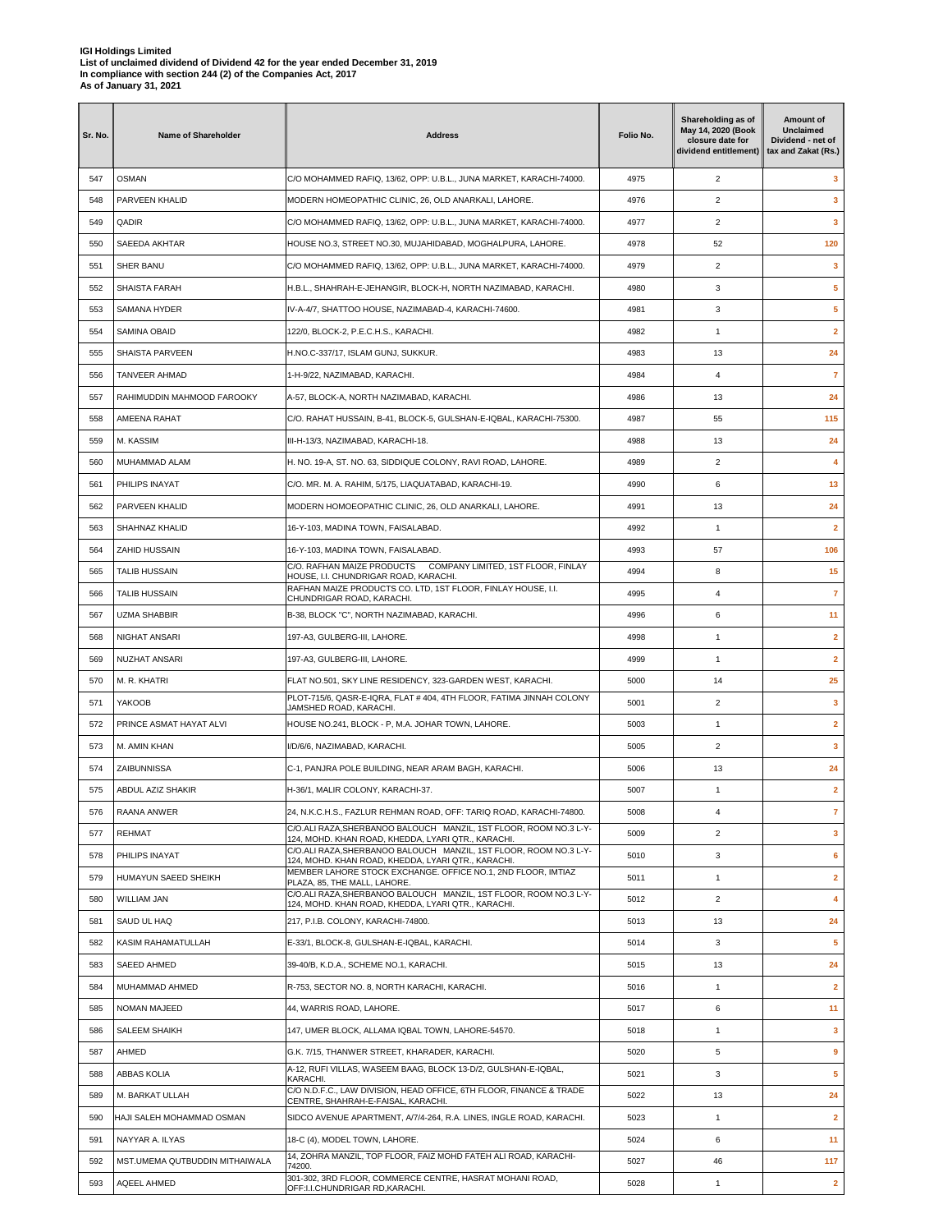| Sr. No. | <b>Name of Shareholder</b>     | <b>Address</b>                                                                                                                     | Folio No. | Shareholding as of<br>May 14, 2020 (Book<br>closure date for<br>dividend entitlement) | Amount of<br>Unclaimed<br>Dividend - net of<br>tax and Zakat (Rs.) |
|---------|--------------------------------|------------------------------------------------------------------------------------------------------------------------------------|-----------|---------------------------------------------------------------------------------------|--------------------------------------------------------------------|
| 547     | <b>OSMAN</b>                   | C/O MOHAMMED RAFIQ, 13/62, OPP: U.B.L., JUNA MARKET, KARACHI-74000.                                                                | 4975      | $\overline{2}$                                                                        | з                                                                  |
| 548     | PARVEEN KHALID                 | MODERN HOMEOPATHIC CLINIC, 26, OLD ANARKALI, LAHORE.                                                                               | 4976      | $\overline{2}$                                                                        | 3                                                                  |
| 549     | QADIR                          | C/O MOHAMMED RAFIQ, 13/62, OPP: U.B.L., JUNA MARKET, KARACHI-74000.                                                                | 4977      | 2                                                                                     | 3                                                                  |
| 550     | SAEEDA AKHTAR                  | HOUSE NO.3, STREET NO.30, MUJAHIDABAD, MOGHALPURA, LAHORE.                                                                         | 4978      | 52                                                                                    | 120                                                                |
| 551     | SHER BANU                      | C/O MOHAMMED RAFIQ, 13/62, OPP: U.B.L., JUNA MARKET, KARACHI-74000.                                                                | 4979      | $\overline{2}$                                                                        | 3                                                                  |
| 552     | SHAISTA FARAH                  | H.B.L., SHAHRAH-E-JEHANGIR, BLOCK-H, NORTH NAZIMABAD, KARACHI.                                                                     | 4980      | 3                                                                                     | 5                                                                  |
| 553     | SAMANA HYDER                   | IV-A-4/7, SHATTOO HOUSE, NAZIMABAD-4, KARACHI-74600.                                                                               | 4981      | 3                                                                                     | 5                                                                  |
| 554     | SAMINA OBAID                   | 122/0, BLOCK-2, P.E.C.H.S., KARACHI.                                                                                               | 4982      | $\mathbf{1}$                                                                          | $\overline{\mathbf{2}}$                                            |
| 555     | SHAISTA PARVEEN                | H.NO.C-337/17, ISLAM GUNJ, SUKKUR.                                                                                                 | 4983      | 13                                                                                    | 24                                                                 |
| 556     | <b>TANVEER AHMAD</b>           | 1-H-9/22, NAZIMABAD, KARACHI.                                                                                                      | 4984      | 4                                                                                     | $\overline{7}$                                                     |
| 557     | RAHIMUDDIN MAHMOOD FAROOKY     | A-57, BLOCK-A, NORTH NAZIMABAD, KARACHI.                                                                                           | 4986      | 13                                                                                    | 24                                                                 |
| 558     | AMEENA RAHAT                   | C/O. RAHAT HUSSAIN, B-41, BLOCK-5, GULSHAN-E-IQBAL, KARACHI-75300.                                                                 | 4987      | 55                                                                                    | 115                                                                |
| 559     | M. KASSIM                      | III-H-13/3, NAZIMABAD, KARACHI-18.                                                                                                 | 4988      | 13                                                                                    | 24                                                                 |
| 560     | MUHAMMAD ALAM                  | H. NO. 19-A, ST. NO. 63, SIDDIQUE COLONY, RAVI ROAD, LAHORE.                                                                       | 4989      | $\overline{2}$                                                                        | 4                                                                  |
| 561     | PHILIPS INAYAT                 | C/O. MR. M. A. RAHIM, 5/175, LIAQUATABAD, KARACHI-19.                                                                              | 4990      | 6                                                                                     | 13                                                                 |
| 562     | PARVEEN KHALID                 | MODERN HOMOEOPATHIC CLINIC, 26, OLD ANARKALI, LAHORE.                                                                              | 4991      | 13                                                                                    | 24                                                                 |
| 563     | SHAHNAZ KHALID                 | 16-Y-103, MADINA TOWN, FAISALABAD.                                                                                                 | 4992      | 1                                                                                     | $\overline{2}$                                                     |
| 564     | ZAHID HUSSAIN                  | 16-Y-103, MADINA TOWN, FAISALABAD.                                                                                                 | 4993      | 57                                                                                    | 106                                                                |
| 565     | <b>TALIB HUSSAIN</b>           | C/O. RAFHAN MAIZE PRODUCTS  COMPANY LIMITED, 1ST FLOOR, FINLAY                                                                     | 4994      | 8                                                                                     | 15                                                                 |
| 566     | <b>TALIB HUSSAIN</b>           | HOUSE, I.I. CHUNDRIGAR ROAD, KARACHI.<br>RAFHAN MAIZE PRODUCTS CO. LTD, 1ST FLOOR, FINLAY HOUSE, I.I.                              | 4995      | 4                                                                                     | 7                                                                  |
|         |                                | CHUNDRIGAR ROAD, KARACHI.                                                                                                          |           |                                                                                       |                                                                    |
| 567     | <b>UZMA SHABBIR</b>            | B-38, BLOCK "C", NORTH NAZIMABAD, KARACHI.                                                                                         | 4996      | 6                                                                                     | 11                                                                 |
| 568     | NIGHAT ANSARI                  | 197-A3, GULBERG-III, LAHORE.                                                                                                       | 4998      | $\mathbf{1}$                                                                          | $\overline{\mathbf{2}}$                                            |
| 569     | NUZHAT ANSARI                  | 197-A3, GULBERG-III, LAHORE.                                                                                                       | 4999      | $\mathbf{1}$                                                                          | $\mathbf{2}$                                                       |
| 570     | M. R. KHATRI                   | FLAT NO.501, SKY LINE RESIDENCY, 323-GARDEN WEST, KARACHI.<br>PLOT-715/6, QASR-E-IQRA, FLAT # 404, 4TH FLOOR, FATIMA JINNAH COLONY | 5000      | 14                                                                                    | 25                                                                 |
| 571     | YAKOOB                         | JAMSHED ROAD, KARACHI.                                                                                                             | 5001      | 2                                                                                     | 3                                                                  |
| 572     | PRINCE ASMAT HAYAT ALVI        | HOUSE NO.241, BLOCK - P, M.A. JOHAR TOWN, LAHORE.                                                                                  | 5003      | $\mathbf{1}$                                                                          | $\mathbf{2}$                                                       |
| 573     | M. AMIN KHAN                   | I/D/6/6, NAZIMABAD, KARACHI.                                                                                                       | 5005      | $\overline{2}$                                                                        | $\mathbf{3}$                                                       |
| 574     | ZAIBUNNISSA                    | C-1, PANJRA POLE BUILDING, NEAR ARAM BAGH, KARACHI.                                                                                | 5006      | 13                                                                                    | 24                                                                 |
| 575     | ABDUL AZIZ SHAKIR              | H-36/1, MALIR COLONY, KARACHI-37.                                                                                                  | 5007      | $\mathbf{1}$                                                                          | $\mathbf{2}$                                                       |
| 576     | RAANA ANWER                    | 24, N.K.C.H.S., FAZLUR REHMAN ROAD, OFF: TARIQ ROAD, KARACHI-74800.                                                                | 5008      | 4                                                                                     | $\overline{7}$                                                     |
| 577     | REHMAT                         | C/O.ALI RAZA, SHERBANOO BALOUCH MANZIL, 1ST FLOOR, ROOM NO.3 L-Y-<br>124, MOHD. KHAN ROAD, KHEDDA, LYARI QTR., KARACHI.            | 5009      | $\overline{2}$                                                                        | 3                                                                  |
| 578     | PHILIPS INAYAT                 | C/O.ALI RAZA, SHERBANOO BALOUCH MANZIL, 1ST FLOOR, ROOM NO.3 L-Y-<br>124, MOHD. KHAN ROAD, KHEDDA, LYARI QTR., KARACHI.            | 5010      | 3                                                                                     | 6                                                                  |
| 579     | HUMAYUN SAEED SHEIKH           | MEMBER LAHORE STOCK EXCHANGE, OFFICE NO.1, 2ND FLOOR, IMTIAZ<br>PLAZA, 85. THE MALL, LAHORE.                                       | 5011      | $\mathbf{1}$                                                                          | $\overline{2}$                                                     |
| 580     | WILLIAM JAN                    | C/O.ALI RAZA.SHERBANOO BALOUCH MANZIL. 1ST FLOOR, ROOM NO.3 L-Y-<br>124, MOHD. KHAN ROAD, KHEDDA, LYARI QTR., KARACHI.             | 5012      | $\overline{\mathbf{c}}$                                                               | 4                                                                  |
| 581     | SAUD UL HAQ                    | 217, P.I.B. COLONY, KARACHI-74800.                                                                                                 | 5013      | 13                                                                                    | 24                                                                 |
| 582     | KASIM RAHAMATULLAH             | E-33/1, BLOCK-8, GULSHAN-E-IQBAL, KARACHI.                                                                                         | 5014      | 3                                                                                     | 5                                                                  |
| 583     | SAEED AHMED                    | 39-40/B, K.D.A., SCHEME NO.1, KARACHI.                                                                                             | 5015      | 13                                                                                    | 24                                                                 |
| 584     | MUHAMMAD AHMED                 | R-753, SECTOR NO. 8, NORTH KARACHI, KARACHI.                                                                                       | 5016      | 1                                                                                     | $\mathbf{2}$                                                       |
| 585     | <b>NOMAN MAJEED</b>            | 44, WARRIS ROAD, LAHORE.                                                                                                           | 5017      | 6                                                                                     | 11                                                                 |
| 586     | SALEEM SHAIKH                  | 147, UMER BLOCK, ALLAMA IQBAL TOWN, LAHORE-54570.                                                                                  | 5018      | $\mathbf{1}$                                                                          | $\mathbf{3}$                                                       |
| 587     | AHMED                          | G.K. 7/15, THANWER STREET, KHARADER, KARACHI.                                                                                      | 5020      | 5                                                                                     | 9                                                                  |
| 588     | ABBAS KOLIA                    | A-12, RUFI VILLAS, WASEEM BAAG, BLOCK 13-D/2, GULSHAN-E-IQBAL,<br>KARACHI.                                                         | 5021      | 3                                                                                     | 5                                                                  |
| 589     | M. BARKAT ULLAH                | C/O N.D.F.C., LAW DIVISION, HEAD OFFICE, 6TH FLOOR, FINANCE & TRADE<br>CENTRE, SHAHRAH-E-FAISAL, KARACHI.                          | 5022      | 13                                                                                    | 24                                                                 |
| 590     | HAJI SALEH MOHAMMAD OSMAN      | SIDCO AVENUE APARTMENT, A/7/4-264, R.A. LINES, INGLE ROAD, KARACHI.                                                                | 5023      | 1                                                                                     | $\mathbf{2}$                                                       |
| 591     | NAYYAR A. ILYAS                | 18-C (4), MODEL TOWN, LAHORE.                                                                                                      | 5024      | 6                                                                                     | 11                                                                 |
| 592     | MST.UMEMA QUTBUDDIN MITHAIWALA | 14, ZOHRA MANZIL, TOP FLOOR, FAIZ MOHD FATEH ALI ROAD, KARACHI-<br>74200.                                                          | 5027      | 46                                                                                    | 117                                                                |
| 593     | AQEEL AHMED                    | 301-302, 3RD FLOOR, COMMERCE CENTRE, HASRAT MOHANI ROAD,<br>OFF:I.I.CHUNDRIGAR RD,KARACHI.                                         | 5028      | $\mathbf{1}$                                                                          | $\mathbf{2}$                                                       |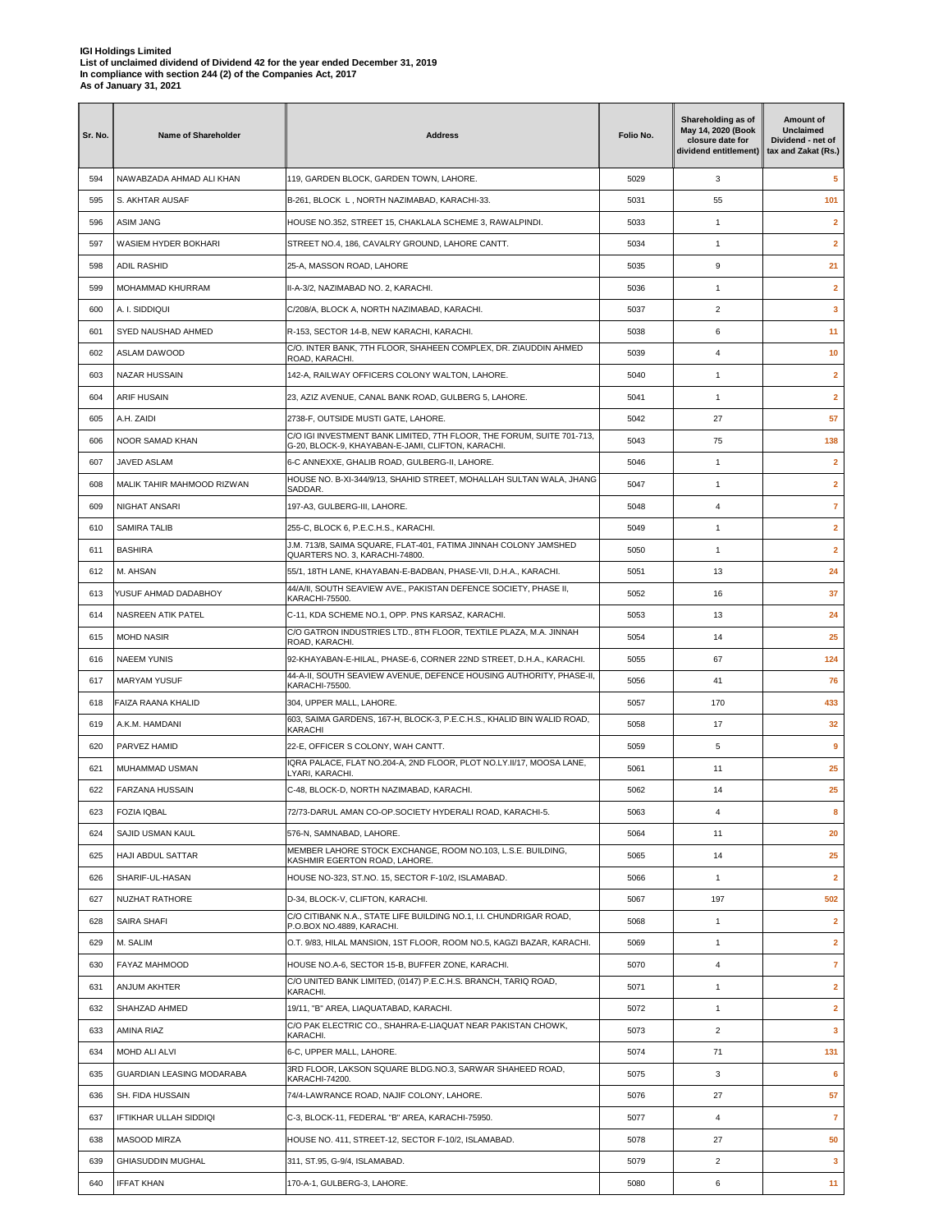| Sr. No. | Name of Shareholder                  | <b>Address</b>                                                                                                             | Folio No. | Shareholding as of<br>May 14, 2020 (Book<br>closure date for<br>dividend entitlement) | Amount of<br>Unclaimed<br>Dividend - net of<br>tax and Zakat (Rs.) |
|---------|--------------------------------------|----------------------------------------------------------------------------------------------------------------------------|-----------|---------------------------------------------------------------------------------------|--------------------------------------------------------------------|
| 594     | NAWABZADA AHMAD ALI KHAN             | 119, GARDEN BLOCK, GARDEN TOWN, LAHORE.                                                                                    | 5029      | 3                                                                                     | 5                                                                  |
| 595     | S. AKHTAR AUSAF                      | B-261, BLOCK L, NORTH NAZIMABAD, KARACHI-33.                                                                               | 5031      | 55                                                                                    | 101                                                                |
| 596     | <b>ASIM JANG</b>                     | HOUSE NO.352, STREET 15, CHAKLALA SCHEME 3, RAWALPINDI.                                                                    | 5033      | 1                                                                                     | $\mathbf{2}$                                                       |
| 597     | WASIEM HYDER BOKHARI                 | STREET NO.4, 186, CAVALRY GROUND, LAHORE CANTT.                                                                            | 5034      | $\mathbf{1}$                                                                          | $\mathbf{2}$                                                       |
| 598     | <b>ADIL RASHID</b>                   | 25-A, MASSON ROAD, LAHORE                                                                                                  | 5035      | 9                                                                                     | 21                                                                 |
| 599     | MOHAMMAD KHURRAM                     | II-A-3/2, NAZIMABAD NO. 2, KARACHI.                                                                                        | 5036      | $\mathbf{1}$                                                                          | $\mathbf{2}$                                                       |
| 600     | A. I. SIDDIQUI                       | C/208/A, BLOCK A, NORTH NAZIMABAD, KARACHI.                                                                                | 5037      | 2                                                                                     | 3                                                                  |
| 601     | SYED NAUSHAD AHMED                   | R-153, SECTOR 14-B, NEW KARACHI, KARACHI.                                                                                  | 5038      | 6                                                                                     | 11                                                                 |
| 602     | ASLAM DAWOOD                         | C/O. INTER BANK, 7TH FLOOR, SHAHEEN COMPLEX, DR. ZIAUDDIN AHMED<br>ROAD, KARACHI.                                          | 5039      | 4                                                                                     | 10                                                                 |
| 603     | NAZAR HUSSAIN                        | 142-A, RAILWAY OFFICERS COLONY WALTON, LAHORE.                                                                             | 5040      | $\mathbf{1}$                                                                          | $\mathbf{2}$                                                       |
| 604     | ARIF HUSAIN                          | 23, AZIZ AVENUE, CANAL BANK ROAD, GULBERG 5, LAHORE.                                                                       | 5041      | $\mathbf{1}$                                                                          | $\mathbf{2}$                                                       |
| 605     | A.H. ZAIDI                           | 2738-F, OUTSIDE MUSTI GATE, LAHORE.                                                                                        | 5042      | 27                                                                                    | 57                                                                 |
| 606     | NOOR SAMAD KHAN                      | C/O IGI INVESTMENT BANK LIMITED, 7TH FLOOR, THE FORUM, SUITE 701-713.<br>G-20, BLOCK-9, KHAYABAN-E-JAMI, CLIFTON, KARACHI, | 5043      | 75                                                                                    | 138                                                                |
| 607     | <b>JAVED ASLAM</b>                   | 6-C ANNEXXE, GHALIB ROAD, GULBERG-II, LAHORE.                                                                              | 5046      | $\mathbf{1}$                                                                          | $\mathbf{2}$                                                       |
| 608     | MALIK TAHIR MAHMOOD RIZWAN           | HOUSE NO. B-XI-344/9/13, SHAHID STREET, MOHALLAH SULTAN WALA, JHANG<br>SADDAR.                                             | 5047      | 1                                                                                     | $\mathbf{2}$                                                       |
| 609     | <b>NIGHAT ANSARI</b>                 | 197-A3, GULBERG-III, LAHORE.                                                                                               | 5048      | $\overline{4}$                                                                        | $\overline{7}$                                                     |
| 610     | <b>SAMIRA TALIB</b>                  | 255-C, BLOCK 6, P.E.C.H.S., KARACHI.                                                                                       | 5049      | $\mathbf{1}$                                                                          | $\mathbf{2}$                                                       |
| 611     | <b>BASHIRA</b>                       | J.M. 713/8, SAIMA SQUARE, FLAT-401, FATIMA JINNAH COLONY JAMSHED                                                           | 5050      | $\mathbf{1}$                                                                          | $\mathbf{2}$                                                       |
| 612     | M. AHSAN                             | QUARTERS NO. 3, KARACHI-74800.<br>55/1, 18TH LANE, KHAYABAN-E-BADBAN, PHASE-VII, D.H.A., KARACHI.                          | 5051      | 13                                                                                    | 24                                                                 |
| 613     | YUSUF AHMAD DADABHOY                 | 44/A/II, SOUTH SEAVIEW AVE., PAKISTAN DEFENCE SOCIETY, PHASE II,                                                           | 5052      | 16                                                                                    | 37                                                                 |
| 614     | NASREEN ATIK PATEL                   | KARACHI-75500.<br>C-11, KDA SCHEME NO.1, OPP. PNS KARSAZ, KARACHI.                                                         | 5053      | 13                                                                                    | 24                                                                 |
| 615     | <b>MOHD NASIR</b>                    | C/O GATRON INDUSTRIES LTD., 8TH FLOOR, TEXTILE PLAZA, M.A. JINNAH                                                          | 5054      | 14                                                                                    | 25                                                                 |
| 616     | <b>NAEEM YUNIS</b>                   | ROAD, KARACHI.<br>92-KHAYABAN-E-HILAL, PHASE-6, CORNER 22ND STREET, D.H.A., KARACHI.                                       | 5055      | 67                                                                                    | 124                                                                |
| 617     | <b>MARYAM YUSUF</b>                  | 44-A-II, SOUTH SEAVIEW AVENUE, DEFENCE HOUSING AUTHORITY, PHASE-II,                                                        | 5056      | 41                                                                                    | 76                                                                 |
|         |                                      | <b>KARACHI-75500</b>                                                                                                       |           | 170                                                                                   | 433                                                                |
| 618     | FAIZA RAANA KHALID<br>A.K.M. HAMDANI | 304, UPPER MALL, LAHORE.<br>603, SAIMA GARDENS, 167-H, BLOCK-3, P.E.C.H.S., KHALID BIN WALID ROAD,                         | 5057      | 17                                                                                    |                                                                    |
| 619     |                                      | KARACHI                                                                                                                    | 5058      |                                                                                       | 32                                                                 |
| 620     | PARVEZ HAMID                         | 22-E, OFFICER S COLONY, WAH CANTT.<br>IQRA PALACE, FLAT NO.204-A, 2ND FLOOR, PLOT NO.LY.II/17, MOOSA LANE,                 | 5059      | 5                                                                                     | 9                                                                  |
| 621     | MUHAMMAD USMAN                       | LYARI, KARACHI.                                                                                                            | 5061      | 11                                                                                    | 25                                                                 |
| 622     | <b>FARZANA HUSSAIN</b>               | C-48, BLOCK-D, NORTH NAZIMABAD, KARACHI.                                                                                   | 5062      | 14                                                                                    | 25                                                                 |
| 623     | <b>FOZIA IQBAL</b>                   | 72/73-DARUL AMAN CO-OP.SOCIETY HYDERALI ROAD, KARACHI-5.                                                                   | 5063      | $\overline{4}$                                                                        | 8                                                                  |
| 624     | SAJID USMAN KAUL                     | 576-N, SAMNABAD, LAHORE.<br>MEMBER LAHORE STOCK EXCHANGE, ROOM NO.103, L.S.E. BUILDING,                                    | 5064      | 11                                                                                    | 20                                                                 |
| 625     | <b>HAJI ABDUL SATTAR</b>             | KASHMIR EGERTON ROAD, LAHORE.                                                                                              | 5065      | 14                                                                                    | 25                                                                 |
| 626     | SHARIF-UL-HASAN                      | HOUSE NO-323, ST.NO. 15, SECTOR F-10/2, ISLAMABAD.                                                                         | 5066      | $\mathbf{1}$                                                                          | $\overline{2}$                                                     |
| 627     | NUZHAT RATHORE                       | D-34, BLOCK-V, CLIFTON, KARACHI.<br>C/O CITIBANK N.A., STATE LIFE BUILDING NO.1, I.I. CHUNDRIGAR ROAD,                     | 5067      | 197                                                                                   | 502                                                                |
| 628     | SAIRA SHAFI                          | P.O.BOX NO.4889, KARACHI.                                                                                                  | 5068      | $\mathbf{1}$                                                                          | $\overline{2}$                                                     |
| 629     | M. SALIM                             | O.T. 9/83, HILAL MANSION, 1ST FLOOR, ROOM NO.5, KAGZI BAZAR, KARACHI.                                                      | 5069      | $\mathbf{1}$                                                                          | $\overline{2}$                                                     |
| 630     | FAYAZ MAHMOOD                        | HOUSE NO.A-6, SECTOR 15-B, BUFFER ZONE, KARACHI.                                                                           | 5070      | $\overline{4}$                                                                        | $\overline{7}$                                                     |
| 631     | ANJUM AKHTER                         | C/O UNITED BANK LIMITED, (0147) P.E.C.H.S. BRANCH, TARIQ ROAD,<br>KARACHI.                                                 | 5071      | $\mathbf{1}$                                                                          | $\mathbf{2}$                                                       |
| 632     | SHAHZAD AHMED                        | 19/11, "B" AREA, LIAQUATABAD, KARACHI.                                                                                     | 5072      | $\mathbf{1}$                                                                          | $\overline{2}$                                                     |
| 633     | AMINA RIAZ                           | C/O PAK ELECTRIC CO., SHAHRA-E-LIAQUAT NEAR PAKISTAN CHOWK,<br>KARACHI.                                                    | 5073      | $\overline{2}$                                                                        | 3                                                                  |
| 634     | MOHD ALI ALVI                        | 6-C, UPPER MALL, LAHORE.                                                                                                   | 5074      | 71                                                                                    | 131                                                                |
| 635     | GUARDIAN LEASING MODARABA            | 3RD FLOOR, LAKSON SQUARE BLDG.NO.3, SARWAR SHAHEED ROAD,<br>KARACHI-74200.                                                 | 5075      | 3                                                                                     | 6                                                                  |
| 636     | SH. FIDA HUSSAIN                     | 74/4-LAWRANCE ROAD, NAJIF COLONY, LAHORE.                                                                                  | 5076      | 27                                                                                    | 57                                                                 |
| 637     | IFTIKHAR ULLAH SIDDIQI               | C-3, BLOCK-11, FEDERAL "B" AREA, KARACHI-75950.                                                                            | 5077      | $\overline{4}$                                                                        | 7                                                                  |
| 638     | MASOOD MIRZA                         | HOUSE NO. 411, STREET-12, SECTOR F-10/2, ISLAMABAD.                                                                        | 5078      | 27                                                                                    | 50                                                                 |
| 639     | <b>GHIASUDDIN MUGHAL</b>             | 311, ST.95, G-9/4, ISLAMABAD.                                                                                              | 5079      | $\overline{2}$                                                                        | $\mathbf{3}$                                                       |
| 640     | <b>IFFAT KHAN</b>                    | 170-A-1, GULBERG-3, LAHORE.                                                                                                | 5080      | 6                                                                                     | 11                                                                 |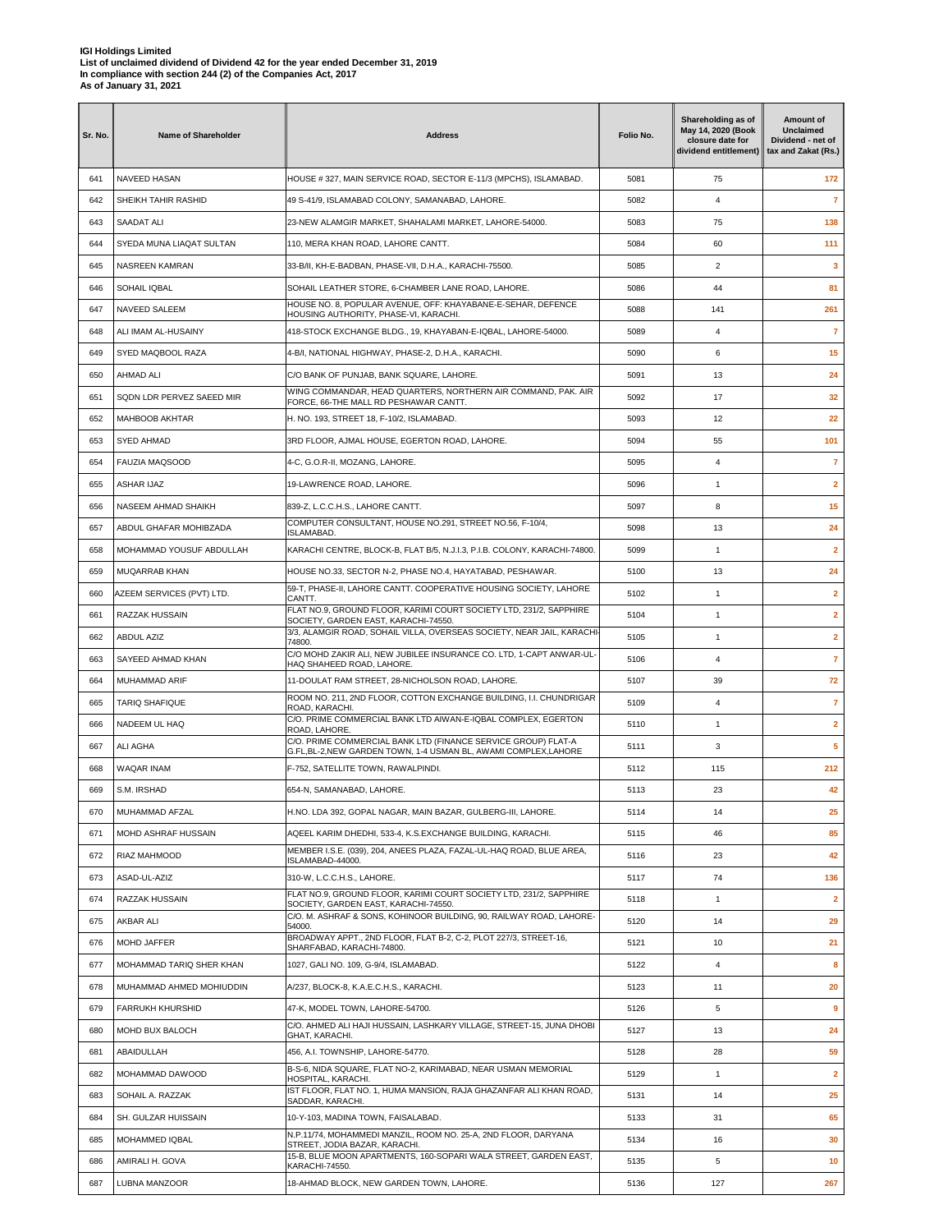| Sr. No. | <b>Name of Shareholder</b> | <b>Address</b>                                                                                                         | Folio No. | Shareholding as of<br>May 14, 2020 (Book<br>closure date for<br>dividend entitlement) | Amount of<br>Unclaimed<br>Dividend - net of<br>tax and Zakat (Rs.) |
|---------|----------------------------|------------------------------------------------------------------------------------------------------------------------|-----------|---------------------------------------------------------------------------------------|--------------------------------------------------------------------|
| 641     | <b>NAVEED HASAN</b>        | HOUSE # 327, MAIN SERVICE ROAD, SECTOR E-11/3 (MPCHS), ISLAMABAD.                                                      | 5081      | 75                                                                                    | 172                                                                |
| 642     | SHEIKH TAHIR RASHID        | 49 S-41/9, ISLAMABAD COLONY, SAMANABAD, LAHORE.                                                                        | 5082      | 4                                                                                     | $\overline{7}$                                                     |
| 643     | SAADAT ALI                 | 23-NEW ALAMGIR MARKET, SHAHALAMI MARKET, LAHORE-54000.                                                                 | 5083      | 75                                                                                    | 138                                                                |
| 644     | SYEDA MUNA LIAQAT SULTAN   | 110, MERA KHAN ROAD, LAHORE CANTT.                                                                                     | 5084      | 60                                                                                    | 111                                                                |
| 645     | NASREEN KAMRAN             | 33-B/II, KH-E-BADBAN, PHASE-VII, D.H.A., KARACHI-75500.                                                                | 5085      | $\overline{2}$                                                                        | 3                                                                  |
| 646     | SOHAIL IQBAL               | SOHAIL LEATHER STORE, 6-CHAMBER LANE ROAD, LAHORE.                                                                     | 5086      | 44                                                                                    | 81                                                                 |
| 647     | NAVEED SALEEM              | HOUSE NO. 8, POPULAR AVENUE, OFF: KHAYABANE-E-SEHAR, DEFENCE<br>HOUSING AUTHORITY, PHASE-VI, KARACHI.                  | 5088      | 141                                                                                   | 261                                                                |
| 648     | ALI IMAM AL-HUSAINY        | 418-STOCK EXCHANGE BLDG., 19, KHAYABAN-E-IQBAL, LAHORE-54000.                                                          | 5089      | 4                                                                                     | $\overline{7}$                                                     |
| 649     | SYED MAQBOOL RAZA          | 4-B/I, NATIONAL HIGHWAY, PHASE-2, D.H.A., KARACHI.                                                                     | 5090      | 6                                                                                     | 15                                                                 |
| 650     | AHMAD ALI                  | C/O BANK OF PUNJAB, BANK SQUARE, LAHORE.                                                                               | 5091      | 13                                                                                    | 24                                                                 |
| 651     | SQDN LDR PERVEZ SAEED MIR  | WING COMMANDAR, HEAD QUARTERS, NORTHERN AIR COMMAND, PAK. AIR<br>FORCE, 66-THE MALL RD PESHAWAR CANTT.                 | 5092      | 17                                                                                    | 32                                                                 |
| 652     | MAHBOOB AKHTAR             | H. NO. 193, STREET 18, F-10/2, ISLAMABAD.                                                                              | 5093      | 12                                                                                    | 22                                                                 |
| 653     | SYED AHMAD                 | 3RD FLOOR, AJMAL HOUSE, EGERTON ROAD, LAHORE.                                                                          | 5094      | 55                                                                                    | 101                                                                |
| 654     | <b>FAUZIA MAQSOOD</b>      | 4-C, G.O.R-II, MOZANG, LAHORE.                                                                                         | 5095      | 4                                                                                     | $\overline{7}$                                                     |
| 655     | ASHAR IJAZ                 | 19-LAWRENCE ROAD, LAHORE.                                                                                              | 5096      | $\mathbf{1}$                                                                          | $\overline{2}$                                                     |
| 656     | NASEEM AHMAD SHAIKH        | 839-Z, L.C.C.H.S., LAHORE CANTT.                                                                                       | 5097      | 8                                                                                     | 15                                                                 |
| 657     | ABDUL GHAFAR MOHIBZADA     | COMPUTER CONSULTANT, HOUSE NO.291, STREET NO.56, F-10/4,                                                               | 5098      | 13                                                                                    | 24                                                                 |
| 658     | MOHAMMAD YOUSUF ABDULLAH   | ISLAMABAD.<br>KARACHI CENTRE, BLOCK-B, FLAT B/5, N.J.I.3, P.I.B. COLONY, KARACHI-74800.                                | 5099      | $\mathbf{1}$                                                                          | $\overline{2}$                                                     |
| 659     | MUQARRAB KHAN              | HOUSE NO.33, SECTOR N-2, PHASE NO.4, HAYATABAD, PESHAWAR.                                                              | 5100      | 13                                                                                    | 24                                                                 |
|         |                            | 59-T, PHASE-II, LAHORE CANTT. COOPERATIVE HOUSING SOCIETY, LAHORE                                                      |           |                                                                                       |                                                                    |
| 660     | AZEEM SERVICES (PVT) LTD.  | CANTT.<br>FLAT NO.9, GROUND FLOOR, KARIMI COURT SOCIETY LTD, 231/2, SAPPHIRE                                           | 5102      | $\mathbf{1}$                                                                          | $\mathbf{2}$                                                       |
| 661     | RAZZAK HUSSAIN             | SOCIETY, GARDEN EAST, KARACHI-74550.<br>3/3, ALAMGIR ROAD, SOHAIL VILLA, OVERSEAS SOCIETY, NEAR JAIL, KARACHI-         | 5104      | $\mathbf{1}$                                                                          | $\overline{2}$                                                     |
| 662     | ABDUL AZIZ                 | 74800.<br>C/O MOHD ZAKIR ALI, NEW JUBILEE INSURANCE CO. LTD, 1-CAPT ANWAR-UL-                                          | 5105      | $\mathbf{1}$                                                                          | $\overline{\mathbf{2}}$                                            |
| 663     | SAYEED AHMAD KHAN          | HAQ SHAHEED ROAD, LAHORE                                                                                               | 5106      | 4                                                                                     | 7                                                                  |
| 664     | MUHAMMAD ARIF              | 11-DOULAT RAM STREET, 28-NICHOLSON ROAD, LAHORE.<br>ROOM NO. 211, 2ND FLOOR, COTTON EXCHANGE BUILDING, I.I. CHUNDRIGAR | 5107      | 39                                                                                    | 72                                                                 |
| 665     | <b>TARIQ SHAFIQUE</b>      | ROAD, KARACHI.<br>C/O. PRIME COMMERCIAL BANK LTD AIWAN-E-IQBAL COMPLEX, EGERTON                                        | 5109      | 4                                                                                     | $\overline{7}$                                                     |
| 666     | NADEEM UL HAQ              | ROAD, LAHORE.<br>C/O. PRIME COMMERCIAL BANK LTD (FINANCE SERVICE GROUP) FLAT-A                                         | 5110      | $\mathbf{1}$                                                                          | $\mathbf{2}$                                                       |
| 667     | ALI AGHA                   | G.FL,BL-2,NEW GARDEN TOWN, 1-4 USMAN BL, AWAMI COMPLEX,LAHORE                                                          | 5111      | 3                                                                                     | 5                                                                  |
| 668     | <b>WAQAR INAM</b>          | F-752, SATELLITE TOWN, RAWALPINDI.                                                                                     | 5112      | 115                                                                                   | 212                                                                |
| 669     | S.M. IRSHAD                | 654-N, SAMANABAD, LAHORE.                                                                                              | 5113      | 23                                                                                    | 42                                                                 |
| 670     | MUHAMMAD AFZAL             | H.NO. LDA 392, GOPAL NAGAR, MAIN BAZAR, GULBERG-III, LAHORE.                                                           | 5114      | 14                                                                                    | 25                                                                 |
| 671     | MOHD ASHRAF HUSSAIN        | AQEEL KARIM DHEDHI, 533-4, K.S.EXCHANGE BUILDING, KARACHI.                                                             | 5115      | 46                                                                                    | 85                                                                 |
| 672     | RIAZ MAHMOOD               | MEMBER I.S.E. (039), 204, ANEES PLAZA, FAZAL-UL-HAQ ROAD, BLUE AREA,<br>ISLAMABAD-44000.                               | 5116      | 23                                                                                    | 42                                                                 |
| 673     | ASAD-UL-AZIZ               | 310-W, L.C.C.H.S., LAHORE.                                                                                             | 5117      | 74                                                                                    | 136                                                                |
| 674     | RAZZAK HUSSAIN             | FLAT NO.9, GROUND FLOOR, KARIMI COURT SOCIETY LTD, 231/2, SAPPHIRE<br>SOCIETY, GARDEN EAST, KARACHI-74550.             | 5118      | $\mathbf{1}$                                                                          | $\overline{2}$                                                     |
| 675     | AKBAR ALI                  | C/O. M. ASHRAF & SONS, KOHINOOR BUILDING, 90, RAILWAY ROAD, LAHORE-<br>54000.                                          | 5120      | 14                                                                                    | 29                                                                 |
| 676     | MOHD JAFFER                | BROADWAY APPT., 2ND FLOOR, FLAT B-2, C-2, PLOT 227/3, STREET-16,<br>SHARFABAD, KARACHI-74800.                          | 5121      | 10                                                                                    | 21                                                                 |
| 677     | MOHAMMAD TARIQ SHER KHAN   | 1027, GALI NO. 109, G-9/4, ISLAMABAD.                                                                                  | 5122      | 4                                                                                     | 8                                                                  |
| 678     | MUHAMMAD AHMED MOHIUDDIN   | A/237, BLOCK-8, K.A.E.C.H.S., KARACHI.                                                                                 | 5123      | 11                                                                                    | 20                                                                 |
| 679     | <b>FARRUKH KHURSHID</b>    | 47-K, MODEL TOWN, LAHORE-54700.                                                                                        | 5126      | 5                                                                                     | 9                                                                  |
| 680     | MOHD BUX BALOCH            | C/O. AHMED ALI HAJI HUSSAIN, LASHKARY VILLAGE, STREET-15, JUNA DHOBI<br>GHAT, KARACHI.                                 | 5127      | 13                                                                                    | 24                                                                 |
| 681     | ABAIDULLAH                 | 456, A.I. TOWNSHIP, LAHORE-54770.                                                                                      | 5128      | 28                                                                                    | 59                                                                 |
| 682     | MOHAMMAD DAWOOD            | B-S-6, NIDA SQUARE, FLAT NO-2, KARIMABAD, NEAR USMAN MEMORIAL<br>HOSPITAL, KARACHI.                                    | 5129      | $\mathbf{1}$                                                                          | $\overline{\mathbf{2}}$                                            |
| 683     | SOHAIL A. RAZZAK           | IST FLOOR, FLAT NO. 1, HUMA MANSION, RAJA GHAZANFAR ALI KHAN ROAD,<br>SADDAR, KARACHI.                                 | 5131      | 14                                                                                    | 25                                                                 |
| 684     | SH. GULZAR HUISSAIN        | 10-Y-103, MADINA TOWN, FAISALABAD.                                                                                     | 5133      | 31                                                                                    | 65                                                                 |
| 685     | MOHAMMED IQBAL             | N.P.11/74, MOHAMMEDI MANZIL, ROOM NO. 25-A, 2ND FLOOR, DARYANA<br>STREET, JODIA BAZAR, KARACHI.                        | 5134      | 16                                                                                    | 30                                                                 |
| 686     | AMIRALI H. GOVA            | 15-B, BLUE MOON APARTMENTS, 160-SOPARI WALA STREET, GARDEN EAST,<br>KARACHI-74550.                                     | 5135      | 5                                                                                     | 10                                                                 |
| 687     | LUBNA MANZOOR              | 18-AHMAD BLOCK, NEW GARDEN TOWN, LAHORE.                                                                               | 5136      | 127                                                                                   | 267                                                                |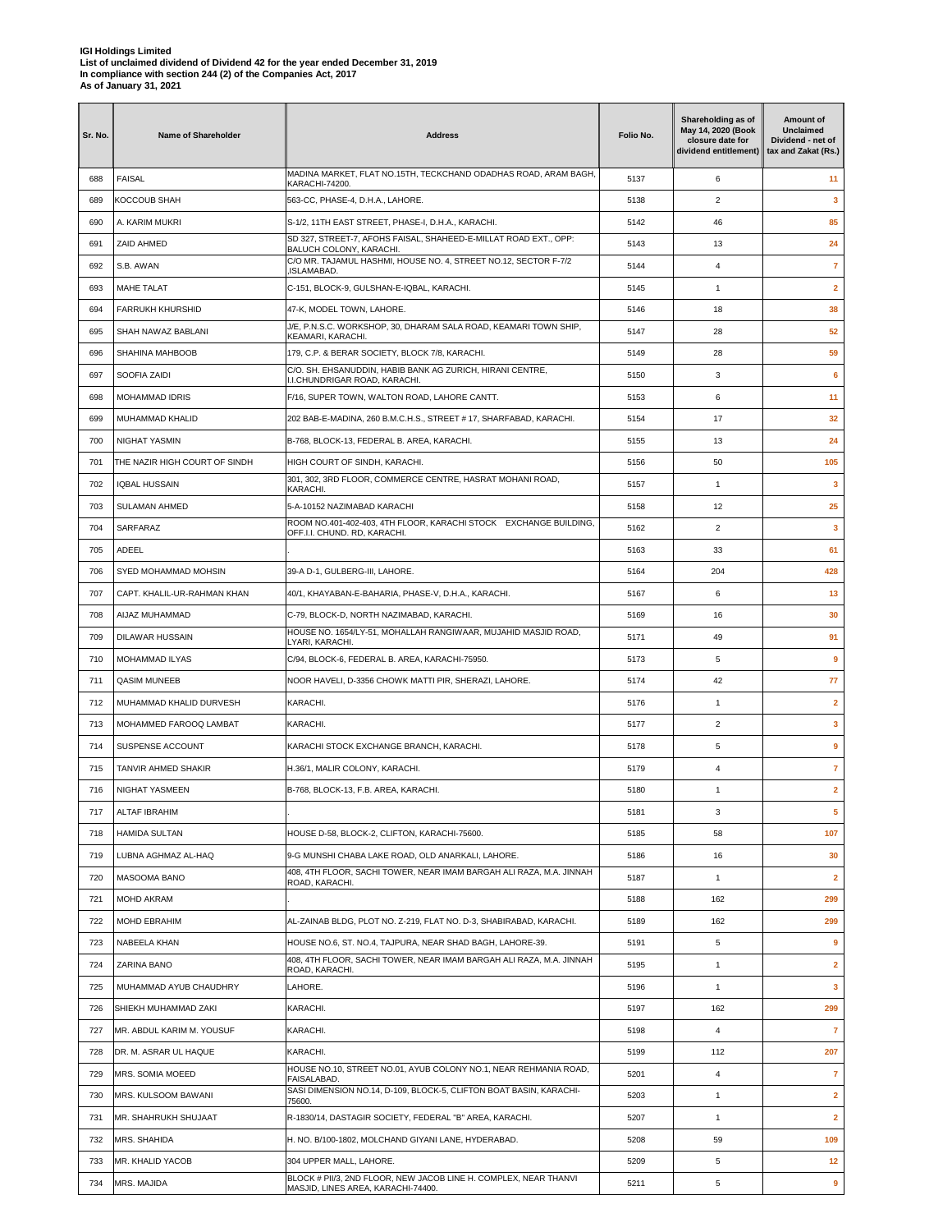| Sr. No. | <b>Name of Shareholder</b>    | <b>Address</b>                                                                                         | Folio No. | Shareholding as of<br>May 14, 2020 (Book<br>closure date for<br>dividend entitlement) | Amount of<br><b>Unclaimed</b><br>Dividend - net of<br>tax and Zakat (Rs.) |
|---------|-------------------------------|--------------------------------------------------------------------------------------------------------|-----------|---------------------------------------------------------------------------------------|---------------------------------------------------------------------------|
| 688     | <b>FAISAL</b>                 | MADINA MARKET, FLAT NO.15TH, TECKCHAND ODADHAS ROAD, ARAM BAGH,<br><b>KARACHI-74200</b>                | 5137      | 6                                                                                     | 11                                                                        |
| 689     | KOCCOUB SHAH                  | 563-CC, PHASE-4, D.H.A., LAHORE.                                                                       | 5138      | $\overline{2}$                                                                        | 3                                                                         |
| 690     | A. KARIM MUKRI                | S-1/2, 11TH EAST STREET, PHASE-I, D.H.A., KARACHI.                                                     | 5142      | 46                                                                                    | 85                                                                        |
| 691     | ZAID AHMED                    | SD 327, STREET-7, AFOHS FAISAL, SHAHEED-E-MILLAT ROAD EXT., OPP:<br>BALUCH COLONY, KARACHI.            | 5143      | 13                                                                                    | 24                                                                        |
| 692     | S.B. AWAN                     | C/O MR. TAJAMUL HASHMI, HOUSE NO. 4, STREET NO.12, SECTOR F-7/2<br>ISLAMABAD.                          | 5144      | 4                                                                                     | $\overline{7}$                                                            |
| 693     | <b>MAHE TALAT</b>             | C-151, BLOCK-9, GULSHAN-E-IQBAL, KARACHI.                                                              | 5145      | $\mathbf{1}$                                                                          | $\overline{2}$                                                            |
| 694     | <b>FARRUKH KHURSHID</b>       | 47-K, MODEL TOWN, LAHORE.                                                                              | 5146      | 18                                                                                    | 38                                                                        |
| 695     | SHAH NAWAZ BABLANI            | J/E. P.N.S.C. WORKSHOP, 30. DHARAM SALA ROAD, KEAMARI TOWN SHIP.<br>KEAMARI, KARACHI.                  | 5147      | 28                                                                                    | 52                                                                        |
| 696     | SHAHINA MAHBOOB               | 179, C.P. & BERAR SOCIETY, BLOCK 7/8, KARACHI.                                                         | 5149      | 28                                                                                    | 59                                                                        |
| 697     | SOOFIA ZAIDI                  | C/O. SH. EHSANUDDIN, HABIB BANK AG ZURICH, HIRANI CENTRE,<br>I.I.CHUNDRIGAR ROAD, KARACHI.             | 5150      | 3                                                                                     | $6\phantom{1}6$                                                           |
| 698     | <b>MOHAMMAD IDRIS</b>         | F/16, SUPER TOWN, WALTON ROAD, LAHORE CANTT.                                                           | 5153      | 6                                                                                     | 11                                                                        |
| 699     | MUHAMMAD KHALID               | 202 BAB-E-MADINA, 260 B.M.C.H.S., STREET # 17, SHARFABAD, KARACHI.                                     | 5154      | 17                                                                                    | 32                                                                        |
| 700     | NIGHAT YASMIN                 | B-768, BLOCK-13, FEDERAL B. AREA, KARACHI.                                                             | 5155      | 13                                                                                    | 24                                                                        |
| 701     | THE NAZIR HIGH COURT OF SINDH | HIGH COURT OF SINDH, KARACHI.                                                                          | 5156      | 50                                                                                    | 105                                                                       |
| 702     | <b>IQBAL HUSSAIN</b>          | 301, 302, 3RD FLOOR, COMMERCE CENTRE, HASRAT MOHANI ROAD,                                              | 5157      | $\mathbf{1}$                                                                          | 3                                                                         |
| 703     | <b>SULAMAN AHMED</b>          | KARACHI.<br>5-A-10152 NAZIMABAD KARACHI                                                                | 5158      | 12                                                                                    | 25                                                                        |
| 704     | SARFARAZ                      | ROOM NO.401-402-403, 4TH FLOOR, KARACHI STOCK EXCHANGE BUILDING,                                       | 5162      | 2                                                                                     | 3                                                                         |
| 705     | ADEEL                         | OFF.I.I. CHUND. RD, KARACHI.                                                                           | 5163      | 33                                                                                    | 61                                                                        |
| 706     | SYED MOHAMMAD MOHSIN          | 39-A D-1, GULBERG-III, LAHORE.                                                                         | 5164      | 204                                                                                   | 428                                                                       |
| 707     | CAPT. KHALIL-UR-RAHMAN KHAN   | 40/1, KHAYABAN-E-BAHARIA, PHASE-V, D.H.A., KARACHI.                                                    | 5167      | 6                                                                                     | 13                                                                        |
| 708     | AIJAZ MUHAMMAD                | C-79, BLOCK-D, NORTH NAZIMABAD, KARACHI.                                                               | 5169      | 16                                                                                    | 30                                                                        |
| 709     | <b>DILAWAR HUSSAIN</b>        | HOUSE NO. 1654/LY-51, MOHALLAH RANGIWAAR, MUJAHID MASJID ROAD,                                         | 5171      |                                                                                       | 91                                                                        |
|         |                               | LYARI, KARACHI.                                                                                        |           | 49                                                                                    |                                                                           |
| 710     | MOHAMMAD ILYAS                | C/94, BLOCK-6, FEDERAL B. AREA, KARACHI-75950.                                                         | 5173      | 5                                                                                     | 9                                                                         |
| 711     | <b>QASIM MUNEEB</b>           | NOOR HAVELI, D-3356 CHOWK MATTI PIR, SHERAZI, LAHORE.                                                  | 5174      | 42                                                                                    | 77                                                                        |
| 712     | MUHAMMAD KHALID DURVESH       | KARACHI.                                                                                               | 5176      | $\mathbf{1}$                                                                          | $\overline{2}$                                                            |
| 713     | MOHAMMED FAROOQ LAMBAT        | KARACHI.                                                                                               | 5177      | $\overline{2}$                                                                        | 3                                                                         |
| 714     | SUSPENSE ACCOUNT              | KARACHI STOCK EXCHANGE BRANCH, KARACHI.                                                                | 5178      | 5                                                                                     | 9                                                                         |
| 715     | TANVIR AHMED SHAKIR           | H.36/1, MALIR COLONY, KARACHI.                                                                         | 5179      | 4                                                                                     | $\overline{7}$                                                            |
| 716     | <b>NIGHAT YASMEEN</b>         | B-768, BLOCK-13, F.B. AREA, KARACHI.                                                                   | 5180      | $\mathbf{1}$                                                                          | $\overline{\mathbf{2}}$                                                   |
| 717     | <b>ALTAF IBRAHIM</b>          |                                                                                                        | 5181      | 3                                                                                     | 5                                                                         |
| 718     | <b>HAMIDA SULTAN</b>          | HOUSE D-58, BLOCK-2, CLIFTON, KARACHI-75600.                                                           | 5185      | 58                                                                                    | 107                                                                       |
| 719     | LUBNA AGHMAZ AL-HAQ           | 9-G MUNSHI CHABA LAKE ROAD, OLD ANARKALI, LAHORE.                                                      | 5186      | 16                                                                                    | 30                                                                        |
| 720     | MASOOMA BANO                  | 408, 4TH FLOOR, SACHI TOWER, NEAR IMAM BARGAH ALI RAZA, M.A. JINNAH<br>ROAD, KARACHI.                  | 5187      | $\mathbf{1}$                                                                          | $\mathbf{2}$                                                              |
| 721     | MOHD AKRAM                    |                                                                                                        | 5188      | 162                                                                                   | 299                                                                       |
| 722     | MOHD EBRAHIM                  | AL-ZAINAB BLDG, PLOT NO. Z-219, FLAT NO. D-3, SHABIRABAD, KARACHI.                                     | 5189      | 162                                                                                   | 299                                                                       |
| 723     | NABEELA KHAN                  | HOUSE NO.6, ST. NO.4, TAJPURA, NEAR SHAD BAGH, LAHORE-39.                                              | 5191      | 5                                                                                     | 9                                                                         |
| 724     | ZARINA BANO                   | 408, 4TH FLOOR, SACHI TOWER, NEAR IMAM BARGAH ALI RAZA, M.A. JINNAH<br>ROAD, KARACHI.                  | 5195      | $\mathbf{1}$                                                                          | $\overline{\mathbf{2}}$                                                   |
| 725     | MUHAMMAD AYUB CHAUDHRY        | LAHORE.                                                                                                | 5196      | $\mathbf{1}$                                                                          | 3                                                                         |
| 726     | SHIEKH MUHAMMAD ZAKI          | KARACHI.                                                                                               | 5197      | 162                                                                                   | 299                                                                       |
| 727     | MR. ABDUL KARIM M. YOUSUF     | KARACHI.                                                                                               | 5198      | 4                                                                                     | $\overline{7}$                                                            |
| 728     | DR. M. ASRAR UL HAQUE         | KARACHI.                                                                                               | 5199      | 112                                                                                   | 207                                                                       |
| 729     | MRS. SOMIA MOEED              | HOUSE NO.10, STREET NO.01, AYUB COLONY NO.1, NEAR REHMANIA ROAD,<br>FAISALABAD.                        | 5201      | $\overline{\mathbf{4}}$                                                               | $\overline{7}$                                                            |
| 730     | MRS. KULSOOM BAWANI           | SASI DIMENSION NO.14, D-109, BLOCK-5, CLIFTON BOAT BASIN, KARACHI-<br>75600.                           | 5203      | $\mathbf{1}$                                                                          | $\mathbf{2}$                                                              |
| 731     | MR. SHAHRUKH SHUJAAT          | R-1830/14, DASTAGIR SOCIETY, FEDERAL "B" AREA, KARACHI.                                                | 5207      | $\mathbf{1}$                                                                          | $\overline{2}$                                                            |
| 732     | MRS. SHAHIDA                  | H. NO. B/100-1802, MOLCHAND GIYANI LANE, HYDERABAD.                                                    | 5208      | 59                                                                                    | 109                                                                       |
| 733     | MR. KHALID YACOB              | 304 UPPER MALL, LAHORE.                                                                                | 5209      | 5                                                                                     | 12                                                                        |
| 734     | MRS. MAJIDA                   | BLOCK # PII/3, 2ND FLOOR, NEW JACOB LINE H. COMPLEX, NEAR THANVI<br>MASJID, LINES AREA, KARACHI-74400. | 5211      | 5                                                                                     | 9                                                                         |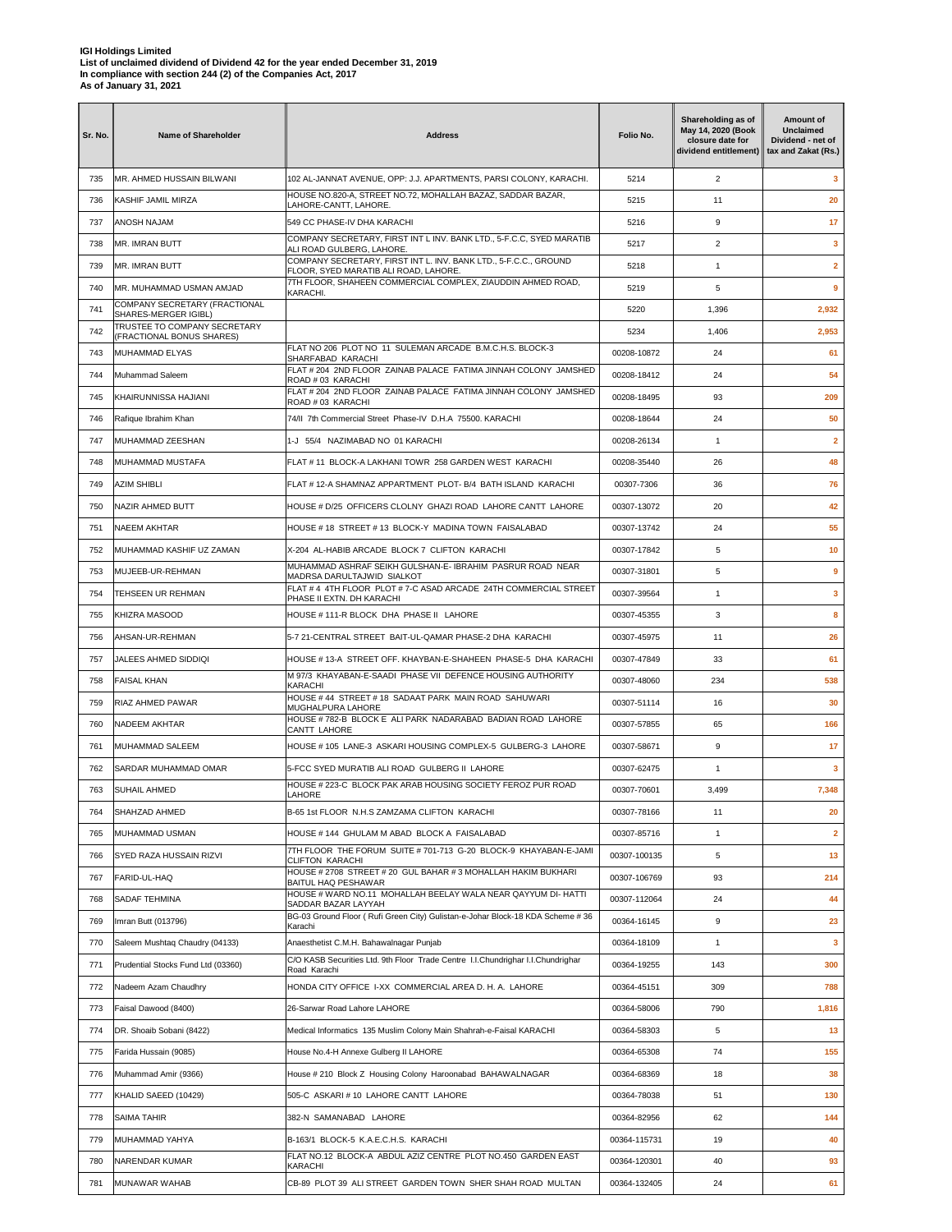| Sr. No. | <b>Name of Shareholder</b>                           | <b>Address</b>                                                                                                                | Folio No.    | Shareholding as of<br>May 14, 2020 (Book<br>closure date for<br>dividend entitlement) | Amount of<br>Unclaimed<br>Dividend - net of<br>tax and Zakat (Rs.) |
|---------|------------------------------------------------------|-------------------------------------------------------------------------------------------------------------------------------|--------------|---------------------------------------------------------------------------------------|--------------------------------------------------------------------|
| 735     | MR. AHMED HUSSAIN BILWANI                            | 102 AL-JANNAT AVENUE, OPP: J.J. APARTMENTS, PARSI COLONY, KARACHI.                                                            | 5214         | $\overline{2}$                                                                        | 3                                                                  |
| 736     | KASHIF JAMIL MIRZA                                   | HOUSE NO.820-A, STREET NO.72, MOHALLAH BAZAZ, SADDAR BAZAR,<br>LAHORE-CANTT, LAHORE.                                          | 5215         | 11                                                                                    | 20                                                                 |
| 737     | ANOSH NAJAM                                          | 549 CC PHASE-IV DHA KARACHI                                                                                                   | 5216         | 9                                                                                     | 17                                                                 |
| 738     | MR. IMRAN BUTT                                       | COMPANY SECRETARY, FIRST INT L INV. BANK LTD., 5-F.C.C, SYED MARATIB<br>ALI ROAD GULBERG, LAHORE.                             | 5217         | $\overline{2}$                                                                        | 3                                                                  |
| 739     | MR. IMRAN BUTT                                       | COMPANY SECRETARY, FIRST INT L. INV. BANK LTD., 5-F.C.C., GROUND<br>FLOOR. SYED MARATIB ALI ROAD. LAHORE.                     | 5218         | $\mathbf{1}$                                                                          | $\mathbf{2}$                                                       |
| 740     | MR. MUHAMMAD USMAN AMJAD                             | 7TH FLOOR, SHAHEEN COMMERCIAL COMPLEX, ZIAUDDIN AHMED ROAD,<br>KARACHI.                                                       | 5219         | 5                                                                                     | 9                                                                  |
| 741     | COMPANY SECRETARY (FRACTIONAL                        |                                                                                                                               | 5220         | 1,396                                                                                 | 2,932                                                              |
| 742     | SHARES-MERGER IGIBL)<br>TRUSTEE TO COMPANY SECRETARY |                                                                                                                               | 5234         | 1,406                                                                                 | 2,953                                                              |
| 743     | (FRACTIONAL BONUS SHARES)<br>MUHAMMAD ELYAS          | FLAT NO 206 PLOT NO 11 SULEMAN ARCADE B.M.C.H.S. BLOCK-3                                                                      | 00208-10872  | 24                                                                                    | 61                                                                 |
| 744     | Muhammad Saleem                                      | SHARFABAD KARACHI<br>FLAT # 204 2ND FLOOR ZAINAB PALACE FATIMA JINNAH COLONY JAMSHED                                          | 00208-18412  | 24                                                                                    | 54                                                                 |
| 745     | KHAIRUNNISSA HAJIANI                                 | ROAD # 03 KARACHI<br>FLAT # 204 2ND FLOOR ZAINAB PALACE FATIMA JINNAH COLONY JAMSHED                                          | 00208-18495  | 93                                                                                    | 209                                                                |
| 746     | Rafique Ibrahim Khan                                 | ROAD # 03 KARACHI<br>74/II 7th Commercial Street Phase-IV D.H.A 75500. KARACHI                                                | 00208-18644  | 24                                                                                    | 50                                                                 |
| 747     | MUHAMMAD ZEESHAN                                     | 1-J 55/4 NAZIMABAD NO 01 KARACHI                                                                                              | 00208-26134  | 1                                                                                     | $\overline{2}$                                                     |
| 748     | MUHAMMAD MUSTAFA                                     | FLAT # 11 BLOCK-A LAKHANI TOWR 258 GARDEN WEST KARACHI                                                                        | 00208-35440  | 26                                                                                    | 48                                                                 |
| 749     | <b>AZIM SHIBLI</b>                                   | FLAT # 12-A SHAMNAZ APPARTMENT PLOT- B/4 BATH ISLAND KARACHI                                                                  | 00307-7306   | 36                                                                                    | 76                                                                 |
| 750     | NAZIR AHMED BUTT                                     |                                                                                                                               | 00307-13072  | 20                                                                                    | 42                                                                 |
| 751     | NAEEM AKHTAR                                         | HOUSE # D/25 OFFICERS CLOLNY GHAZI ROAD LAHORE CANTT LAHORE<br>HOUSE # 18 STREET # 13 BLOCK-Y MADINA TOWN FAISALABAD          | 00307-13742  | 24                                                                                    | 55                                                                 |
|         |                                                      |                                                                                                                               |              |                                                                                       |                                                                    |
| 752     | MUHAMMAD KASHIF UZ ZAMAN                             | X-204 AL-HABIB ARCADE BLOCK 7 CLIFTON KARACHI<br>MUHAMMAD ASHRAF SEIKH GULSHAN-E- IBRAHIM PASRUR ROAD NEAR                    | 00307-17842  | 5                                                                                     | 10                                                                 |
| 753     | MUJEEB-UR-REHMAN                                     | MADRSA DARULTAJWID SIALKOT<br>FLAT # 4 4TH FLOOR PLOT # 7-C ASAD ARCADE 24TH COMMERCIAL STREET                                | 00307-31801  | 5                                                                                     | 9                                                                  |
| 754     | TEHSEEN UR REHMAN                                    | PHASE II EXTN. DH KARACHI                                                                                                     | 00307-39564  | $\mathbf{1}$                                                                          | 3                                                                  |
| 755     | KHIZRA MASOOD                                        | HOUSE # 111-R BLOCK DHA PHASE II LAHORE                                                                                       | 00307-45355  | 3                                                                                     | 8                                                                  |
| 756     | AHSAN-UR-REHMAN                                      | 5-7 21-CENTRAL STREET BAIT-UL-QAMAR PHASE-2 DHA KARACHI                                                                       | 00307-45975  | 11                                                                                    | 26                                                                 |
| 757     | JALEES AHMED SIDDIQI                                 | HOUSE # 13-A STREET OFF. KHAYBAN-E-SHAHEEN PHASE-5 DHA KARACHI<br>M 97/3 KHAYABAN-E-SAADI PHASE VII DEFENCE HOUSING AUTHORITY | 00307-47849  | 33                                                                                    | 61                                                                 |
| 758     | <b>FAISAL KHAN</b>                                   | KARACHI<br>HOUSE #44 STREET #18 SADAAT PARK MAIN ROAD SAHUWARI                                                                | 00307-48060  | 234                                                                                   | 538                                                                |
| 759     | RIAZ AHMED PAWAR                                     | MUGHALPURA LAHORE<br>HOUSE # 782-B BLOCK E ALI PARK NADARABAD BADIAN ROAD LAHORE                                              | 00307-51114  | 16                                                                                    | 30                                                                 |
| 760     | NADEEM AKHTAR                                        | CANTT LAHORE                                                                                                                  | 00307-57855  | 65                                                                                    | 166                                                                |
| 761     | MUHAMMAD SALEEM                                      | HOUSE # 105 LANE-3 ASKARI HOUSING COMPLEX-5 GULBERG-3 LAHORE                                                                  | 00307-58671  | 9                                                                                     | 17                                                                 |
| 762     | SARDAR MUHAMMAD OMAR                                 | 5-FCC SYED MURATIB ALI ROAD GULBERG II LAHORE                                                                                 | 00307-62475  | $\mathbf{1}$                                                                          | 3                                                                  |
| 763     | SUHAIL AHMED                                         | HOUSE # 223-C BLOCK PAK ARAB HOUSING SOCIETY FEROZ PUR ROAD<br>LAHORE                                                         | 00307-70601  | 3,499                                                                                 | 7,348                                                              |
| 764     | SHAHZAD AHMED                                        | B-65 1st FLOOR N.H.S ZAMZAMA CLIFTON KARACHI                                                                                  | 00307-78166  | 11                                                                                    | 20                                                                 |
| 765     | MUHAMMAD USMAN                                       | HOUSE # 144 GHULAM M ABAD BLOCK A FAISALABAD                                                                                  | 00307-85716  | $\mathbf{1}$                                                                          | $\overline{2}$                                                     |
| 766     | SYED RAZA HUSSAIN RIZVI                              | 7TH FLOOR THE FORUM SUITE # 701-713 G-20 BLOCK-9 KHAYABAN-E-JAMI<br><b>CLIFTON KARACHI</b>                                    | 00307-100135 | 5                                                                                     | 13                                                                 |
| 767     | FARID-UL-HAQ                                         | HOUSE # 2708 STREET # 20 GUL BAHAR # 3 MOHALLAH HAKIM BUKHARI<br>BAITUL HAQ PESHAWAR                                          | 00307-106769 | 93                                                                                    | 214                                                                |
| 768     | SADAF TEHMINA                                        | HOUSE # WARD NO.11 MOHALLAH BEELAY WALA NEAR QAYYUM DI- HATTI<br>SADDAR BAZAR LAYYAH                                          | 00307-112064 | 24                                                                                    | 44                                                                 |
| 769     | Imran Butt (013796)                                  | BG-03 Ground Floor (Rufi Green City) Gulistan-e-Johar Block-18 KDA Scheme #36<br>Karachi                                      | 00364-16145  | 9                                                                                     | 23                                                                 |
| 770     | Saleem Mushtaq Chaudry (04133)                       | Anaesthetist C.M.H. Bahawalnagar Punjab                                                                                       | 00364-18109  | $\mathbf{1}$                                                                          | 3                                                                  |
| 771     | Prudential Stocks Fund Ltd (03360)                   | C/O KASB Securities Ltd. 9th Floor Trade Centre I.I.Chundrighar I.I.Chundrighar<br>Road Karachi                               | 00364-19255  | 143                                                                                   | 300                                                                |
| 772     | Nadeem Azam Chaudhry                                 | HONDA CITY OFFICE I-XX COMMERCIAL AREA D. H. A. LAHORE                                                                        | 00364-45151  | 309                                                                                   | 788                                                                |
| 773     | Faisal Dawood (8400)                                 | 26-Sarwar Road Lahore LAHORE                                                                                                  | 00364-58006  | 790                                                                                   | 1,816                                                              |
| 774     | DR. Shoaib Sobani (8422)                             | Medical Informatics 135 Muslim Colony Main Shahrah-e-Faisal KARACHI                                                           | 00364-58303  | 5                                                                                     | 13                                                                 |
| 775     | Farida Hussain (9085)                                | House No.4-H Annexe Gulberg II LAHORE                                                                                         | 00364-65308  | 74                                                                                    | 155                                                                |
| 776     | Muhammad Amir (9366)                                 | House # 210 Block Z Housing Colony Haroonabad BAHAWALNAGAR                                                                    | 00364-68369  | 18                                                                                    | 38                                                                 |
| 777     | KHALID SAEED (10429)                                 | 505-C ASKARI # 10 LAHORE CANTT LAHORE                                                                                         | 00364-78038  | 51                                                                                    | 130                                                                |
| 778     | SAIMA TAHIR                                          | 382-N SAMANABAD LAHORE                                                                                                        | 00364-82956  | 62                                                                                    | 144                                                                |
| 779     | MUHAMMAD YAHYA                                       | B-163/1 BLOCK-5 K.A.E.C.H.S. KARACHI                                                                                          | 00364-115731 | 19                                                                                    | 40                                                                 |
| 780     | NARENDAR KUMAR                                       | FLAT NO.12 BLOCK-A ABDUL AZIZ CENTRE PLOT NO.450 GARDEN EAST<br>KARACHI                                                       | 00364-120301 | 40                                                                                    | 93                                                                 |
| 781     | MUNAWAR WAHAB                                        | CB-89 PLOT 39 ALI STREET GARDEN TOWN SHER SHAH ROAD MULTAN                                                                    | 00364-132405 | 24                                                                                    | 61                                                                 |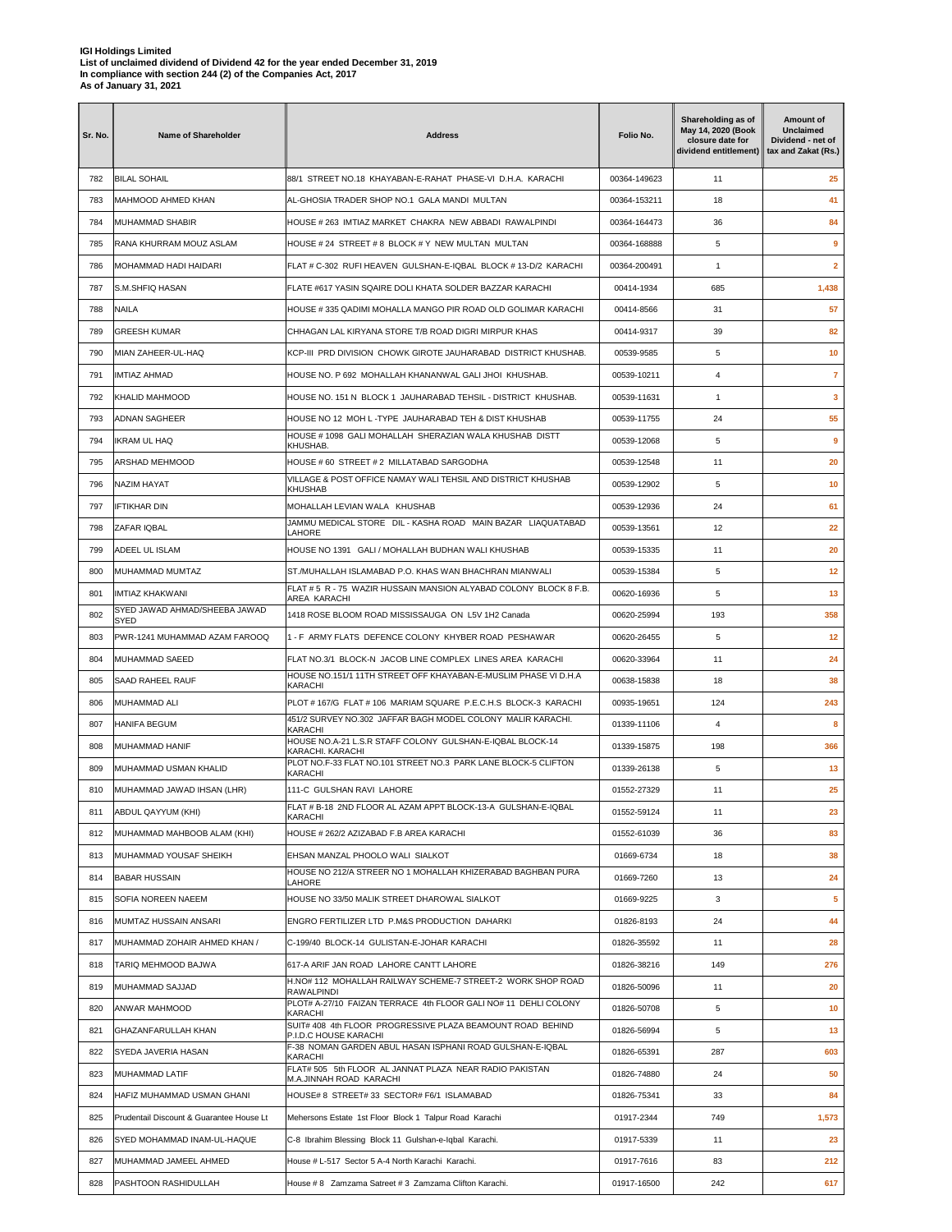| Sr. No. | <b>Name of Shareholder</b>                   | <b>Address</b>                                                                                                                 | Folio No.    | Shareholding as of<br>May 14, 2020 (Book<br>closure date for<br>dividend entitlement) | Amount of<br><b>Unclaimed</b><br>Dividend - net of<br>tax and Zakat (Rs.) |
|---------|----------------------------------------------|--------------------------------------------------------------------------------------------------------------------------------|--------------|---------------------------------------------------------------------------------------|---------------------------------------------------------------------------|
| 782     | <b>BILAL SOHAIL</b>                          | 88/1 STREET NO.18 KHAYABAN-E-RAHAT PHASE-VI D.H.A. KARACHI                                                                     | 00364-149623 | 11                                                                                    | 25                                                                        |
| 783     | MAHMOOD AHMED KHAN                           | AL-GHOSIA TRADER SHOP NO.1 GALA MANDI MULTAN                                                                                   | 00364-153211 | 18                                                                                    | 41                                                                        |
| 784     | MUHAMMAD SHABIR                              | HOUSE # 263 IMTIAZ MARKET CHAKRA NEW ABBADI RAWALPINDI                                                                         | 00364-164473 | 36                                                                                    | 84                                                                        |
| 785     | RANA KHURRAM MOUZ ASLAM                      | HOUSE # 24 STREET # 8 BLOCK # Y NEW MULTAN MULTAN                                                                              | 00364-168888 | 5                                                                                     | 9                                                                         |
| 786     | MOHAMMAD HADI HAIDARI                        | FLAT # C-302 RUFI HEAVEN GULSHAN-E-IQBAL BLOCK # 13-D/2 KARACHI                                                                | 00364-200491 | 1                                                                                     | $\overline{2}$                                                            |
| 787     | S.M.SHFIQ HASAN                              | FLATE #617 YASIN SQAIRE DOLI KHATA SOLDER BAZZAR KARACHI                                                                       | 00414-1934   | 685                                                                                   | 1,438                                                                     |
| 788     | NAILA                                        | HOUSE #335 QADIMI MOHALLA MANGO PIR ROAD OLD GOLIMAR KARACHI                                                                   | 00414-8566   | 31                                                                                    | 57                                                                        |
| 789     | GREESH KUMAR                                 | CHHAGAN LAL KIRYANA STORE T/B ROAD DIGRI MIRPUR KHAS                                                                           | 00414-9317   | 39                                                                                    | 82                                                                        |
| 790     | MIAN ZAHEER-UL-HAQ                           | KCP-III PRD DIVISION CHOWK GIROTE JAUHARABAD DISTRICT KHUSHAB.                                                                 | 00539-9585   | 5                                                                                     | 10                                                                        |
| 791     | IMTIAZ AHMAD                                 | HOUSE NO. P 692 MOHALLAH KHANANWAL GALI JHOI KHUSHAB.                                                                          | 00539-10211  | $\overline{\mathbf{4}}$                                                               | $\overline{7}$                                                            |
| 792     | KHALID MAHMOOD                               | HOUSE NO. 151 N BLOCK 1 JAUHARABAD TEHSIL - DISTRICT KHUSHAB.                                                                  | 00539-11631  | $\mathbf{1}$                                                                          | 3                                                                         |
| 793     | ADNAN SAGHEER                                | HOUSE NO 12 MOH L-TYPE JAUHARABAD TEH & DIST KHUSHAB                                                                           | 00539-11755  | 24                                                                                    | 55                                                                        |
| 794     | IKRAM UL HAQ                                 | HOUSE # 1098 GALI MOHALLAH SHERAZIAN WALA KHUSHAB DISTT                                                                        | 00539-12068  | 5                                                                                     | 9                                                                         |
| 795     | <b>ARSHAD MEHMOOD</b>                        | KHUSHAB.<br>HOUSE #60 STREET #2 MILLATABAD SARGODHA                                                                            | 00539-12548  | 11                                                                                    | 20                                                                        |
| 796     | NAZIM HAYAT                                  | VILLAGE & POST OFFICE NAMAY WALI TEHSIL AND DISTRICT KHUSHAB                                                                   | 00539-12902  | 5                                                                                     | 10                                                                        |
| 797     | IFTIKHAR DIN                                 | KHUSHAB<br>MOHALLAH LEVIAN WALA KHUSHAB                                                                                        | 00539-12936  | 24                                                                                    | 61                                                                        |
| 798     | ZAFAR IQBAL                                  | JAMMU MEDICAL STORE DIL - KASHA ROAD MAIN BAZAR LIAQUATABAD                                                                    | 00539-13561  | 12                                                                                    | 22                                                                        |
| 799     | ADEEL UL ISLAM                               | LAHORE<br>HOUSE NO 1391 GALI / MOHALLAH BUDHAN WALI KHUSHAB                                                                    | 00539-15335  | 11                                                                                    | 20                                                                        |
| 800     | MUHAMMAD MUMTAZ                              | ST./MUHALLAH ISLAMABAD P.O. KHAS WAN BHACHRAN MIANWALI                                                                         | 00539-15384  | 5                                                                                     | 12                                                                        |
| 801     | IMTIAZ KHAKWANI                              | FLAT # 5 R - 75 WAZIR HUSSAIN MANSION ALYABAD COLONY BLOCK 8 F.B.                                                              | 00620-16936  | 5                                                                                     | 13                                                                        |
| 802     | SYED JAWAD AHMAD/SHEEBA JAWAD                | AREA KARACHI<br>1418 ROSE BLOOM ROAD MISSISSAUGA ON L5V 1H2 Canada                                                             | 00620-25994  | 193                                                                                   | 358                                                                       |
| 803     | <b>SYED</b><br>PWR-1241 MUHAMMAD AZAM FAROOQ | 1 - F ARMY FLATS DEFENCE COLONY KHYBER ROAD PESHAWAR                                                                           | 00620-26455  | 5                                                                                     | 12                                                                        |
| 804     | MUHAMMAD SAEED                               | FLAT NO.3/1 BLOCK-N JACOB LINE COMPLEX LINES AREA KARACHI                                                                      | 00620-33964  | 11                                                                                    | 24                                                                        |
| 805     | SAAD RAHEEL RAUF                             | HOUSE NO.151/1 11TH STREET OFF KHAYABAN-E-MUSLIM PHASE VI D.H.A                                                                | 00638-15838  | 18                                                                                    | 38                                                                        |
|         |                                              | KARACHI                                                                                                                        |              |                                                                                       |                                                                           |
| 806     | MUHAMMAD ALI                                 | PLOT # 167/G FLAT # 106 MARIAM SQUARE P.E.C.H.S BLOCK-3 KARACHI<br>451/2 SURVEY NO.302 JAFFAR BAGH MODEL COLONY MALIR KARACHI. | 00935-19651  | 124                                                                                   | 243                                                                       |
| 807     | HANIFA BEGUM                                 | KARACHI<br>HOUSE NO.A-21 L.S.R STAFF COLONY GULSHAN-E-IQBAL BLOCK-14                                                           | 01339-11106  | $\overline{4}$                                                                        | 8                                                                         |
| 808     | MUHAMMAD HANIF                               | KARACHI, KARACHI<br>PLOT NO.F-33 FLAT NO.101 STREET NO.3 PARK LANE BLOCK-5 CLIFTON                                             | 01339-15875  | 198                                                                                   | 366                                                                       |
| 809     | MUHAMMAD USMAN KHALID                        | KARACHI                                                                                                                        | 01339-26138  | 5                                                                                     | 13                                                                        |
| 810     | MUHAMMAD JAWAD IHSAN (LHR)                   | 111-C GULSHAN RAVI LAHORE<br>FLAT # B-18 2ND FLOOR AL AZAM APPT BLOCK-13-A GULSHAN-E-IQBAL                                     | 01552-27329  | 11                                                                                    | 25                                                                        |
| 811     | ABDUL QAYYUM (KHI)                           | KARACHI                                                                                                                        | 01552-59124  | 11                                                                                    | 23                                                                        |
| 812     | MUHAMMAD MAHBOOB ALAM (KHI)                  | HOUSE # 262/2 AZIZABAD F.B AREA KARACHI                                                                                        | 01552-61039  | 36                                                                                    | 83                                                                        |
| 813     | MUHAMMAD YOUSAF SHEIKH                       | EHSAN MANZAL PHOOLO WALI SIALKOT<br>HOUSE NO 212/A STREER NO 1 MOHALLAH KHIZERABAD BAGHBAN PURA                                | 01669-6734   | 18                                                                                    | 38                                                                        |
| 814     | <b>BABAR HUSSAIN</b>                         | LAHORE                                                                                                                         | 01669-7260   | 13                                                                                    | 24                                                                        |
| 815     | SOFIA NOREEN NAEEM                           | HOUSE NO 33/50 MALIK STREET DHAROWAL SIALKOT                                                                                   | 01669-9225   | 3                                                                                     | 5                                                                         |
| 816     | MUMTAZ HUSSAIN ANSARI                        | ENGRO FERTILIZER LTD P.M&S PRODUCTION DAHARKI                                                                                  | 01826-8193   | 24                                                                                    | 44                                                                        |
| 817     | MUHAMMAD ZOHAIR AHMED KHAN /                 | C-199/40 BLOCK-14 GULISTAN-E-JOHAR KARACHI                                                                                     | 01826-35592  | 11                                                                                    | 28                                                                        |
| 818     | TARIQ MEHMOOD BAJWA                          | 617-A ARIF JAN ROAD LAHORE CANTT LAHORE                                                                                        | 01826-38216  | 149                                                                                   | 276                                                                       |
| 819     | MUHAMMAD SAJJAD                              | H.NO# 112 MOHALLAH RAILWAY SCHEME-7 STREET-2 WORK SHOP ROAD<br>RAWALPINDI                                                      | 01826-50096  | 11                                                                                    | 20                                                                        |
| 820     | ANWAR MAHMOOD                                | PLOT# A-27/10 FAIZAN TERRACE 4th FLOOR GALI NO# 11 DEHLI COLONY<br>KARACHI                                                     | 01826-50708  | 5                                                                                     | 10                                                                        |
| 821     | GHAZANFARULLAH KHAN                          | SUIT# 408 4th FLOOR PROGRESSIVE PLAZA BEAMOUNT ROAD BEHIND<br>P.I.D.C HOUSE KARACHI                                            | 01826-56994  | 5                                                                                     | 13                                                                        |
| 822     | SYEDA JAVERIA HASAN                          | F-38 NOMAN GARDEN ABUL HASAN ISPHANI ROAD GULSHAN-E-IQBAL<br>KARACHI                                                           | 01826-65391  | 287                                                                                   | 603                                                                       |
| 823     | MUHAMMAD LATIF                               | FLAT# 505 5th FLOOR AL JANNAT PLAZA NEAR RADIO PAKISTAN<br>M.A.JINNAH ROAD KARACHI                                             | 01826-74880  | 24                                                                                    | 50                                                                        |
| 824     | HAFIZ MUHAMMAD USMAN GHANI                   | HOUSE# 8 STREET# 33 SECTOR# F6/1 ISLAMABAD                                                                                     | 01826-75341  | 33                                                                                    | 84                                                                        |
| 825     | Prudentail Discount & Guarantee House Lt     | Mehersons Estate 1st Floor Block 1 Talpur Road Karachi                                                                         | 01917-2344   | 749                                                                                   | 1,573                                                                     |
| 826     | SYED MOHAMMAD INAM-UL-HAQUE                  | C-8 Ibrahim Blessing Block 11 Gulshan-e-Iqbal Karachi.                                                                         | 01917-5339   | 11                                                                                    | 23                                                                        |
| 827     | MUHAMMAD JAMEEL AHMED                        | House # L-517 Sector 5 A-4 North Karachi Karachi.                                                                              | 01917-7616   | 83                                                                                    | 212                                                                       |
| 828     | PASHTOON RASHIDULLAH                         | House #8 Zamzama Satreet #3 Zamzama Clifton Karachi.                                                                           | 01917-16500  | 242                                                                                   | 617                                                                       |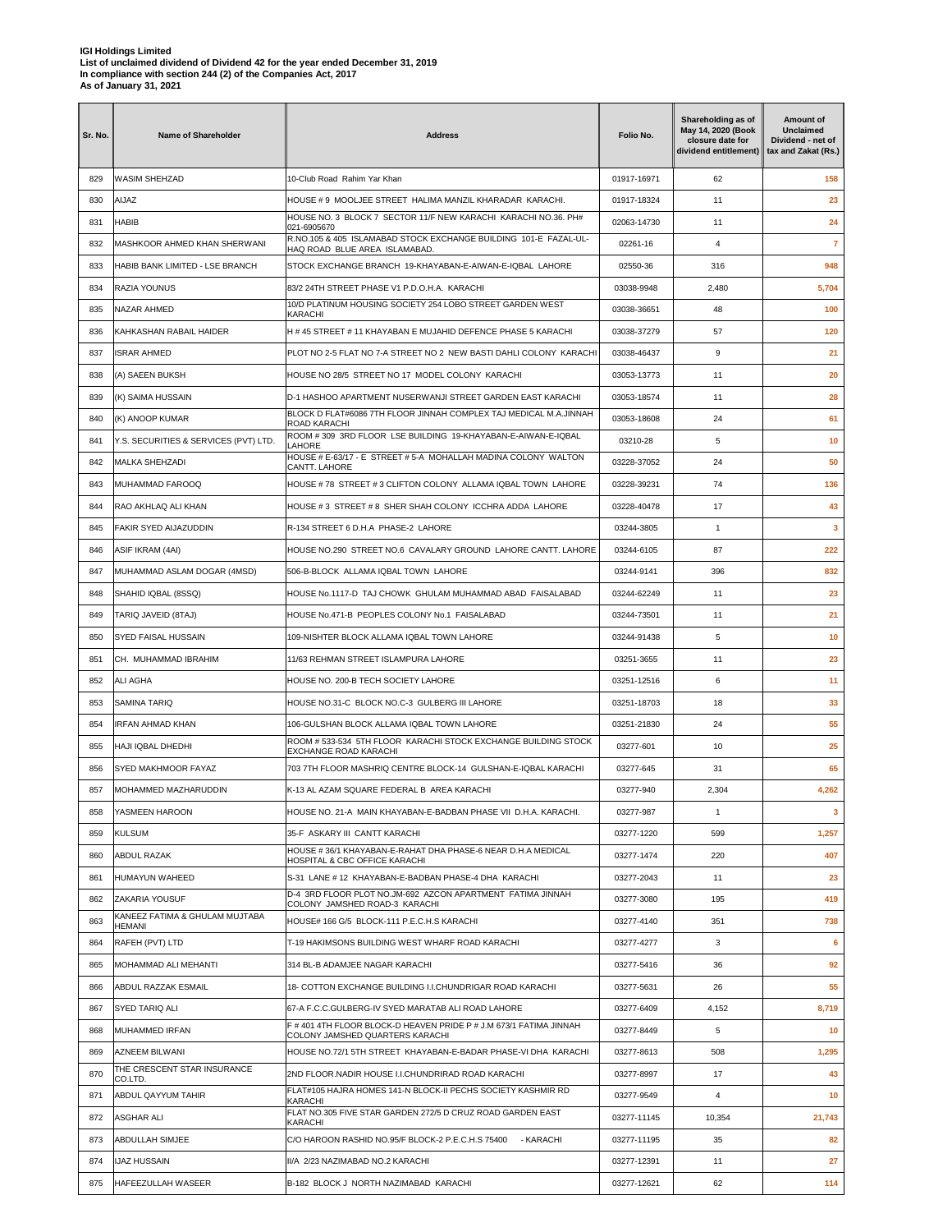| Sr. No. | <b>Name of Shareholder</b>                       | <b>Address</b>                                                                                                           | Folio No.                | Shareholding as of<br>May 14, 2020 (Book<br>closure date for<br>dividend entitlement) | Amount of<br><b>Unclaimed</b><br>Dividend - net of<br>tax and Zakat (Rs.) |
|---------|--------------------------------------------------|--------------------------------------------------------------------------------------------------------------------------|--------------------------|---------------------------------------------------------------------------------------|---------------------------------------------------------------------------|
| 829     | WASIM SHEHZAD                                    | 10-Club Road Rahim Yar Khan                                                                                              | 01917-16971              | 62                                                                                    | 158                                                                       |
| 830     | AIJAZ                                            | HOUSE #9 MOOLJEE STREET HALIMA MANZIL KHARADAR KARACHI.                                                                  | 01917-18324              | 11                                                                                    | 23                                                                        |
| 831     | <b>HABIB</b>                                     | HOUSE NO. 3 BLOCK 7 SECTOR 11/F NEW KARACHI KARACHI NO.36, PH#<br>021-6905670                                            | 02063-14730              | 11                                                                                    | 24                                                                        |
| 832     | MASHKOOR AHMED KHAN SHERWANI                     | R.NO.105 & 405 ISLAMABAD STOCK EXCHANGE BUILDING 101-E FAZAL-UL-<br>HAQ ROAD BLUE AREA ISLAMABAD.                        | 02261-16                 | 4                                                                                     | $\overline{7}$                                                            |
| 833     | HABIB BANK LIMITED - LSE BRANCH                  | STOCK EXCHANGE BRANCH 19-KHAYABAN-E-AIWAN-E-IQBAL LAHORE                                                                 | 02550-36                 | 316                                                                                   | 948                                                                       |
| 834     | RAZIA YOUNUS                                     | 83/2 24TH STREET PHASE V1 P.D.O.H.A. KARACHI                                                                             | 03038-9948               | 2,480                                                                                 | 5,704                                                                     |
| 835     | <b>NAZAR AHMED</b>                               | 10/D PLATINUM HOUSING SOCIETY 254 LOBO STREET GARDEN WEST<br>KARACHI                                                     | 03038-36651              | 48                                                                                    | 100                                                                       |
| 836     | KAHKASHAN RABAIL HAIDER                          | H #45 STREET #11 KHAYABAN E MUJAHID DEFENCE PHASE 5 KARACHI                                                              | 03038-37279              | 57                                                                                    | 120                                                                       |
| 837     | <b>ISRAR AHMED</b>                               | PLOT NO 2-5 FLAT NO 7-A STREET NO 2 NEW BASTI DAHLI COLONY KARACHI                                                       | 03038-46437              | 9                                                                                     | 21                                                                        |
| 838     | (A) SAEEN BUKSH                                  | HOUSE NO 28/5 STREET NO 17 MODEL COLONY KARACHI                                                                          | 03053-13773              | 11                                                                                    | 20                                                                        |
| 839     | (K) SAIMA HUSSAIN                                | D-1 HASHOO APARTMENT NUSERWANJI STREET GARDEN EAST KARACHI                                                               | 03053-18574              | 11                                                                                    | 28                                                                        |
| 840     | (K) ANOOP KUMAR                                  | BLOCK D FLAT#6086 7TH FLOOR JINNAH COMPLEX TAJ MEDICAL M.A.JINNAH<br>ROAD KARACHI                                        | 03053-18608              | 24                                                                                    | 61                                                                        |
| 841     | Y.S. SECURITIES & SERVICES (PVT) LTD.            | ROOM #309 3RD FLOOR LSE BUILDING 19-KHAYABAN-E-AIWAN-E-IQBAL<br>LAHORE                                                   | 03210-28                 | 5                                                                                     | 10                                                                        |
| 842     | <b>MALKA SHEHZADI</b>                            | HOUSE # E-63/17 - E STREET # 5-A MOHALLAH MADINA COLONY WALTON<br>CANTT. LAHORE                                          | 03228-37052              | 24                                                                                    | 50                                                                        |
| 843     | MUHAMMAD FAROOQ                                  | HOUSE #78 STREET #3 CLIFTON COLONY ALLAMA IQBAL TOWN LAHORE                                                              | 03228-39231              | 74                                                                                    | 136                                                                       |
| 844     | RAO AKHLAQ ALI KHAN                              | HOUSE #3 STREET #8 SHER SHAH COLONY ICCHRA ADDA LAHORE                                                                   | 03228-40478              | 17                                                                                    | 43                                                                        |
| 845     | FAKIR SYED AIJAZUDDIN                            | R-134 STREET 6 D.H.A PHASE-2 LAHORE                                                                                      | 03244-3805               | $\mathbf{1}$                                                                          | 3                                                                         |
| 846     | ASIF IKRAM (4AI)                                 | HOUSE NO.290 STREET NO.6 CAVALARY GROUND LAHORE CANTT. LAHORE                                                            | 03244-6105               | 87                                                                                    | 222                                                                       |
| 847     | MUHAMMAD ASLAM DOGAR (4MSD)                      | 506-B-BLOCK ALLAMA IQBAL TOWN LAHORE                                                                                     | 03244-9141               | 396                                                                                   | 832                                                                       |
| 848     | SHAHID IQBAL (8SSQ)                              | HOUSE No.1117-D TAJ CHOWK GHULAM MUHAMMAD ABAD FAISALABAD                                                                | 03244-62249              | 11                                                                                    | 23                                                                        |
| 849     | TARIQ JAVEID (8TAJ)                              | HOUSE No.471-B PEOPLES COLONY No.1 FAISALABAD                                                                            | 03244-73501              | 11                                                                                    | 21                                                                        |
| 850     | <b>SYED FAISAL HUSSAIN</b>                       | 109-NISHTER BLOCK ALLAMA IQBAL TOWN LAHORE                                                                               | 03244-91438              | 5                                                                                     | 10                                                                        |
| 851     | CH. MUHAMMAD IBRAHIM                             | 11/63 REHMAN STREET ISLAMPURA LAHORE                                                                                     | 03251-3655               | 11                                                                                    | 23                                                                        |
| 852     | <b>ALI AGHA</b>                                  | HOUSE NO. 200-B TECH SOCIETY LAHORE                                                                                      | 03251-12516              | 6                                                                                     | 11                                                                        |
| 853     | <b>SAMINA TARIQ</b>                              | HOUSE NO.31-C BLOCK NO.C-3 GULBERG III LAHORE                                                                            | 03251-18703              | 18                                                                                    | 33                                                                        |
| 854     | IRFAN AHMAD KHAN                                 | 106-GULSHAN BLOCK ALLAMA IQBAL TOWN LAHORE                                                                               | 03251-21830              | 24                                                                                    | 55                                                                        |
| 855     | HAJI IQBAL DHEDHI                                | ROOM # 533-534 5TH FLOOR KARACHI STOCK EXCHANGE BUILDING STOCK                                                           | 03277-601                | 10                                                                                    | 25                                                                        |
| 856     | SYED MAKHMOOR FAYAZ                              | <b>EXCHANGE ROAD KARACHI</b><br>703 7TH FLOOR MASHRIQ CENTRE BLOCK-14 GULSHAN-E-IQBAL KARACHI                            | 03277-645                | 31                                                                                    | 65                                                                        |
| 857     | MOHAMMED MAZHARUDDIN                             | K-13 AL AZAM SQUARE FEDERAL B AREA KARACHI                                                                               | 03277-940                | 2,304                                                                                 | 4,262                                                                     |
| 858     | YASMEEN HAROON                                   | HOUSE NO. 21-A MAIN KHAYABAN-E-BADBAN PHASE VII D.H.A. KARACHI.                                                          | 03277-987                | 1                                                                                     | 3                                                                         |
| 859     | <b>KULSUM</b>                                    | 35-F ASKARY III CANTT KARACHI                                                                                            | 03277-1220               | 599                                                                                   | 1,257                                                                     |
| 860     | ABDUL RAZAK                                      | HOUSE #36/1 KHAYABAN-E-RAHAT DHA PHASE-6 NEAR D.H.A MEDICAL                                                              | 03277-1474               | 220                                                                                   | 407                                                                       |
| 861     | <b>HUMAYUN WAHEED</b>                            | HOSPITAL & CBC OFFICE KARACHI<br>S-31 LANE # 12 KHAYABAN-E-BADBAN PHASE-4 DHA KARACHI                                    | 03277-2043               | 11                                                                                    | 23                                                                        |
| 862     |                                                  | D-4 3RD FLOOR PLOT NO.JM-692 AZCON APARTMENT FATIMA JINNAH                                                               |                          | 195                                                                                   | 419                                                                       |
| 863     | ZAKARIA YOUSUF<br>KANEEZ FATIMA & GHULAM MUJTABA | COLONY JAMSHED ROAD-3 KARACHI<br>HOUSE# 166 G/5 BLOCK-111 P.E.C.H.S KARACHI                                              | 03277-3080<br>03277-4140 | 351                                                                                   | 738                                                                       |
|         | HEMANI                                           |                                                                                                                          |                          |                                                                                       |                                                                           |
| 864     | RAFEH (PVT) LTD                                  | T-19 HAKIMSONS BUILDING WEST WHARF ROAD KARACHI                                                                          | 03277-4277               | 3                                                                                     | 6                                                                         |
| 865     | MOHAMMAD ALI MEHANTI                             | 314 BL-B ADAMJEE NAGAR KARACHI                                                                                           | 03277-5416               | 36                                                                                    | 92                                                                        |
| 866     | ABDUL RAZZAK ESMAIL                              | 18- COTTON EXCHANGE BUILDING I.I.CHUNDRIGAR ROAD KARACHI                                                                 | 03277-5631               | 26                                                                                    | 55                                                                        |
| 867     | SYED TARIQ ALI                                   | 67-A F.C.C.GULBERG-IV SYED MARATAB ALI ROAD LAHORE<br>F # 401 4TH FLOOR BLOCK-D HEAVEN PRIDE P # J.M 673/1 FATIMA JINNAH | 03277-6409               | 4,152                                                                                 | 8,719                                                                     |
| 868     | MUHAMMED IRFAN                                   | COLONY JAMSHED QUARTERS KARACHI                                                                                          | 03277-8449               | 5                                                                                     | 10                                                                        |
| 869     | AZNEEM BILWANI<br>THE CRESCENT STAR INSURANCE    | HOUSE NO.72/1 5TH STREET KHAYABAN-E-BADAR PHASE-VI DHA KARACHI                                                           | 03277-8613               | 508                                                                                   | 1,295                                                                     |
| 870     | CO.LTD.                                          | 2ND FLOOR.NADIR HOUSE I.I.CHUNDRIRAD ROAD KARACHI<br>FLAT#105 HAJRA HOMES 141-N BLOCK-II PECHS SOCIETY KASHMIR RD        | 03277-8997               | 17                                                                                    | 43                                                                        |
| 871     | ABDUL QAYYUM TAHIR                               | KARACHI<br>FLAT NO.305 FIVE STAR GARDEN 272/5 D CRUZ ROAD GARDEN EAST                                                    | 03277-9549               | 4                                                                                     | 10                                                                        |
| 872     | ASGHAR ALI                                       | KARACHI                                                                                                                  | 03277-11145              | 10,354                                                                                | 21,743                                                                    |
| 873     | ABDULLAH SIMJEE                                  | C/O HAROON RASHID NO.95/F BLOCK-2 P.E.C.H.S 75400<br>- KARACHI                                                           | 03277-11195              | 35                                                                                    | 82                                                                        |
| 874     | IJAZ HUSSAIN                                     | II/A 2/23 NAZIMABAD NO.2 KARACHI                                                                                         | 03277-12391              | 11                                                                                    | 27                                                                        |
| 875     | HAFEEZULLAH WASEER                               | B-182 BLOCK J NORTH NAZIMABAD KARACHI                                                                                    | 03277-12621              | 62                                                                                    | 114                                                                       |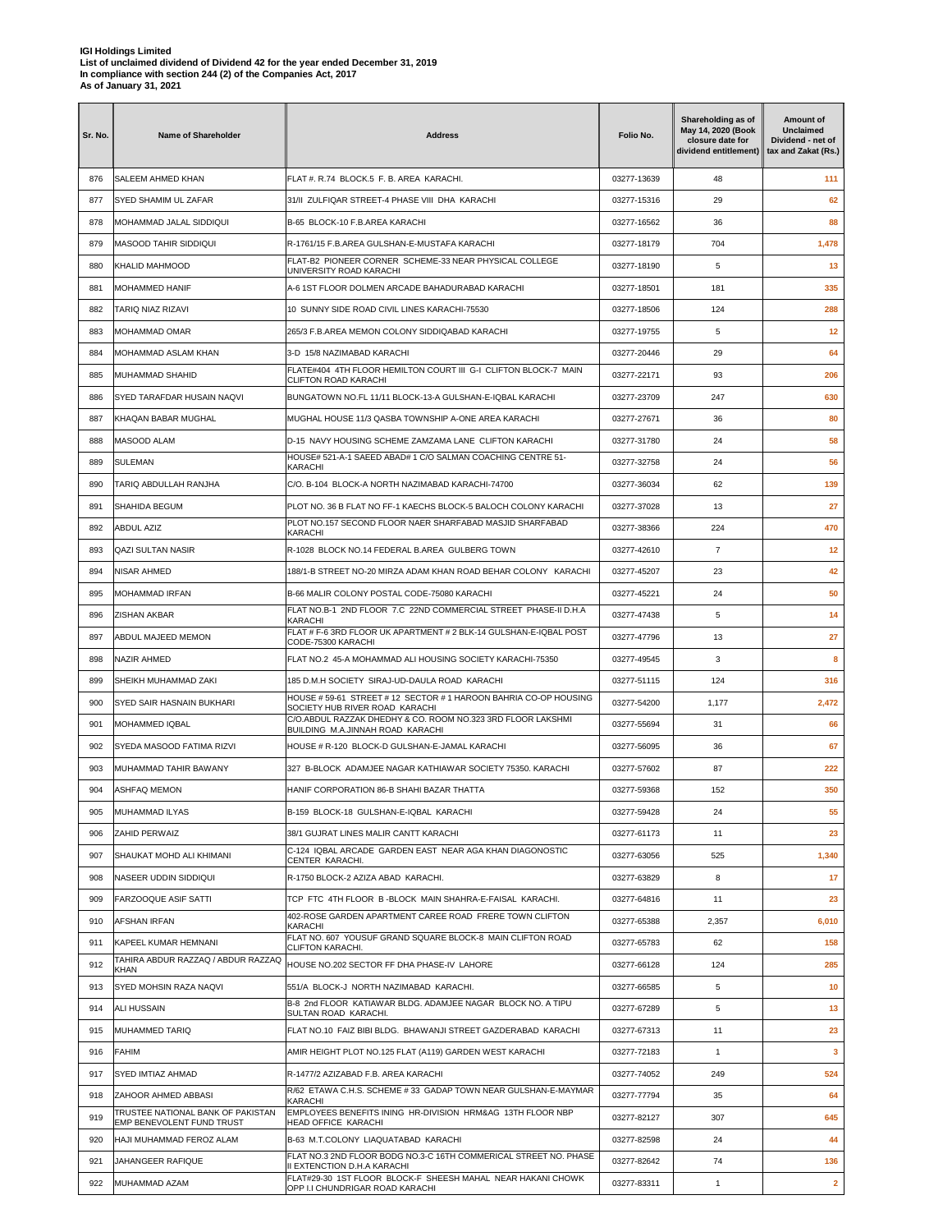| Sr. No. | <b>Name of Shareholder</b>                                     | <b>Address</b>                                                                                                    | Folio No.   | Shareholding as of<br>May 14, 2020 (Book<br>closure date for<br>dividend entitlement) | Amount of<br><b>Unclaimed</b><br>Dividend - net of<br>tax and Zakat (Rs.) |
|---------|----------------------------------------------------------------|-------------------------------------------------------------------------------------------------------------------|-------------|---------------------------------------------------------------------------------------|---------------------------------------------------------------------------|
| 876     | SALEEM AHMED KHAN                                              | FLAT #. R.74 BLOCK.5 F. B. AREA KARACHI.                                                                          | 03277-13639 | 48                                                                                    | 111                                                                       |
| 877     | SYED SHAMIM UL ZAFAR                                           | 31/II ZULFIQAR STREET-4 PHASE VIII DHA KARACHI                                                                    | 03277-15316 | 29                                                                                    | 62                                                                        |
| 878     | MOHAMMAD JALAL SIDDIQUI                                        | B-65 BLOCK-10 F.B.AREA KARACHI                                                                                    | 03277-16562 | 36                                                                                    | 88                                                                        |
| 879     | MASOOD TAHIR SIDDIQUI                                          | R-1761/15 F.B.AREA GULSHAN-E-MUSTAFA KARACHI                                                                      | 03277-18179 | 704                                                                                   | 1,478                                                                     |
| 880     | <b>KHALID MAHMOOD</b>                                          | FLAT-B2 PIONEER CORNER SCHEME-33 NEAR PHYSICAL COLLEGE<br>UNIVERSITY ROAD KARACHI                                 | 03277-18190 | 5                                                                                     | 13                                                                        |
| 881     | MOHAMMED HANIF                                                 | A-6 1ST FLOOR DOLMEN ARCADE BAHADURABAD KARACHI                                                                   | 03277-18501 | 181                                                                                   | 335                                                                       |
| 882     | TARIQ NIAZ RIZAVI                                              | 10 SUNNY SIDE ROAD CIVIL LINES KARACHI-75530                                                                      | 03277-18506 | 124                                                                                   | 288                                                                       |
| 883     | MOHAMMAD OMAR                                                  | 265/3 F.B.AREA MEMON COLONY SIDDIQABAD KARACHI                                                                    | 03277-19755 | 5                                                                                     | 12                                                                        |
| 884     | MOHAMMAD ASLAM KHAN                                            | 3-D 15/8 NAZIMABAD KARACHI                                                                                        | 03277-20446 | 29                                                                                    | 64                                                                        |
| 885     | MUHAMMAD SHAHID                                                | FLATE#404 4TH FLOOR HEMILTON COURT III G-I CLIFTON BLOCK-7 MAIN<br>CLIFTON ROAD KARACHI                           | 03277-22171 | 93                                                                                    | 206                                                                       |
| 886     | SYED TARAFDAR HUSAIN NAQVI                                     | BUNGATOWN NO.FL 11/11 BLOCK-13-A GULSHAN-E-IQBAL KARACHI                                                          | 03277-23709 | 247                                                                                   | 630                                                                       |
| 887     | KHAQAN BABAR MUGHAL                                            | MUGHAL HOUSE 11/3 QASBA TOWNSHIP A-ONE AREA KARACHI                                                               | 03277-27671 | 36                                                                                    | 80                                                                        |
| 888     | <b>MASOOD ALAM</b>                                             | D-15 NAVY HOUSING SCHEME ZAMZAMA LANE CLIFTON KARACHI                                                             | 03277-31780 | 24                                                                                    | 58                                                                        |
| 889     | <b>SULEMAN</b>                                                 | HOUSE# 521-A-1 SAEED ABAD# 1 C/O SALMAN COACHING CENTRE 51-                                                       | 03277-32758 | 24                                                                                    | 56                                                                        |
| 890     | TARIQ ABDULLAH RANJHA                                          | KARACHI<br>C/O. B-104 BLOCK-A NORTH NAZIMABAD KARACHI-74700                                                       | 03277-36034 | 62                                                                                    | 139                                                                       |
| 891     | SHAHIDA BEGUM                                                  | PLOT NO. 36 B FLAT NO FF-1 KAECHS BLOCK-5 BALOCH COLONY KARACHI                                                   | 03277-37028 | 13                                                                                    | 27                                                                        |
| 892     | <b>ABDUL AZIZ</b>                                              | PLOT NO.157 SECOND FLOOR NAER SHARFABAD MASJID SHARFABAD                                                          | 03277-38366 | 224                                                                                   | 470                                                                       |
| 893     | <b>QAZI SULTAN NASIR</b>                                       | KARACHI<br>R-1028 BLOCK NO.14 FEDERAL B.AREA GULBERG TOWN                                                         | 03277-42610 | $\overline{7}$                                                                        | 12                                                                        |
| 894     | <b>NISAR AHMED</b>                                             | 188/1-B STREET NO-20 MIRZA ADAM KHAN ROAD BEHAR COLONY KARACHI                                                    | 03277-45207 | 23                                                                                    | 42                                                                        |
| 895     | <b>MOHAMMAD IRFAN</b>                                          | B-66 MALIR COLONY POSTAL CODE-75080 KARACHI                                                                       | 03277-45221 | 24                                                                                    | 50                                                                        |
| 896     | ZISHAN AKBAR                                                   | FLAT NO.B-1 2ND FLOOR 7.C 22ND COMMERCIAL STREET PHASE-II D.H.A                                                   | 03277-47438 | 5                                                                                     | 14                                                                        |
| 897     | ABDUL MAJEED MEMON                                             | KARACHI<br>FLAT # F-6 3RD FLOOR UK APARTMENT # 2 BLK-14 GULSHAN-E-IQBAL POST                                      | 03277-47796 | 13                                                                                    | 27                                                                        |
|         |                                                                | CODE-75300 KARACHI                                                                                                |             |                                                                                       |                                                                           |
| 898     | <b>NAZIR AHMED</b>                                             | FLAT NO.2 45-A MOHAMMAD ALI HOUSING SOCIETY KARACHI-75350                                                         | 03277-49545 | 3                                                                                     | 8                                                                         |
| 899     | SHEIKH MUHAMMAD ZAKI                                           | 185 D.M.H SOCIETY SIRAJ-UD-DAULA ROAD KARACHI<br>HOUSE # 59-61 STREET # 12 SECTOR # 1 HAROON BAHRIA CO-OP HOUSING | 03277-51115 | 124                                                                                   | 316                                                                       |
| 900     | <b>SYED SAIR HASNAIN BUKHARI</b>                               | SOCIETY HUB RIVER ROAD KARACHI<br>C/O.ABDUL RAZZAK DHEDHY & CO. ROOM NO.323 3RD FLOOR LAKSHMI                     | 03277-54200 | 1,177                                                                                 | 2,472                                                                     |
| 901     | <b>MOHAMMED IQBAL</b>                                          | BUILDING M.A.JINNAH ROAD KARACHI                                                                                  | 03277-55694 | 31                                                                                    | 66                                                                        |
| 902     | SYEDA MASOOD FATIMA RIZVI                                      | HOUSE # R-120 BLOCK-D GULSHAN-E-JAMAL KARACHI                                                                     | 03277-56095 | 36                                                                                    | 67                                                                        |
| 903     | MUHAMMAD TAHIR BAWANY                                          | 327 B-BLOCK ADAMJEE NAGAR KATHIAWAR SOCIETY 75350. KARACHI                                                        | 03277-57602 | 87                                                                                    | 222                                                                       |
| 904     | <b>ASHFAQ MEMON</b>                                            | HANIF CORPORATION 86-B SHAHI BAZAR THATTA                                                                         | 03277-59368 | 152                                                                                   | 350                                                                       |
| 905     | <b>MUHAMMAD ILYAS</b>                                          | B-159 BLOCK-18 GULSHAN-E-IQBAL KARACHI                                                                            | 03277-59428 | 24                                                                                    | 55                                                                        |
| 906     | ZAHID PERWAIZ                                                  | 38/1 GUJRAT LINES MALIR CANTT KARACHI<br>C-124 IQBAL ARCADE GARDEN EAST NEAR AGA KHAN DIAGONOSTIC                 | 03277-61173 | 11                                                                                    | 23                                                                        |
| 907     | SHAUKAT MOHD ALI KHIMANI                                       | CENTER KARACHI.                                                                                                   | 03277-63056 | 525                                                                                   | 1,340                                                                     |
| 908     | NASEER UDDIN SIDDIQUI                                          | R-1750 BLOCK-2 AZIZA ABAD KARACHI.                                                                                | 03277-63829 | 8                                                                                     | 17                                                                        |
| 909     | <b>FARZOOQUE ASIF SATTI</b>                                    | TCP FTC 4TH FLOOR B-BLOCK MAIN SHAHRA-E-FAISAL KARACHI.                                                           | 03277-64816 | 11                                                                                    | 23                                                                        |
| 910     | <b>AFSHAN IRFAN</b>                                            | 402-ROSE GARDEN APARTMENT CAREE ROAD FRERE TOWN CLIFTON<br>KARACHI                                                | 03277-65388 | 2,357                                                                                 | 6,010                                                                     |
| 911     | KAPEEL KUMAR HEMNANI                                           | FLAT NO. 607 YOUSUF GRAND SQUARE BLOCK-8 MAIN CLIFTON ROAD<br>CLIFTON KARACHI.                                    | 03277-65783 | 62                                                                                    | 158                                                                       |
| 912     | TAHIRA ABDUR RAZZAQ / ABDUR RAZZAQ<br>KHAN                     | HOUSE NO.202 SECTOR FF DHA PHASE-IV LAHORE                                                                        | 03277-66128 | 124                                                                                   | 285                                                                       |
| 913     | SYED MOHSIN RAZA NAQVI                                         | 551/A BLOCK-J NORTH NAZIMABAD KARACHI.                                                                            | 03277-66585 | 5                                                                                     | 10                                                                        |
| 914     | <b>ALI HUSSAIN</b>                                             | B-8 2nd FLOOR KATIAWAR BLDG. ADAMJEE NAGAR BLOCK NO. A TIPU<br>SULTAN ROAD KARACHI.                               | 03277-67289 | 5                                                                                     | 13                                                                        |
| 915     | <b>MUHAMMED TARIQ</b>                                          | FLAT NO.10 FAIZ BIBI BLDG. BHAWANJI STREET GAZDERABAD KARACHI                                                     | 03277-67313 | 11                                                                                    | 23                                                                        |
| 916     | <b>FAHIM</b>                                                   | AMIR HEIGHT PLOT NO.125 FLAT (A119) GARDEN WEST KARACHI                                                           | 03277-72183 | $\mathbf{1}$                                                                          | 3                                                                         |
| 917     | <b>SYED IMTIAZ AHMAD</b>                                       | R-1477/2 AZIZABAD F.B. AREA KARACHI                                                                               | 03277-74052 | 249                                                                                   | 524                                                                       |
| 918     | ZAHOOR AHMED ABBASI                                            | R/62 ETAWA C.H.S. SCHEME #33 GADAP TOWN NEAR GULSHAN-E-MAYMAR<br>KARACHI                                          | 03277-77794 | 35                                                                                    | 64                                                                        |
| 919     | TRUSTEE NATIONAL BANK OF PAKISTAN<br>EMP BENEVOLENT FUND TRUST | EMPLOYEES BENEFITS INING HR-DIVISION HRM&AG 13TH FLOOR NBP<br>HEAD OFFICE KARACHI                                 | 03277-82127 | 307                                                                                   | 645                                                                       |
| 920     | HAJI MUHAMMAD FEROZ ALAM                                       | B-63 M.T.COLONY LIAQUATABAD KARACHI                                                                               | 03277-82598 | 24                                                                                    | 44                                                                        |
| 921     | JAHANGEER RAFIQUE                                              | FLAT NO.3 2ND FLOOR BODG NO.3-C 16TH COMMERICAL STREET NO. PHASE<br>II EXTENCTION D.H.A KARACHI                   | 03277-82642 | 74                                                                                    | 136                                                                       |
| 922     | MUHAMMAD AZAM                                                  | FLAT#29-30 1ST FLOOR BLOCK-F SHEESH MAHAL NEAR HAKANI CHOWK<br>OPP I.I CHUNDRIGAR ROAD KARACHI                    | 03277-83311 | $\mathbf{1}$                                                                          | $\mathbf{2}$                                                              |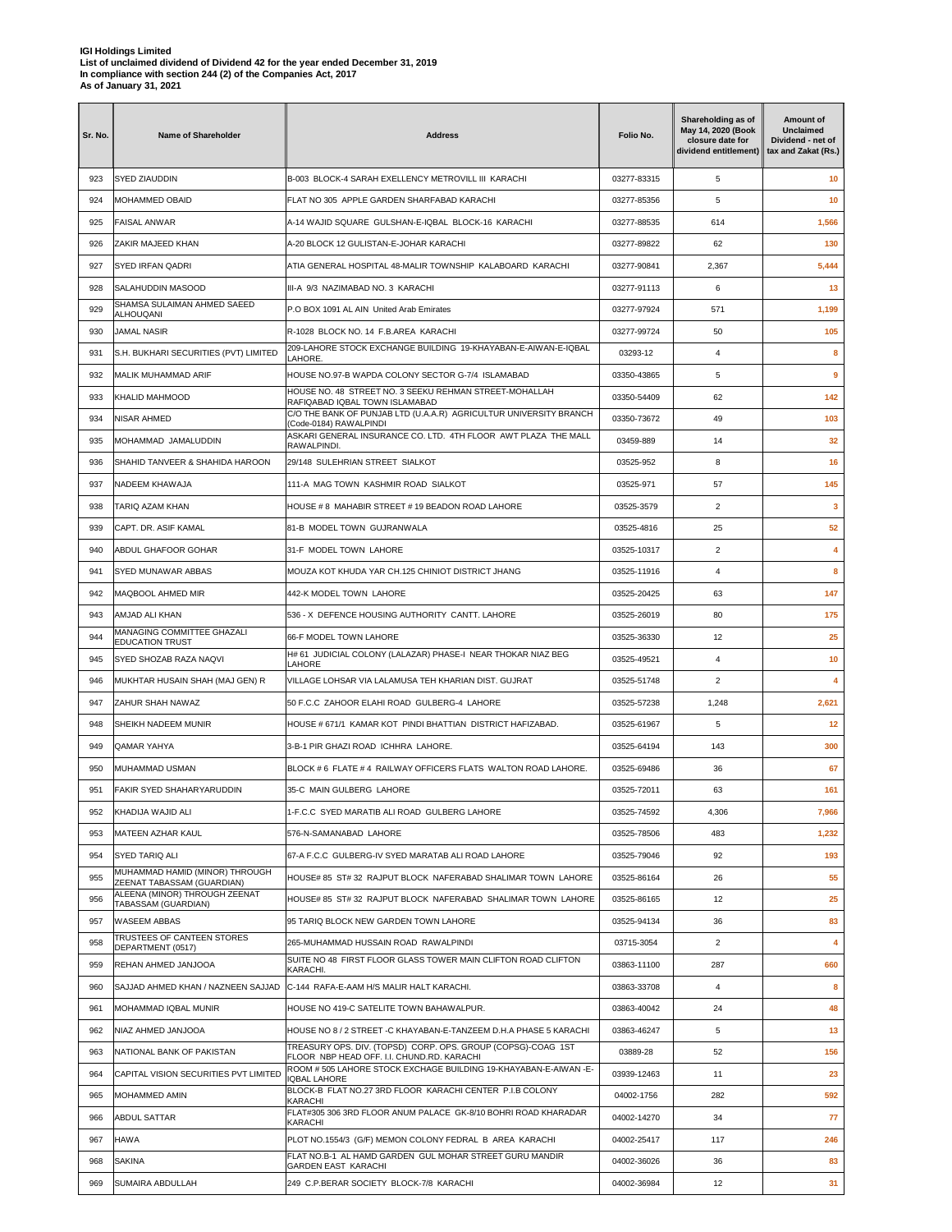| Sr. No. | <b>Name of Shareholder</b>                                  | <b>Address</b>                                                                                                                    | Folio No.   | Shareholding as of<br>May 14, 2020 (Book<br>closure date for<br>dividend entitlement) | Amount of<br>Unclaimed<br>Dividend - net of<br>tax and Zakat (Rs.) |
|---------|-------------------------------------------------------------|-----------------------------------------------------------------------------------------------------------------------------------|-------------|---------------------------------------------------------------------------------------|--------------------------------------------------------------------|
| 923     | SYED ZIAUDDIN                                               | B-003 BLOCK-4 SARAH EXELLENCY METROVILL III KARACHI                                                                               | 03277-83315 | 5                                                                                     | 10                                                                 |
| 924     | <b>MOHAMMED OBAID</b>                                       | FLAT NO 305 APPLE GARDEN SHARFABAD KARACHI                                                                                        | 03277-85356 | 5                                                                                     | 10                                                                 |
| 925     | <b>FAISAL ANWAR</b>                                         | A-14 WAJID SQUARE GULSHAN-E-IQBAL BLOCK-16 KARACHI                                                                                | 03277-88535 | 614                                                                                   | 1,566                                                              |
| 926     | ZAKIR MAJEED KHAN                                           | A-20 BLOCK 12 GULISTAN-E-JOHAR KARACHI                                                                                            | 03277-89822 | 62                                                                                    | 130                                                                |
| 927     | <b>SYED IRFAN QADRI</b>                                     | ATIA GENERAL HOSPITAL 48-MALIR TOWNSHIP KALABOARD KARACHI                                                                         | 03277-90841 | 2,367                                                                                 | 5,444                                                              |
| 928     | SALAHUDDIN MASOOD                                           | III-A 9/3 NAZIMABAD NO. 3 KARACHI                                                                                                 | 03277-91113 | 6                                                                                     | 13                                                                 |
| 929     | SHAMSA SULAIMAN AHMED SAEED<br>ALHOUQANI                    | P.O BOX 1091 AL AIN United Arab Emirates                                                                                          | 03277-97924 | 571                                                                                   | 1,199                                                              |
| 930     | JAMAL NASIR                                                 | R-1028 BLOCK NO. 14 F.B.AREA KARACHI                                                                                              | 03277-99724 | 50                                                                                    | 105                                                                |
| 931     | S.H. BUKHARI SECURITIES (PVT) LIMITED                       | 209-LAHORE STOCK EXCHANGE BUILDING 19-KHAYABAN-E-AIWAN-E-IQBAL<br>LAHORE.                                                         | 03293-12    | 4                                                                                     | 8                                                                  |
| 932     | MALIK MUHAMMAD ARIF                                         | HOUSE NO.97-B WAPDA COLONY SECTOR G-7/4 ISLAMABAD                                                                                 | 03350-43865 | 5                                                                                     | 9                                                                  |
| 933     | KHALID MAHMOOD                                              | HOUSE NO. 48 STREET NO. 3 SEEKU REHMAN STREET-MOHALLAH<br>RAFIQABAD IQBAL TOWN ISLAMABAD                                          | 03350-54409 | 62                                                                                    | 142                                                                |
| 934     | NISAR AHMED                                                 | C/O THE BANK OF PUNJAB LTD (U.A.A.R) AGRICULTUR UNIVERSITY BRANCH<br>(Code-0184) RAWALPINDI                                       | 03350-73672 | 49                                                                                    | 103                                                                |
| 935     | MOHAMMAD JAMALUDDIN                                         | ASKARI GENERAL INSURANCE CO. LTD. 4TH FLOOR AWT PLAZA THE MALL<br>RAWALPINDI.                                                     | 03459-889   | 14                                                                                    | 32                                                                 |
| 936     | SHAHID TANVEER & SHAHIDA HAROON                             | 29/148 SULEHRIAN STREET SIALKOT                                                                                                   | 03525-952   | 8                                                                                     | 16                                                                 |
| 937     | NADEEM KHAWAJA                                              | 111-A MAG TOWN KASHMIR ROAD SIALKOT                                                                                               | 03525-971   | 57                                                                                    | 145                                                                |
| 938     | TARIQ AZAM KHAN                                             | HOUSE # 8 MAHABIR STREET # 19 BEADON ROAD LAHORE                                                                                  | 03525-3579  | 2                                                                                     | 3                                                                  |
| 939     | CAPT. DR. ASIF KAMAL                                        | 81-B MODEL TOWN GUJRANWALA                                                                                                        | 03525-4816  | 25                                                                                    | 52                                                                 |
| 940     | ABDUL GHAFOOR GOHAR                                         | 31-F MODEL TOWN LAHORE                                                                                                            | 03525-10317 | $\overline{2}$                                                                        | 4                                                                  |
| 941     | SYED MUNAWAR ABBAS                                          | MOUZA KOT KHUDA YAR CH.125 CHINIOT DISTRICT JHANG                                                                                 | 03525-11916 | 4                                                                                     | 8                                                                  |
| 942     | MAQBOOL AHMED MIR                                           | 442-K MODEL TOWN LAHORE                                                                                                           | 03525-20425 | 63                                                                                    | 147                                                                |
| 943     | AMJAD ALI KHAN                                              | 536 - X DEFENCE HOUSING AUTHORITY CANTT. LAHORE                                                                                   | 03525-26019 | 80                                                                                    | 175                                                                |
| 944     | MANAGING COMMITTEE GHAZALI                                  | 66-F MODEL TOWN LAHORE                                                                                                            | 03525-36330 | 12                                                                                    | 25                                                                 |
| 945     | <b>EDUCATION TRUST</b><br>SYED SHOZAB RAZA NAQVI            | H# 61 JUDICIAL COLONY (LALAZAR) PHASE-I NEAR THOKAR NIAZ BEG                                                                      | 03525-49521 | 4                                                                                     | 10                                                                 |
| 946     | MUKHTAR HUSAIN SHAH (MAJ GEN) R                             | LAHORE<br>VILLAGE LOHSAR VIA LALAMUSA TEH KHARIAN DIST. GUJRAT                                                                    | 03525-51748 | $\overline{2}$                                                                        | 4                                                                  |
| 947     | ZAHUR SHAH NAWAZ                                            | 50 F.C.C ZAHOOR ELAHI ROAD GULBERG-4 LAHORE                                                                                       | 03525-57238 | 1,248                                                                                 | 2,621                                                              |
| 948     | SHEIKH NADEEM MUNIR                                         | HOUSE # 671/1 KAMAR KOT PINDI BHATTIAN DISTRICT HAFIZABAD.                                                                        | 03525-61967 | 5                                                                                     | 12                                                                 |
| 949     | QAMAR YAHYA                                                 | 3-B-1 PIR GHAZI ROAD ICHHRA LAHORE.                                                                                               | 03525-64194 | 143                                                                                   | 300                                                                |
| 950     | MUHAMMAD USMAN                                              | BLOCK #6 FLATE #4 RAILWAY OFFICERS FLATS WALTON ROAD LAHORE.                                                                      | 03525-69486 | 36                                                                                    | 67                                                                 |
| 951     | FAKIR SYED SHAHARYARUDDIN                                   | 35-C MAIN GULBERG LAHORE                                                                                                          | 03525-72011 | 63                                                                                    | 161                                                                |
| 952     | KHADIJA WAJID ALI                                           | 1-F.C.C SYED MARATIB ALI ROAD GULBERG LAHORE                                                                                      | 03525-74592 | 4,306                                                                                 | 7,966                                                              |
| 953     | MATEEN AZHAR KAUL                                           | 576-N-SAMANABAD LAHORE                                                                                                            | 03525-78506 | 483                                                                                   | 1,232                                                              |
| 954     | SYED TARIQ ALI                                              | 67-A F.C.C GULBERG-IV SYED MARATAB ALI ROAD LAHORE                                                                                | 03525-79046 | 92                                                                                    | 193                                                                |
| 955     | MUHAMMAD HAMID (MINOR) THROUGH                              | HOUSE# 85 ST# 32 RAJPUT BLOCK NAFERABAD SHALIMAR TOWN LAHORE                                                                      | 03525-86164 | 26                                                                                    | 55                                                                 |
| 956     | ZEENAT TABASSAM (GUARDIAN)<br>ALEENA (MINOR) THROUGH ZEENAT | HOUSE# 85 ST# 32 RAJPUT BLOCK NAFERABAD SHALIMAR TOWN LAHORE                                                                      | 03525-86165 | 12                                                                                    | 25                                                                 |
| 957     | TABASSAM (GUARDIAN)<br><b>WASEEM ABBAS</b>                  | 95 TARIQ BLOCK NEW GARDEN TOWN LAHORE                                                                                             | 03525-94134 | 36                                                                                    | 83                                                                 |
|         | TRUSTEES OF CANTEEN STORES                                  | 265-MUHAMMAD HUSSAIN ROAD RAWALPINDI                                                                                              |             |                                                                                       |                                                                    |
| 958     | DEPARTMENT (0517)                                           | SUITE NO 48 FIRST FLOOR GLASS TOWER MAIN CLIFTON ROAD CLIFTON                                                                     | 03715-3054  | $\overline{a}$                                                                        | 4                                                                  |
| 959     | REHAN AHMED JANJOOA                                         | KARACHI.                                                                                                                          | 03863-11100 | 287                                                                                   | 660                                                                |
| 960     | SAJJAD AHMED KHAN / NAZNEEN SAJJAD                          | C-144 RAFA-E-AAM H/S MALIR HALT KARACHI.                                                                                          | 03863-33708 | 4                                                                                     | 8                                                                  |
| 961     | MOHAMMAD IQBAL MUNIR                                        | HOUSE NO 419-C SATELITE TOWN BAHAWALPUR.                                                                                          | 03863-40042 | 24                                                                                    | 48                                                                 |
| 962     | NIAZ AHMED JANJOOA                                          | HOUSE NO 8 / 2 STREET -C KHAYABAN-E-TANZEEM D.H.A PHASE 5 KARACHI<br>TREASURY OPS. DIV. (TOPSD) CORP. OPS. GROUP (COPSG)-COAG 1ST | 03863-46247 | 5                                                                                     | 13                                                                 |
| 963     | NATIONAL BANK OF PAKISTAN                                   | FLOOR NBP HEAD OFF. I.I. CHUND.RD. KARACHI<br>ROOM # 505 LAHORE STOCK EXCHAGE BUILDING 19-KHAYABAN-E-AIWAN -E-                    | 03889-28    | 52                                                                                    | 156                                                                |
| 964     | CAPITAL VISION SECURITIES PVT LIMITED                       | <b>IQBAL LAHORE</b><br>BLOCK-B FLAT NO.27 3RD FLOOR KARACHI CENTER P.I.B COLONY                                                   | 03939-12463 | 11                                                                                    | 23                                                                 |
| 965     | MOHAMMED AMIN                                               | KARACHI                                                                                                                           | 04002-1756  | 282                                                                                   | 592                                                                |
| 966     | <b>ABDUL SATTAR</b>                                         | FLAT#305 306 3RD FLOOR ANUM PALACE GK-8/10 BOHRI ROAD KHARADAR<br>KARACHI                                                         | 04002-14270 | 34                                                                                    | 77                                                                 |
| 967     | <b>HAWA</b>                                                 | PLOT NO.1554/3 (G/F) MEMON COLONY FEDRAL B AREA KARACHI                                                                           | 04002-25417 | 117                                                                                   | 246                                                                |
| 968     | <b>SAKINA</b>                                               | FLAT NO.B-1 AL HAMD GARDEN GUL MOHAR STREET GURU MANDIR<br><b>GARDEN EAST KARACHI</b>                                             | 04002-36026 | 36                                                                                    | 83                                                                 |
| 969     | SUMAIRA ABDULLAH                                            | 249 C.P.BERAR SOCIETY BLOCK-7/8 KARACHI                                                                                           | 04002-36984 | 12                                                                                    | 31                                                                 |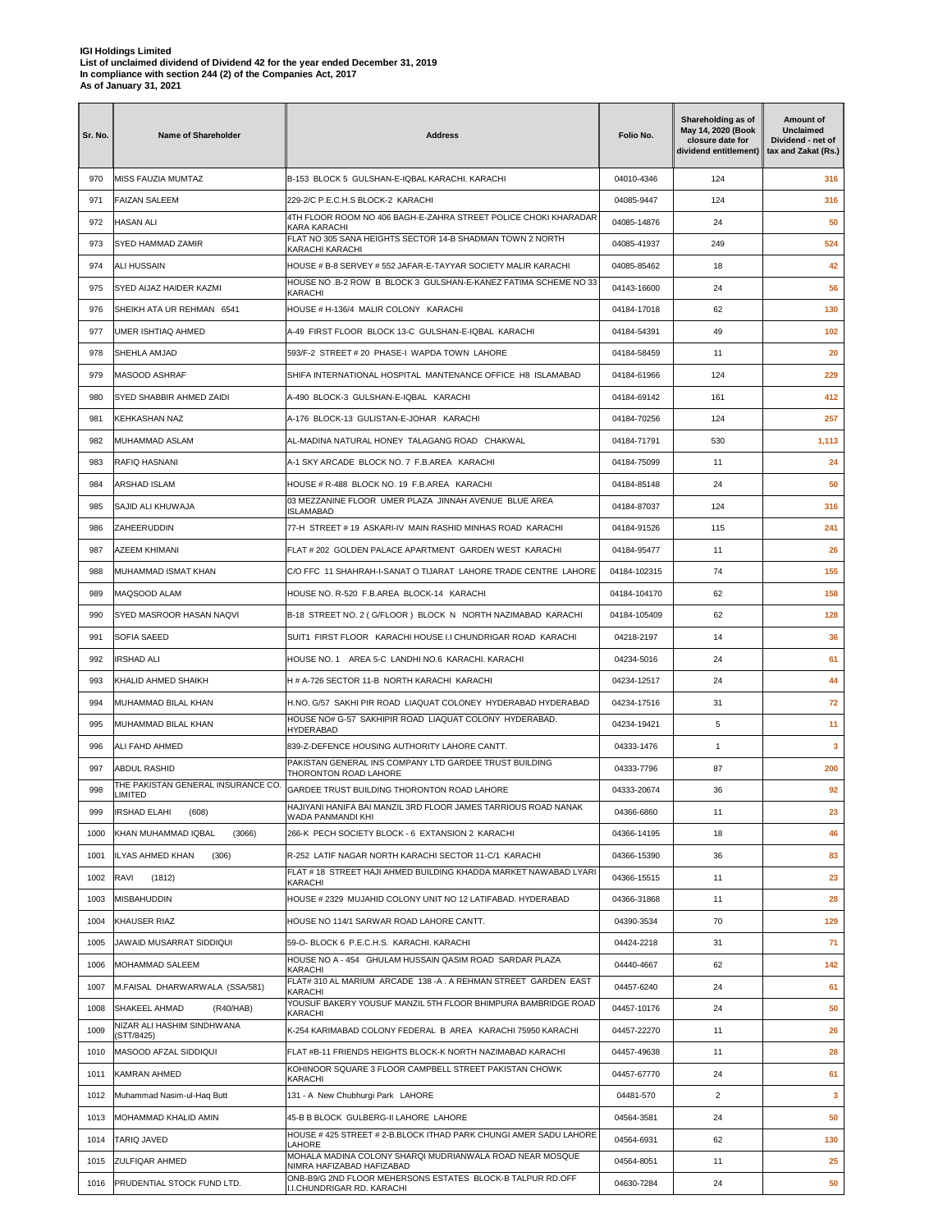| Sr. No. | <b>Name of Shareholder</b>                         | <b>Address</b>                                                                                                          | Folio No.    | Shareholding as of<br>May 14, 2020 (Book<br>closure date for<br>dividend entitlement) | <b>Amount of</b><br><b>Unclaimed</b><br>Dividend - net of<br>tax and Zakat (Rs.) |
|---------|----------------------------------------------------|-------------------------------------------------------------------------------------------------------------------------|--------------|---------------------------------------------------------------------------------------|----------------------------------------------------------------------------------|
| 970     | MISS FAUZIA MUMTAZ                                 | B-153 BLOCK 5 GULSHAN-E-IQBAL KARACHI. KARACHI                                                                          | 04010-4346   | 124                                                                                   | 316                                                                              |
| 971     | <b>FAIZAN SALEEM</b>                               | 229-2/C P.E.C.H.S BLOCK-2 KARACHI                                                                                       | 04085-9447   | 124                                                                                   | 316                                                                              |
| 972     | <b>HASAN ALI</b>                                   | 4TH FLOOR ROOM NO 406 BAGH-E-ZAHRA STREET POLICE CHOKI KHARADAR<br>KARA KARACHI                                         | 04085-14876  | 24                                                                                    | 50                                                                               |
| 973     | SYED HAMMAD ZAMIR                                  | FLAT NO 305 SANA HEIGHTS SECTOR 14-B SHADMAN TOWN 2 NORTH<br>KARACHI KARACHI                                            | 04085-41937  | 249                                                                                   | 524                                                                              |
| 974     | <b>ALI HUSSAIN</b>                                 | HOUSE # B-8 SERVEY # 552 JAFAR-E-TAYYAR SOCIETY MALIR KARACHI                                                           | 04085-85462  | 18                                                                                    | 42                                                                               |
| 975     | SYED AIJAZ HAIDER KAZMI                            | HOUSE NO .B-2 ROW B BLOCK 3 GULSHAN-E-KANEZ FATIMA SCHEME NO 33<br>KARACHI                                              | 04143-16600  | 24                                                                                    | 56                                                                               |
| 976     | SHEIKH ATA UR REHMAN 6541                          | HOUSE # H-136/4 MALIR COLONY KARACHI                                                                                    | 04184-17018  | 62                                                                                    | 130                                                                              |
| 977     | UMER ISHTIAQ AHMED                                 | A-49 FIRST FLOOR BLOCK 13-C GULSHAN-E-IQBAL KARACHI                                                                     | 04184-54391  | 49                                                                                    | 102                                                                              |
| 978     | SHEHLA AMJAD                                       | 593/F-2 STREET # 20 PHASE-I WAPDA TOWN LAHORE                                                                           | 04184-58459  | 11                                                                                    | 20                                                                               |
| 979     | MASOOD ASHRAF                                      | SHIFA INTERNATIONAL HOSPITAL MANTENANCE OFFICE H8 ISLAMABAD                                                             | 04184-61966  | 124                                                                                   | 229                                                                              |
| 980     | SYED SHABBIR AHMED ZAIDI                           | A-490 BLOCK-3 GULSHAN-E-IQBAL KARACHI                                                                                   | 04184-69142  | 161                                                                                   | 412                                                                              |
| 981     | KEHKASHAN NAZ                                      | A-176 BLOCK-13 GULISTAN-E-JOHAR KARACHI                                                                                 | 04184-70256  | 124                                                                                   | 257                                                                              |
| 982     | MUHAMMAD ASLAM                                     | AL-MADINA NATURAL HONEY TALAGANG ROAD CHAKWAL                                                                           | 04184-71791  | 530                                                                                   | 1,113                                                                            |
| 983     | RAFIQ HASNANI                                      | A-1 SKY ARCADE BLOCK NO. 7 F.B.AREA KARACHI                                                                             | 04184-75099  | 11                                                                                    | 24                                                                               |
| 984     | <b>ARSHAD ISLAM</b>                                | HOUSE # R-488 BLOCK NO. 19 F.B.AREA KARACHI                                                                             | 04184-85148  | 24                                                                                    | 50                                                                               |
| 985     | SAJID ALI KHUWAJA                                  | 03 MEZZANINE FLOOR UMER PLAZA JINNAH AVENUE BLUE AREA                                                                   | 04184-87037  | 124                                                                                   | 316                                                                              |
| 986     | ZAHEERUDDIN                                        | <b>ISLAMABAD</b><br>77-H STREET # 19 ASKARI-IV MAIN RASHID MINHAS ROAD KARACHI                                          | 04184-91526  | 115                                                                                   | 241                                                                              |
| 987     | AZEEM KHIMANI                                      | FLAT # 202 GOLDEN PALACE APARTMENT GARDEN WEST KARACHI                                                                  | 04184-95477  | 11                                                                                    | 26                                                                               |
| 988     | MUHAMMAD ISMAT KHAN                                | C/O FFC 11 SHAHRAH-I-SANAT O TIJARAT LAHORE TRADE CENTRE LAHORE                                                         | 04184-102315 | 74                                                                                    | 155                                                                              |
| 989     | MAQSOOD ALAM                                       | HOUSE NO. R-520 F.B.AREA BLOCK-14 KARACHI                                                                               | 04184-104170 | 62                                                                                    | 158                                                                              |
| 990     | SYED MASROOR HASAN NAQVI                           | B-18 STREET NO. 2 (G/FLOOR) BLOCK N NORTH NAZIMABAD KARACHI                                                             | 04184-105409 | 62                                                                                    | 128                                                                              |
|         |                                                    |                                                                                                                         |              |                                                                                       |                                                                                  |
| 991     | <b>SOFIA SAEED</b>                                 | SUIT1 FIRST FLOOR KARACHI HOUSE I.I CHUNDRIGAR ROAD KARACHI                                                             | 04218-2197   | 14                                                                                    | 36                                                                               |
| 992     | <b>IRSHAD ALI</b>                                  | HOUSE NO. 1 AREA 5-C LANDHI NO.6 KARACHI. KARACHI                                                                       | 04234-5016   | 24                                                                                    | 61                                                                               |
| 993     | KHALID AHMED SHAIKH                                | H # A-726 SECTOR 11-B NORTH KARACHI KARACHI                                                                             | 04234-12517  | 24                                                                                    | 44                                                                               |
| 994     | MUHAMMAD BILAL KHAN                                | H.NO. G/57 SAKHI PIR ROAD LIAQUAT COLONEY HYDERABAD HYDERABAD<br>HOUSE NO# G-57 SAKHIPIR ROAD LIAQUAT COLONY HYDERABAD. | 04234-17516  | 31                                                                                    | 72                                                                               |
| 995     | MUHAMMAD BILAL KHAN                                | <b>HYDERABAD</b>                                                                                                        | 04234-19421  | 5                                                                                     | 11                                                                               |
| 996     | ALI FAHD AHMED                                     | 839-Z-DEFENCE HOUSING AUTHORITY LAHORE CANTT.<br>PAKISTAN GENERAL INS COMPANY LTD GARDEE TRUST BUILDING                 | 04333-1476   | $\mathbf{1}$                                                                          | 3                                                                                |
| 997     | ABDUL RASHID<br>THE PAKISTAN GENERAL INSURANCE CO. | THORONTON ROAD LAHORE                                                                                                   | 04333-7796   | 87                                                                                    | 200                                                                              |
| 998     | LIMITED                                            | GARDEE TRUST BUILDING THORONTON ROAD LAHORE<br>HAJIYANI HANIFA BAI MANZIL 3RD FLOOR JAMES TARRIOUS ROAD NANAK           | 04333-20674  | 36                                                                                    | 92                                                                               |
| 999     | <b>IRSHAD ELAHI</b><br>(608)                       | WADA PANMANDI KHI                                                                                                       | 04366-6860   | 11                                                                                    | 23                                                                               |
| 1000    | KHAN MUHAMMAD IQBAL<br>(3066)                      | 266-K PECH SOCIETY BLOCK - 6 EXTANSION 2 KARACHI                                                                        | 04366-14195  | 18                                                                                    | 46                                                                               |
| 1001    | ILYAS AHMED KHAN<br>(306)                          | R-252 LATIF NAGAR NORTH KARACHI SECTOR 11-C/1 KARACHI                                                                   | 04366-15390  | 36                                                                                    | 83                                                                               |
| 1002    | RAVI<br>(1812)                                     | FLAT # 18 STREET HAJI AHMED BUILDING KHADDA MARKET NAWABAD LYARI<br>KARACHI                                             | 04366-15515  | 11                                                                                    | 23                                                                               |
| 1003    | MISBAHUDDIN                                        | HOUSE # 2329 MUJAHID COLONY UNIT NO 12 LATIFABAD. HYDERABAD                                                             | 04366-31868  | 11                                                                                    | 28                                                                               |
| 1004    | KHAUSER RIAZ                                       | HOUSE NO 114/1 SARWAR ROAD LAHORE CANTT.                                                                                | 04390-3534   | 70                                                                                    | 129                                                                              |
| 1005    | JAWAID MUSARRAT SIDDIQUI                           | 59-O- BLOCK 6 P.E.C.H.S. KARACHI. KARACHI                                                                               | 04424-2218   | 31                                                                                    | 71                                                                               |
| 1006    | <b>MOHAMMAD SALEEM</b>                             | HOUSE NO A - 454 GHULAM HUSSAIN QASIM ROAD SARDAR PLAZA<br><b>KARACHI</b>                                               | 04440-4667   | 62                                                                                    | 142                                                                              |
| 1007    | M.FAISAL DHARWARWALA (SSA/581)                     | FLAT# 310 AL MARIUM ARCADE 138 -A. A REHMAN STREET GARDEN EAST<br>KARACHI                                               | 04457-6240   | 24                                                                                    | 61                                                                               |
| 1008    | SHAKEEL AHMAD<br>(R40/HAB)                         | YOUSUF BAKERY YOUSUF MANZIL 5TH FLOOR BHIMPURA BAMBRIDGE ROAD<br>KARACHI                                                | 04457-10176  | 24                                                                                    | 50                                                                               |
| 1009    | NIZAR ALI HASHIM SINDHWANA<br>(STT/8425)           | K-254 KARIMABAD COLONY FEDERAL B AREA KARACHI 75950 KARACHI                                                             | 04457-22270  | 11                                                                                    | 26                                                                               |
| 1010    | MASOOD AFZAL SIDDIQUI                              | FLAT #B-11 FRIENDS HEIGHTS BLOCK-K NORTH NAZIMABAD KARACHI                                                              | 04457-49638  | 11                                                                                    | 28                                                                               |
| 1011    | KAMRAN AHMED                                       | KOHINOOR SQUARE 3 FLOOR CAMPBELL STREET PAKISTAN CHOWK<br>KARACHI                                                       | 04457-67770  | 24                                                                                    | 61                                                                               |
| 1012    | Muhammad Nasim-ul-Haq Butt                         | 131 - A New Chubhurgi Park LAHORE                                                                                       | 04481-570    | $\overline{2}$                                                                        | 3                                                                                |
| 1013    | MOHAMMAD KHALID AMIN                               | 45-B B BLOCK GULBERG-II LAHORE LAHORE                                                                                   | 04564-3581   | 24                                                                                    | 50                                                                               |
| 1014    | <b>TARIQ JAVED</b>                                 | HOUSE #425 STREET #2-B.BLOCK ITHAD PARK CHUNGI AMER SADU LAHORE<br>LAHORE                                               | 04564-6931   | 62                                                                                    | 130                                                                              |
| 1015    | <b>ZULFIQAR AHMED</b>                              | MOHALA MADINA COLONY SHARQI MUDRIANWALA ROAD NEAR MOSQUE<br>NIMRA HAFIZABAD HAFIZABAD                                   | 04564-8051   | 11                                                                                    | 25                                                                               |
| 1016    | PRUDENTIAL STOCK FUND LTD.                         | ONB-B9/G 2ND FLOOR MEHERSONS ESTATES BLOCK-B TALPUR RD.OFF<br>I.I.CHUNDRIGAR RD. KARACHI                                | 04630-7284   | 24                                                                                    | 50                                                                               |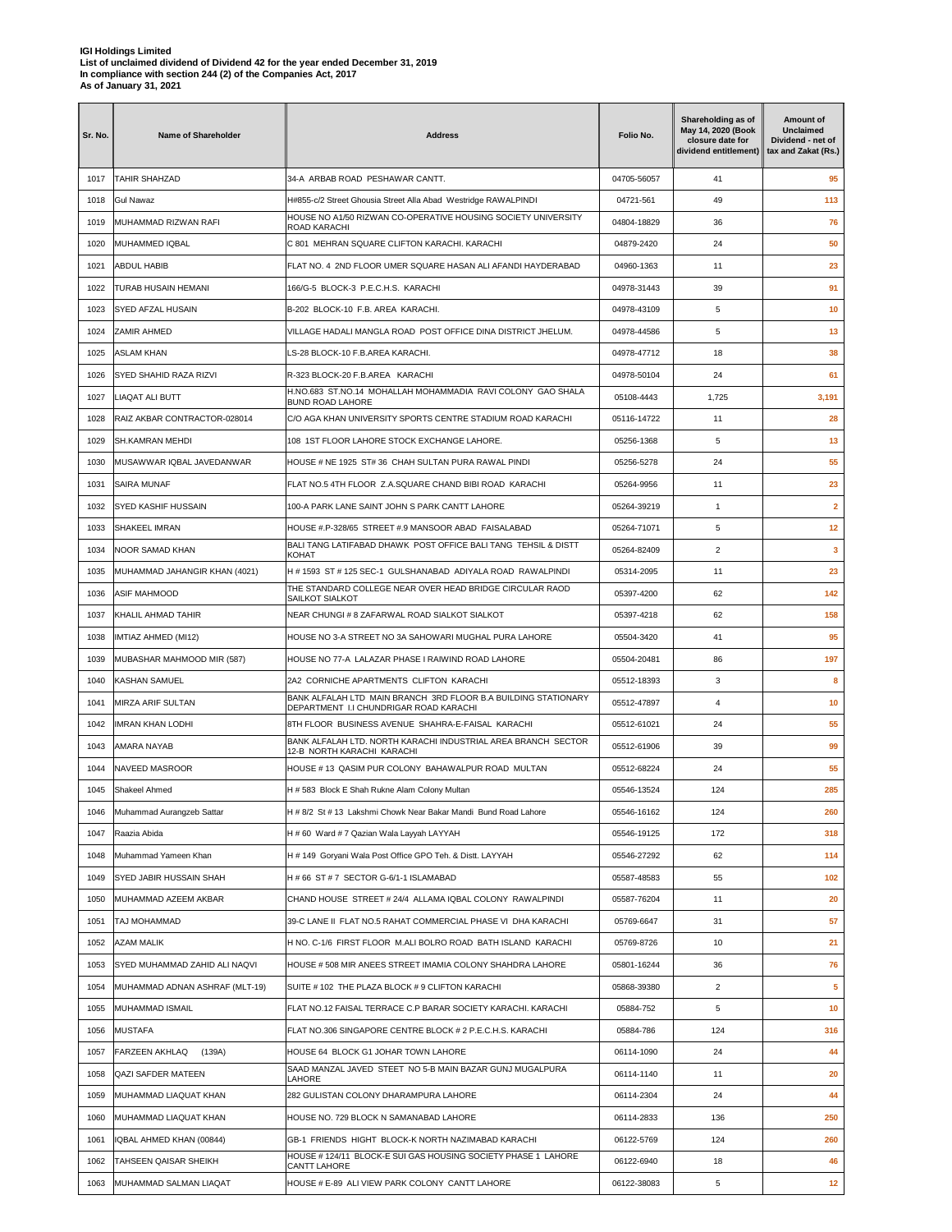| Sr. No. | <b>Name of Shareholder</b>     | <b>Address</b>                                                                                           | Folio No.   | Shareholding as of<br>May 14, 2020 (Book<br>closure date for<br>dividend entitlement) | Amount of<br>Unclaimed<br>Dividend - net of<br>tax and Zakat (Rs.) |
|---------|--------------------------------|----------------------------------------------------------------------------------------------------------|-------------|---------------------------------------------------------------------------------------|--------------------------------------------------------------------|
| 1017    | <b>TAHIR SHAHZAD</b>           | 34-A ARBAB ROAD PESHAWAR CANTT.                                                                          | 04705-56057 | 41                                                                                    | 95                                                                 |
| 1018    | Gul Nawaz                      | H#855-c/2 Street Ghousia Street Alla Abad Westridge RAWALPINDI                                           | 04721-561   | 49                                                                                    | 113                                                                |
| 1019    | MUHAMMAD RIZWAN RAFI           | HOUSE NO A1/50 RIZWAN CO-OPERATIVE HOUSING SOCIETY UNIVERSITY<br>ROAD KARACHI                            | 04804-18829 | 36                                                                                    | 76                                                                 |
| 1020    | MUHAMMED IQBAL                 | C 801 MEHRAN SQUARE CLIFTON KARACHI. KARACHI                                                             | 04879-2420  | 24                                                                                    | 50                                                                 |
| 1021    | ABDUL HABIB                    | FLAT NO. 4 2ND FLOOR UMER SQUARE HASAN ALI AFANDI HAYDERABAD                                             | 04960-1363  | 11                                                                                    | 23                                                                 |
| 1022    | TURAB HUSAIN HEMANI            | 166/G-5 BLOCK-3 P.E.C.H.S. KARACHI                                                                       | 04978-31443 | 39                                                                                    | 91                                                                 |
| 1023    | SYED AFZAL HUSAIN              | B-202 BLOCK-10 F.B. AREA KARACHI.                                                                        | 04978-43109 | 5                                                                                     | 10                                                                 |
| 1024    | ZAMIR AHMED                    | VILLAGE HADALI MANGLA ROAD POST OFFICE DINA DISTRICT JHELUM.                                             | 04978-44586 | 5                                                                                     | 13                                                                 |
| 1025    | ASLAM KHAN                     | LS-28 BLOCK-10 F.B.AREA KARACHI.                                                                         | 04978-47712 | 18                                                                                    | 38                                                                 |
| 1026    | SYED SHAHID RAZA RIZVI         | R-323 BLOCK-20 F.B.AREA KARACHI                                                                          | 04978-50104 | 24                                                                                    | 61                                                                 |
| 1027    | LIAQAT ALI BUTT                | H.NO.683 ST.NO.14 MOHALLAH MOHAMMADIA RAVI COLONY GAO SHALA<br><b>BUND ROAD LAHORE</b>                   | 05108-4443  | 1,725                                                                                 | 3,191                                                              |
| 1028    | RAIZ AKBAR CONTRACTOR-028014   | C/O AGA KHAN UNIVERSITY SPORTS CENTRE STADIUM ROAD KARACHI                                               | 05116-14722 | 11                                                                                    | 28                                                                 |
| 1029    | SH.KAMRAN MEHDI                | 108 1ST FLOOR LAHORE STOCK EXCHANGE LAHORE.                                                              | 05256-1368  | 5                                                                                     | 13                                                                 |
| 1030    | MUSAWWAR IQBAL JAVEDANWAR      | HOUSE # NE 1925 ST# 36 CHAH SULTAN PURA RAWAL PINDI                                                      | 05256-5278  | 24                                                                                    | 55                                                                 |
| 1031    | SAIRA MUNAF                    | FLAT NO.5 4TH FLOOR Z.A.SQUARE CHAND BIBI ROAD KARACHI                                                   | 05264-9956  | 11                                                                                    | 23                                                                 |
| 1032    | SYED KASHIF HUSSAIN            | 100-A PARK LANE SAINT JOHN S PARK CANTT LAHORE                                                           | 05264-39219 | $\mathbf{1}$                                                                          | $\mathbf{2}$                                                       |
| 1033    | SHAKEEL IMRAN                  | HOUSE #.P-328/65 STREET #.9 MANSOOR ABAD FAISALABAD                                                      | 05264-71071 | 5                                                                                     | 12                                                                 |
| 1034    | NOOR SAMAD KHAN                | BALI TANG LATIFABAD DHAWK POST OFFICE BALI TANG TEHSIL & DISTT<br>KOHAT                                  | 05264-82409 | $\overline{2}$                                                                        | 3                                                                  |
| 1035    | MUHAMMAD JAHANGIR KHAN (4021)  | H#1593 ST#125 SEC-1 GULSHANABAD ADIYALA ROAD RAWALPINDI                                                  | 05314-2095  | 11                                                                                    | 23                                                                 |
| 1036    | ASIF MAHMOOD                   | THE STANDARD COLLEGE NEAR OVER HEAD BRIDGE CIRCULAR RAOD<br>SAILKOT SIALKOT                              | 05397-4200  | 62                                                                                    | 142                                                                |
| 1037    | KHALIL AHMAD TAHIR             | NEAR CHUNGI # 8 ZAFARWAL ROAD SIALKOT SIALKOT                                                            | 05397-4218  | 62                                                                                    | 158                                                                |
| 1038    | IMTIAZ AHMED (MI12)            | HOUSE NO 3-A STREET NO 3A SAHOWARI MUGHAL PURA LAHORE                                                    | 05504-3420  | 41                                                                                    | 95                                                                 |
| 1039    | MUBASHAR MAHMOOD MIR (587)     | HOUSE NO 77-A LALAZAR PHASE I RAIWIND ROAD LAHORE                                                        | 05504-20481 | 86                                                                                    | 197                                                                |
| 1040    | KASHAN SAMUEL                  | 2A2 CORNICHE APARTMENTS CLIFTON KARACHI                                                                  | 05512-18393 | 3                                                                                     | 8                                                                  |
| 1041    | MIRZA ARIF SULTAN              | BANK ALFALAH LTD MAIN BRANCH 3RD FLOOR B.A BUILDING STATIONARY<br>DEPARTMENT I.I CHUNDRIGAR ROAD KARACHI | 05512-47897 | $\overline{4}$                                                                        | 10                                                                 |
| 1042    | IMRAN KHAN LODHI               | 8TH FLOOR BUSINESS AVENUE SHAHRA-E-FAISAL KARACHI                                                        | 05512-61021 | 24                                                                                    | 55                                                                 |
| 1043    | AMARA NAYAB                    | BANK ALFALAH LTD. NORTH KARACHI INDUSTRIAL AREA BRANCH SECTOR<br>12-B NORTH KARACHI KARACHI              | 05512-61906 | 39                                                                                    | 99                                                                 |
| 1044    | NAVEED MASROOR                 | HOUSE # 13 QASIM PUR COLONY BAHAWALPUR ROAD MULTAN                                                       | 05512-68224 | 24                                                                                    | 55                                                                 |
| 1045    | Shakeel Ahmed                  | H # 583 Block E Shah Rukne Alam Colony Multan                                                            | 05546-13524 | 124                                                                                   | 285                                                                |
| 1046    | Muhammad Aurangzeb Sattar      | H # 8/2 St # 13 Lakshmi Chowk Near Bakar Mandi Bund Road Lahore                                          | 05546-16162 | 124                                                                                   | 260                                                                |
| 1047    | Raazia Abida                   | H # 60 Ward # 7 Qazian Wala Layyah LAYYAH                                                                | 05546-19125 | 172                                                                                   | 318                                                                |
| 1048    | Muhammad Yameen Khan           | H # 149 Goryani Wala Post Office GPO Teh. & Distt. LAYYAH                                                | 05546-27292 | 62                                                                                    | 114                                                                |
| 1049    | SYED JABIR HUSSAIN SHAH        | H # 66 ST # 7 SECTOR G-6/1-1 ISLAMABAD                                                                   | 05587-48583 | 55                                                                                    | 102                                                                |
| 1050    | MUHAMMAD AZEEM AKBAR           | CHAND HOUSE STREET # 24/4 ALLAMA IQBAL COLONY RAWALPINDI                                                 | 05587-76204 | 11                                                                                    | 20                                                                 |
| 1051    | TAJ MOHAMMAD                   | 39-C LANE II FLAT NO.5 RAHAT COMMERCIAL PHASE VI DHA KARACHI                                             | 05769-6647  | 31                                                                                    | 57                                                                 |
| 1052    | AZAM MALIK                     | H NO. C-1/6 FIRST FLOOR M.ALI BOLRO ROAD BATH ISLAND KARACHI                                             | 05769-8726  | 10                                                                                    | 21                                                                 |
| 1053    | SYED MUHAMMAD ZAHID ALI NAQVI  | HOUSE # 508 MIR ANEES STREET IMAMIA COLONY SHAHDRA LAHORE                                                | 05801-16244 | 36                                                                                    | 76                                                                 |
| 1054    | MUHAMMAD ADNAN ASHRAF (MLT-19) | SUITE # 102 THE PLAZA BLOCK # 9 CLIFTON KARACHI                                                          | 05868-39380 | $\overline{2}$                                                                        | 5                                                                  |
| 1055    | MUHAMMAD ISMAIL                | FLAT NO.12 FAISAL TERRACE C.P BARAR SOCIETY KARACHI. KARACHI                                             | 05884-752   | 5                                                                                     | 10                                                                 |
| 1056    | MUSTAFA                        | FLAT NO.306 SINGAPORE CENTRE BLOCK # 2 P.E.C.H.S. KARACHI                                                | 05884-786   | 124                                                                                   | 316                                                                |
| 1057    | FARZEEN AKHLAQ (139A)          | HOUSE 64 BLOCK G1 JOHAR TOWN LAHORE                                                                      | 06114-1090  | 24                                                                                    | 44                                                                 |
| 1058    | QAZI SAFDER MATEEN             | SAAD MANZAL JAVED STEET NO 5-B MAIN BAZAR GUNJ MUGALPURA<br>LAHORE                                       | 06114-1140  | 11                                                                                    | 20                                                                 |
| 1059    | MUHAMMAD LIAQUAT KHAN          | 282 GULISTAN COLONY DHARAMPURA LAHORE                                                                    | 06114-2304  | 24                                                                                    | 44                                                                 |
| 1060    | MUHAMMAD LIAQUAT KHAN          | HOUSE NO. 729 BLOCK N SAMANABAD LAHORE                                                                   | 06114-2833  | 136                                                                                   | 250                                                                |
| 1061    | IQBAL AHMED KHAN (00844)       | GB-1 FRIENDS HIGHT BLOCK-K NORTH NAZIMABAD KARACHI                                                       | 06122-5769  | 124                                                                                   | 260                                                                |
| 1062    | TAHSEEN QAISAR SHEIKH          | HOUSE # 124/11 BLOCK-E SUI GAS HOUSING SOCIETY PHASE 1 LAHORE<br><b>CANTT LAHORE</b>                     | 06122-6940  | 18                                                                                    | 46                                                                 |
| 1063    | MUHAMMAD SALMAN LIAQAT         | HOUSE # E-89 ALI VIEW PARK COLONY CANTT LAHORE                                                           | 06122-38083 | 5                                                                                     | 12                                                                 |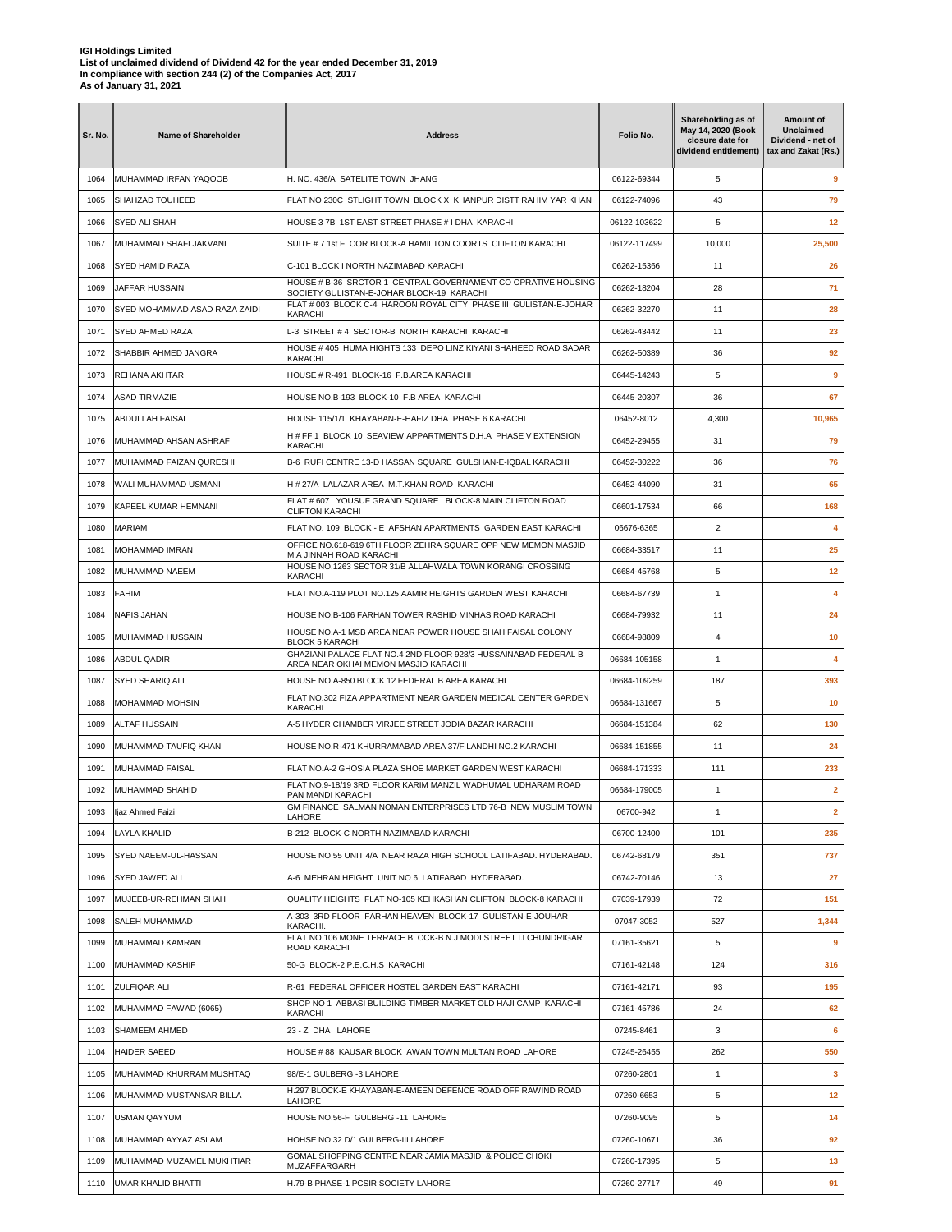| Sr. No. | Name of Shareholder           | <b>Address</b>                                                                                                            | Folio No.    | Shareholding as of<br>May 14, 2020 (Book<br>closure date for<br>dividend entitlement) | Amount of<br><b>Unclaimed</b><br>Dividend - net of<br>tax and Zakat (Rs.) |
|---------|-------------------------------|---------------------------------------------------------------------------------------------------------------------------|--------------|---------------------------------------------------------------------------------------|---------------------------------------------------------------------------|
| 1064    | MUHAMMAD IRFAN YAQOOB         | H. NO. 436/A SATELITE TOWN JHANG                                                                                          | 06122-69344  | 5                                                                                     | 9                                                                         |
| 1065    | <b>SHAHZAD TOUHEED</b>        | FLAT NO 230C STLIGHT TOWN BLOCK X KHANPUR DISTT RAHIM YAR KHAN                                                            | 06122-74096  | 43                                                                                    | 79                                                                        |
| 1066    | <b>SYED ALI SHAH</b>          | HOUSE 3 7B 1ST EAST STREET PHASE # I DHA KARACHI                                                                          | 06122-103622 | 5                                                                                     | 12                                                                        |
| 1067    | MUHAMMAD SHAFI JAKVANI        | SUITE # 7 1st FLOOR BLOCK-A HAMILTON COORTS CLIFTON KARACHI                                                               | 06122-117499 | 10,000                                                                                | 25,500                                                                    |
| 1068    | SYED HAMID RAZA               | C-101 BLOCK I NORTH NAZIMABAD KARACHI                                                                                     | 06262-15366  | 11                                                                                    | 26                                                                        |
| 1069    | JAFFAR HUSSAIN                | HOUSE # B-36 SRCTOR 1 CENTRAL GOVERNAMENT CO OPRATIVE HOUSING<br>SOCIETY GULISTAN-E-JOHAR BLOCK-19 KARACHI                | 06262-18204  | 28                                                                                    | 71                                                                        |
| 1070    | SYED MOHAMMAD ASAD RAZA ZAIDI | FLAT # 003 BLOCK C-4 HAROON ROYAL CITY PHASE III GULISTAN-E-JOHAR<br>KARACHI                                              | 06262-32270  | 11                                                                                    | 28                                                                        |
| 1071    | <b>SYED AHMED RAZA</b>        | L-3 STREET#4 SECTOR-B NORTH KARACHI KARACHI                                                                               | 06262-43442  | 11                                                                                    | 23                                                                        |
| 1072    | SHABBIR AHMED JANGRA          | HOUSE # 405 HUMA HIGHTS 133 DEPO LINZ KIYANI SHAHEED ROAD SADAR<br>KARACHI                                                | 06262-50389  | 36                                                                                    | 92                                                                        |
| 1073    | REHANA AKHTAR                 | HOUSE # R-491 BLOCK-16 F.B.AREA KARACHI                                                                                   | 06445-14243  | 5                                                                                     | 9                                                                         |
| 1074    | <b>ASAD TIRMAZIE</b>          | HOUSE NO.B-193 BLOCK-10 F.B AREA KARACHI                                                                                  | 06445-20307  | 36                                                                                    | 67                                                                        |
| 1075    | <b>ABDULLAH FAISAL</b>        | HOUSE 115/1/1 KHAYABAN-E-HAFIZ DHA PHASE 6 KARACHI                                                                        | 06452-8012   | 4,300                                                                                 | 10,965                                                                    |
| 1076    | MUHAMMAD AHSAN ASHRAF         | H # FF 1 BLOCK 10 SEAVIEW APPARTMENTS D.H.A PHASE V EXTENSION<br>KARACHI                                                  | 06452-29455  | 31                                                                                    | 79                                                                        |
| 1077    | MUHAMMAD FAIZAN QURESHI       | B-6 RUFI CENTRE 13-D HASSAN SOUARE GULSHAN-E-IOBAL KARACHI                                                                | 06452-30222  | 36                                                                                    | 76                                                                        |
| 1078    | WALI MUHAMMAD USMANI          | H # 27/A LALAZAR AREA M.T.KHAN ROAD KARACHI                                                                               | 06452-44090  | 31                                                                                    | 65                                                                        |
| 1079    | KAPEEL KUMAR HEMNANI          | FLAT # 607 YOUSUF GRAND SQUARE BLOCK-8 MAIN CLIFTON ROAD                                                                  | 06601-17534  | 66                                                                                    | 168                                                                       |
| 1080    | <b>MARIAM</b>                 | <b>CLIFTON KARACHI</b><br>FLAT NO. 109 BLOCK - E AFSHAN APARTMENTS GARDEN EAST KARACHI                                    | 06676-6365   | $\overline{2}$                                                                        | 4                                                                         |
| 1081    | MOHAMMAD IMRAN                | OFFICE NO.618-619 6TH FLOOR ZEHRA SQUARE OPP NEW MEMON MASJID                                                             | 06684-33517  | 11                                                                                    | 25                                                                        |
| 1082    | MUHAMMAD NAEEM                | M.A JINNAH ROAD KARACHI<br>HOUSE NO.1263 SECTOR 31/B ALLAHWALA TOWN KORANGI CROSSING                                      | 06684-45768  | 5                                                                                     | 12                                                                        |
| 1083    | <b>FAHIM</b>                  | <b>KARACHI</b><br>FLAT NO.A-119 PLOT NO.125 AAMIR HEIGHTS GARDEN WEST KARACHI                                             | 06684-67739  | 1                                                                                     | 4                                                                         |
| 1084    | <b>NAFIS JAHAN</b>            | HOUSE NO.B-106 FARHAN TOWER RASHID MINHAS ROAD KARACHI                                                                    | 06684-79932  | 11                                                                                    | 24                                                                        |
| 1085    | MUHAMMAD HUSSAIN              | HOUSE NO.A-1 MSB AREA NEAR POWER HOUSE SHAH FAISAL COLONY                                                                 | 06684-98809  | 4                                                                                     | 10                                                                        |
| 1086    | <b>ABDUL QADIR</b>            | <b>BLOCK 5 KARACHI</b><br>GHAZIANI PALACE FLAT NO.4 2ND FLOOR 928/3 HUSSAINABAD FEDERAL B                                 | 06684-105158 | 1                                                                                     | 4                                                                         |
| 1087    | <b>SYED SHARIQ ALI</b>        | AREA NEAR OKHAI MEMON MASJID KARACHI<br>HOUSE NO.A-850 BLOCK 12 FEDERAL B AREA KARACHI                                    | 06684-109259 | 187                                                                                   | 393                                                                       |
| 1088    | <b>MOHAMMAD MOHSIN</b>        | FLAT NO.302 FIZA APPARTMENT NEAR GARDEN MEDICAL CENTER GARDEN                                                             | 06684-131667 | 5                                                                                     | 10                                                                        |
| 1089    | <b>ALTAF HUSSAIN</b>          | KARACHI<br>A-5 HYDER CHAMBER VIRJEE STREET JODIA BAZAR KARACHI                                                            | 06684-151384 | 62                                                                                    | 130                                                                       |
| 1090    | MUHAMMAD TAUFIQ KHAN          | HOUSE NO.R-471 KHURRAMABAD AREA 37/F LANDHI NO.2 KARACHI                                                                  | 06684-151855 | 11                                                                                    | 24                                                                        |
| 1091    | MUHAMMAD FAISAL               | FLAT NO.A-2 GHOSIA PLAZA SHOE MARKET GARDEN WEST KARACHI                                                                  | 06684-171333 | 111                                                                                   | 233                                                                       |
| 1092    | MUHAMMAD SHAHID               | FLAT NO.9-18/19 3RD FLOOR KARIM MANZIL WADHUMAL UDHARAM ROAD                                                              | 06684-179005 | 1                                                                                     | $\overline{2}$                                                            |
| 1093    | ljaz Ahmed Faizi              | PAN MANDI KARACHI<br>GM FINANCE SALMAN NOMAN ENTERPRISES LTD 76-B NEW MUSLIM TOWN                                         | 06700-942    | $\mathbf{1}$                                                                          | $\mathbf{2}$                                                              |
|         |                               | LAHORE                                                                                                                    |              |                                                                                       |                                                                           |
| 1094    | <b>LAYLA KHALID</b>           | B-212 BLOCK-C NORTH NAZIMABAD KARACHI                                                                                     | 06700-12400  | 101                                                                                   | 235                                                                       |
| 1095    | SYED NAEEM-UL-HASSAN          | HOUSE NO 55 UNIT 4/A NEAR RAZA HIGH SCHOOL LATIFABAD. HYDERABAD.<br>A-6 MEHRAN HEIGHT UNIT NO 6 LATIFABAD HYDERABAD.      | 06742-68179  | 351                                                                                   | 737                                                                       |
| 1096    | <b>SYED JAWED ALI</b>         |                                                                                                                           | 06742-70146  | 13                                                                                    | 27                                                                        |
| 1097    | MUJEEB-UR-REHMAN SHAH         | QUALITY HEIGHTS FLAT NO-105 KEHKASHAN CLIFTON BLOCK-8 KARACHI<br>A-303 3RD FLOOR FARHAN HEAVEN BLOCK-17 GULISTAN-E-JOUHAR | 07039-17939  | 72                                                                                    | 151                                                                       |
| 1098    | SALEH MUHAMMAD                | KARACHI.<br>FLAT NO 106 MONE TERRACE BLOCK-B N.J MODI STREET I.I CHUNDRIGAR                                               | 07047-3052   | 527                                                                                   | 1,344                                                                     |
| 1099    | MUHAMMAD KAMRAN               | ROAD KARACHI                                                                                                              | 07161-35621  | 5                                                                                     | $\overline{9}$                                                            |
| 1100    | MUHAMMAD KASHIF               | 50-G BLOCK-2 P.E.C.H.S KARACHI                                                                                            | 07161-42148  | 124                                                                                   | 316                                                                       |
| 1101    | ZULFIQAR ALI                  | R-61 FEDERAL OFFICER HOSTEL GARDEN EAST KARACHI<br>SHOP NO 1 ABBASI BUILDING TIMBER MARKET OLD HAJI CAMP KARACHI          | 07161-42171  | 93                                                                                    | 195                                                                       |
| 1102    | MUHAMMAD FAWAD (6065)         | KARACHI                                                                                                                   | 07161-45786  | 24                                                                                    | 62                                                                        |
| 1103    | <b>SHAMEEM AHMED</b>          | 23 - Z DHA LAHORE                                                                                                         | 07245-8461   | 3                                                                                     | 6                                                                         |
| 1104    | <b>HAIDER SAEED</b>           | HOUSE # 88 KAUSAR BLOCK AWAN TOWN MULTAN ROAD LAHORE                                                                      | 07245-26455  | 262                                                                                   | 550                                                                       |
| 1105    | MUHAMMAD KHURRAM MUSHTAQ      | 98/E-1 GULBERG -3 LAHORE<br>H.297 BLOCK-E KHAYABAN-E-AMEEN DEFENCE ROAD OFF RAWIND ROAD                                   | 07260-2801   | $\mathbf{1}$                                                                          | $\mathbf{3}$                                                              |
| 1106    | MUHAMMAD MUSTANSAR BILLA      | LAHORE                                                                                                                    | 07260-6653   | 5                                                                                     | 12                                                                        |
| 1107    | <b>USMAN QAYYUM</b>           | HOUSE NO.56-F GULBERG -11 LAHORE                                                                                          | 07260-9095   | 5                                                                                     | 14                                                                        |
| 1108    | MUHAMMAD AYYAZ ASLAM          | HOHSE NO 32 D/1 GULBERG-III LAHORE                                                                                        | 07260-10671  | 36                                                                                    | 92                                                                        |
| 1109    | MUHAMMAD MUZAMEL MUKHTIAR     | GOMAL SHOPPING CENTRE NEAR JAMIA MASJID & POLICE CHOKI<br>MUZAFFARGARH                                                    | 07260-17395  | 5                                                                                     | 13                                                                        |
| 1110    | <b>UMAR KHALID BHATTI</b>     | H.79-B PHASE-1 PCSIR SOCIETY LAHORE                                                                                       | 07260-27717  | 49                                                                                    | 91                                                                        |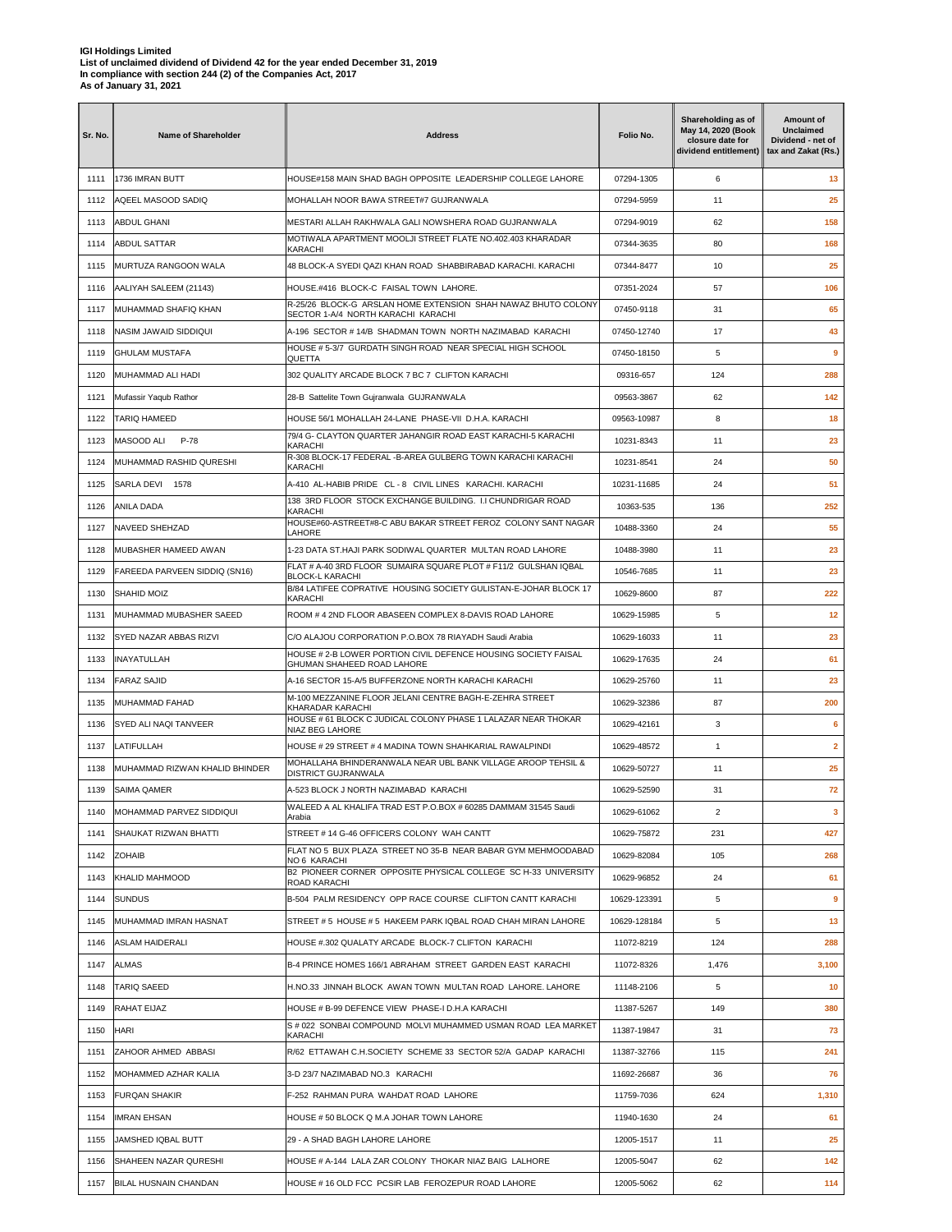| Sr. No. | Name of Shareholder            | <b>Address</b>                                                                                                          | Folio No.    | Shareholding as of<br>May 14, 2020 (Book<br>closure date for<br>dividend entitlement) | Amount of<br>Unclaimed<br>Dividend - net of<br>tax and Zakat (Rs.) |
|---------|--------------------------------|-------------------------------------------------------------------------------------------------------------------------|--------------|---------------------------------------------------------------------------------------|--------------------------------------------------------------------|
| 1111    | 1736 IMRAN BUTT                | HOUSE#158 MAIN SHAD BAGH OPPOSITE LEADERSHIP COLLEGE LAHORE                                                             | 07294-1305   | 6                                                                                     | 13                                                                 |
| 1112    | AQEEL MASOOD SADIO             | MOHALLAH NOOR BAWA STREET#7 GUJRANWALA                                                                                  | 07294-5959   | 11                                                                                    | 25                                                                 |
| 1113    | ABDUL GHANI                    | MESTARI ALLAH RAKHWALA GALI NOWSHERA ROAD GUJRANWALA                                                                    | 07294-9019   | 62                                                                                    | 158                                                                |
| 1114    | ABDUL SATTAR                   | MOTIWALA APARTMENT MOOLJI STREET FLATE NO.402.403 KHARADAR<br>KARACHI                                                   | 07344-3635   | 80                                                                                    | 168                                                                |
| 1115    | MURTUZA RANGOON WALA           | 48 BLOCK-A SYEDI QAZI KHAN ROAD SHABBIRABAD KARACHI. KARACHI                                                            | 07344-8477   | 10                                                                                    | 25                                                                 |
| 1116    | AALIYAH SALEEM (21143)         | HOUSE.#416 BLOCK-C FAISAL TOWN LAHORE.                                                                                  | 07351-2024   | 57                                                                                    | 106                                                                |
| 1117    | MUHAMMAD SHAFIQ KHAN           | R-25/26 BLOCK-G ARSLAN HOME EXTENSION SHAH NAWAZ BHUTO COLONY<br>SECTOR 1-A/4 NORTH KARACHI KARACHI                     | 07450-9118   | 31                                                                                    | 65                                                                 |
| 1118    | NASIM JAWAID SIDDIQUI          | A-196 SECTOR #14/B SHADMAN TOWN NORTH NAZIMABAD KARACHI                                                                 | 07450-12740  | 17                                                                                    | 43                                                                 |
| 1119    | <b>GHULAM MUSTAFA</b>          | HOUSE # 5-3/7 GURDATH SINGH ROAD NEAR SPECIAL HIGH SCHOOL<br>QUETTA                                                     | 07450-18150  | 5                                                                                     | 9                                                                  |
| 1120    | MUHAMMAD ALI HADI              | 302 QUALITY ARCADE BLOCK 7 BC 7 CLIFTON KARACHI                                                                         | 09316-657    | 124                                                                                   | 288                                                                |
| 1121    | Mufassir Yaqub Rathor          | 28-B Sattelite Town Gujranwala GUJRANWALA                                                                               | 09563-3867   | 62                                                                                    | 142                                                                |
| 1122    | TARIQ HAMEED                   | HOUSE 56/1 MOHALLAH 24-LANE PHASE-VII D.H.A. KARACHI                                                                    | 09563-10987  | 8                                                                                     | 18                                                                 |
| 1123    | MASOOD ALI<br>P-78             | 79/4 G- CLAYTON QUARTER JAHANGIR ROAD EAST KARACHI-5 KARACHI<br>KARACHI                                                 | 10231-8343   | 11                                                                                    | 23                                                                 |
| 1124    | MUHAMMAD RASHID QURESHI        | R-308 BLOCK-17 FEDERAL - B-AREA GULBERG TOWN KARACHI KARACHI<br>KARACHI                                                 | 10231-8541   | 24                                                                                    | 50                                                                 |
| 1125    | SARLA DEVI 1578                | A-410 AL-HABIB PRIDE CL - 8 CIVIL LINES KARACHI. KARACHI                                                                | 10231-11685  | 24                                                                                    | 51                                                                 |
| 1126    | ANILA DADA                     | 138 3RD FLOOR STOCK EXCHANGE BUILDING. I.I CHUNDRIGAR ROAD                                                              | 10363-535    | 136                                                                                   | 252                                                                |
| 1127    | NAVEED SHEHZAD                 | KARACHI<br>HOUSE#60-ASTREET#8-C ABU BAKAR STREET FEROZ COLONY SANT NAGAR                                                | 10488-3360   | 24                                                                                    | 55                                                                 |
| 1128    | MUBASHER HAMEED AWAN           | LAHORE<br>1-23 DATA ST.HAJI PARK SODIWAL QUARTER MULTAN ROAD LAHORE                                                     | 10488-3980   | 11                                                                                    | 23                                                                 |
| 1129    | FAREEDA PARVEEN SIDDIQ (SN16)  | FLAT # A-40 3RD FLOOR SUMAIRA SQUARE PLOT # F11/2 GULSHAN IQBAL                                                         | 10546-7685   | 11                                                                                    | 23                                                                 |
| 1130    | SHAHID MOIZ                    | <b>BLOCK-L KARACHI</b><br>B/84 LATIFEE COPRATIVE HOUSING SOCIETY GULISTAN-E-JOHAR BLOCK 17                              | 10629-8600   | 87                                                                                    | 222                                                                |
| 1131    | MUHAMMAD MUBASHER SAEED        | KARACHI<br>ROOM # 4 2ND FLOOR ABASEEN COMPLEX 8-DAVIS ROAD LAHORE                                                       | 10629-15985  | 5                                                                                     | 12                                                                 |
| 1132    | SYED NAZAR ABBAS RIZVI         | C/O ALAJOU CORPORATION P.O.BOX 78 RIAYADH Saudi Arabia                                                                  | 10629-16033  | 11                                                                                    | 23                                                                 |
| 1133    | <b>INAYATULLAH</b>             | HOUSE # 2-B LOWER PORTION CIVIL DEFENCE HOUSING SOCIETY FAISAL                                                          | 10629-17635  | 24                                                                                    | 61                                                                 |
| 1134    | FARAZ SAJID                    | GHUMAN SHAHEED ROAD LAHORE<br>A-16 SECTOR 15-A/5 BUFFERZONE NORTH KARACHI KARACHI                                       | 10629-25760  | 11                                                                                    | 23                                                                 |
|         |                                | M-100 MEZZANINE FLOOR JELANI CENTRE BAGH-E-ZEHRA STREET                                                                 |              | 87                                                                                    | 200                                                                |
| 1135    | MUHAMMAD FAHAD                 | KHARADAR KARACHI<br>HOUSE # 61 BLOCK C JUDICAL COLONY PHASE 1 LALAZAR NEAR THOKAR                                       | 10629-32386  |                                                                                       |                                                                    |
| 1136    | SYED ALI NAQI TANVEER          | NIAZ BEG LAHORE                                                                                                         | 10629-42161  | 3                                                                                     | 6                                                                  |
| 1137    | LATIFULLAH                     | HOUSE # 29 STREET # 4 MADINA TOWN SHAHKARIAL RAWALPINDI<br>MOHALLAHA BHINDERANWALA NEAR UBL BANK VILLAGE AROOP TEHSIL & | 10629-48572  | $\mathbf{1}$                                                                          | $\overline{2}$                                                     |
| 1138    | MUHAMMAD RIZWAN KHALID BHINDER | DISTRICT GUJRANWALA                                                                                                     | 10629-50727  | 11                                                                                    | 25                                                                 |
| 1139    | SAIMA QAMER                    | A-523 BLOCK J NORTH NAZIMABAD KARACHI<br>WALEED A AL KHALIFA TRAD EST P.O.BOX # 60285 DAMMAM 31545 Saudi                | 10629-52590  | 31                                                                                    | 72                                                                 |
| 1140    | MOHAMMAD PARVEZ SIDDIQUI       | Arabia                                                                                                                  | 10629-61062  | $\overline{2}$                                                                        | 3                                                                  |
| 1141    | SHAUKAT RIZWAN BHATTI          | STREET # 14 G-46 OFFICERS COLONY WAH CANTT<br>FLAT NO 5 BUX PLAZA STREET NO 35-B NEAR BABAR GYM MEHMOODABAD             | 10629-75872  | 231                                                                                   | 427                                                                |
| 1142    | <b>ZOHAIB</b>                  | NO 6 KARACHI<br>B2 PIONEER CORNER OPPOSITE PHYSICAL COLLEGE SC H-33 UNIVERSITY                                          | 10629-82084  | 105                                                                                   | 268                                                                |
| 1143    | KHALID MAHMOOD                 | ROAD KARACHI                                                                                                            | 10629-96852  | 24                                                                                    | 61                                                                 |
| 1144    | <b>SUNDUS</b>                  | B-504 PALM RESIDENCY OPP RACE COURSE CLIFTON CANTT KARACHI                                                              | 10629-123391 | 5                                                                                     | 9                                                                  |
| 1145    | MUHAMMAD IMRAN HASNAT          | STREET # 5 HOUSE # 5 HAKEEM PARK IQBAL ROAD CHAH MIRAN LAHORE                                                           | 10629-128184 | 5                                                                                     | 13                                                                 |
| 1146    | <b>ASLAM HAIDERALI</b>         | HOUSE #.302 QUALATY ARCADE BLOCK-7 CLIFTON KARACHI                                                                      | 11072-8219   | 124                                                                                   | 288                                                                |
| 1147    | <b>ALMAS</b>                   | B-4 PRINCE HOMES 166/1 ABRAHAM STREET GARDEN EAST KARACHI                                                               | 11072-8326   | 1,476                                                                                 | 3,100                                                              |
| 1148    | TARIQ SAEED                    | H.NO.33 JINNAH BLOCK AWAN TOWN MULTAN ROAD LAHORE. LAHORE                                                               | 11148-2106   | 5                                                                                     | 10                                                                 |
| 1149    | RAHAT EIJAZ                    | HOUSE # B-99 DEFENCE VIEW PHASE-I D.H.A KARACHI                                                                         | 11387-5267   | 149                                                                                   | 380                                                                |
| 1150    | HARI                           | S#022 SONBAI COMPOUND MOLVI MUHAMMED USMAN ROAD LEA MARKET<br>KARACHI                                                   | 11387-19847  | 31                                                                                    | 73                                                                 |
| 1151    | ZAHOOR AHMED ABBASI            | R/62 ETTAWAH C.H.SOCIETY SCHEME 33 SECTOR 52/A GADAP KARACHI                                                            | 11387-32766  | 115                                                                                   | 241                                                                |
| 1152    | MOHAMMED AZHAR KALIA           | 3-D 23/7 NAZIMABAD NO.3 KARACHI                                                                                         | 11692-26687  | 36                                                                                    | 76                                                                 |
| 1153    | FURQAN SHAKIR                  | F-252 RAHMAN PURA WAHDAT ROAD LAHORE                                                                                    | 11759-7036   | 624                                                                                   | 1,310                                                              |
| 1154    | <b>IMRAN EHSAN</b>             | HOUSE # 50 BLOCK Q M.A JOHAR TOWN LAHORE                                                                                | 11940-1630   | 24                                                                                    | 61                                                                 |
| 1155    | JAMSHED IQBAL BUTT             | 29 - A SHAD BAGH LAHORE LAHORE                                                                                          | 12005-1517   | 11                                                                                    | 25                                                                 |
| 1156    | SHAHEEN NAZAR QURESHI          | HOUSE # A-144 LALA ZAR COLONY THOKAR NIAZ BAIG LALHORE                                                                  | 12005-5047   | 62                                                                                    | 142                                                                |
| 1157    | BILAL HUSNAIN CHANDAN          | HOUSE # 16 OLD FCC PCSIR LAB FEROZEPUR ROAD LAHORE                                                                      | 12005-5062   | 62                                                                                    | 114                                                                |